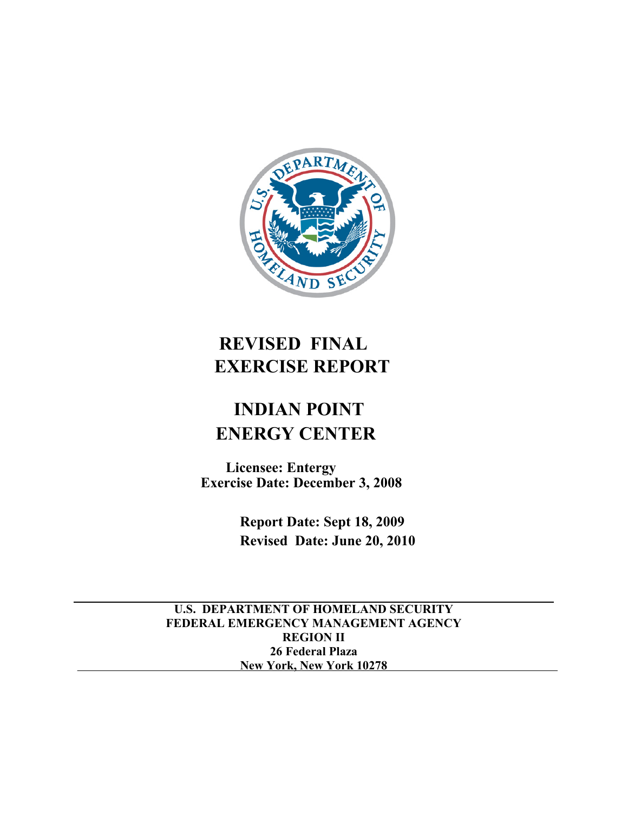

# **REVISED FINAL EXERCISE REPORT**

# **INDIAN POINT ENERGY CENTER**

 **Licensee: Entergy Exercise Date: December 3, 2008**

> **Report Date: Sept 18, 2009 Revised Date: June 20, 2010**

**U.S. DEPARTMENT OF HOMELAND SECURITY FEDERAL EMERGENCY MANAGEMENT AGENCY REGION II 26 Federal Plaza New York, New York 10278**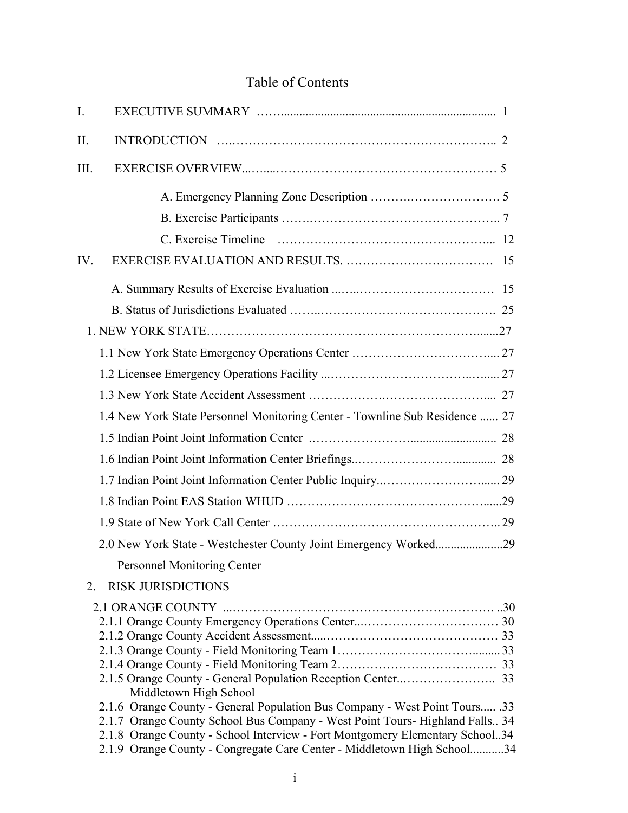## Table of Contents

| I.   |                                                                                                       |  |
|------|-------------------------------------------------------------------------------------------------------|--|
| II.  |                                                                                                       |  |
| III. |                                                                                                       |  |
|      |                                                                                                       |  |
|      |                                                                                                       |  |
|      |                                                                                                       |  |
| IV.  |                                                                                                       |  |
|      |                                                                                                       |  |
|      |                                                                                                       |  |
|      |                                                                                                       |  |
|      |                                                                                                       |  |
|      |                                                                                                       |  |
|      |                                                                                                       |  |
|      | 1.4 New York State Personnel Monitoring Center - Townline Sub Residence  27                           |  |
|      |                                                                                                       |  |
|      |                                                                                                       |  |
|      |                                                                                                       |  |
|      |                                                                                                       |  |
|      |                                                                                                       |  |
|      | 2.0 New York State - Westchester County Joint Emergency Worked29                                      |  |
|      | <b>Personnel Monitoring Center</b>                                                                    |  |
| 2    | <b>RISK JURISDICTIONS</b>                                                                             |  |
|      |                                                                                                       |  |
|      |                                                                                                       |  |
|      |                                                                                                       |  |
|      |                                                                                                       |  |
|      |                                                                                                       |  |
|      | Middletown High School<br>2.1.6 Orange County - General Population Bus Company - West Point Tours .33 |  |
|      | 2.1.7 Orange County School Bus Company - West Point Tours-Highland Falls 34                           |  |
|      | 2.1.8 Orange County - School Interview - Fort Montgomery Elementary School34                          |  |
|      | 2.1.9 Orange County - Congregate Care Center - Middletown High School34                               |  |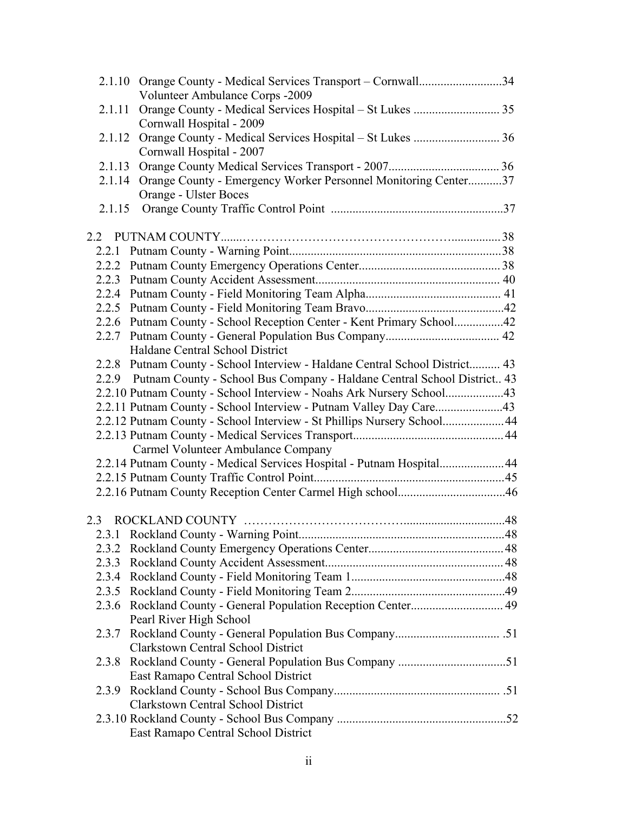| Orange County - Medical Services Transport - Cornwall34<br>2.1.10             |  |
|-------------------------------------------------------------------------------|--|
| Volunteer Ambulance Corps -2009                                               |  |
| 2.1.11<br>Cornwall Hospital - 2009                                            |  |
| 2.1.12                                                                        |  |
| Cornwall Hospital - 2007                                                      |  |
| 2.1.13                                                                        |  |
| Orange County - Emergency Worker Personnel Monitoring Center37<br>2.1.14      |  |
| Orange - Ulster Boces                                                         |  |
| 2.1.15                                                                        |  |
|                                                                               |  |
|                                                                               |  |
| 2.2.2                                                                         |  |
|                                                                               |  |
|                                                                               |  |
|                                                                               |  |
| 2.2.6 Putnam County - School Reception Center - Kent Primary School42         |  |
|                                                                               |  |
| Haldane Central School District                                               |  |
| 2.2.8 Putnam County - School Interview - Haldane Central School District 43   |  |
| 2.2.9 Putnam County - School Bus Company - Haldane Central School District 43 |  |
| 2.2.10 Putnam County - School Interview - Noahs Ark Nursery School43          |  |
|                                                                               |  |
| 2.2.12 Putnam County - School Interview - St Phillips Nursery School 44       |  |
|                                                                               |  |
| Carmel Volunteer Ambulance Company                                            |  |
| 2.2.14 Putnam County - Medical Services Hospital - Putnam Hospital 44         |  |
|                                                                               |  |
|                                                                               |  |
|                                                                               |  |
|                                                                               |  |
| 2.3.2                                                                         |  |
| 2.3.3                                                                         |  |
|                                                                               |  |
|                                                                               |  |
| Rockland County - General Population Reception Center 49<br>2.3.6             |  |
| Pearl River High School                                                       |  |
|                                                                               |  |
| <b>Clarkstown Central School District</b>                                     |  |
|                                                                               |  |
| East Ramapo Central School District                                           |  |
| 2.3.9                                                                         |  |
| <b>Clarkstown Central School District</b>                                     |  |
|                                                                               |  |
| East Ramapo Central School District                                           |  |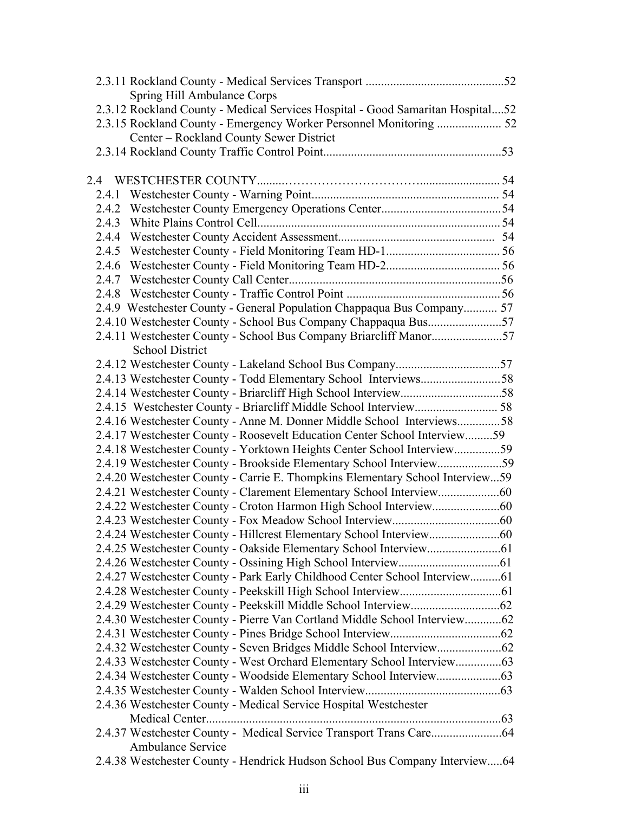| Spring Hill Ambulance Corps                                                                 |  |
|---------------------------------------------------------------------------------------------|--|
| 2.3.12 Rockland County - Medical Services Hospital - Good Samaritan Hospital52              |  |
| 2.3.15 Rockland County - Emergency Worker Personnel Monitoring  52                          |  |
| Center - Rockland County Sewer District                                                     |  |
|                                                                                             |  |
|                                                                                             |  |
| 2.4                                                                                         |  |
|                                                                                             |  |
|                                                                                             |  |
|                                                                                             |  |
|                                                                                             |  |
|                                                                                             |  |
|                                                                                             |  |
|                                                                                             |  |
|                                                                                             |  |
| 2.4.9 Westchester County - General Population Chappaqua Bus Company 57                      |  |
|                                                                                             |  |
| 2.4.11 Westchester County - School Bus Company Briarcliff Manor57<br><b>School District</b> |  |
|                                                                                             |  |
| 2.4.13 Westchester County - Todd Elementary School Interviews58                             |  |
|                                                                                             |  |
|                                                                                             |  |
| 2.4.16 Westchester County - Anne M. Donner Middle School Interviews58                       |  |
| 2.4.17 Westchester County - Roosevelt Education Center School Interview59                   |  |
| 2.4.18 Westchester County - Yorktown Heights Center School Interview59                      |  |
|                                                                                             |  |
| 2.4.20 Westchester County - Carrie E. Thompkins Elementary School Interview59               |  |
|                                                                                             |  |
|                                                                                             |  |
|                                                                                             |  |
|                                                                                             |  |
|                                                                                             |  |
|                                                                                             |  |
| 2.4.27 Westchester County - Park Early Childhood Center School Interview61                  |  |
|                                                                                             |  |
|                                                                                             |  |
| 2.4.30 Westchester County - Pierre Van Cortland Middle School Interview62                   |  |
|                                                                                             |  |
|                                                                                             |  |
| 2.4.33 Westchester County - West Orchard Elementary School Interview63                      |  |
|                                                                                             |  |
|                                                                                             |  |
| 2.4.36 Westchester County - Medical Service Hospital Westchester                            |  |
|                                                                                             |  |
|                                                                                             |  |
| <b>Ambulance Service</b>                                                                    |  |
| 2.4.38 Westchester County - Hendrick Hudson School Bus Company Interview64                  |  |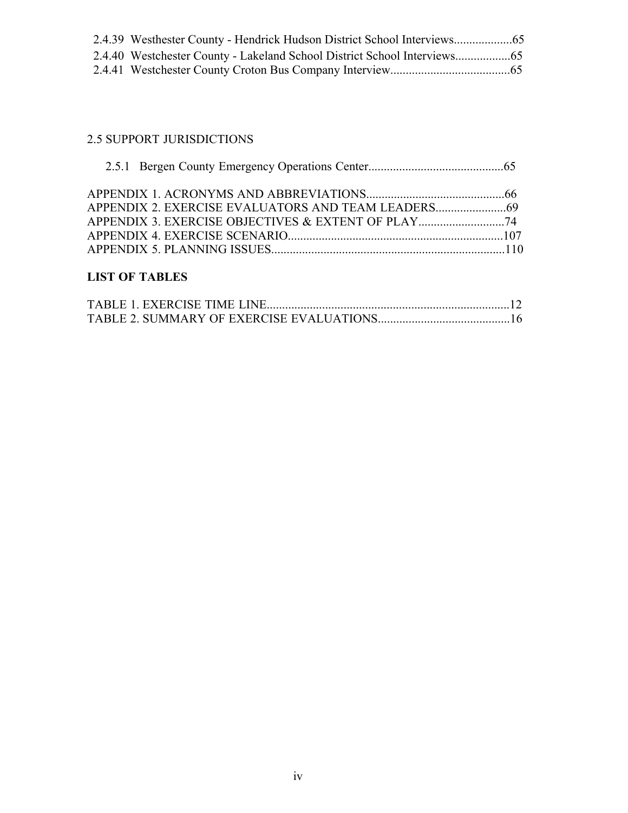## 2.5 SUPPORT JURISDICTIONS

## **LIST OF TABLES**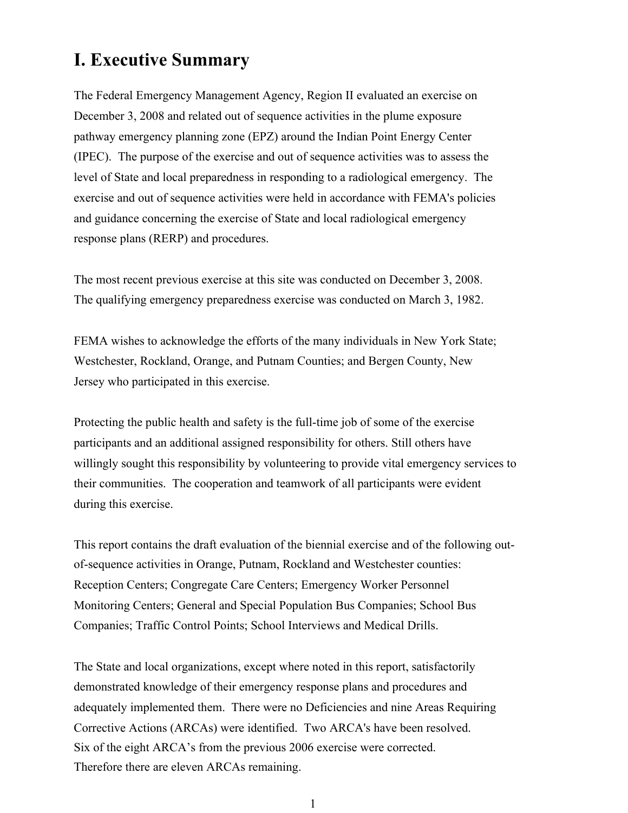# **I. Executive Summary**

The Federal Emergency Management Agency, Region II evaluated an exercise on December 3, 2008 and related out of sequence activities in the plume exposure pathway emergency planning zone (EPZ) around the Indian Point Energy Center (IPEC). The purpose of the exercise and out of sequence activities was to assess the level of State and local preparedness in responding to a radiological emergency. The exercise and out of sequence activities were held in accordance with FEMA's policies and guidance concerning the exercise of State and local radiological emergency response plans (RERP) and procedures.

The most recent previous exercise at this site was conducted on December 3, 2008. The qualifying emergency preparedness exercise was conducted on March 3, 1982.

FEMA wishes to acknowledge the efforts of the many individuals in New York State; Westchester, Rockland, Orange, and Putnam Counties; and Bergen County, New Jersey who participated in this exercise.

Protecting the public health and safety is the full-time job of some of the exercise participants and an additional assigned responsibility for others. Still others have willingly sought this responsibility by volunteering to provide vital emergency services to their communities. The cooperation and teamwork of all participants were evident during this exercise.

This report contains the draft evaluation of the biennial exercise and of the following outof-sequence activities in Orange, Putnam, Rockland and Westchester counties: Reception Centers; Congregate Care Centers; Emergency Worker Personnel Monitoring Centers; General and Special Population Bus Companies; School Bus Companies; Traffic Control Points; School Interviews and Medical Drills.

The State and local organizations, except where noted in this report, satisfactorily demonstrated knowledge of their emergency response plans and procedures and adequately implemented them. There were no Deficiencies and nine Areas Requiring Corrective Actions (ARCAs) were identified. Two ARCA's have been resolved. Six of the eight ARCA's from the previous 2006 exercise were corrected. Therefore there are eleven ARCAs remaining.

1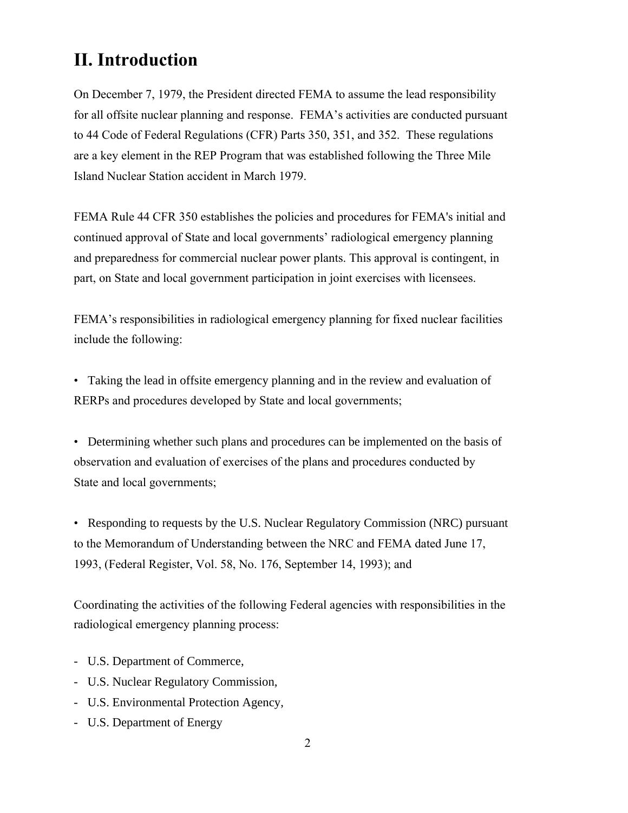# **II. Introduction**

On December 7, 1979, the President directed FEMA to assume the lead responsibility for all offsite nuclear planning and response. FEMA's activities are conducted pursuant to 44 Code of Federal Regulations (CFR) Parts 350, 351, and 352. These regulations are a key element in the REP Program that was established following the Three Mile Island Nuclear Station accident in March 1979.

FEMA Rule 44 CFR 350 establishes the policies and procedures for FEMA's initial and continued approval of State and local governments' radiological emergency planning and preparedness for commercial nuclear power plants. This approval is contingent, in part, on State and local government participation in joint exercises with licensees.

FEMA's responsibilities in radiological emergency planning for fixed nuclear facilities include the following:

• Taking the lead in offsite emergency planning and in the review and evaluation of RERPs and procedures developed by State and local governments;

• Determining whether such plans and procedures can be implemented on the basis of observation and evaluation of exercises of the plans and procedures conducted by State and local governments;

• Responding to requests by the U.S. Nuclear Regulatory Commission (NRC) pursuant to the Memorandum of Understanding between the NRC and FEMA dated June 17, 1993, (Federal Register, Vol. 58, No. 176, September 14, 1993); and

Coordinating the activities of the following Federal agencies with responsibilities in the radiological emergency planning process:

- U.S. Department of Commerce,
- U.S. Nuclear Regulatory Commission,
- U.S. Environmental Protection Agency,
- U.S. Department of Energy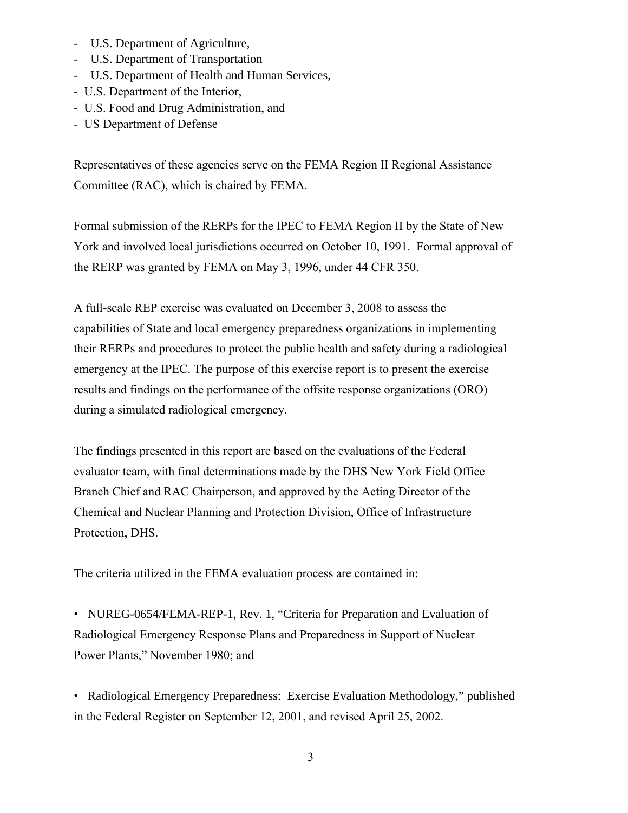- U.S. Department of Agriculture,
- U.S. Department of Transportation
- U.S. Department of Health and Human Services,
- U.S. Department of the Interior,
- U.S. Food and Drug Administration, and
- US Department of Defense

Representatives of these agencies serve on the FEMA Region II Regional Assistance Committee (RAC), which is chaired by FEMA.

Formal submission of the RERPs for the IPEC to FEMA Region II by the State of New York and involved local jurisdictions occurred on October 10, 1991. Formal approval of the RERP was granted by FEMA on May 3, 1996, under 44 CFR 350.

A full-scale REP exercise was evaluated on December 3, 2008 to assess the capabilities of State and local emergency preparedness organizations in implementing their RERPs and procedures to protect the public health and safety during a radiological emergency at the IPEC. The purpose of this exercise report is to present the exercise results and findings on the performance of the offsite response organizations (ORO) during a simulated radiological emergency.

The findings presented in this report are based on the evaluations of the Federal evaluator team, with final determinations made by the DHS New York Field Office Branch Chief and RAC Chairperson, and approved by the Acting Director of the Chemical and Nuclear Planning and Protection Division, Office of Infrastructure Protection, DHS.

The criteria utilized in the FEMA evaluation process are contained in:

• NUREG-0654/FEMA-REP-1, Rev. 1, "Criteria for Preparation and Evaluation of Radiological Emergency Response Plans and Preparedness in Support of Nuclear Power Plants," November 1980; and

• Radiological Emergency Preparedness: Exercise Evaluation Methodology," published in the Federal Register on September 12, 2001, and revised April 25, 2002.

3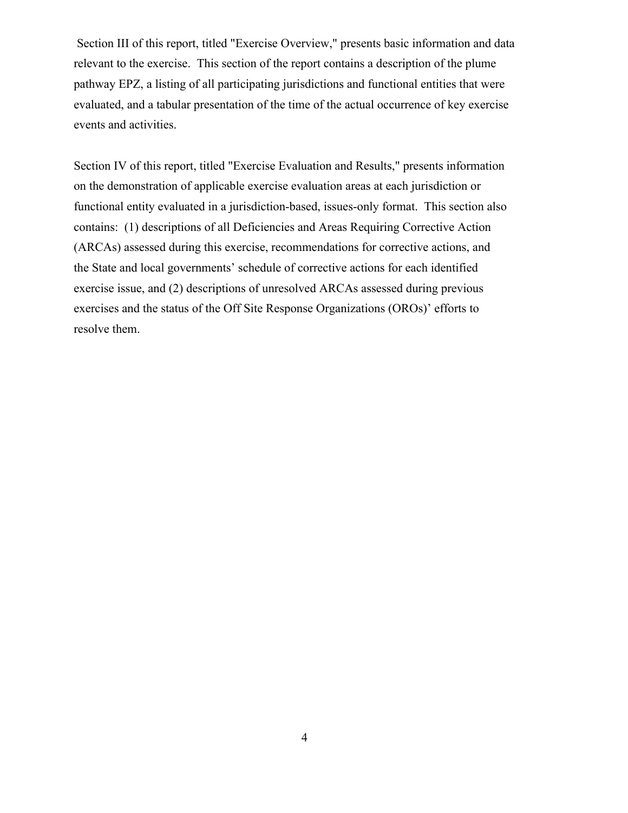Section III of this report, titled "Exercise Overview," presents basic information and data relevant to the exercise. This section of the report contains a description of the plume pathway EPZ, a listing of all participating jurisdictions and functional entities that were evaluated, and a tabular presentation of the time of the actual occurrence of key exercise events and activities.

Section IV of this report, titled "Exercise Evaluation and Results," presents information on the demonstration of applicable exercise evaluation areas at each jurisdiction or functional entity evaluated in a jurisdiction-based, issues-only format. This section also contains: (1) descriptions of all Deficiencies and Areas Requiring Corrective Action (ARCAs) assessed during this exercise, recommendations for corrective actions, and the State and local governments' schedule of corrective actions for each identified exercise issue, and (2) descriptions of unresolved ARCAs assessed during previous exercises and the status of the Off Site Response Organizations (OROs)' efforts to resolve them.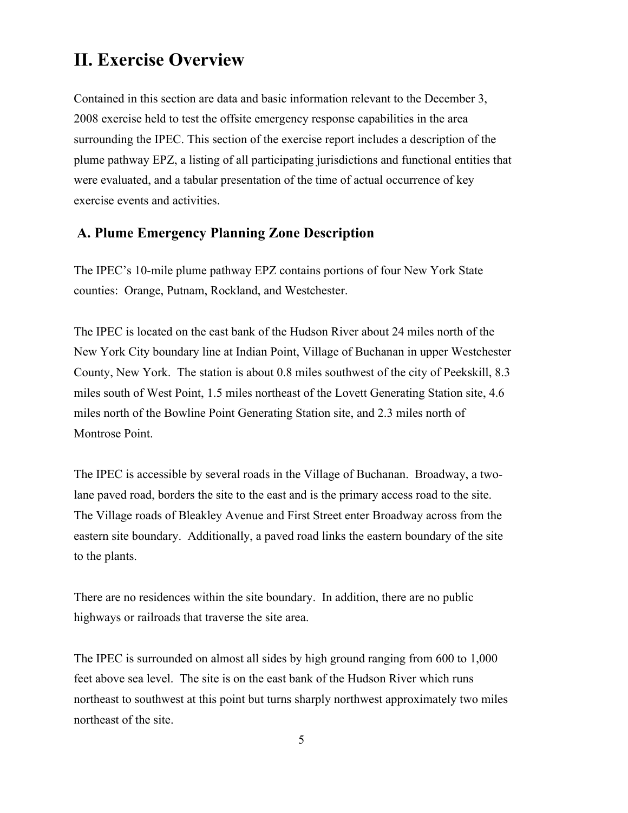# **II. Exercise Overview**

Contained in this section are data and basic information relevant to the December 3, 2008 exercise held to test the offsite emergency response capabilities in the area surrounding the IPEC. This section of the exercise report includes a description of the plume pathway EPZ, a listing of all participating jurisdictions and functional entities that were evaluated, and a tabular presentation of the time of actual occurrence of key exercise events and activities.

## **A. Plume Emergency Planning Zone Description**

The IPEC's 10-mile plume pathway EPZ contains portions of four New York State counties: Orange, Putnam, Rockland, and Westchester.

The IPEC is located on the east bank of the Hudson River about 24 miles north of the New York City boundary line at Indian Point, Village of Buchanan in upper Westchester County, New York. The station is about 0.8 miles southwest of the city of Peekskill, 8.3 miles south of West Point, 1.5 miles northeast of the Lovett Generating Station site, 4.6 miles north of the Bowline Point Generating Station site, and 2.3 miles north of Montrose Point.

The IPEC is accessible by several roads in the Village of Buchanan. Broadway, a twolane paved road, borders the site to the east and is the primary access road to the site. The Village roads of Bleakley Avenue and First Street enter Broadway across from the eastern site boundary. Additionally, a paved road links the eastern boundary of the site to the plants.

There are no residences within the site boundary. In addition, there are no public highways or railroads that traverse the site area.

The IPEC is surrounded on almost all sides by high ground ranging from 600 to 1,000 feet above sea level. The site is on the east bank of the Hudson River which runs northeast to southwest at this point but turns sharply northwest approximately two miles northeast of the site.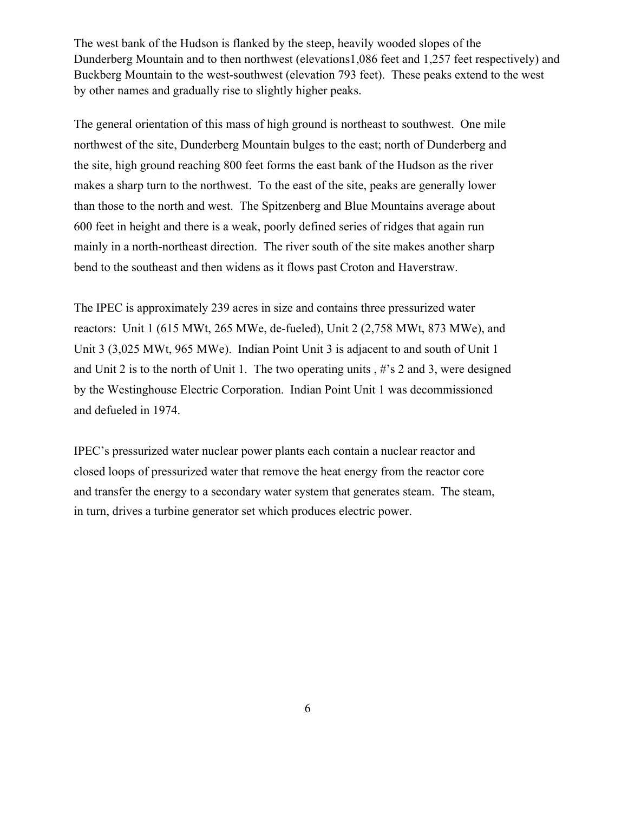The west bank of the Hudson is flanked by the steep, heavily wooded slopes of the Dunderberg Mountain and to then northwest (elevations1,086 feet and 1,257 feet respectively) and Buckberg Mountain to the west-southwest (elevation 793 feet). These peaks extend to the west by other names and gradually rise to slightly higher peaks.

The general orientation of this mass of high ground is northeast to southwest. One mile northwest of the site, Dunderberg Mountain bulges to the east; north of Dunderberg and the site, high ground reaching 800 feet forms the east bank of the Hudson as the river makes a sharp turn to the northwest. To the east of the site, peaks are generally lower than those to the north and west. The Spitzenberg and Blue Mountains average about 600 feet in height and there is a weak, poorly defined series of ridges that again run mainly in a north-northeast direction. The river south of the site makes another sharp bend to the southeast and then widens as it flows past Croton and Haverstraw.

The IPEC is approximately 239 acres in size and contains three pressurized water reactors: Unit 1 (615 MWt, 265 MWe, de-fueled), Unit 2 (2,758 MWt, 873 MWe), and Unit 3 (3,025 MWt, 965 MWe). Indian Point Unit 3 is adjacent to and south of Unit 1 and Unit 2 is to the north of Unit 1. The two operating units , #'s 2 and 3, were designed by the Westinghouse Electric Corporation. Indian Point Unit 1 was decommissioned and defueled in 1974.

IPEC's pressurized water nuclear power plants each contain a nuclear reactor and closed loops of pressurized water that remove the heat energy from the reactor core and transfer the energy to a secondary water system that generates steam. The steam, in turn, drives a turbine generator set which produces electric power.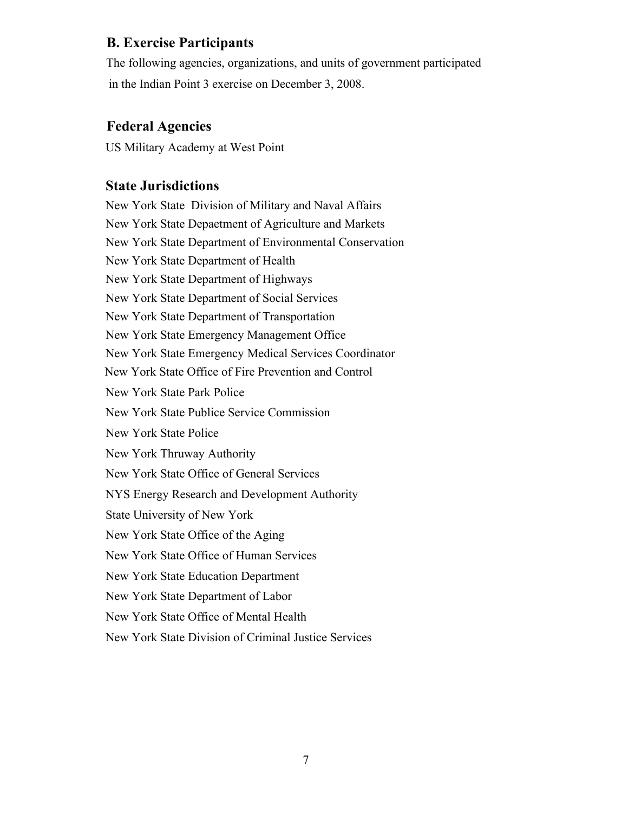## **B. Exercise Participants**

 The following agencies, organizations, and units of government participated in the Indian Point 3 exercise on December 3, 2008.

## **Federal Agencies**

US Military Academy at West Point

#### **State Jurisdictions**

New York State Division of Military and Naval Affairs New York State Depaetment of Agriculture and Markets New York State Department of Environmental Conservation New York State Department of Health New York State Department of Highways New York State Department of Social Services New York State Department of Transportation New York State Emergency Management Office New York State Emergency Medical Services Coordinator New York State Office of Fire Prevention and Control New York State Park Police New York State Publice Service Commission New York State Police New York Thruway Authority New York State Office of General Services NYS Energy Research and Development Authority State University of New York New York State Office of the Aging New York State Office of Human Services New York State Education Department New York State Department of Labor New York State Office of Mental Health New York State Division of Criminal Justice Services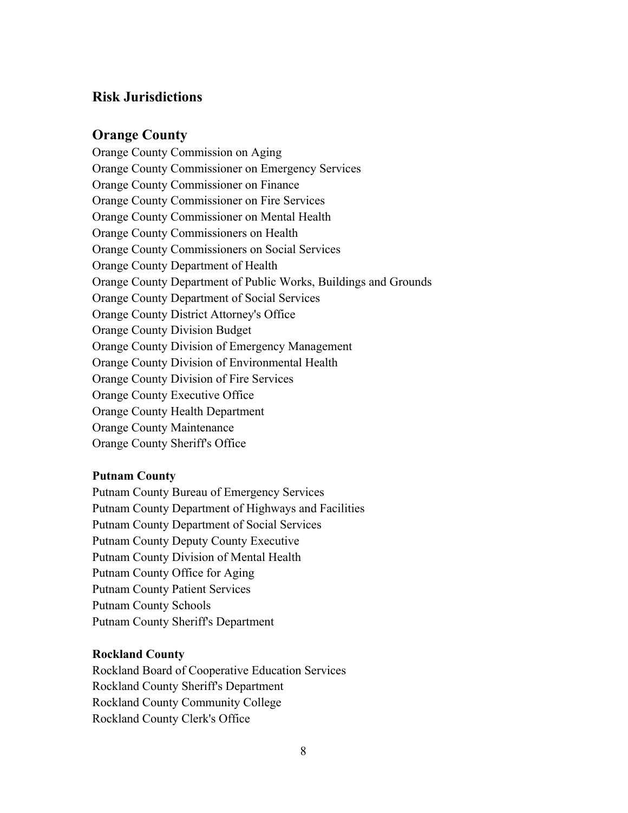#### **Risk Jurisdictions**

#### **Orange County**

Orange County Commission on Aging Orange County Commissioner on Emergency Services Orange County Commissioner on Finance Orange County Commissioner on Fire Services Orange County Commissioner on Mental Health Orange County Commissioners on Health Orange County Commissioners on Social Services Orange County Department of Health Orange County Department of Public Works, Buildings and Grounds Orange County Department of Social Services Orange County District Attorney's Office Orange County Division Budget Orange County Division of Emergency Management Orange County Division of Environmental Health Orange County Division of Fire Services Orange County Executive Office Orange County Health Department Orange County Maintenance Orange County Sheriff's Office

#### **Putnam County**

Putnam County Bureau of Emergency Services Putnam County Department of Highways and Facilities Putnam County Department of Social Services Putnam County Deputy County Executive Putnam County Division of Mental Health Putnam County Office for Aging Putnam County Patient Services Putnam County Schools Putnam County Sheriff's Department

#### **Rockland County**

Rockland Board of Cooperative Education Services Rockland County Sheriff's Department Rockland County Community College Rockland County Clerk's Office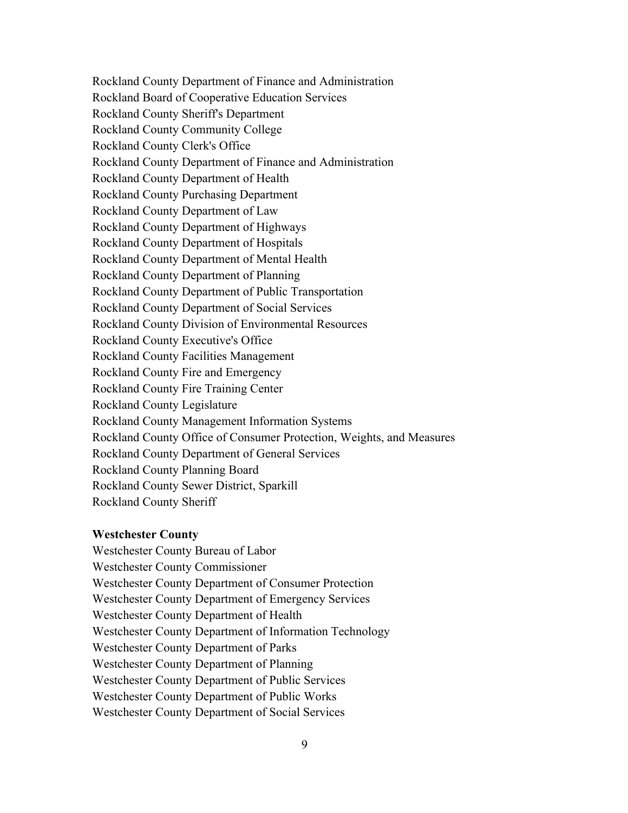Rockland County Department of Finance and Administration Rockland Board of Cooperative Education Services Rockland County Sheriff's Department Rockland County Community College Rockland County Clerk's Office Rockland County Department of Finance and Administration Rockland County Department of Health Rockland County Purchasing Department Rockland County Department of Law Rockland County Department of Highways Rockland County Department of Hospitals Rockland County Department of Mental Health Rockland County Department of Planning Rockland County Department of Public Transportation Rockland County Department of Social Services Rockland County Division of Environmental Resources Rockland County Executive's Office Rockland County Facilities Management Rockland County Fire and Emergency Rockland County Fire Training Center Rockland County Legislature Rockland County Management Information Systems Rockland County Office of Consumer Protection, Weights, and Measures Rockland County Department of General Services Rockland County Planning Board Rockland County Sewer District, Sparkill Rockland County Sheriff

#### **Westchester County**

Westchester County Bureau of Labor Westchester County Commissioner Westchester County Department of Consumer Protection Westchester County Department of Emergency Services Westchester County Department of Health Westchester County Department of Information Technology Westchester County Department of Parks Westchester County Department of Planning Westchester County Department of Public Services Westchester County Department of Public Works Westchester County Department of Social Services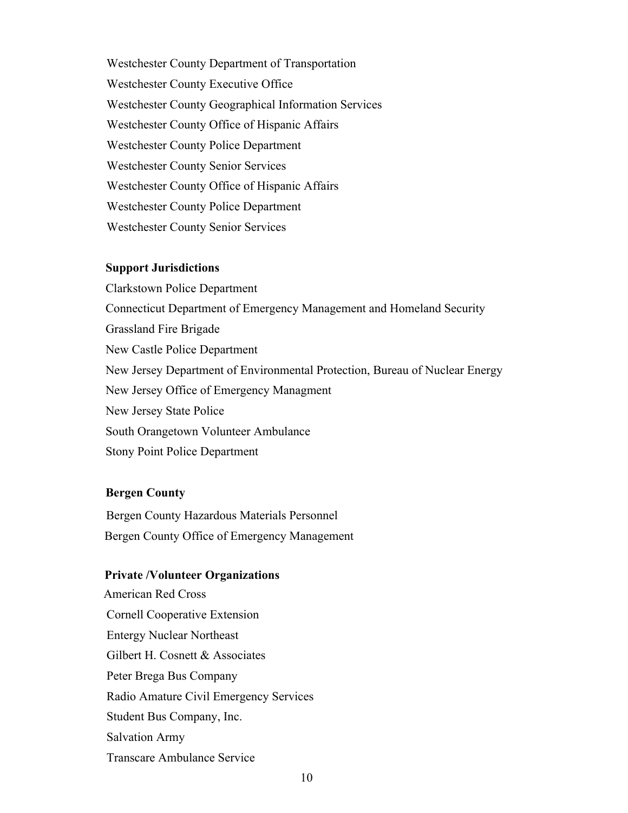Westchester County Department of Transportation Westchester County Executive Office Westchester County Geographical Information Services Westchester County Office of Hispanic Affairs Westchester County Police Department Westchester County Senior Services Westchester County Office of Hispanic Affairs Westchester County Police Department Westchester County Senior Services

#### **Support Jurisdictions**

 Clarkstown Police Department Connecticut Department of Emergency Management and Homeland Security Grassland Fire Brigade New Castle Police Department New Jersey Department of Environmental Protection, Bureau of Nuclear Energy New Jersey Office of Emergency Managment New Jersey State Police South Orangetown Volunteer Ambulance Stony Point Police Department

#### **Bergen County**

Bergen County Hazardous Materials Personnel Bergen County Office of Emergency Management

#### **Private /Volunteer Organizations**

American Red Cross Cornell Cooperative Extension Entergy Nuclear Northeast Gilbert H. Cosnett & Associates Peter Brega Bus Company Radio Amature Civil Emergency Services Student Bus Company, Inc. Salvation Army Transcare Ambulance Service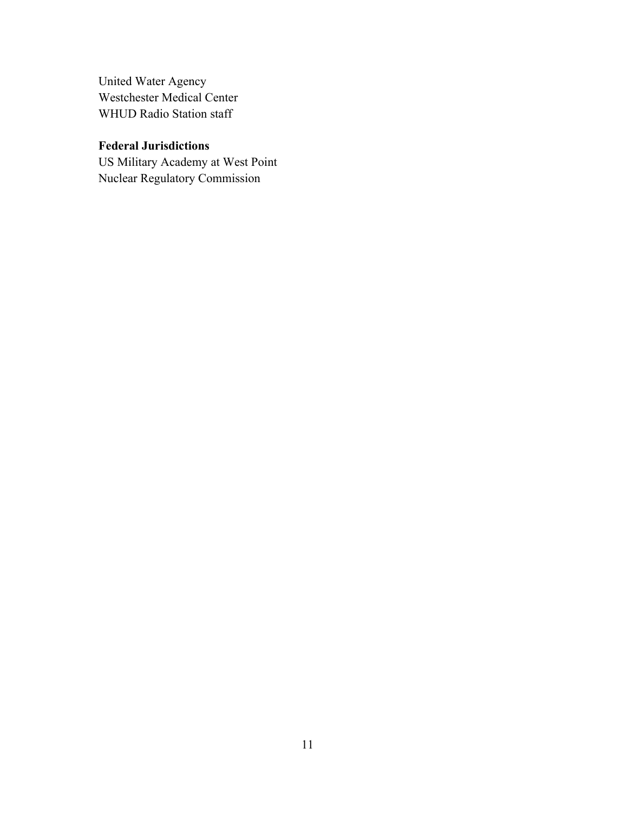United Water Agency Westchester Medical Center WHUD Radio Station staff

#### **Federal Jurisdictions**

 US Military Academy at West Point Nuclear Regulatory Commission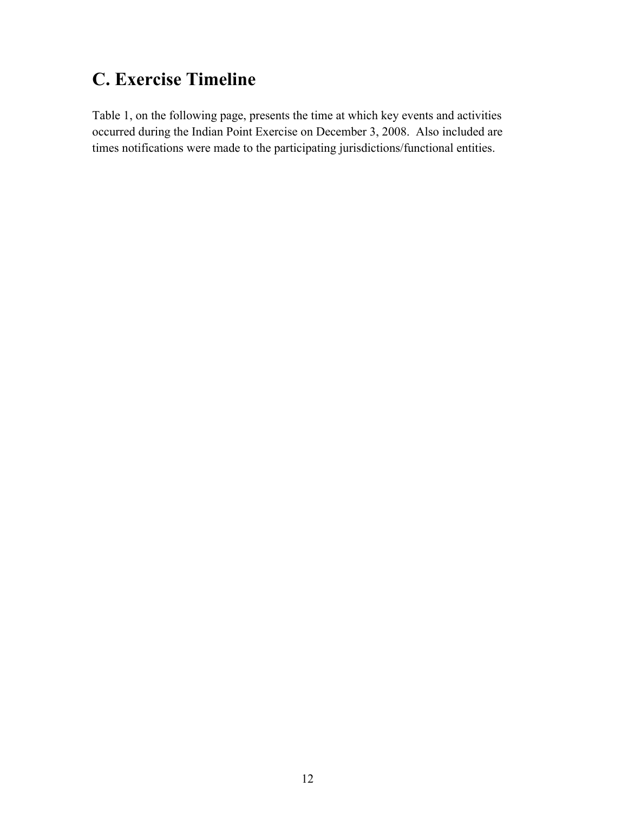# **C. Exercise Timeline**

Table 1, on the following page, presents the time at which key events and activities occurred during the Indian Point Exercise on December 3, 2008. Also included are times notifications were made to the participating jurisdictions/functional entities.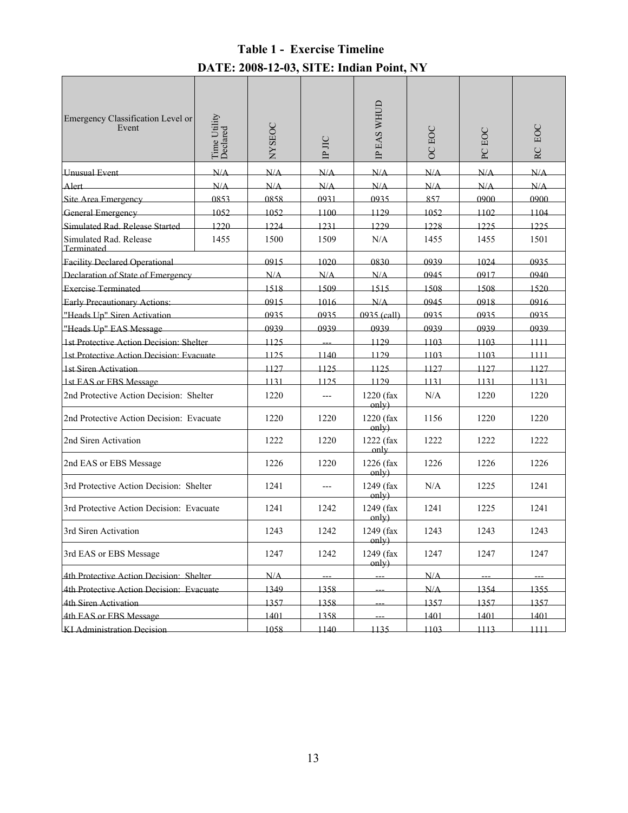## **Table 1 - Exercise Timeline DATE: 2008-12-03, SITE: Indian Point, NY**

| Emergency Classification Level or<br>Event | Time Utility<br>Declared | NYSEOC | IP JIC | IP EAS WHUD                    | OC EOC | PC EOC | EOC<br><b>RC</b> |
|--------------------------------------------|--------------------------|--------|--------|--------------------------------|--------|--------|------------------|
| <b>Unusual Event</b>                       | N/A                      | N/A    | N/A    | N/A                            | N/A    | N/A    | N/A              |
| Alert                                      | N/A                      | N/A    | N/A    | N/A                            | N/A    | N/A    | N/A              |
| Site Area Emergency                        | 0853                     | 0858   | 0931   | 0935                           | 857    | 0900   | 0900             |
| General Emergency                          | 1052                     | 1052   | 1100   | 1129                           | 1052   | 1102   | 1104             |
| Simulated Rad, Release Started             | 1220                     | 1224   | 1231   | 1229                           | 1228   | 1225   | 1225             |
| Simulated Rad. Release<br>Terminated       | 1455                     | 1500   | 1509   | N/A                            | 1455   | 1455   | 1501             |
| Facility Declared Operational              |                          | 0915   | 1020   | 0830                           | 0939   | 1024   | 0935             |
| Declaration of State of Emergency          |                          | N/A    | N/A    | N/A                            | 0945   | 0917   | 0940             |
| <b>Exercise Terminated</b>                 |                          | 1518   | 1509   | 1515                           | 1508   | 1508   | 1520             |
| Early Precautionary Actions:               |                          | 0915   | 1016   | N/A                            | 0945   | 0918   | 0916             |
| "Heads Up" Siren Activation                |                          | 0935   | 0935   | 0935 (call)                    | 0935   | 0935   | 0935             |
| "Heads Up" EAS Message                     |                          | 0939   | 0939   | 0939                           | 0939   | 0939   | 0939             |
| 1st Protective Action Decision: Shelter    |                          | 1125   |        | 1129                           | 1103   | 1103   | 1111             |
| 1st Protective Action Decision: Evacuate   |                          | 1125   | 1140   | 1129                           | 1103   | 1103   | 1111             |
| 1st Siren Activation                       |                          | 1127   | 1125   | 1125                           | 1127   | 1127   | 1127             |
| 1st EAS or EBS Message                     |                          | 1131   | 1125   | 1129                           | 1131   | 1131   | 1131             |
| 2nd Protective Action Decision: Shelter    |                          | 1220   | $---$  | $1220$ (fax<br>$\text{only}$ ) | N/A    | 1220   | 1220             |
| 2nd Protective Action Decision: Evacuate   |                          | 1220   | 1220   | 1220 (fax<br>only)             | 1156   | 1220   | 1220             |
| 2nd Siren Activation                       |                          | 1222   | 1220   | 1222 (fax<br>only              | 1222   | 1222   | 1222             |
| 2nd EAS or EBS Message                     |                          | 1226   | 1220   | 1226 (fax<br>only)             | 1226   | 1226   | 1226             |
| 3rd Protective Action Decision: Shelter    |                          | 1241   | $---$  | 1249 (fax<br>only)             | N/A    | 1225   | 1241             |
| 3rd Protective Action Decision: Evacuate   |                          | 1241   | 1242   | 1249 (fax<br>only)             | 1241   | 1225   | 1241             |
| 3rd Siren Activation                       |                          | 1243   | 1242   | 1249 (fax<br>$\text{only}$ )   | 1243   | 1243   | 1243             |
| 3rd EAS or EBS Message                     |                          | 1247   | 1242   | 1249 (fax<br>only)             | 1247   | 1247   | 1247             |
| 4th Protective Action Decision: Shelter    |                          | N/A    |        |                                | N/A    |        |                  |
| 4th Protective Action Decision: Evacuate   |                          | 1349   | 1358   |                                | N/A    | 1354   | 1355             |
| 4th Siren Activation                       |                          | 1357   | 1358   |                                | 1357   | 1357   | 1357             |
| 4th EAS or EBS Message                     |                          | 1401   | 1358   |                                | 1401   | 1401   | 1401             |
| KI Administration Decision                 |                          | 1058   | 1140   | 1135                           | 1103   | 1113   | 1111             |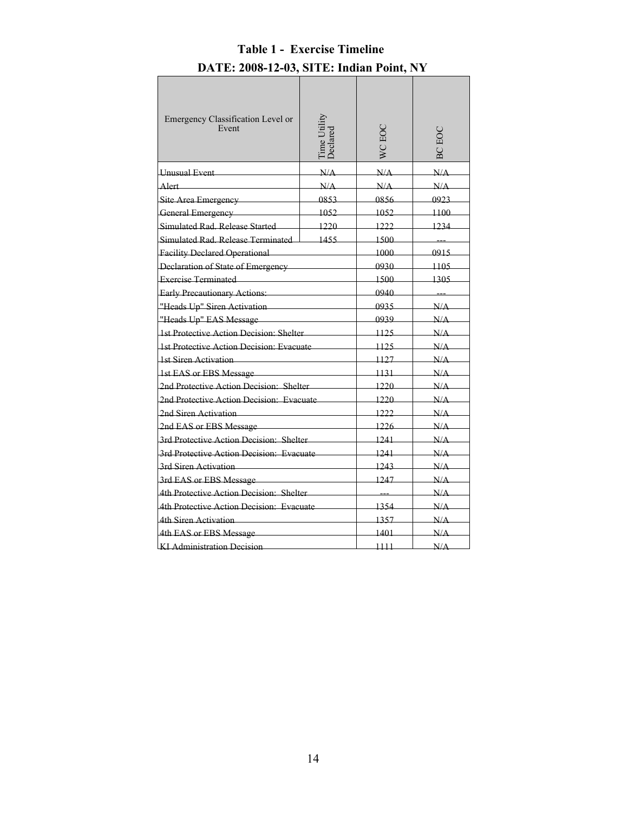| Emergency Classification Level or<br>Event | Time Utility<br>Declared | VC EOC | 3C EOC |
|--------------------------------------------|--------------------------|--------|--------|
| <b>Unusual Event</b>                       | N/A                      | N/A    | N/A    |
| Alert_                                     | N/A                      | N/A    | N/A    |
| Site Area Emergency                        | 0853                     | 0856   | 0923   |
| General Emergency                          | 1052                     | 1052   | 1100   |
| Simulated Rad, Release Started             | 1220                     | 1222   | 1234   |
| Simulated Rad, Release Terminated          | 1455                     | 1500   |        |
| <b>Facility Declared Operational</b>       |                          | 1000   | 0915   |
| Declaration of State of Emergency          | 0930                     | 1105   |        |
| <b>Exercise Terminated</b>                 | 1500                     | 1305   |        |
| Early Precautionary Actions:               | 0940                     |        |        |
| "Heads Up" Siren Activation                | 0935                     | N/A    |        |
| "Heads Up" EAS Message                     | 0939                     | N/A    |        |
| 1st Protective Action Decision: Shelter    |                          | 1125   | N/A    |
| 1st Protective Action Decision: Evacuate   |                          | 1125   | N/A    |
| 1st Siren Activation                       |                          | 1127   | N/A    |
| 1st EAS or EBS Message                     |                          | 1131   | N/A    |
| 2nd Protective Action Decision: Shelter    |                          | 1220   | N/A    |
| 2nd Protective Action Decision: Evacuate   |                          | 1220   | N/A    |
| 2nd Siren Activation                       |                          | 1222   | N/A    |
| 2nd EAS or EBS Message                     |                          | 1226   | N/A    |
| 3rd Protective Action Decision: Shelter    |                          | 1241   | N/A    |
| 3rd Protective Action Decision: Evacuate   |                          | 1241   | N/A    |
| 3rd Siren Activation                       |                          | 1243   | N/A    |
| 3rd EAS or EBS Message                     |                          | 1247   | N/A    |
| 4th Protective Action Decision: Shelter    |                          |        | N/A    |
| 4th Protective Action Decision: Evacuate   |                          | 1354   | N/A    |
| 4th Siren Activation                       |                          | 1357   | N/A    |
| 4th EAS or EBS Message                     |                          | 1401   | N/A    |
| KI Administration Decision                 |                          | 1111   | N/A    |

## **Table 1 - Exercise Timeline DATE: 2008-12-03, SITE: Indian Point, NY**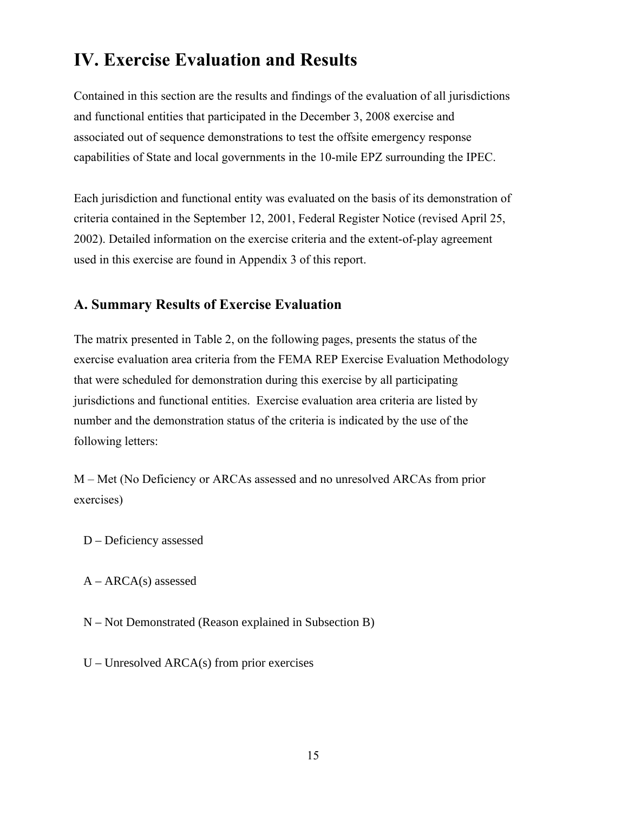# **IV. Exercise Evaluation and Results**

Contained in this section are the results and findings of the evaluation of all jurisdictions and functional entities that participated in the December 3, 2008 exercise and associated out of sequence demonstrations to test the offsite emergency response capabilities of State and local governments in the 10-mile EPZ surrounding the IPEC.

Each jurisdiction and functional entity was evaluated on the basis of its demonstration of criteria contained in the September 12, 2001, Federal Register Notice (revised April 25, 2002). Detailed information on the exercise criteria and the extent-of-play agreement used in this exercise are found in Appendix 3 of this report.

## **A. Summary Results of Exercise Evaluation**

The matrix presented in Table 2, on the following pages, presents the status of the exercise evaluation area criteria from the FEMA REP Exercise Evaluation Methodology that were scheduled for demonstration during this exercise by all participating jurisdictions and functional entities. Exercise evaluation area criteria are listed by number and the demonstration status of the criteria is indicated by the use of the following letters:

M – Met (No Deficiency or ARCAs assessed and no unresolved ARCAs from prior exercises)

- D Deficiency assessed
- A ARCA(s) assessed
- N Not Demonstrated (Reason explained in Subsection B)
- U Unresolved ARCA(s) from prior exercises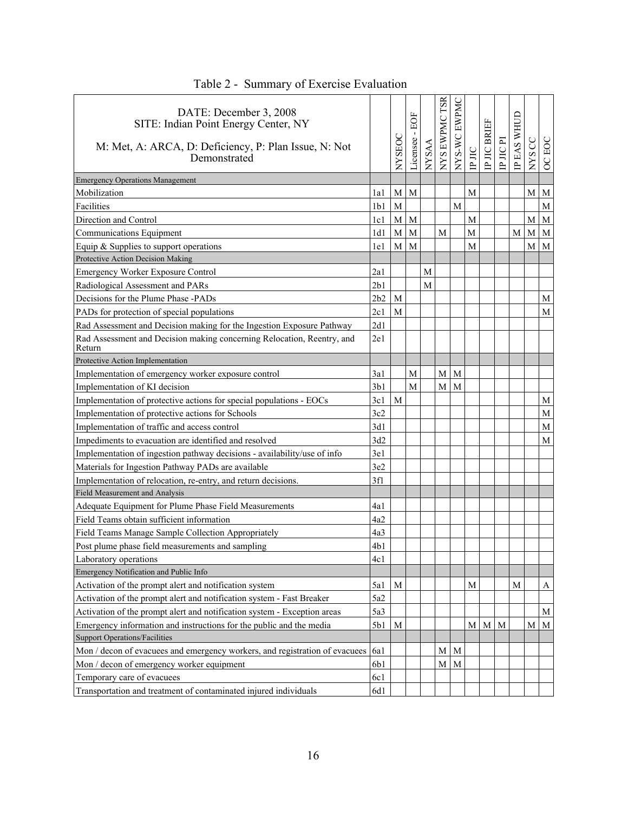| DATE: December 3, 2008<br>SITE: Indian Point Energy Center, NY<br>M: Met, A: ARCA, D: Deficiency, P: Plan Issue, N: Not<br>Demonstrated |                 | NYSEOC       | EOF<br>$\mathbf{I}$<br>Licensee | <b>NYSAA</b> | NYS EWPMC TSR  | NYS-WC EWPMC | $\rm IP$ $\rm IIC$ | IP JIC BRIEF | IP JIC PI | IP EAS WHUD | NYS CC | <b>OC EOC</b> |
|-----------------------------------------------------------------------------------------------------------------------------------------|-----------------|--------------|---------------------------------|--------------|----------------|--------------|--------------------|--------------|-----------|-------------|--------|---------------|
| <b>Emergency Operations Management</b>                                                                                                  |                 |              |                                 |              |                |              |                    |              |           |             |        |               |
| Mobilization                                                                                                                            | 1a1             | M            | M                               |              |                |              | M                  |              |           |             | M      | M             |
| Facilities                                                                                                                              | 1b1             | M            |                                 |              |                | M            |                    |              |           |             |        | $\mathbf M$   |
| Direction and Control                                                                                                                   | 1c1             | M            | M                               |              |                |              | M                  |              |           |             | М      | M             |
| Communications Equipment                                                                                                                | 1d1             | $\mathbf M$  | M                               |              | M              |              | M                  |              |           | M           | М      | M             |
| Equip $&$ Supplies to support operations                                                                                                | 1e1             | $\mathbf{M}$ | M                               |              |                |              | M                  |              |           |             | М      | M             |
| Protective Action Decision Making                                                                                                       |                 |              |                                 |              |                |              |                    |              |           |             |        |               |
| Emergency Worker Exposure Control                                                                                                       | 2a1             |              |                                 | M            |                |              |                    |              |           |             |        |               |
| Radiological Assessment and PARs                                                                                                        | 2b1             |              |                                 | M            |                |              |                    |              |           |             |        |               |
| Decisions for the Plume Phase -PADs                                                                                                     | 2b2             | M            |                                 |              |                |              |                    |              |           |             |        | М             |
| PADs for protection of special populations                                                                                              | 2c1             | M            |                                 |              |                |              |                    |              |           |             |        | М             |
| Rad Assessment and Decision making for the Ingestion Exposure Pathway                                                                   | 2d1             |              |                                 |              |                |              |                    |              |           |             |        |               |
| Rad Assessment and Decision making concerning Relocation, Reentry, and<br>Return                                                        | 2e1             |              |                                 |              |                |              |                    |              |           |             |        |               |
| Protective Action Implementation                                                                                                        |                 |              |                                 |              |                |              |                    |              |           |             |        |               |
| Implementation of emergency worker exposure control                                                                                     | 3a1             |              | M                               |              | M <sub>1</sub> | M            |                    |              |           |             |        |               |
| Implementation of KI decision                                                                                                           | 3 <sub>b1</sub> |              | M                               |              | М              | M            |                    |              |           |             |        |               |
| Implementation of protective actions for special populations - EOCs                                                                     | 3c1             | M            |                                 |              |                |              |                    |              |           |             |        | M             |
| Implementation of protective actions for Schools                                                                                        | 3c2             |              |                                 |              |                |              |                    |              |           |             |        | M             |
| Implementation of traffic and access control                                                                                            | 3d1             |              |                                 |              |                |              |                    |              |           |             |        | M             |
| Impediments to evacuation are identified and resolved                                                                                   | 3d2             |              |                                 |              |                |              |                    |              |           |             |        | М             |
| Implementation of ingestion pathway decisions - availability/use of info                                                                | 3e1             |              |                                 |              |                |              |                    |              |           |             |        |               |
| Materials for Ingestion Pathway PADs are available                                                                                      | 3e2             |              |                                 |              |                |              |                    |              |           |             |        |               |
| Implementation of relocation, re-entry, and return decisions.                                                                           | 3f1             |              |                                 |              |                |              |                    |              |           |             |        |               |
| Field Measurement and Analysis                                                                                                          |                 |              |                                 |              |                |              |                    |              |           |             |        |               |
| Adequate Equipment for Plume Phase Field Measurements                                                                                   | 4a1             |              |                                 |              |                |              |                    |              |           |             |        |               |
| Field Teams obtain sufficient information                                                                                               | 4a2             |              |                                 |              |                |              |                    |              |           |             |        |               |
| Field Teams Manage Sample Collection Appropriately                                                                                      | 4a3             |              |                                 |              |                |              |                    |              |           |             |        |               |
| Post plume phase field measurements and sampling                                                                                        | 4b1             |              |                                 |              |                |              |                    |              |           |             |        |               |
| Laboratory operations                                                                                                                   | 4c1             |              |                                 |              |                |              |                    |              |           |             |        |               |
| Emergency Notification and Public Info                                                                                                  |                 |              |                                 |              |                |              |                    |              |           |             |        |               |
| Activation of the prompt alert and notification system                                                                                  | 5a1             | M            |                                 |              |                |              | M                  |              |           | M           |        | A             |
| Activation of the prompt alert and notification system - Fast Breaker                                                                   | 5a2             |              |                                 |              |                |              |                    |              |           |             |        |               |
| Activation of the prompt alert and notification system - Exception areas                                                                | 5a3             |              |                                 |              |                |              |                    |              |           |             |        | М             |
| Emergency information and instructions for the public and the media                                                                     | 5b1             | М            |                                 |              |                |              | М                  | M            | M         |             | М      | M             |
| <b>Support Operations/Facilities</b>                                                                                                    |                 |              |                                 |              |                |              |                    |              |           |             |        |               |
| Mon / decon of evacuees and emergency workers, and registration of evacuees                                                             | 6a1             |              |                                 |              | M <sub>1</sub> | M            |                    |              |           |             |        |               |
| Mon / decon of emergency worker equipment                                                                                               | 6b1             |              |                                 |              | М              | M            |                    |              |           |             |        |               |
| Temporary care of evacuees                                                                                                              | 6c1             |              |                                 |              |                |              |                    |              |           |             |        |               |
| Transportation and treatment of contaminated injured individuals                                                                        | 6d1             |              |                                 |              |                |              |                    |              |           |             |        |               |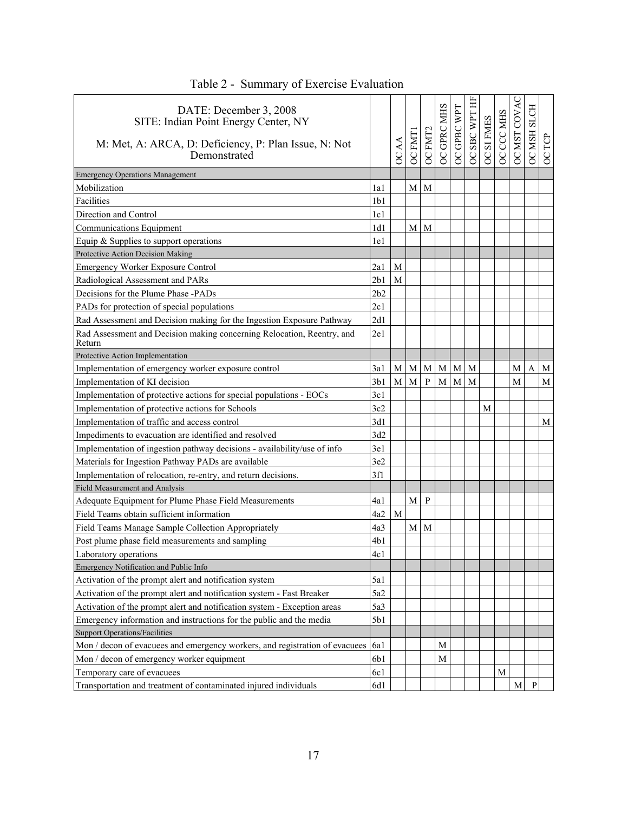| DATE: December 3, 2008<br>SITE: Indian Point Energy Center, NY<br>M: Met, A: ARCA, D: Deficiency, P: Plan Issue, N: Not<br>Demonstrated |                 | <b>DCAA</b> | <b>OC FMT1</b> | OC FMT2      | OC GPRC MHS | <b>GPBC WPT</b> | OC SBC WPT HF | OC SI FMES | OC CCC MHS | OC MST COVAC | OC MSH SLCH  | OCTCP       |
|-----------------------------------------------------------------------------------------------------------------------------------------|-----------------|-------------|----------------|--------------|-------------|-----------------|---------------|------------|------------|--------------|--------------|-------------|
|                                                                                                                                         |                 |             |                |              |             | $\infty$        |               |            |            |              |              |             |
| <b>Emergency Operations Management</b>                                                                                                  |                 |             |                |              |             |                 |               |            |            |              |              |             |
| Mobilization                                                                                                                            | 1a 1            |             | M <sub>l</sub> | M            |             |                 |               |            |            |              |              |             |
| Facilities                                                                                                                              | 1 <sub>b1</sub> |             |                |              |             |                 |               |            |            |              |              |             |
| Direction and Control                                                                                                                   | 1c1             |             |                |              |             |                 |               |            |            |              |              |             |
| Communications Equipment                                                                                                                | 1d1             |             |                | $M \mid M$   |             |                 |               |            |            |              |              |             |
| Equip $&$ Supplies to support operations                                                                                                | 1e1             |             |                |              |             |                 |               |            |            |              |              |             |
| Protective Action Decision Making                                                                                                       |                 |             |                |              |             |                 |               |            |            |              |              |             |
| Emergency Worker Exposure Control                                                                                                       | 2a1             | M           |                |              |             |                 |               |            |            |              |              |             |
| Radiological Assessment and PARs                                                                                                        | 2b1             | M           |                |              |             |                 |               |            |            |              |              |             |
| Decisions for the Plume Phase -PADs                                                                                                     | 2b2             |             |                |              |             |                 |               |            |            |              |              |             |
| PADs for protection of special populations                                                                                              | 2c1             |             |                |              |             |                 |               |            |            |              |              |             |
| Rad Assessment and Decision making for the Ingestion Exposure Pathway                                                                   | 2d1             |             |                |              |             |                 |               |            |            |              |              |             |
| Rad Assessment and Decision making concerning Relocation, Reentry, and<br>Return                                                        | 2e1             |             |                |              |             |                 |               |            |            |              |              |             |
| Protective Action Implementation                                                                                                        |                 |             |                |              |             |                 |               |            |            |              |              |             |
| Implementation of emergency worker exposure control                                                                                     | 3a1             | M           | M              | $\mathbf{M}$ | M           | M               | M             |            |            | M            | A            | M           |
| Implementation of KI decision                                                                                                           | 3b1             | $\mathbf M$ | M              | $\mathbf{P}$ | M           | M               | M             |            |            | M            |              | $\mathbf M$ |
| Implementation of protective actions for special populations - EOCs                                                                     | 3c1             |             |                |              |             |                 |               |            |            |              |              |             |
| Implementation of protective actions for Schools                                                                                        | 3c2             |             |                |              |             |                 |               | M          |            |              |              |             |
| Implementation of traffic and access control                                                                                            | 3d1             |             |                |              |             |                 |               |            |            |              |              | M           |
| Impediments to evacuation are identified and resolved                                                                                   | 3d2             |             |                |              |             |                 |               |            |            |              |              |             |
| Implementation of ingestion pathway decisions - availability/use of info                                                                | 3e1             |             |                |              |             |                 |               |            |            |              |              |             |
| Materials for Ingestion Pathway PADs are available                                                                                      | 3e2             |             |                |              |             |                 |               |            |            |              |              |             |
| Implementation of relocation, re-entry, and return decisions.                                                                           | 3f1             |             |                |              |             |                 |               |            |            |              |              |             |
| Field Measurement and Analysis                                                                                                          |                 |             |                |              |             |                 |               |            |            |              |              |             |
| Adequate Equipment for Plume Phase Field Measurements                                                                                   | 4a 1            |             | $\mathbf M$    | $\mathbf{P}$ |             |                 |               |            |            |              |              |             |
| Field Teams obtain sufficient information                                                                                               | 4a2             | M           |                |              |             |                 |               |            |            |              |              |             |
| Field Teams Manage Sample Collection Appropriately                                                                                      | 4a3             |             | M              | M            |             |                 |               |            |            |              |              |             |
| Post plume phase field measurements and sampling                                                                                        | 4b1             |             |                |              |             |                 |               |            |            |              |              |             |
| Laboratory operations                                                                                                                   | 4c1             |             |                |              |             |                 |               |            |            |              |              |             |
| Emergency Notification and Public Info                                                                                                  |                 |             |                |              |             |                 |               |            |            |              |              |             |
| Activation of the prompt alert and notification system                                                                                  | 5a1             |             |                |              |             |                 |               |            |            |              |              |             |
| Activation of the prompt alert and notification system - Fast Breaker                                                                   | 5a2             |             |                |              |             |                 |               |            |            |              |              |             |
| Activation of the prompt alert and notification system - Exception areas                                                                | 5a3             |             |                |              |             |                 |               |            |            |              |              |             |
| Emergency information and instructions for the public and the media                                                                     | 5b1             |             |                |              |             |                 |               |            |            |              |              |             |
| <b>Support Operations/Facilities</b>                                                                                                    |                 |             |                |              |             |                 |               |            |            |              |              |             |
| Mon / decon of evacuees and emergency workers, and registration of evacuees                                                             | 6a1             |             |                |              | M           |                 |               |            |            |              |              |             |
| Mon / decon of emergency worker equipment                                                                                               | 6b1             |             |                |              | M           |                 |               |            |            |              |              |             |
| Temporary care of evacuees                                                                                                              | 6c1             |             |                |              |             |                 |               |            | M          |              |              |             |
| Transportation and treatment of contaminated injured individuals                                                                        | 6d1             |             |                |              |             |                 |               |            |            | M            | $\, {\bf p}$ |             |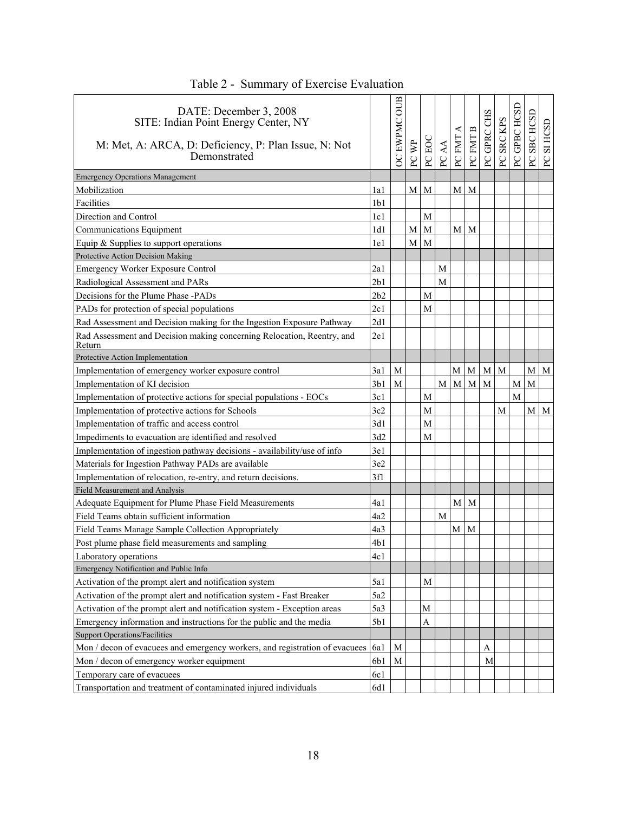| DATE: December 3, 2008<br>SITE: Indian Point Energy Center, NY<br>M: Met, A: ARCA, D: Deficiency, P: Plan Issue, N: Not<br>Demonstrated |                 | OUB<br><b>OC EWPMC</b> | PC WP | PC EOC | PC AA | PC FMT A    | PC FMT B       | PC GPRC CHS | SRC KPS<br>$\sum_{i=1}^{n}$ | <b>GPBC HCSD</b><br>PC | SBC HCSD<br>$\overline{P}$ | SI HCSD<br>$\sum_{i=1}^{n}$ |
|-----------------------------------------------------------------------------------------------------------------------------------------|-----------------|------------------------|-------|--------|-------|-------------|----------------|-------------|-----------------------------|------------------------|----------------------------|-----------------------------|
| <b>Emergency Operations Management</b>                                                                                                  |                 |                        |       |        |       |             |                |             |                             |                        |                            |                             |
| Mobilization                                                                                                                            | 1a1             |                        | M     | M      |       | M           | M              |             |                             |                        |                            |                             |
| Facilities                                                                                                                              | 1 <sub>b1</sub> |                        |       |        |       |             |                |             |                             |                        |                            |                             |
| Direction and Control                                                                                                                   | 1c1             |                        |       | M      |       |             |                |             |                             |                        |                            |                             |
| Communications Equipment                                                                                                                | 1d1             |                        | M     | M      |       | M           | M              |             |                             |                        |                            |                             |
| Equip $&$ Supplies to support operations                                                                                                | 1e1             |                        | M     | M      |       |             |                |             |                             |                        |                            |                             |
| Protective Action Decision Making                                                                                                       |                 |                        |       |        |       |             |                |             |                             |                        |                            |                             |
| <b>Emergency Worker Exposure Control</b>                                                                                                | 2a1             |                        |       |        | M     |             |                |             |                             |                        |                            |                             |
| Radiological Assessment and PARs                                                                                                        | 2b1             |                        |       |        | M     |             |                |             |                             |                        |                            |                             |
| Decisions for the Plume Phase -PADs                                                                                                     | 2b2             |                        |       | M      |       |             |                |             |                             |                        |                            |                             |
| PADs for protection of special populations                                                                                              | 2c1             |                        |       | M      |       |             |                |             |                             |                        |                            |                             |
| Rad Assessment and Decision making for the Ingestion Exposure Pathway                                                                   | 2d1             |                        |       |        |       |             |                |             |                             |                        |                            |                             |
| Rad Assessment and Decision making concerning Relocation, Reentry, and<br>Return                                                        | 2e1             |                        |       |        |       |             |                |             |                             |                        |                            |                             |
| Protective Action Implementation                                                                                                        |                 |                        |       |        |       |             |                |             |                             |                        |                            |                             |
| Implementation of emergency worker exposure control                                                                                     | 3a1             | $\mathbf M$            |       |        |       | M           |                | $M \mid M$  | M                           |                        | M                          | M                           |
| Implementation of KI decision                                                                                                           | 3b1             | M                      |       |        | M     | $\mathbf M$ | M <sub>l</sub> | M           |                             | M                      | M                          |                             |
| Implementation of protective actions for special populations - EOCs                                                                     | 3c1             |                        |       | M      |       |             |                |             |                             | M                      |                            |                             |
| Implementation of protective actions for Schools                                                                                        | 3c2             |                        |       | M      |       |             |                |             | M                           |                        | M                          | M                           |
| Implementation of traffic and access control                                                                                            | 3d1             |                        |       | M      |       |             |                |             |                             |                        |                            |                             |
| Impediments to evacuation are identified and resolved                                                                                   | 3d2             |                        |       | М      |       |             |                |             |                             |                        |                            |                             |
| Implementation of ingestion pathway decisions - availability/use of info                                                                | 3e1             |                        |       |        |       |             |                |             |                             |                        |                            |                             |
| Materials for Ingestion Pathway PADs are available                                                                                      | 3e2             |                        |       |        |       |             |                |             |                             |                        |                            |                             |
| Implementation of relocation, re-entry, and return decisions.                                                                           | 3f1             |                        |       |        |       |             |                |             |                             |                        |                            |                             |
| Field Measurement and Analysis                                                                                                          |                 |                        |       |        |       |             |                |             |                             |                        |                            |                             |
| Adequate Equipment for Plume Phase Field Measurements                                                                                   | 4a1             |                        |       |        |       | М           | M              |             |                             |                        |                            |                             |
| Field Teams obtain sufficient information                                                                                               | 4a2             |                        |       |        | M     |             |                |             |                             |                        |                            |                             |
| Field Teams Manage Sample Collection Appropriately                                                                                      | 4a3             |                        |       |        |       | M           | M              |             |                             |                        |                            |                             |
| Post plume phase field measurements and sampling                                                                                        | 4b1             |                        |       |        |       |             |                |             |                             |                        |                            |                             |
| Laboratory operations                                                                                                                   | 4c1             |                        |       |        |       |             |                |             |                             |                        |                            |                             |
| Emergency Notification and Public Info                                                                                                  |                 |                        |       |        |       |             |                |             |                             |                        |                            |                             |
| Activation of the prompt alert and notification system                                                                                  | 5a1             |                        |       | M      |       |             |                |             |                             |                        |                            |                             |
| Activation of the prompt alert and notification system - Fast Breaker                                                                   | 5a2             |                        |       |        |       |             |                |             |                             |                        |                            |                             |
| Activation of the prompt alert and notification system - Exception areas                                                                | 5a3             |                        |       | M      |       |             |                |             |                             |                        |                            |                             |
| Emergency information and instructions for the public and the media                                                                     | 5b1             |                        |       | Α      |       |             |                |             |                             |                        |                            |                             |
| <b>Support Operations/Facilities</b>                                                                                                    |                 |                        |       |        |       |             |                |             |                             |                        |                            |                             |
| Mon / decon of evacuees and emergency workers, and registration of evacuees                                                             | 6a1             | M                      |       |        |       |             |                | A           |                             |                        |                            |                             |
| Mon / decon of emergency worker equipment                                                                                               | 6b1             | M                      |       |        |       |             |                | M           |                             |                        |                            |                             |
| Temporary care of evacuees                                                                                                              | 6c1             |                        |       |        |       |             |                |             |                             |                        |                            |                             |
| Transportation and treatment of contaminated injured individuals                                                                        | 6d1             |                        |       |        |       |             |                |             |                             |                        |                            |                             |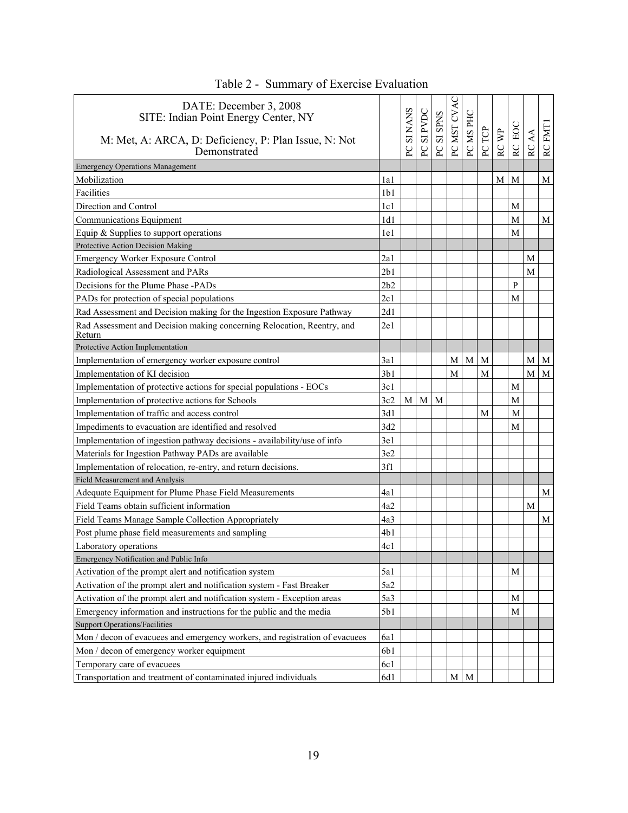| DATE: December 3, 2008<br>SITE: Indian Point Energy Center, NY                   |                 |              |                         |               |             |             |        |       |                  |              |             |
|----------------------------------------------------------------------------------|-----------------|--------------|-------------------------|---------------|-------------|-------------|--------|-------|------------------|--------------|-------------|
| M: Met, A: ARCA, D: Deficiency, P: Plan Issue, N: Not<br>Demonstrated            |                 | PC SI NANS   | SI PVDC<br>$\mathsf{C}$ | SI SPNS<br>PC | PC MST CVAC | PC MS PHC   | PC TCP | RC WP | EOC<br><b>RC</b> | RC AA        | RC FMT      |
| <b>Emergency Operations Management</b>                                           |                 |              |                         |               |             |             |        |       |                  |              |             |
| Mobilization                                                                     | 1a1             |              |                         |               |             |             |        | M     | M                |              | M           |
| Facilities                                                                       | 1 <sub>b1</sub> |              |                         |               |             |             |        |       |                  |              |             |
| Direction and Control                                                            | 1c1             |              |                         |               |             |             |        |       | M                |              |             |
| <b>Communications Equipment</b>                                                  | 1d1             |              |                         |               |             |             |        |       | M                |              | $\mathbf M$ |
| Equip $&$ Supplies to support operations                                         | 1e1             |              |                         |               |             |             |        |       | M                |              |             |
| Protective Action Decision Making                                                |                 |              |                         |               |             |             |        |       |                  |              |             |
| <b>Emergency Worker Exposure Control</b>                                         | 2a1             |              |                         |               |             |             |        |       |                  | M            |             |
| Radiological Assessment and PARs                                                 | 2b1             |              |                         |               |             |             |        |       |                  | М            |             |
| Decisions for the Plume Phase -PADs                                              | 2b2             |              |                         |               |             |             |        |       | $\mathbf{P}$     |              |             |
| PADs for protection of special populations                                       | 2c1             |              |                         |               |             |             |        |       | M                |              |             |
| Rad Assessment and Decision making for the Ingestion Exposure Pathway            | 2d1             |              |                         |               |             |             |        |       |                  |              |             |
| Rad Assessment and Decision making concerning Relocation, Reentry, and<br>Return | 2e1             |              |                         |               |             |             |        |       |                  |              |             |
| Protective Action Implementation                                                 |                 |              |                         |               |             |             |        |       |                  |              |             |
| Implementation of emergency worker exposure control                              | 3a1             |              |                         |               | M           | $\mathbf M$ | M      |       |                  | $\mathbf M$  | M           |
| Implementation of KI decision                                                    | 3b1             |              |                         |               | M           |             | М      |       |                  | $\mathbf{M}$ | $\mathbf M$ |
| Implementation of protective actions for special populations - EOCs              | 3c1             |              |                         |               |             |             |        |       | M                |              |             |
| Implementation of protective actions for Schools                                 | 3c2             | $\mathbf{M}$ | M                       | M             |             |             |        |       | M                |              |             |
| Implementation of traffic and access control                                     | 3d1             |              |                         |               |             |             | М      |       | М                |              |             |
| Impediments to evacuation are identified and resolved                            | 3d2             |              |                         |               |             |             |        |       | M                |              |             |
| Implementation of ingestion pathway decisions - availability/use of info         | 3e1             |              |                         |               |             |             |        |       |                  |              |             |
| Materials for Ingestion Pathway PADs are available                               | 3e2             |              |                         |               |             |             |        |       |                  |              |             |
| Implementation of relocation, re-entry, and return decisions.                    | 3f1             |              |                         |               |             |             |        |       |                  |              |             |
| Field Measurement and Analysis                                                   |                 |              |                         |               |             |             |        |       |                  |              |             |
| Adequate Equipment for Plume Phase Field Measurements                            | 4a1             |              |                         |               |             |             |        |       |                  |              | M           |
| Field Teams obtain sufficient information                                        | 4a2             |              |                         |               |             |             |        |       |                  | M            |             |
| Field Teams Manage Sample Collection Appropriately                               | 4a3             |              |                         |               |             |             |        |       |                  |              | M           |
| Post plume phase field measurements and sampling                                 | 4b1             |              |                         |               |             |             |        |       |                  |              |             |
| Laboratory operations                                                            | 4c1             |              |                         |               |             |             |        |       |                  |              |             |
| <b>Emergency Notification and Public Info</b>                                    |                 |              |                         |               |             |             |        |       |                  |              |             |
| Activation of the prompt alert and notification system                           | 5a1             |              |                         |               |             |             |        |       | M                |              |             |
| Activation of the prompt alert and notification system - Fast Breaker            | 5a2             |              |                         |               |             |             |        |       |                  |              |             |
| Activation of the prompt alert and notification system - Exception areas         | 5a3             |              |                         |               |             |             |        |       | M                |              |             |
| Emergency information and instructions for the public and the media              | 5b1             |              |                         |               |             |             |        |       | M                |              |             |
| <b>Support Operations/Facilities</b>                                             |                 |              |                         |               |             |             |        |       |                  |              |             |
| Mon / decon of evacuees and emergency workers, and registration of evacuees      | 6a1             |              |                         |               |             |             |        |       |                  |              |             |
| Mon / decon of emergency worker equipment                                        | 6b1             |              |                         |               |             |             |        |       |                  |              |             |
| Temporary care of evacuees                                                       | 6c1             |              |                         |               |             |             |        |       |                  |              |             |
| Transportation and treatment of contaminated injured individuals                 | 6d1             |              |                         |               |             | $M \mid M$  |        |       |                  |              |             |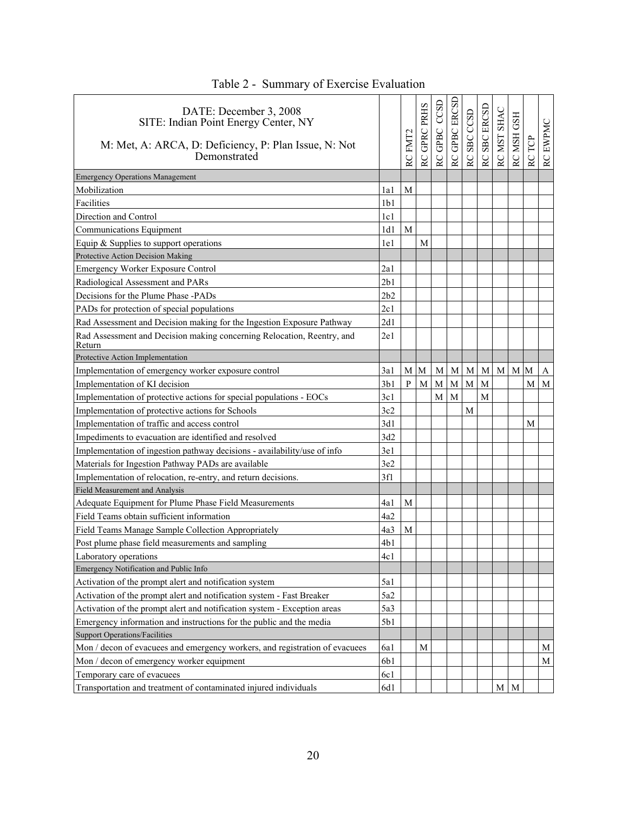| DATE: December 3, 2008<br>SITE: Indian Point Energy Center, NY<br>M: Met, A: ARCA, D: Deficiency, P: Plan Issue, N: Not<br>Demonstrated |                 | RC FMT2   | RC GPRC PRHS | CCSD<br>GPBC<br>RC | RC GPBC ERCSD | RC SBC CCSD  | RC SBC ERCSD | RC MST SHAC | <b>GSH</b><br>RC MSH | RC TCP | RC EWPMC     |
|-----------------------------------------------------------------------------------------------------------------------------------------|-----------------|-----------|--------------|--------------------|---------------|--------------|--------------|-------------|----------------------|--------|--------------|
| <b>Emergency Operations Management</b>                                                                                                  |                 |           |              |                    |               |              |              |             |                      |        |              |
| Mobilization                                                                                                                            | 1a1             | M         |              |                    |               |              |              |             |                      |        |              |
| Facilities                                                                                                                              | 1 <sub>b1</sub> |           |              |                    |               |              |              |             |                      |        |              |
| Direction and Control                                                                                                                   | 1c1             |           |              |                    |               |              |              |             |                      |        |              |
| Communications Equipment                                                                                                                | 1d1             | M         |              |                    |               |              |              |             |                      |        |              |
| Equip $&$ Supplies to support operations                                                                                                | 1e1             |           | М            |                    |               |              |              |             |                      |        |              |
| Protective Action Decision Making                                                                                                       |                 |           |              |                    |               |              |              |             |                      |        |              |
| <b>Emergency Worker Exposure Control</b>                                                                                                | 2a1             |           |              |                    |               |              |              |             |                      |        |              |
| Radiological Assessment and PARs                                                                                                        | 2b1             |           |              |                    |               |              |              |             |                      |        |              |
| Decisions for the Plume Phase -PADs                                                                                                     | 2b2             |           |              |                    |               |              |              |             |                      |        |              |
| PADs for protection of special populations                                                                                              | 2c1             |           |              |                    |               |              |              |             |                      |        |              |
| Rad Assessment and Decision making for the Ingestion Exposure Pathway                                                                   | 2d1             |           |              |                    |               |              |              |             |                      |        |              |
| Rad Assessment and Decision making concerning Relocation, Reentry, and<br>Return                                                        | 2e1             |           |              |                    |               |              |              |             |                      |        |              |
| Protective Action Implementation                                                                                                        |                 |           |              |                    |               |              |              |             |                      |        |              |
| Implementation of emergency worker exposure control                                                                                     | 3a1             | M         | M            | M                  | $\mathbf{M}$  |              | $M \mid M$   |             | $M$ $M$ $M$          |        | $\mathbf{A}$ |
| Implementation of KI decision                                                                                                           | 3b1             | ${\bf P}$ | M            | $\mathbf{M}$       | $\mathbf M$   | $\mathbf{M}$ | M            |             |                      | M      | $\mathbf{M}$ |
| Implementation of protective actions for special populations - EOCs                                                                     | 3c1             |           |              | M                  | $\mathbf M$   |              | M            |             |                      |        |              |
| Implementation of protective actions for Schools                                                                                        | 3c2             |           |              |                    |               | M            |              |             |                      |        |              |
| Implementation of traffic and access control                                                                                            | 3d1             |           |              |                    |               |              |              |             |                      | М      |              |
| Impediments to evacuation are identified and resolved                                                                                   | 3d2             |           |              |                    |               |              |              |             |                      |        |              |
| Implementation of ingestion pathway decisions - availability/use of info                                                                | 3e1             |           |              |                    |               |              |              |             |                      |        |              |
| Materials for Ingestion Pathway PADs are available                                                                                      | 3e2             |           |              |                    |               |              |              |             |                      |        |              |
| Implementation of relocation, re-entry, and return decisions.                                                                           | 3f1             |           |              |                    |               |              |              |             |                      |        |              |
| Field Measurement and Analysis                                                                                                          |                 |           |              |                    |               |              |              |             |                      |        |              |
| Adequate Equipment for Plume Phase Field Measurements                                                                                   | 4a1             | M         |              |                    |               |              |              |             |                      |        |              |
| Field Teams obtain sufficient information                                                                                               | 4a2             |           |              |                    |               |              |              |             |                      |        |              |
| Field Teams Manage Sample Collection Appropriately                                                                                      | 4a3             | M         |              |                    |               |              |              |             |                      |        |              |
| Post plume phase field measurements and sampling                                                                                        | 4b1             |           |              |                    |               |              |              |             |                      |        |              |
| Laboratory operations                                                                                                                   | 4c1             |           |              |                    |               |              |              |             |                      |        |              |
| Emergency Notification and Public Info                                                                                                  |                 |           |              |                    |               |              |              |             |                      |        |              |
| Activation of the prompt alert and notification system                                                                                  | 5a1             |           |              |                    |               |              |              |             |                      |        |              |
| Activation of the prompt alert and notification system - Fast Breaker                                                                   | 5a2             |           |              |                    |               |              |              |             |                      |        |              |
| Activation of the prompt alert and notification system - Exception areas                                                                | 5a3             |           |              |                    |               |              |              |             |                      |        |              |
| Emergency information and instructions for the public and the media                                                                     | 5b1             |           |              |                    |               |              |              |             |                      |        |              |
| <b>Support Operations/Facilities</b>                                                                                                    |                 |           |              |                    |               |              |              |             |                      |        |              |
| Mon / decon of evacuees and emergency workers, and registration of evacuees                                                             | 6a1             |           | M            |                    |               |              |              |             |                      |        | М            |
| Mon / decon of emergency worker equipment                                                                                               | 6b1             |           |              |                    |               |              |              |             |                      |        | M            |
| Temporary care of evacuees                                                                                                              | 6c1             |           |              |                    |               |              |              |             |                      |        |              |
| Transportation and treatment of contaminated injured individuals                                                                        | 6d1             |           |              |                    |               |              |              | $M \mid M$  |                      |        |              |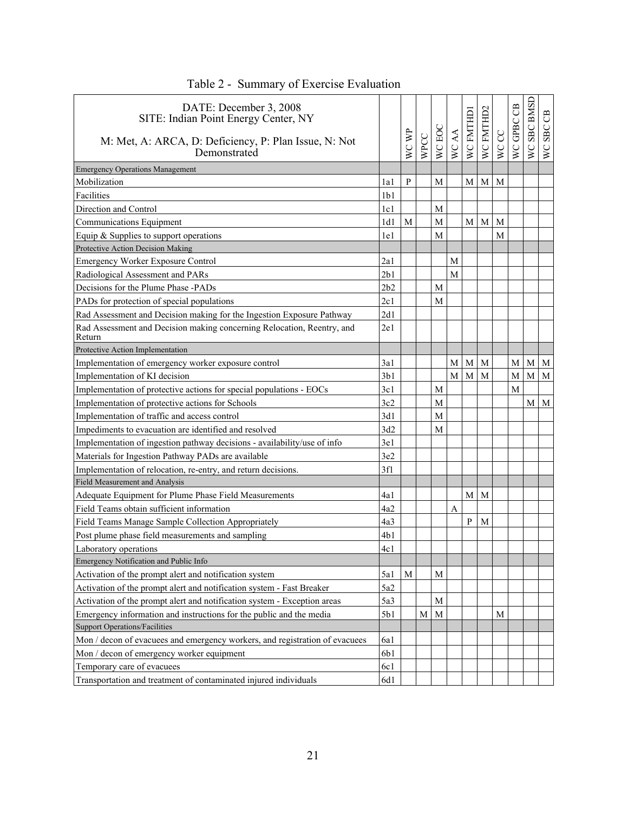| DATE: December 3, 2008                                                           |                 |           |      |        |              |              |           |       |            |                 |             |
|----------------------------------------------------------------------------------|-----------------|-----------|------|--------|--------------|--------------|-----------|-------|------------|-----------------|-------------|
| SITE: Indian Point Energy Center, NY                                             |                 |           |      |        |              |              |           |       |            | <b>SBC BMSD</b> |             |
| M: Met, A: ARCA, D: Deficiency, P: Plan Issue, N: Not                            |                 |           |      |        |              |              |           |       |            |                 |             |
| Demonstrated                                                                     |                 | WC WP     | WPCC | WC EOC | WC AA        | WC FMTHD1    | WC FMTHD2 | WC CC | WC GPBC CB | $W_{\rm C}$     | WC SBC CB   |
| <b>Emergency Operations Management</b>                                           |                 |           |      |        |              |              |           |       |            |                 |             |
| Mobilization                                                                     | 1a1             | ${\bf P}$ |      | M      |              | M            | M         | M     |            |                 |             |
| Facilities                                                                       | 1 <sub>b1</sub> |           |      |        |              |              |           |       |            |                 |             |
| Direction and Control                                                            | 1c1             |           |      | M      |              |              |           |       |            |                 |             |
| Communications Equipment                                                         | 1d1             | M         |      | M      |              | M            | M         | M     |            |                 |             |
| Equip $&$ Supplies to support operations                                         | 1e1             |           |      | M      |              |              |           | M     |            |                 |             |
| Protective Action Decision Making                                                |                 |           |      |        |              |              |           |       |            |                 |             |
| <b>Emergency Worker Exposure Control</b>                                         | 2a1             |           |      |        | M            |              |           |       |            |                 |             |
| Radiological Assessment and PARs                                                 | 2b1             |           |      |        | M            |              |           |       |            |                 |             |
| Decisions for the Plume Phase -PADs                                              | 2b2             |           |      | M      |              |              |           |       |            |                 |             |
| PADs for protection of special populations                                       | 2c1             |           |      | M      |              |              |           |       |            |                 |             |
| Rad Assessment and Decision making for the Ingestion Exposure Pathway            | 2d1             |           |      |        |              |              |           |       |            |                 |             |
| Rad Assessment and Decision making concerning Relocation, Reentry, and<br>Return | 2e1             |           |      |        |              |              |           |       |            |                 |             |
| Protective Action Implementation                                                 |                 |           |      |        |              |              |           |       |            |                 |             |
| Implementation of emergency worker exposure control                              | 3a1             |           |      |        | $\mathbf{M}$ | M            | M         |       | M          | M               | M           |
| Implementation of KI decision                                                    | 3 <sub>b1</sub> |           |      |        | $\mathbf M$  | M            | M         |       | M          | M               | $\mathbf M$ |
| Implementation of protective actions for special populations - EOCs              | 3c1             |           |      | M      |              |              |           |       | M          |                 |             |
| Implementation of protective actions for Schools                                 | 3c2             |           |      | M      |              |              |           |       |            | М               | M           |
| Implementation of traffic and access control                                     | 3d1             |           |      | M      |              |              |           |       |            |                 |             |
| Impediments to evacuation are identified and resolved                            | 3d2             |           |      | M      |              |              |           |       |            |                 |             |
| Implementation of ingestion pathway decisions - availability/use of info         | 3e1             |           |      |        |              |              |           |       |            |                 |             |
| Materials for Ingestion Pathway PADs are available                               | 3e2             |           |      |        |              |              |           |       |            |                 |             |
| Implementation of relocation, re-entry, and return decisions.                    | 3f1             |           |      |        |              |              |           |       |            |                 |             |
| Field Measurement and Analysis                                                   |                 |           |      |        |              |              |           |       |            |                 |             |
| Adequate Equipment for Plume Phase Field Measurements                            | 4a1             |           |      |        |              | M            | M         |       |            |                 |             |
| Field Teams obtain sufficient information                                        | 4a2             |           |      |        | A            |              |           |       |            |                 |             |
| Field Teams Manage Sample Collection Appropriately                               | 4a3             |           |      |        |              | $\mathbf{P}$ | M         |       |            |                 |             |
| Post plume phase field measurements and sampling                                 | 4b1             |           |      |        |              |              |           |       |            |                 |             |
| Laboratory operations                                                            | 4c1             |           |      |        |              |              |           |       |            |                 |             |
| Emergency Notification and Public Info                                           |                 |           |      |        |              |              |           |       |            |                 |             |
| Activation of the prompt alert and notification system                           | 5a1             | M         |      | M      |              |              |           |       |            |                 |             |
| Activation of the prompt alert and notification system - Fast Breaker            | 5a2             |           |      |        |              |              |           |       |            |                 |             |
| Activation of the prompt alert and notification system - Exception areas         | 5a3             |           |      | M      |              |              |           |       |            |                 |             |
| Emergency information and instructions for the public and the media              | 5b1             |           | М    | M      |              |              |           | M     |            |                 |             |
| Support Operations/Facilities                                                    |                 |           |      |        |              |              |           |       |            |                 |             |
| Mon / decon of evacuees and emergency workers, and registration of evacuees      | 6a1             |           |      |        |              |              |           |       |            |                 |             |
| Mon / decon of emergency worker equipment                                        | 6b1             |           |      |        |              |              |           |       |            |                 |             |
| Temporary care of evacuees                                                       | 6c1             |           |      |        |              |              |           |       |            |                 |             |
| Transportation and treatment of contaminated injured individuals                 | 6d1             |           |      |        |              |              |           |       |            |                 |             |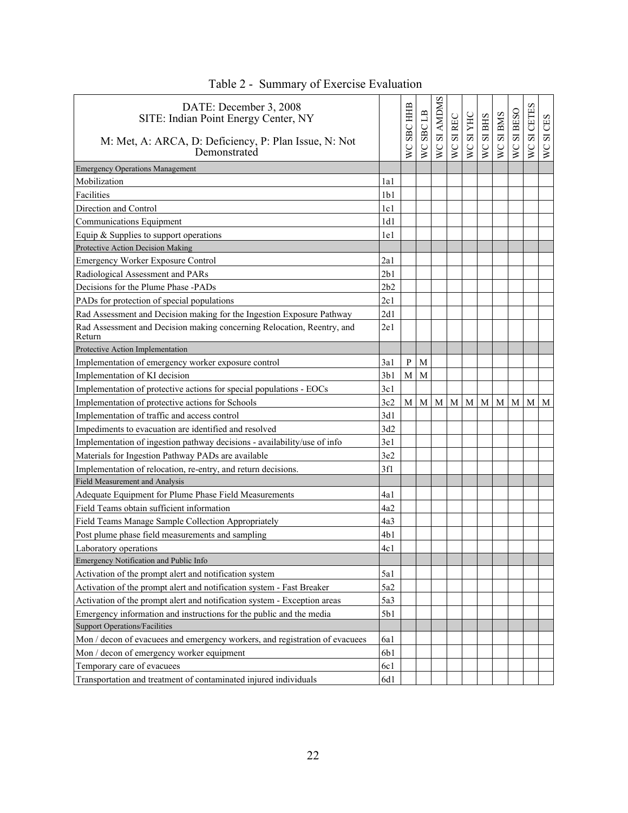| DATE: December 3, 2008<br>SITE: Indian Point Energy Center, NY<br>M: Met, A: ARCA, D: Deficiency, P: Plan Issue, N: Not<br>Demonstrated |                 | WC SBC HHB   | SBC <sub>LB</sub><br><b>S</b> | <b>SI AMDMS</b><br>$\mathsf{W}^{\mathsf{C}}$ | SIREC<br>WC | SI YHC<br><b>VC</b> | <b>SHS</b><br><b>VC</b> | <b>SIBMS</b><br>$\sum_{i=1}^{n}$ | SI BESO<br>$\mathsf{W}\mathsf{C}$ | SI CETES<br>$\sum$ | WC SI CES |
|-----------------------------------------------------------------------------------------------------------------------------------------|-----------------|--------------|-------------------------------|----------------------------------------------|-------------|---------------------|-------------------------|----------------------------------|-----------------------------------|--------------------|-----------|
| <b>Emergency Operations Management</b>                                                                                                  |                 |              |                               |                                              |             |                     |                         |                                  |                                   |                    |           |
| Mobilization                                                                                                                            | 1a1             |              |                               |                                              |             |                     |                         |                                  |                                   |                    |           |
| Facilities                                                                                                                              | 1 <sub>b1</sub> |              |                               |                                              |             |                     |                         |                                  |                                   |                    |           |
| Direction and Control                                                                                                                   | 1c1             |              |                               |                                              |             |                     |                         |                                  |                                   |                    |           |
| Communications Equipment                                                                                                                | 1d1             |              |                               |                                              |             |                     |                         |                                  |                                   |                    |           |
| Equip $&$ Supplies to support operations                                                                                                | 1e1             |              |                               |                                              |             |                     |                         |                                  |                                   |                    |           |
| Protective Action Decision Making                                                                                                       |                 |              |                               |                                              |             |                     |                         |                                  |                                   |                    |           |
| Emergency Worker Exposure Control                                                                                                       | 2a1             |              |                               |                                              |             |                     |                         |                                  |                                   |                    |           |
| Radiological Assessment and PARs                                                                                                        | 2b1             |              |                               |                                              |             |                     |                         |                                  |                                   |                    |           |
| Decisions for the Plume Phase -PADs                                                                                                     | 2b2             |              |                               |                                              |             |                     |                         |                                  |                                   |                    |           |
| PADs for protection of special populations                                                                                              | 2c1             |              |                               |                                              |             |                     |                         |                                  |                                   |                    |           |
| Rad Assessment and Decision making for the Ingestion Exposure Pathway                                                                   | 2d1             |              |                               |                                              |             |                     |                         |                                  |                                   |                    |           |
| Rad Assessment and Decision making concerning Relocation, Reentry, and<br>Return                                                        | 2e1             |              |                               |                                              |             |                     |                         |                                  |                                   |                    |           |
| Protective Action Implementation                                                                                                        |                 |              |                               |                                              |             |                     |                         |                                  |                                   |                    |           |
| Implementation of emergency worker exposure control                                                                                     | 3a1             | $\, {\bf p}$ | M                             |                                              |             |                     |                         |                                  |                                   |                    |           |
| Implementation of KI decision                                                                                                           | 3b1             | $\mathbf M$  | $\mathbf M$                   |                                              |             |                     |                         |                                  |                                   |                    |           |
| Implementation of protective actions for special populations - EOCs                                                                     | 3c1             |              |                               |                                              |             |                     |                         |                                  |                                   |                    |           |
| Implementation of protective actions for Schools                                                                                        | 3c2             | M            | M                             | M                                            | M           | M                   | M                       | M                                | M                                 | M                  | M         |
| Implementation of traffic and access control                                                                                            | 3d1             |              |                               |                                              |             |                     |                         |                                  |                                   |                    |           |
| Impediments to evacuation are identified and resolved                                                                                   | 3d2             |              |                               |                                              |             |                     |                         |                                  |                                   |                    |           |
| Implementation of ingestion pathway decisions - availability/use of info                                                                | 3e1             |              |                               |                                              |             |                     |                         |                                  |                                   |                    |           |
|                                                                                                                                         |                 |              |                               |                                              |             |                     |                         |                                  |                                   |                    |           |
| Materials for Ingestion Pathway PADs are available                                                                                      | 3e2             |              |                               |                                              |             |                     |                         |                                  |                                   |                    |           |
| Implementation of relocation, re-entry, and return decisions.                                                                           | 3f1             |              |                               |                                              |             |                     |                         |                                  |                                   |                    |           |
| Field Measurement and Analysis                                                                                                          |                 |              |                               |                                              |             |                     |                         |                                  |                                   |                    |           |
| Adequate Equipment for Plume Phase Field Measurements                                                                                   | 4a1             |              |                               |                                              |             |                     |                         |                                  |                                   |                    |           |
| Field Teams obtain sufficient information                                                                                               | 4a2             |              |                               |                                              |             |                     |                         |                                  |                                   |                    |           |
| Field Teams Manage Sample Collection Appropriately                                                                                      | 4a3             |              |                               |                                              |             |                     |                         |                                  |                                   |                    |           |
| Post plume phase field measurements and sampling                                                                                        | 4b1             |              |                               |                                              |             |                     |                         |                                  |                                   |                    |           |
| Laboratory operations                                                                                                                   | 4c1             |              |                               |                                              |             |                     |                         |                                  |                                   |                    |           |
| Emergency Notification and Public Info                                                                                                  |                 |              |                               |                                              |             |                     |                         |                                  |                                   |                    |           |
| Activation of the prompt alert and notification system                                                                                  | 5a1             |              |                               |                                              |             |                     |                         |                                  |                                   |                    |           |
| Activation of the prompt alert and notification system - Fast Breaker                                                                   | 5a2             |              |                               |                                              |             |                     |                         |                                  |                                   |                    |           |
| Activation of the prompt alert and notification system - Exception areas                                                                | 5a3             |              |                               |                                              |             |                     |                         |                                  |                                   |                    |           |
| Emergency information and instructions for the public and the media                                                                     | 5b1             |              |                               |                                              |             |                     |                         |                                  |                                   |                    |           |
| <b>Support Operations/Facilities</b>                                                                                                    |                 |              |                               |                                              |             |                     |                         |                                  |                                   |                    |           |
| Mon / decon of evacuees and emergency workers, and registration of evacuees                                                             | 6a1             |              |                               |                                              |             |                     |                         |                                  |                                   |                    |           |
| Mon / decon of emergency worker equipment                                                                                               | 6b1             |              |                               |                                              |             |                     |                         |                                  |                                   |                    |           |
| Temporary care of evacuees                                                                                                              | 6c1             |              |                               |                                              |             |                     |                         |                                  |                                   |                    |           |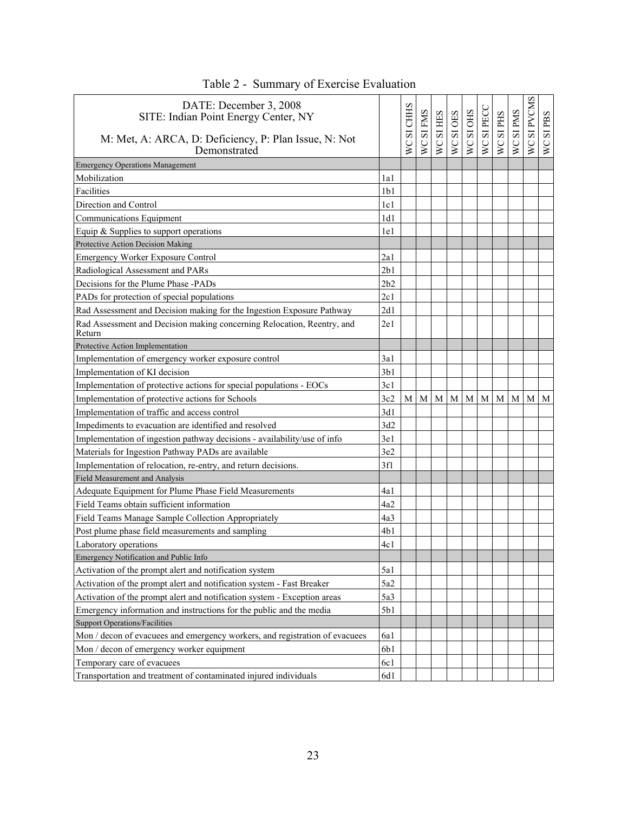| DATE: December 3, 2008                                                           |     |                 |              |             |              |        |         |             |                | SI PVCMS       |           |
|----------------------------------------------------------------------------------|-----|-----------------|--------------|-------------|--------------|--------|---------|-------------|----------------|----------------|-----------|
| SITE: Indian Point Energy Center, NY                                             |     |                 | <b>SIFMS</b> | SI HES      |              | SI OHS | SI PECC | SI PHS      | SI PMS         |                |           |
| M: Met, A: ARCA, D: Deficiency, P: Plan Issue, N: Not<br>Demonstrated            |     | <b>WCSICHIS</b> | WC           | $W_{\rm C}$ | WC SI OES    | WC.    | WC      | $W_{\rm C}$ | WC             | $\overline{V}$ | WC SI PBS |
| <b>Emergency Operations Management</b>                                           |     |                 |              |             |              |        |         |             |                |                |           |
| Mobilization                                                                     | 1a1 |                 |              |             |              |        |         |             |                |                |           |
| Facilities                                                                       | 1b1 |                 |              |             |              |        |         |             |                |                |           |
| Direction and Control                                                            | 1c1 |                 |              |             |              |        |         |             |                |                |           |
| Communications Equipment                                                         | 1d1 |                 |              |             |              |        |         |             |                |                |           |
| Equip $&$ Supplies to support operations                                         | 1e1 |                 |              |             |              |        |         |             |                |                |           |
| Protective Action Decision Making                                                |     |                 |              |             |              |        |         |             |                |                |           |
| Emergency Worker Exposure Control                                                | 2a1 |                 |              |             |              |        |         |             |                |                |           |
| Radiological Assessment and PARs                                                 | 2b1 |                 |              |             |              |        |         |             |                |                |           |
| Decisions for the Plume Phase -PADs                                              | 2b2 |                 |              |             |              |        |         |             |                |                |           |
| PADs for protection of special populations                                       | 2c1 |                 |              |             |              |        |         |             |                |                |           |
| Rad Assessment and Decision making for the Ingestion Exposure Pathway            | 2d1 |                 |              |             |              |        |         |             |                |                |           |
| Rad Assessment and Decision making concerning Relocation, Reentry, and<br>Return | 2e1 |                 |              |             |              |        |         |             |                |                |           |
| Protective Action Implementation                                                 |     |                 |              |             |              |        |         |             |                |                |           |
| Implementation of emergency worker exposure control                              | 3a1 |                 |              |             |              |        |         |             |                |                |           |
| Implementation of KI decision                                                    | 3b1 |                 |              |             |              |        |         |             |                |                |           |
| Implementation of protective actions for special populations - EOCs              |     |                 |              |             |              |        |         |             |                |                |           |
|                                                                                  | 3c1 |                 |              |             |              |        |         |             |                |                |           |
| Implementation of protective actions for Schools                                 | 3c2 | M               | M            | M           | $\mathbf{M}$ | M      | M       | M           | M <sub>l</sub> | M              | M         |
| Implementation of traffic and access control                                     | 3d1 |                 |              |             |              |        |         |             |                |                |           |
| Impediments to evacuation are identified and resolved                            | 3d2 |                 |              |             |              |        |         |             |                |                |           |
| Implementation of ingestion pathway decisions - availability/use of info         | 3e1 |                 |              |             |              |        |         |             |                |                |           |
| Materials for Ingestion Pathway PADs are available                               | 3e2 |                 |              |             |              |        |         |             |                |                |           |
| Implementation of relocation, re-entry, and return decisions.                    | 3f1 |                 |              |             |              |        |         |             |                |                |           |
| Field Measurement and Analysis                                                   |     |                 |              |             |              |        |         |             |                |                |           |
| Adequate Equipment for Plume Phase Field Measurements                            | 4a1 |                 |              |             |              |        |         |             |                |                |           |
| Field Teams obtain sufficient information                                        | 4a2 |                 |              |             |              |        |         |             |                |                |           |
| Field Teams Manage Sample Collection Appropriately                               | 4a3 |                 |              |             |              |        |         |             |                |                |           |
| Post plume phase field measurements and sampling                                 | 4b1 |                 |              |             |              |        |         |             |                |                |           |
| Laboratory operations                                                            | 4c1 |                 |              |             |              |        |         |             |                |                |           |
| Emergency Notification and Public Info                                           |     |                 |              |             |              |        |         |             |                |                |           |
| Activation of the prompt alert and notification system                           | 5a1 |                 |              |             |              |        |         |             |                |                |           |
| Activation of the prompt alert and notification system - Fast Breaker            | 5a2 |                 |              |             |              |        |         |             |                |                |           |
| Activation of the prompt alert and notification system - Exception areas         | 5a3 |                 |              |             |              |        |         |             |                |                |           |
| Emergency information and instructions for the public and the media              | 5b1 |                 |              |             |              |        |         |             |                |                |           |
| <b>Support Operations/Facilities</b>                                             |     |                 |              |             |              |        |         |             |                |                |           |
| Mon / decon of evacuees and emergency workers, and registration of evacuees      | 6a1 |                 |              |             |              |        |         |             |                |                |           |
| Mon / decon of emergency worker equipment                                        | 6b1 |                 |              |             |              |        |         |             |                |                |           |
| Temporary care of evacuees                                                       | 6c1 |                 |              |             |              |        |         |             |                |                |           |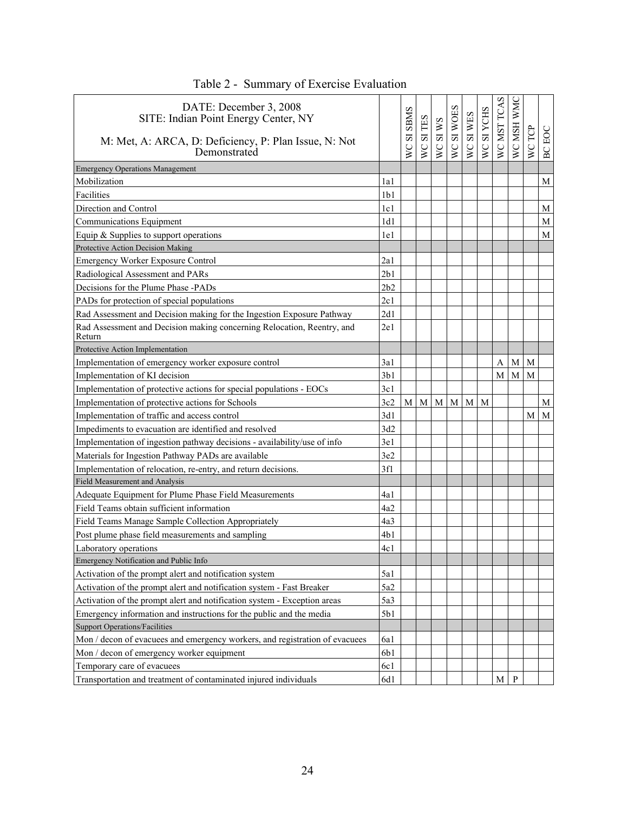| DATE: December 3, 2008<br>SITE: Indian Point Energy Center, NY<br>M: Met, A: ARCA, D: Deficiency, P: Plan Issue, N: Not<br>Demonstrated |                 | <b>WCSISBMS</b> | TES<br>$\mathbf{S}$<br><b>S</b> | SI WS<br><b>S</b> | WC SI WOES | WC SI WES   | SI YCHS<br><b>SM</b> | WC MST TCAS    | WC MSH WMC   | WCTCP | BC EOC      |
|-----------------------------------------------------------------------------------------------------------------------------------------|-----------------|-----------------|---------------------------------|-------------------|------------|-------------|----------------------|----------------|--------------|-------|-------------|
| <b>Emergency Operations Management</b>                                                                                                  |                 |                 |                                 |                   |            |             |                      |                |              |       |             |
| Mobilization                                                                                                                            | 1a1             |                 |                                 |                   |            |             |                      |                |              |       | М           |
| Facilities                                                                                                                              | 1 <sub>b1</sub> |                 |                                 |                   |            |             |                      |                |              |       |             |
| Direction and Control                                                                                                                   | 1c1             |                 |                                 |                   |            |             |                      |                |              |       | M           |
| Communications Equipment                                                                                                                | 1d1             |                 |                                 |                   |            |             |                      |                |              |       | М           |
| Equip $&$ Supplies to support operations                                                                                                | 1e1             |                 |                                 |                   |            |             |                      |                |              |       | $\mathbf M$ |
| Protective Action Decision Making                                                                                                       |                 |                 |                                 |                   |            |             |                      |                |              |       |             |
| <b>Emergency Worker Exposure Control</b>                                                                                                | 2a1             |                 |                                 |                   |            |             |                      |                |              |       |             |
| Radiological Assessment and PARs                                                                                                        | 2b1             |                 |                                 |                   |            |             |                      |                |              |       |             |
| Decisions for the Plume Phase -PADs                                                                                                     | 2b2             |                 |                                 |                   |            |             |                      |                |              |       |             |
| PADs for protection of special populations                                                                                              | 2c1             |                 |                                 |                   |            |             |                      |                |              |       |             |
| Rad Assessment and Decision making for the Ingestion Exposure Pathway                                                                   | 2d1             |                 |                                 |                   |            |             |                      |                |              |       |             |
| Rad Assessment and Decision making concerning Relocation, Reentry, and<br>Return                                                        | 2e1             |                 |                                 |                   |            |             |                      |                |              |       |             |
| Protective Action Implementation                                                                                                        |                 |                 |                                 |                   |            |             |                      |                |              |       |             |
| Implementation of emergency worker exposure control                                                                                     | 3a1             |                 |                                 |                   |            |             |                      | A              | $\mathbf M$  | M     |             |
| Implementation of KI decision                                                                                                           | 3b1             |                 |                                 |                   |            |             |                      | M <sub>1</sub> | M            | М     |             |
| Implementation of protective actions for special populations - EOCs                                                                     | 3c1             |                 |                                 |                   |            |             |                      |                |              |       |             |
| Implementation of protective actions for Schools                                                                                        | 3c2             | M               | M                               | M                 | M          | $\mathbf M$ | M                    |                |              |       | M           |
| Implementation of traffic and access control                                                                                            | 3d1             |                 |                                 |                   |            |             |                      |                |              | М     | M           |
| Impediments to evacuation are identified and resolved                                                                                   | 3d2             |                 |                                 |                   |            |             |                      |                |              |       |             |
| Implementation of ingestion pathway decisions - availability/use of info                                                                | 3e1             |                 |                                 |                   |            |             |                      |                |              |       |             |
| Materials for Ingestion Pathway PADs are available                                                                                      | 3e2             |                 |                                 |                   |            |             |                      |                |              |       |             |
| Implementation of relocation, re-entry, and return decisions.                                                                           | 3f1             |                 |                                 |                   |            |             |                      |                |              |       |             |
| Field Measurement and Analysis                                                                                                          |                 |                 |                                 |                   |            |             |                      |                |              |       |             |
| Adequate Equipment for Plume Phase Field Measurements                                                                                   | 4a1             |                 |                                 |                   |            |             |                      |                |              |       |             |
| Field Teams obtain sufficient information                                                                                               | 4a2             |                 |                                 |                   |            |             |                      |                |              |       |             |
| Field Teams Manage Sample Collection Appropriately                                                                                      | 4a3             |                 |                                 |                   |            |             |                      |                |              |       |             |
| Post plume phase field measurements and sampling                                                                                        | 4b1             |                 |                                 |                   |            |             |                      |                |              |       |             |
| Laboratory operations                                                                                                                   | 4c1             |                 |                                 |                   |            |             |                      |                |              |       |             |
| Emergency Notification and Public Info                                                                                                  |                 |                 |                                 |                   |            |             |                      |                |              |       |             |
| Activation of the prompt alert and notification system                                                                                  | 5a1             |                 |                                 |                   |            |             |                      |                |              |       |             |
| Activation of the prompt alert and notification system - Fast Breaker                                                                   | 5a2             |                 |                                 |                   |            |             |                      |                |              |       |             |
| Activation of the prompt alert and notification system - Exception areas                                                                | 5a3             |                 |                                 |                   |            |             |                      |                |              |       |             |
| Emergency information and instructions for the public and the media                                                                     | 5b1             |                 |                                 |                   |            |             |                      |                |              |       |             |
| <b>Support Operations/Facilities</b>                                                                                                    |                 |                 |                                 |                   |            |             |                      |                |              |       |             |
| Mon / decon of evacuees and emergency workers, and registration of evacuees                                                             | 6a1             |                 |                                 |                   |            |             |                      |                |              |       |             |
| Mon / decon of emergency worker equipment                                                                                               | 6b1             |                 |                                 |                   |            |             |                      |                |              |       |             |
| Temporary care of evacuees                                                                                                              | 6c1             |                 |                                 |                   |            |             |                      |                |              |       |             |
| Transportation and treatment of contaminated injured individuals                                                                        | 6d1             |                 |                                 |                   |            |             |                      | $M_{\odot}$    | $\mathbf{P}$ |       |             |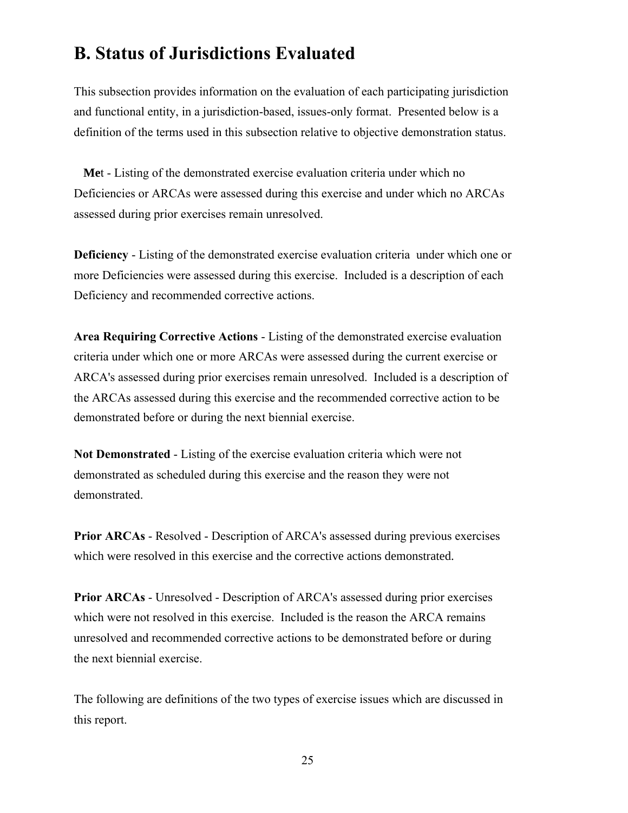# **B. Status of Jurisdictions Evaluated**

This subsection provides information on the evaluation of each participating jurisdiction and functional entity, in a jurisdiction-based, issues-only format. Presented below is a definition of the terms used in this subsection relative to objective demonstration status.

 **Me**t - Listing of the demonstrated exercise evaluation criteria under which no Deficiencies or ARCAs were assessed during this exercise and under which no ARCAs assessed during prior exercises remain unresolved.

**Deficiency** - Listing of the demonstrated exercise evaluation criteria under which one or more Deficiencies were assessed during this exercise. Included is a description of each Deficiency and recommended corrective actions.

**Area Requiring Corrective Actions** - Listing of the demonstrated exercise evaluation criteria under which one or more ARCAs were assessed during the current exercise or ARCA's assessed during prior exercises remain unresolved. Included is a description of the ARCAs assessed during this exercise and the recommended corrective action to be demonstrated before or during the next biennial exercise.

**Not Demonstrated** - Listing of the exercise evaluation criteria which were not demonstrated as scheduled during this exercise and the reason they were not demonstrated.

**Prior ARCAs** - Resolved - Description of ARCA's assessed during previous exercises which were resolved in this exercise and the corrective actions demonstrated. 

**Prior ARCAs** - Unresolved - Description of ARCA's assessed during prior exercises which were not resolved in this exercise. Included is the reason the ARCA remains unresolved and recommended corrective actions to be demonstrated before or during the next biennial exercise.

The following are definitions of the two types of exercise issues which are discussed in this report.

25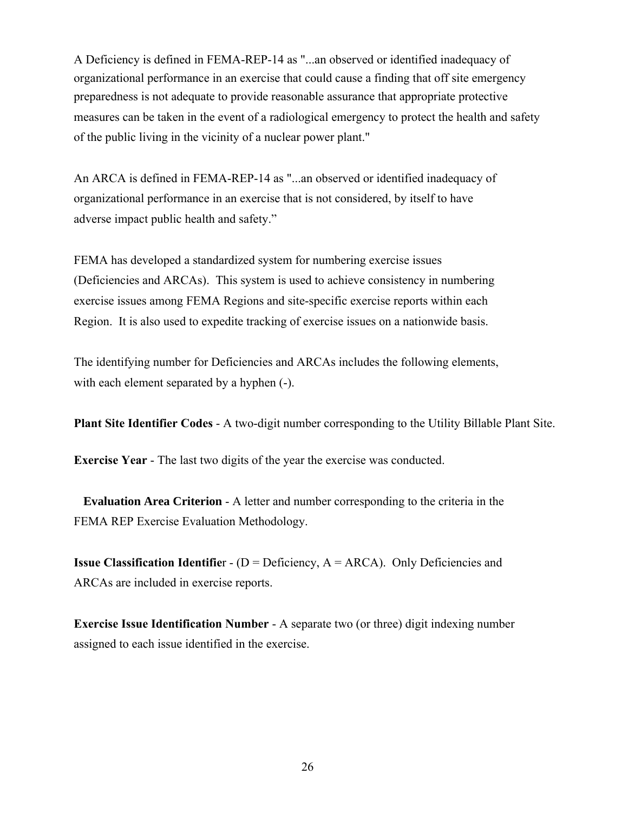A Deficiency is defined in FEMA-REP-14 as "...an observed or identified inadequacy of organizational performance in an exercise that could cause a finding that off site emergency preparedness is not adequate to provide reasonable assurance that appropriate protective measures can be taken in the event of a radiological emergency to protect the health and safety of the public living in the vicinity of a nuclear power plant."

An ARCA is defined in FEMA-REP-14 as "...an observed or identified inadequacy of organizational performance in an exercise that is not considered, by itself to have adverse impact public health and safety."

FEMA has developed a standardized system for numbering exercise issues (Deficiencies and ARCAs). This system is used to achieve consistency in numbering exercise issues among FEMA Regions and site-specific exercise reports within each Region. It is also used to expedite tracking of exercise issues on a nationwide basis.

The identifying number for Deficiencies and ARCAs includes the following elements, with each element separated by a hyphen  $(-)$ .

**Plant Site Identifier Codes** - A two-digit number corresponding to the Utility Billable Plant Site.

**Exercise Year** - The last two digits of the year the exercise was conducted.

**Evaluation Area Criterion - A letter and number corresponding to the criteria in the** FEMA REP Exercise Evaluation Methodology.

**Issue Classification Identifier - (D = Deficiency, A = ARCA). Only Deficiencies and** ARCAs are included in exercise reports.

**Exercise Issue Identification Number** - A separate two (or three) digit indexing number assigned to each issue identified in the exercise.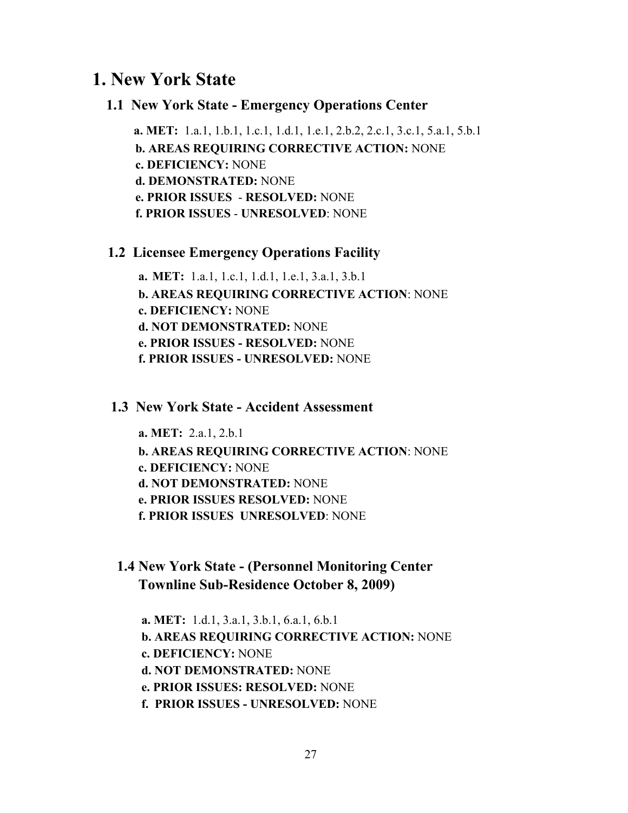# **1. New York State**

#### **1.1 New York State - Emergency Operations Center**

 **a. MET:** 1.a.1, 1.b.1, 1.c.1, 1.d.1, 1.e.1, 2.b.2, 2.c.1, 3.c.1, 5.a.1, 5.b.1 **b. AREAS REQUIRING CORRECTIVE ACTION:** NONE **c. DEFICIENCY:** NONE **d. DEMONSTRATED:** NONE **e. PRIOR ISSUES** - **RESOLVED:** NONE **f. PRIOR ISSUES** - **UNRESOLVED**: NONE

#### **1.2 Licensee Emergency Operations Facility**

 **a. MET:** 1.a.1, 1.c.1, 1.d.1, 1.e.1, 3.a.1, 3.b.1 **b. AREAS REQUIRING CORRECTIVE ACTION**: NONE **c. DEFICIENCY:** NONE  **d. NOT DEMONSTRATED:** NONE **e. PRIOR ISSUES - RESOLVED:** NONE **f. PRIOR ISSUES - UNRESOLVED:** NONE

#### **1.3 New York State - Accident Assessment**

 **a. MET:** 2.a.1, 2.b.1 **b. AREAS REQUIRING CORRECTIVE ACTION**: NONE **c. DEFICIENCY:** NONE **d. NOT DEMONSTRATED:** NONE **e. PRIOR ISSUES RESOLVED:** NONE **f. PRIOR ISSUES UNRESOLVED**: NONE

## **1.4 New York State - (Personnel Monitoring Center Townline Sub-Residence October 8, 2009)**

 **a. MET:** 1.d.1, 3.a.1, 3.b.1, 6.a.1, 6.b.1 **b. AREAS REQUIRING CORRECTIVE ACTION:** NONE **c. DEFICIENCY:** NONE  **d. NOT DEMONSTRATED:** NONE **e. PRIOR ISSUES: RESOLVED:** NONE

**f. PRIOR ISSUES - UNRESOLVED:** NONE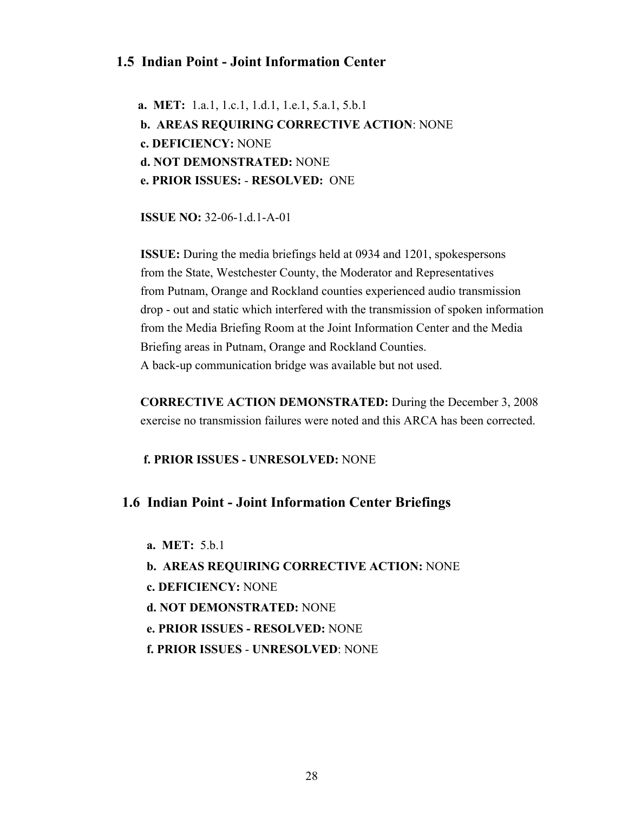#### **1.5 Indian Point - Joint Information Center**

 **a. MET:** 1.a.1, 1.c.1, 1.d.1, 1.e.1, 5.a.1, 5.b.1 **b. AREAS REQUIRING CORRECTIVE ACTION**: NONE **c. DEFICIENCY:** NONE **d. NOT DEMONSTRATED:** NONE **e. PRIOR ISSUES:** - **RESOLVED:** ONE

**ISSUE NO:** 32-06-1.d.1-A-01

 **ISSUE:** During the media briefings held at 0934 and 1201, spokespersons from the State, Westchester County, the Moderator and Representatives from Putnam, Orange and Rockland counties experienced audio transmission drop - out and static which interfered with the transmission of spoken information from the Media Briefing Room at the Joint Information Center and the Media Briefing areas in Putnam, Orange and Rockland Counties. A back-up communication bridge was available but not used.

 **CORRECTIVE ACTION DEMONSTRATED:** During the December 3, 2008 exercise no transmission failures were noted and this ARCA has been corrected.

#### **f. PRIOR ISSUES - UNRESOLVED:** NONE

#### **1.6 Indian Point - Joint Information Center Briefings**

- **a. MET:** 5.b.1
- **b. AREAS REQUIRING CORRECTIVE ACTION:** NONE
- **c. DEFICIENCY:** NONE
- **d. NOT DEMONSTRATED:** NONE
- **e. PRIOR ISSUES RESOLVED:** NONE
- **f. PRIOR ISSUES UNRESOLVED**: NONE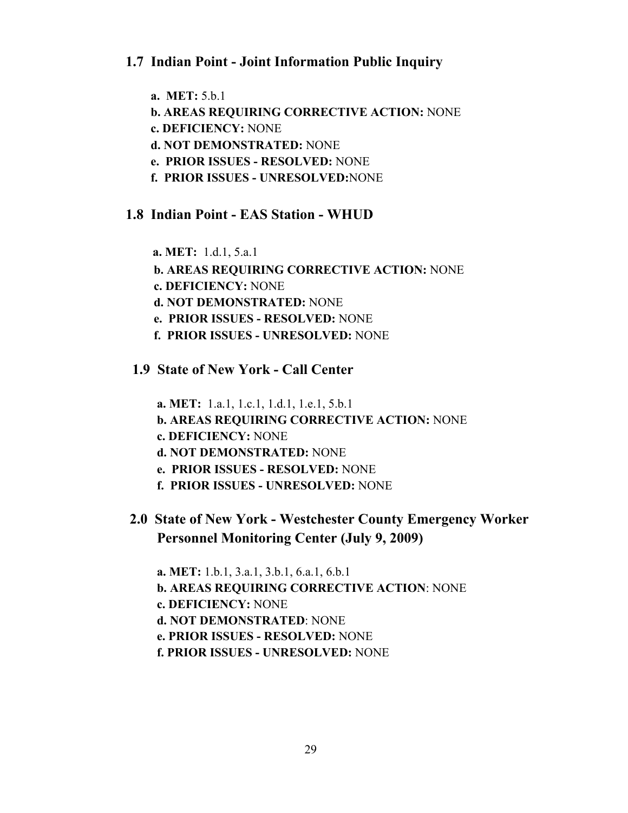## **1.7 Indian Point - Joint Information Public Inquiry**

 **a. MET:** 5.b.1  **b. AREAS REQUIRING CORRECTIVE ACTION:** NONE  **c. DEFICIENCY:** NONE  **d. NOT DEMONSTRATED:** NONE  **e. PRIOR ISSUES - RESOLVED:** NONE  **f. PRIOR ISSUES - UNRESOLVED:**NONE

#### **1.8 Indian Point - EAS Station - WHUD**

 **a. MET:** 1.d.1, 5.a.1  **b. AREAS REQUIRING CORRECTIVE ACTION:** NONE  **c. DEFICIENCY:** NONE  **d. NOT DEMONSTRATED:** NONE  **e. PRIOR ISSUES - RESOLVED:** NONE  **f. PRIOR ISSUES - UNRESOLVED:** NONE

#### **1.9 State of New York - Call Center**

- **a. MET:** 1.a.1, 1.c.1, 1.d.1, 1.e.1, 5.b.1
- **b. AREAS REQUIRING CORRECTIVE ACTION:** NONE
- **c. DEFICIENCY:** NONE
- **d. NOT DEMONSTRATED:** NONE
- **e. PRIOR ISSUES RESOLVED:** NONE
- **f. PRIOR ISSUES UNRESOLVED:** NONE
- **2.0 State of New York Westchester County Emergency Worker Personnel Monitoring Center (July 9, 2009)**

 **a. MET:** 1.b.1, 3.a.1, 3.b.1, 6.a.1, 6.b.1 **b. AREAS REQUIRING CORRECTIVE ACTION**: NONE **c. DEFICIENCY:** NONE **d. NOT DEMONSTRATED**: NONE **e. PRIOR ISSUES - RESOLVED:** NONE **f. PRIOR ISSUES - UNRESOLVED:** NONE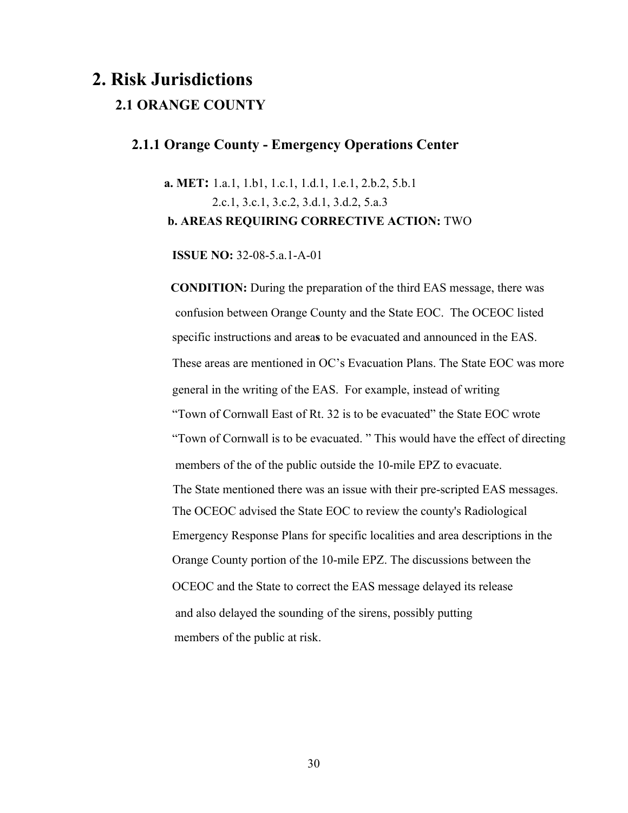# **2. Risk Jurisdictions**

# **2.1 ORANGE COUNTY**

## **2.1.1 Orange County - Emergency Operations Center**

 **a. MET:** 1.a.1, 1.b1, 1.c.1, 1.d.1, 1.e.1, 2.b.2, 5.b.1 2.c.1, 3.c.1, 3.c.2, 3.d.1, 3.d.2, 5.a.3  **b. AREAS REQUIRING CORRECTIVE ACTION:** TWO

 **ISSUE NO:** 32-08-5.a.1-A-01

**CONDITION:** During the preparation of the third EAS message, there was confusion between Orange County and the State EOC. The OCEOC listed specific instructions and area**s** to be evacuated and announced in the EAS. These areas are mentioned in OC's Evacuation Plans. The State EOC was more general in the writing of the EAS. For example, instead of writing "Town of Cornwall East of Rt. 32 is to be evacuated" the State EOC wrote "Town of Cornwall is to be evacuated. " This would have the effect of directing members of the of the public outside the 10-mile EPZ to evacuate. The State mentioned there was an issue with their pre-scripted EAS messages. The OCEOC advised the State EOC to review the county's Radiological Emergency Response Plans for specific localities and area descriptions in the Orange County portion of the 10-mile EPZ. The discussions between the OCEOC and the State to correct the EAS message delayed its release and also delayed the sounding of the sirens, possibly putting members of the public at risk.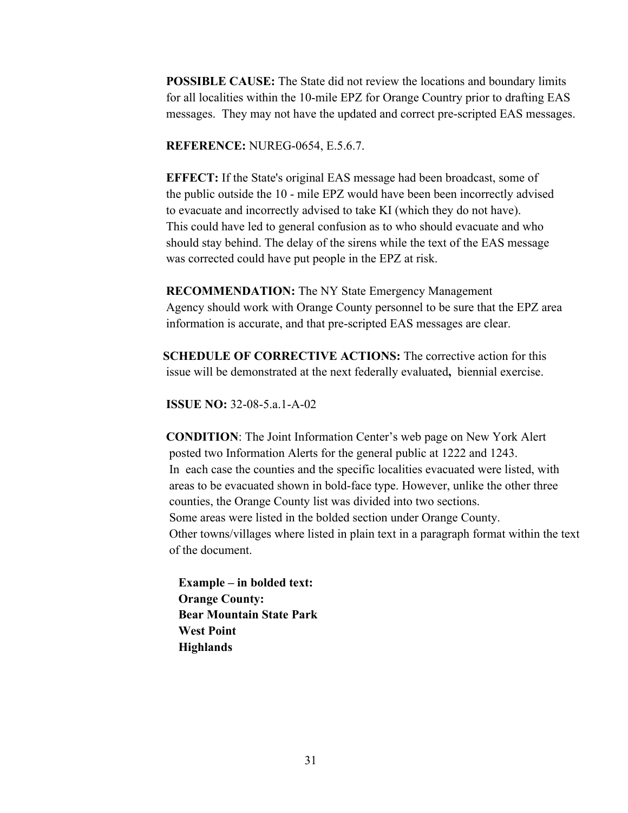**POSSIBLE CAUSE:** The State did not review the locations and boundary limits for all localities within the 10-mile EPZ for Orange Country prior to drafting EAS messages. They may not have the updated and correct pre-scripted EAS messages.

**REFERENCE:** NUREG-0654, E.5.6.7.

 **EFFECT:** If the State's original EAS message had been broadcast, some of the public outside the 10 - mile EPZ would have been been incorrectly advised to evacuate and incorrectly advised to take KI (which they do not have). This could have led to general confusion as to who should evacuate and who should stay behind. The delay of the sirens while the text of the EAS message was corrected could have put people in the EPZ at risk.

 **RECOMMENDATION:** The NY State Emergency Management Agency should work with Orange County personnel to be sure that the EPZ area information is accurate, and that pre-scripted EAS messages are clear.

 **SCHEDULE OF CORRECTIVE ACTIONS:** The corrective action for this issue will be demonstrated at the next federally evaluated**,** biennial exercise.

 **ISSUE NO:** 32-08-5.a.1-A-02

 **CONDITION**: The Joint Information Center's web page on New York Alert posted two Information Alerts for the general public at 1222 and 1243. In each case the counties and the specific localities evacuated were listed, with areas to be evacuated shown in bold-face type. However, unlike the other three counties, the Orange County list was divided into two sections. Some areas were listed in the bolded section under Orange County. Other towns/villages where listed in plain text in a paragraph format within the text of the document.

 **Example – in bolded text: Orange County: Bear Mountain State Park West Point Highlands**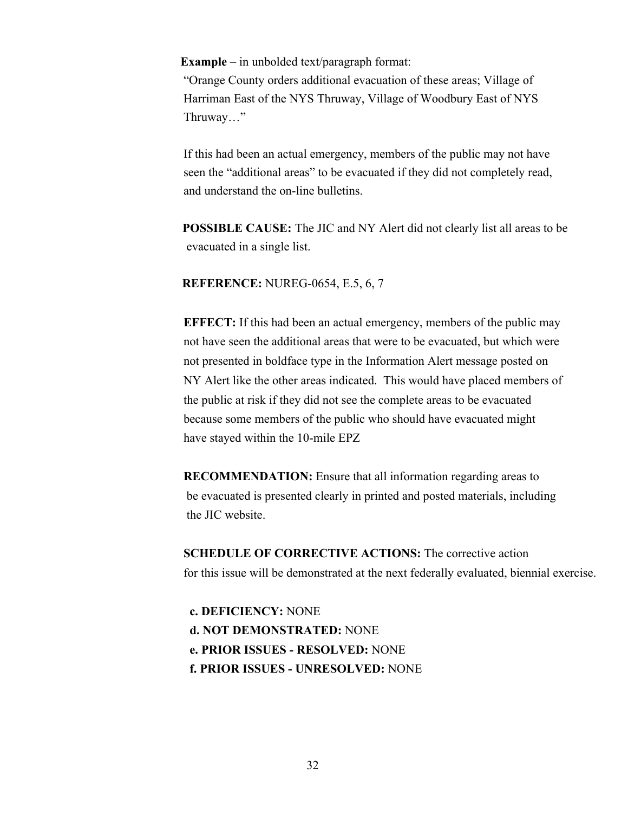**Example** – in unbolded text/paragraph format:

 "Orange County orders additional evacuation of these areas; Village of Harriman East of the NYS Thruway, Village of Woodbury East of NYS Thruway…"

 If this had been an actual emergency, members of the public may not have seen the "additional areas" to be evacuated if they did not completely read, and understand the on-line bulletins.

 **POSSIBLE CAUSE:** The JIC and NY Alert did not clearly list all areas to be evacuated in a single list.

**REFERENCE:** NUREG-0654, E.5, 6, 7

**EFFECT:** If this had been an actual emergency, members of the public may not have seen the additional areas that were to be evacuated, but which were not presented in boldface type in the Information Alert message posted on NY Alert like the other areas indicated. This would have placed members of the public at risk if they did not see the complete areas to be evacuated because some members of the public who should have evacuated might have stayed within the 10-mile EPZ

 **RECOMMENDATION:** Ensure that all information regarding areas to be evacuated is presented clearly in printed and posted materials, including the JIC website.

**SCHEDULE OF CORRECTIVE ACTIONS:** The corrective action for this issue will be demonstrated at the next federally evaluated, biennial exercise.

 **c. DEFICIENCY:** NONE **d. NOT DEMONSTRATED:** NONE **e. PRIOR ISSUES - RESOLVED:** NONE **f. PRIOR ISSUES - UNRESOLVED:** NONE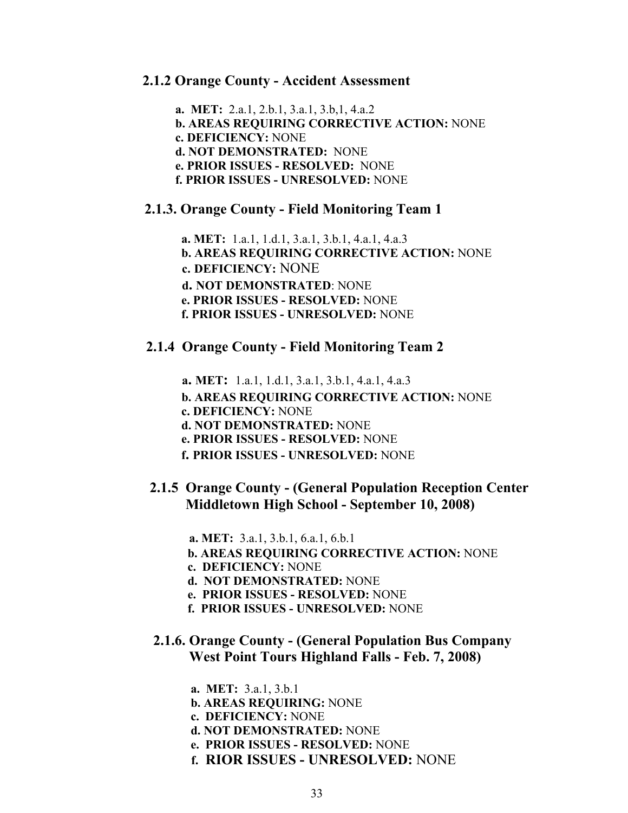#### **2.1.2 Orange County - Accident Assessment**

 **a. MET:** 2.a.1, 2.b.1, 3.a.1, 3.b,1, 4.a.2  **b. AREAS REQUIRING CORRECTIVE ACTION:** NONE  **c. DEFICIENCY:** NONE  **d. NOT DEMONSTRATED:** NONE  **e. PRIOR ISSUES - RESOLVED:** NONE  **f. PRIOR ISSUES - UNRESOLVED:** NONE

#### **2.1.3. Orange County - Field Monitoring Team 1**

 **a. MET:** 1.a.1, 1.d.1, 3.a.1, 3.b.1, 4.a.1, 4.a.3  **b. AREAS REQUIRING CORRECTIVE ACTION:** NONE  **c. DEFICIENCY:** NONE **d. NOT DEMONSTRATED**: NONE **e. PRIOR ISSUES - RESOLVED:** NONE **f. PRIOR ISSUES - UNRESOLVED:** NONE

#### **2.1.4 Orange County - Field Monitoring Team 2**

 **a. MET:** 1.a.1, 1.d.1, 3.a.1, 3.b.1, 4.a.1, 4.a.3  **b. AREAS REQUIRING CORRECTIVE ACTION:** NONE  **c. DEFICIENCY:** NONE **d. NOT DEMONSTRATED:** NONE  **e. PRIOR ISSUES - RESOLVED:** NONE  **f. PRIOR ISSUES - UNRESOLVED:** NONE

### **2.1.5 Orange County - (General Population Reception Center Middletown High School - September 10, 2008)**

 **a. MET:** 3.a.1, 3.b.1, 6.a.1, 6.b.1

- **b. AREAS REQUIRING CORRECTIVE ACTION:** NONE
- **c. DEFICIENCY:** NONE
- **d. NOT DEMONSTRATED:** NONE
- **e. PRIOR ISSUES RESOLVED:** NONE
- **f. PRIOR ISSUES UNRESOLVED:** NONE

### **2.1.6. Orange County - (General Population Bus Company West Point Tours Highland Falls - Feb. 7, 2008)**

- **a. MET:** 3.a.1, 3.b.1
- **b. AREAS REQUIRING:** NONE
- **c. DEFICIENCY:** NONE
- **d. NOT DEMONSTRATED:** NONE
- **e. PRIOR ISSUES RESOLVED:** NONE
- **f. RIOR ISSUES UNRESOLVED:** NONE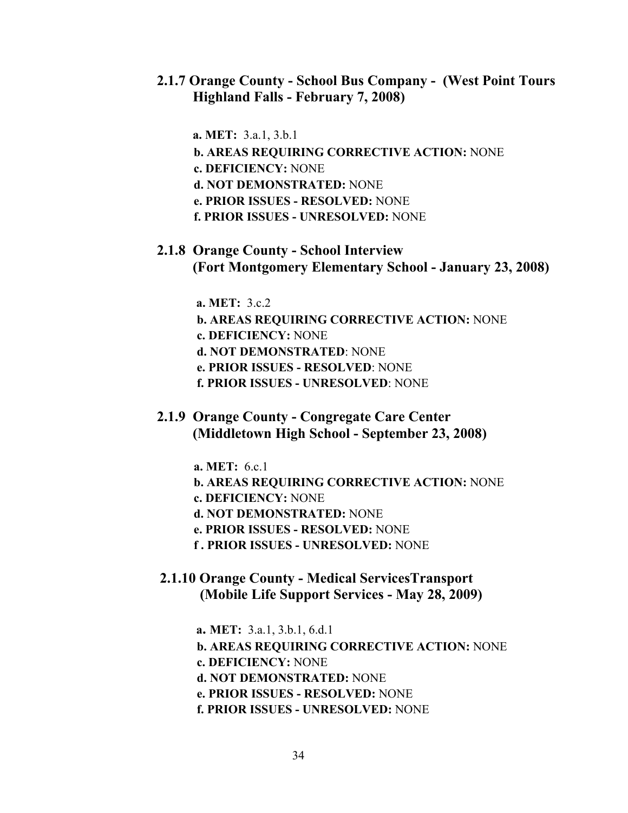## **2.1.7 Orange County - School Bus Company - (West Point Tours Highland Falls - February 7, 2008)**

 **a. MET:** 3.a.1, 3.b.1

- **b. AREAS REQUIRING CORRECTIVE ACTION:** NONE
- **c. DEFICIENCY:** NONE
- **d. NOT DEMONSTRATED:** NONE
- **e. PRIOR ISSUES RESOLVED:** NONE
- **f. PRIOR ISSUES UNRESOLVED:** NONE
- **2.1.8 Orange County School Interview (Fort Montgomery Elementary School - January 23, 2008)**

 **a. MET:** 3.c.2

- **b. AREAS REQUIRING CORRECTIVE ACTION:** NONE
- **c. DEFICIENCY:** NONE
- **d. NOT DEMONSTRATED**: NONE
- **e. PRIOR ISSUES RESOLVED**: NONE
- **f. PRIOR ISSUES UNRESOLVED**: NONE
- **2.1.9 Orange County Congregate Care Center (Middletown High School - September 23, 2008)**

**a. MET:** 6.c.1

- **b. AREAS REQUIRING CORRECTIVE ACTION:** NONE
- **c. DEFICIENCY:** NONE
- **d. NOT DEMONSTRATED:** NONE
- **e. PRIOR ISSUES RESOLVED:** NONE
- **f . PRIOR ISSUES UNRESOLVED:** NONE
- **2.1.10 Orange County Medical ServicesTransport (Mobile Life Support Services - May 28, 2009)**

**a. MET:** 3.a.1, 3.b.1, 6.d.1

- **b. AREAS REQUIRING CORRECTIVE ACTION:** NONE
- **c. DEFICIENCY:** NONE
- **d. NOT DEMONSTRATED:** NONE
- **e. PRIOR ISSUES RESOLVED:** NONE
- **f. PRIOR ISSUES UNRESOLVED:** NONE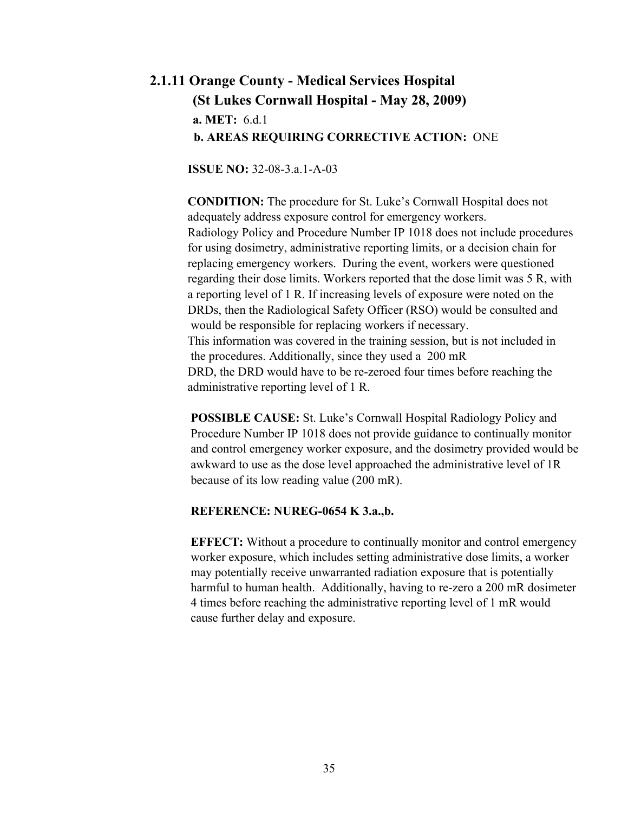# **2.1.11 Orange County - Medical Services Hospital (St Lukes Cornwall Hospital - May 28, 2009) a. MET:** 6.d.1 **b. AREAS REQUIRING CORRECTIVE ACTION:** ONE

**ISSUE NO:** 32-08-3.a.1-A-03

 **CONDITION:** The procedure for St. Luke's Cornwall Hospital does not adequately address exposure control for emergency workers. Radiology Policy and Procedure Number IP 1018 does not include procedures for using dosimetry, administrative reporting limits, or a decision chain for replacing emergency workers. During the event, workers were questioned regarding their dose limits. Workers reported that the dose limit was 5 R, with a reporting level of 1 R. If increasing levels of exposure were noted on the DRDs, then the Radiological Safety Officer (RSO) would be consulted and would be responsible for replacing workers if necessary. This information was covered in the training session, but is not included in the procedures. Additionally, since they used a 200 mR DRD, the DRD would have to be re-zeroed four times before reaching the administrative reporting level of 1 R.

 **POSSIBLE CAUSE:** St. Luke's Cornwall Hospital Radiology Policy and Procedure Number IP 1018 does not provide guidance to continually monitor and control emergency worker exposure, and the dosimetry provided would be awkward to use as the dose level approached the administrative level of 1R because of its low reading value (200 mR).

#### **REFERENCE: NUREG-0654 K 3.a.,b.**

 **EFFECT:** Without a procedure to continually monitor and control emergency worker exposure, which includes setting administrative dose limits, a worker may potentially receive unwarranted radiation exposure that is potentially harmful to human health. Additionally, having to re-zero a 200 mR dosimeter 4 times before reaching the administrative reporting level of 1 mR would cause further delay and exposure.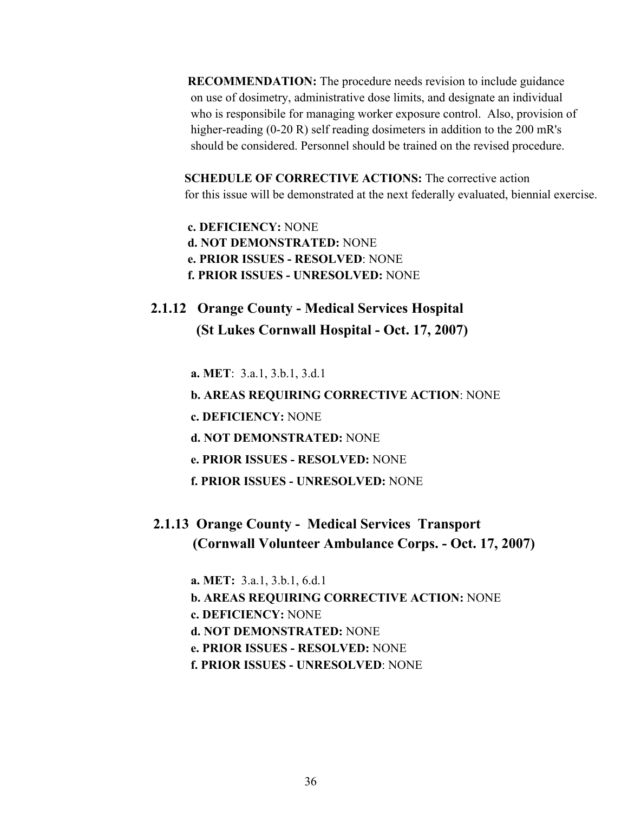**RECOMMENDATION:** The procedure needs revision to include guidance on use of dosimetry, administrative dose limits, and designate an individual who is responsibile for managing worker exposure control. Also, provision of higher-reading (0-20 R) self reading dosimeters in addition to the 200 mR's should be considered. Personnel should be trained on the revised procedure.

**SCHEDULE OF CORRECTIVE ACTIONS:** The corrective action for this issue will be demonstrated at the next federally evaluated, biennial exercise.

 **c. DEFICIENCY:** NONE **d. NOT DEMONSTRATED:** NONE **e. PRIOR ISSUES - RESOLVED**: NONE **f. PRIOR ISSUES - UNRESOLVED:** NONE

 **2.1.12 Orange County - Medical Services Hospital (St Lukes Cornwall Hospital - Oct. 17, 2007)** 

**a. MET**: 3.a.1, 3.b.1, 3.d.1

**b. AREAS REQUIRING CORRECTIVE ACTION**: NONE

**c. DEFICIENCY:** NONE

**d. NOT DEMONSTRATED:** NONE

**e. PRIOR ISSUES - RESOLVED:** NONE

- **f. PRIOR ISSUES UNRESOLVED:** NONE
- **2.1.13 Orange County Medical Services Transport (Cornwall Volunteer Ambulance Corps. - Oct. 17, 2007)**

 **a. MET:** 3.a.1, 3.b.1, 6.d.1

**b. AREAS REQUIRING CORRECTIVE ACTION:** NONE

**c. DEFICIENCY:** NONE

- **d. NOT DEMONSTRATED:** NONE
- **e. PRIOR ISSUES RESOLVED:** NONE
- **f. PRIOR ISSUES UNRESOLVED**: NONE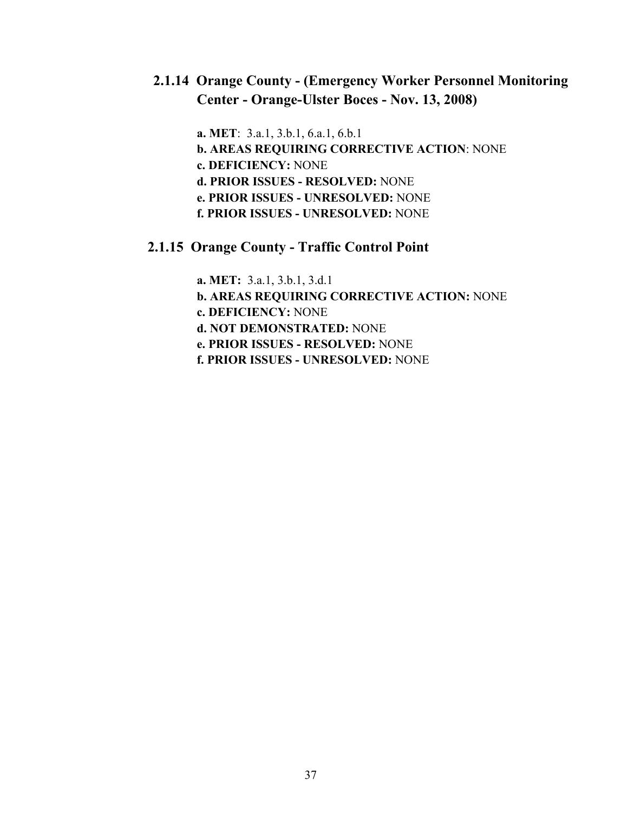# **2.1.14 Orange County - (Emergency Worker Personnel Monitoring Center - Orange-Ulster Boces - Nov. 13, 2008)**

 **a. MET**: 3.a.1, 3.b.1, 6.a.1, 6.b.1 **b. AREAS REQUIRING CORRECTIVE ACTION**: NONE **c. DEFICIENCY:** NONE **d. PRIOR ISSUES - RESOLVED:** NONE **e. PRIOR ISSUES - UNRESOLVED:** NONE **f. PRIOR ISSUES - UNRESOLVED:** NONE

### **2.1.15 Orange County - Traffic Control Point**

**a. MET:** 3.a.1, 3.b.1, 3.d.1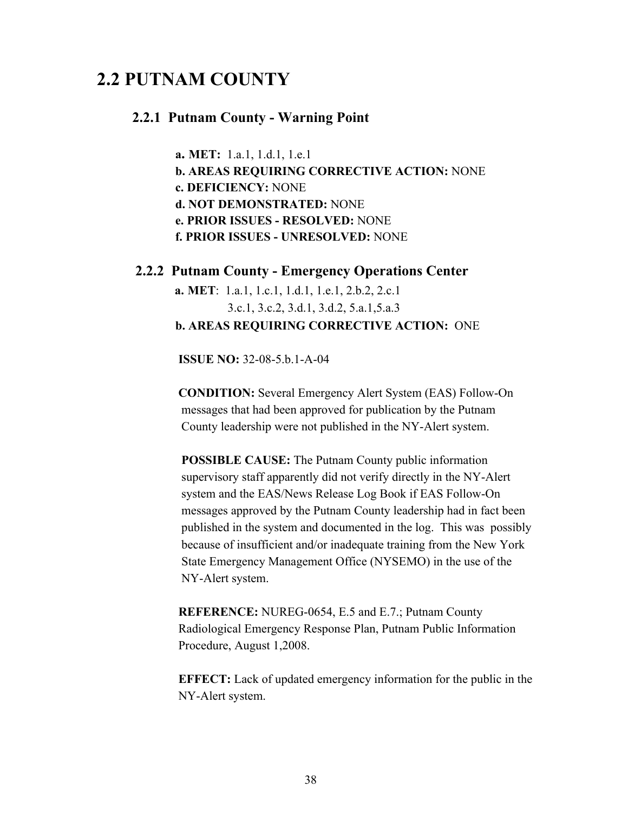# **2.2 PUTNAM COUNTY**

#### **2.2.1 Putnam County - Warning Point**

 **a. MET:** 1.a.1, 1.d.1, 1.e.1  **b. AREAS REQUIRING CORRECTIVE ACTION:** NONE  **c. DEFICIENCY:** NONE  **d. NOT DEMONSTRATED:** NONE  **e. PRIOR ISSUES - RESOLVED:** NONE  **f. PRIOR ISSUES - UNRESOLVED:** NONE

#### **2.2.2 Putnam County - Emergency Operations Center**

 **a. MET**: 1.a.1, 1.c.1, 1.d.1, 1.e.1, 2.b.2, 2.c.1 3.c.1, 3.c.2, 3.d.1, 3.d.2, 5.a.1,5.a.3 **b. AREAS REQUIRING CORRECTIVE ACTION:** ONE

**ISSUE NO:** 32-08-5.b.1-A-04

 **CONDITION:** Several Emergency Alert System (EAS) Follow-On messages that had been approved for publication by the Putnam County leadership were not published in the NY-Alert system.

 **POSSIBLE CAUSE:** The Putnam County public information supervisory staff apparently did not verify directly in the NY-Alert system and the EAS/News Release Log Book if EAS Follow-On messages approved by the Putnam County leadership had in fact been published in the system and documented in the log. This was possibly because of insufficient and/or inadequate training from the New York State Emergency Management Office (NYSEMO) in the use of the NY-Alert system.

 **REFERENCE:** NUREG-0654, E.5 and E.7.; Putnam County Radiological Emergency Response Plan, Putnam Public Information Procedure, August 1,2008.

 **EFFECT:** Lack of updated emergency information for the public in the NY-Alert system.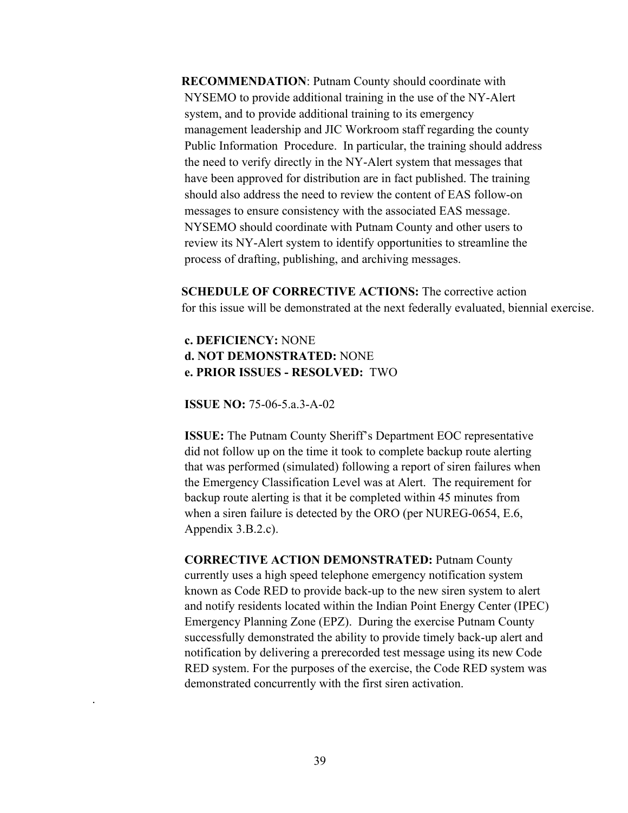**RECOMMENDATION**: Putnam County should coordinate with NYSEMO to provide additional training in the use of the NY-Alert system, and to provide additional training to its emergency management leadership and JIC Workroom staff regarding the county Public Information Procedure. In particular, the training should address the need to verify directly in the NY-Alert system that messages that have been approved for distribution are in fact published. The training should also address the need to review the content of EAS follow-on messages to ensure consistency with the associated EAS message. NYSEMO should coordinate with Putnam County and other users to review its NY-Alert system to identify opportunities to streamline the process of drafting, publishing, and archiving messages.

**SCHEDULE OF CORRECTIVE ACTIONS:** The corrective action for this issue will be demonstrated at the next federally evaluated, biennial exercise.

### **c. DEFICIENCY:** NONE **d. NOT DEMONSTRATED:** NONE **e. PRIOR ISSUES - RESOLVED:** TWO

**ISSUE NO:** 75-06-5.a.3-A-02

.

 **ISSUE:** The Putnam County Sheriff's Department EOC representative did not follow up on the time it took to complete backup route alerting that was performed (simulated) following a report of siren failures when the Emergency Classification Level was at Alert. The requirement for backup route alerting is that it be completed within 45 minutes from when a siren failure is detected by the ORO (per NUREG-0654, E.6, Appendix 3.B.2.c).

 **CORRECTIVE ACTION DEMONSTRATED:** Putnam County currently uses a high speed telephone emergency notification system known as Code RED to provide back-up to the new siren system to alert and notify residents located within the Indian Point Energy Center (IPEC) Emergency Planning Zone (EPZ). During the exercise Putnam County successfully demonstrated the ability to provide timely back-up alert and notification by delivering a prerecorded test message using its new Code RED system. For the purposes of the exercise, the Code RED system was demonstrated concurrently with the first siren activation.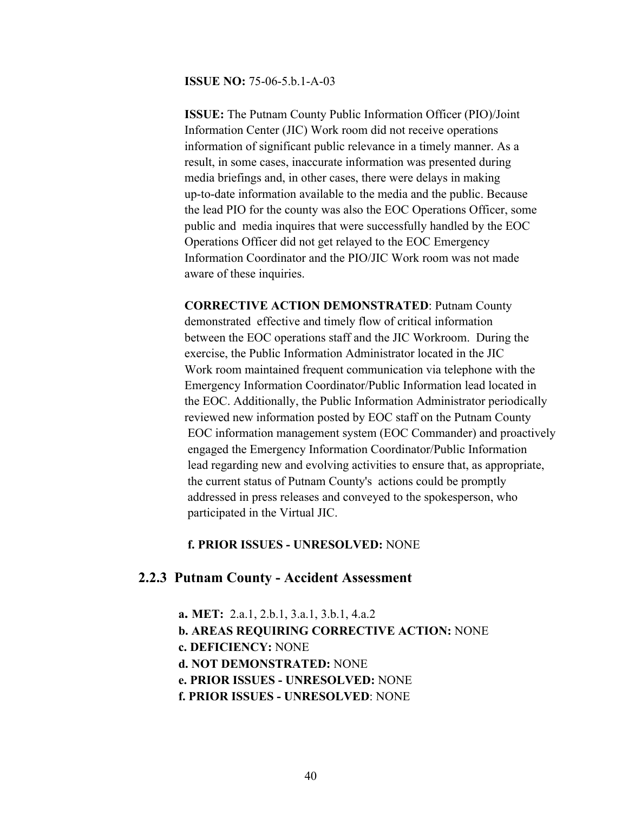#### **ISSUE NO:** 75-06-5.b.1-A-03

 **ISSUE:** The Putnam County Public Information Officer (PIO)/Joint Information Center (JIC) Work room did not receive operations information of significant public relevance in a timely manner. As a result, in some cases, inaccurate information was presented during media briefings and, in other cases, there were delays in making up-to-date information available to the media and the public. Because the lead PIO for the county was also the EOC Operations Officer, some public and media inquires that were successfully handled by the EOC Operations Officer did not get relayed to the EOC Emergency Information Coordinator and the PIO/JIC Work room was not made aware of these inquiries.

 **CORRECTIVE ACTION DEMONSTRATED**: Putnam County demonstrated effective and timely flow of critical information between the EOC operations staff and the JIC Workroom. During the exercise, the Public Information Administrator located in the JIC Work room maintained frequent communication via telephone with the Emergency Information Coordinator/Public Information lead located in the EOC. Additionally, the Public Information Administrator periodically reviewed new information posted by EOC staff on the Putnam County EOC information management system (EOC Commander) and proactively engaged the Emergency Information Coordinator/Public Information lead regarding new and evolving activities to ensure that, as appropriate, the current status of Putnam County's actions could be promptly addressed in press releases and conveyed to the spokesperson, who participated in the Virtual JIC.

#### **f. PRIOR ISSUES - UNRESOLVED:** NONE

#### **2.2.3 Putnam County - Accident Assessment**

 **a. MET:** 2.a.1, 2.b.1, 3.a.1, 3.b.1, 4.a.2

**b. AREAS REQUIRING CORRECTIVE ACTION:** NONE

- **c. DEFICIENCY:** NONE
- **d. NOT DEMONSTRATED:** NONE
- **e. PRIOR ISSUES UNRESOLVED:** NONE
- **f. PRIOR ISSUES UNRESOLVED**: NONE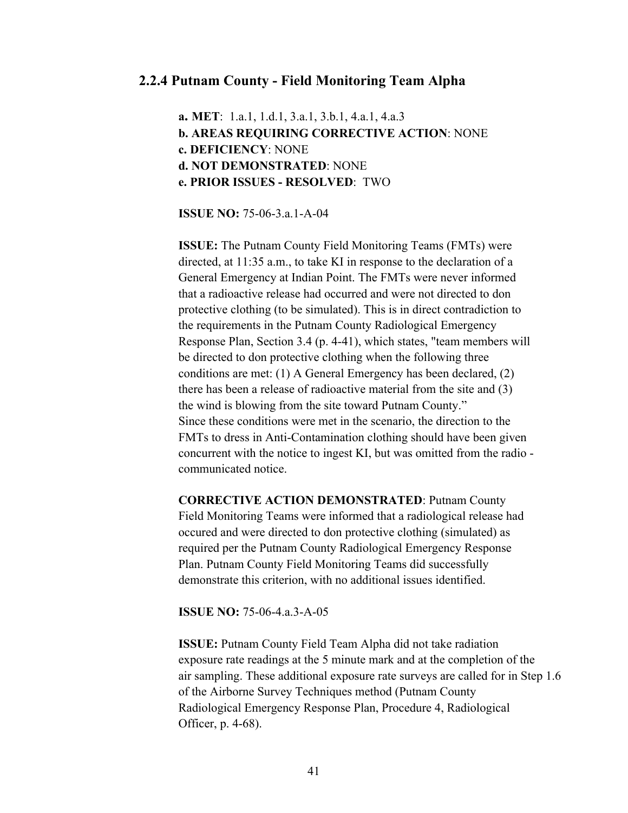### **2.2.4 Putnam County - Field Monitoring Team Alpha**

 **a. MET**: 1.a.1, 1.d.1, 3.a.1, 3.b.1, 4.a.1, 4.a.3 **b. AREAS REQUIRING CORRECTIVE ACTION**: NONE **c. DEFICIENCY**: NONE **d. NOT DEMONSTRATED**: NONE **e. PRIOR ISSUES - RESOLVED**: TWO

 **ISSUE NO:** 75-06-3.a.1-A-04

 **ISSUE:** The Putnam County Field Monitoring Teams (FMTs) were directed, at 11:35 a.m., to take KI in response to the declaration of a General Emergency at Indian Point. The FMTs were never informed that a radioactive release had occurred and were not directed to don protective clothing (to be simulated). This is in direct contradiction to the requirements in the Putnam County Radiological Emergency Response Plan, Section 3.4 (p. 4-41), which states, "team members will be directed to don protective clothing when the following three conditions are met: (1) A General Emergency has been declared, (2) there has been a release of radioactive material from the site and (3) the wind is blowing from the site toward Putnam County." Since these conditions were met in the scenario, the direction to the FMTs to dress in Anti-Contamination clothing should have been given concurrent with the notice to ingest KI, but was omitted from the radio communicated notice.

 **CORRECTIVE ACTION DEMONSTRATED**: Putnam County Field Monitoring Teams were informed that a radiological release had occured and were directed to don protective clothing (simulated) as required per the Putnam County Radiological Emergency Response Plan. Putnam County Field Monitoring Teams did successfully demonstrate this criterion, with no additional issues identified.

**ISSUE NO:** 75-06-4.a.3-A-05

 **ISSUE:** Putnam County Field Team Alpha did not take radiation exposure rate readings at the 5 minute mark and at the completion of the air sampling. These additional exposure rate surveys are called for in Step 1.6 of the Airborne Survey Techniques method (Putnam County Radiological Emergency Response Plan, Procedure 4, Radiological Officer, p. 4-68).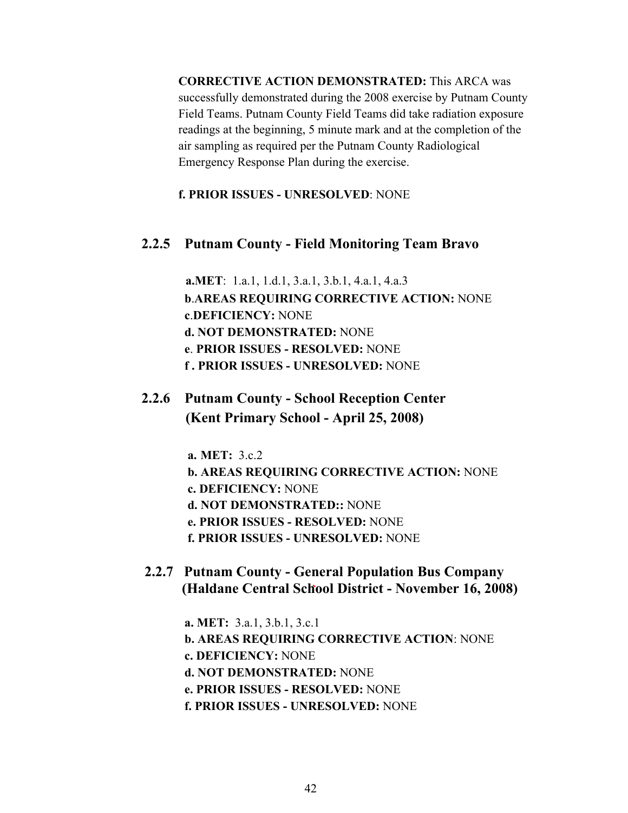**CORRECTIVE ACTION DEMONSTRATED:** This ARCA was successfully demonstrated during the 2008 exercise by Putnam County Field Teams. Putnam County Field Teams did take radiation exposure readings at the beginning, 5 minute mark and at the completion of the air sampling as required per the Putnam County Radiological Emergency Response Plan during the exercise.

**f. PRIOR ISSUES - UNRESOLVED**: NONE

### **2.2.5 Putnam County - Field Monitoring Team Bravo**

 **a.MET**: 1.a.1, 1.d.1, 3.a.1, 3.b.1, 4.a.1, 4.a.3 **b**.**AREAS REQUIRING CORRECTIVE ACTION:** NONE **c**.**DEFICIENCY:** NONE  **d. NOT DEMONSTRATED:** NONE **e**. **PRIOR ISSUES - RESOLVED:** NONE **f . PRIOR ISSUES - UNRESOLVED:** NONE

 **2.2.6 Putnam County - School Reception Center (Kent Primary School - April 25, 2008)**

 **a. MET:** 3.c.2

 **b. AREAS REQUIRING CORRECTIVE ACTION:** NONE **c. DEFICIENCY:** NONE

**d. NOT DEMONSTRATED::** NONE

**e. PRIOR ISSUES - RESOLVED:** NONE

**f. PRIOR ISSUES - UNRESOLVED:** NONE

 **2.2.7 Putnam County - General Population Bus Company (Haldane Central School District - November 16, 2008)**

 **a. MET:** 3.a.1, 3.b.1, 3.c.1

- **b. AREAS REQUIRING CORRECTIVE ACTION**: NONE
- **c. DEFICIENCY:** NONE
- **d. NOT DEMONSTRATED:** NONE
- **e. PRIOR ISSUES RESOLVED:** NONE
- **f. PRIOR ISSUES UNRESOLVED:** NONE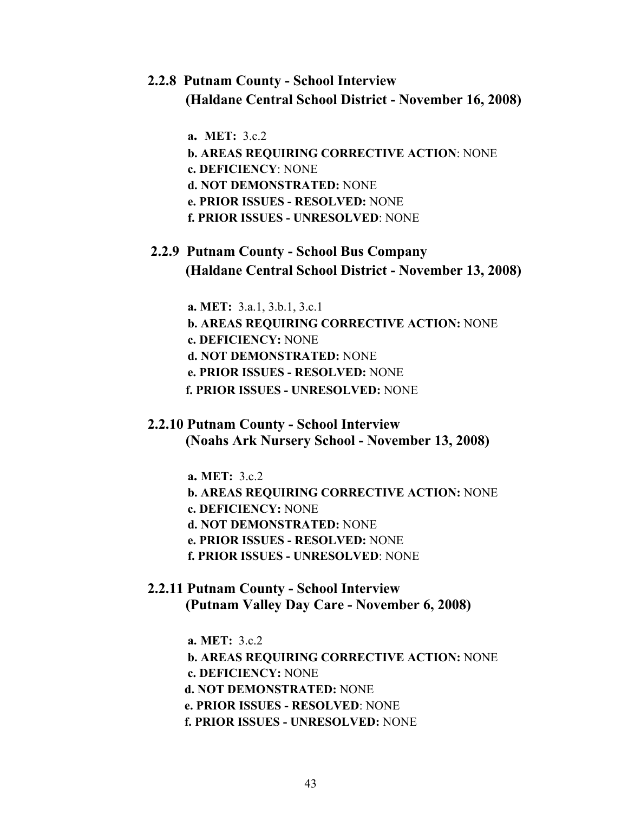# **2.2.8 Putnam County - School Interview (Haldane Central School District - November 16, 2008)**

 **a. MET:** 3.c.2

 **b. AREAS REQUIRING CORRECTIVE ACTION**: NONE **c. DEFICIENCY**: NONE **d. NOT DEMONSTRATED:** NONE **e. PRIOR ISSUES - RESOLVED:** NONE **f. PRIOR ISSUES - UNRESOLVED**: NONE

# **2.2.9 Putnam County - School Bus Company (Haldane Central School District - November 13, 2008)**

 **a. MET:** 3.a.1, 3.b.1, 3.c.1

- **b. AREAS REQUIRING CORRECTIVE ACTION:** NONE  **c. DEFICIENCY:** NONE  **d. NOT DEMONSTRATED:** NONE  **e. PRIOR ISSUES - RESOLVED:** NONE  **f. PRIOR ISSUES - UNRESOLVED:** NONE
- **2.2.10 Putnam County School Interview (Noahs Ark Nursery School - November 13, 2008)**

 **a. MET:** 3.c.2

- **b. AREAS REQUIRING CORRECTIVE ACTION:** NONE
- **c. DEFICIENCY:** NONE
- **d. NOT DEMONSTRATED:** NONE
- **e. PRIOR ISSUES RESOLVED:** NONE
- **f. PRIOR ISSUES UNRESOLVED**: NONE
- **2.2.11 Putnam County School Interview (Putnam Valley Day Care - November 6, 2008)**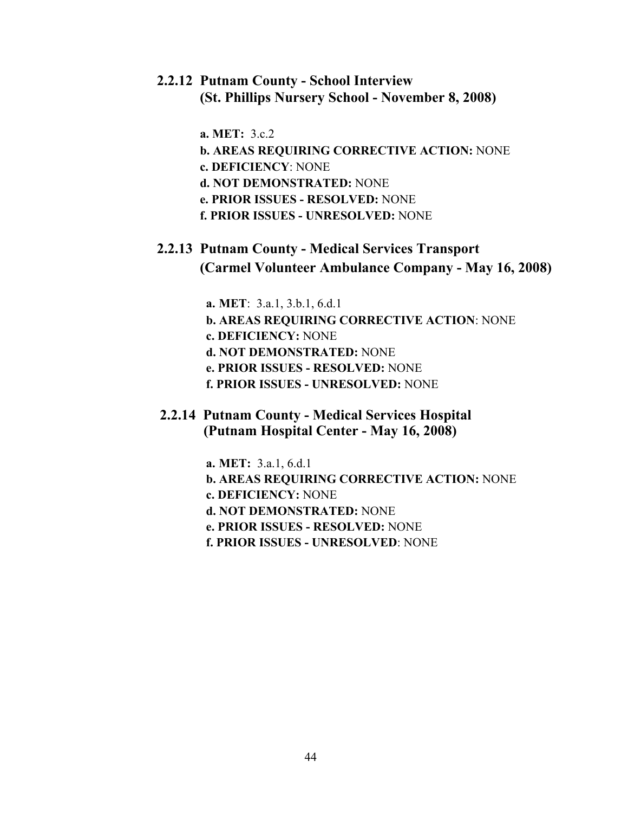### **2.2.12 Putnam County - School Interview (St. Phillips Nursery School - November 8, 2008)**

 **a. MET:** 3.c.2

- **b. AREAS REQUIRING CORRECTIVE ACTION:** NONE
- **c. DEFICIENCY**: NONE
- **d. NOT DEMONSTRATED:** NONE
- **e. PRIOR ISSUES RESOLVED:** NONE
- **f. PRIOR ISSUES UNRESOLVED:** NONE

# **2.2.13 Putnam County - Medical Services Transport (Carmel Volunteer Ambulance Company - May 16, 2008)**

 **a. MET**: 3.a.1, 3.b.1, 6.d.1

- **b. AREAS REQUIRING CORRECTIVE ACTION**: NONE
- **c. DEFICIENCY:** NONE
- **d. NOT DEMONSTRATED:** NONE
- **e. PRIOR ISSUES RESOLVED:** NONE
- **f. PRIOR ISSUES UNRESOLVED:** NONE

### **2.2.14 Putnam County - Medical Services Hospital (Putnam Hospital Center - May 16, 2008)**

 **a. MET:** 3.a.1, 6.d.1

- **b. AREAS REQUIRING CORRECTIVE ACTION:** NONE
- **c. DEFICIENCY:** NONE
- **d. NOT DEMONSTRATED:** NONE
- **e. PRIOR ISSUES RESOLVED:** NONE
- **f. PRIOR ISSUES UNRESOLVED**: NONE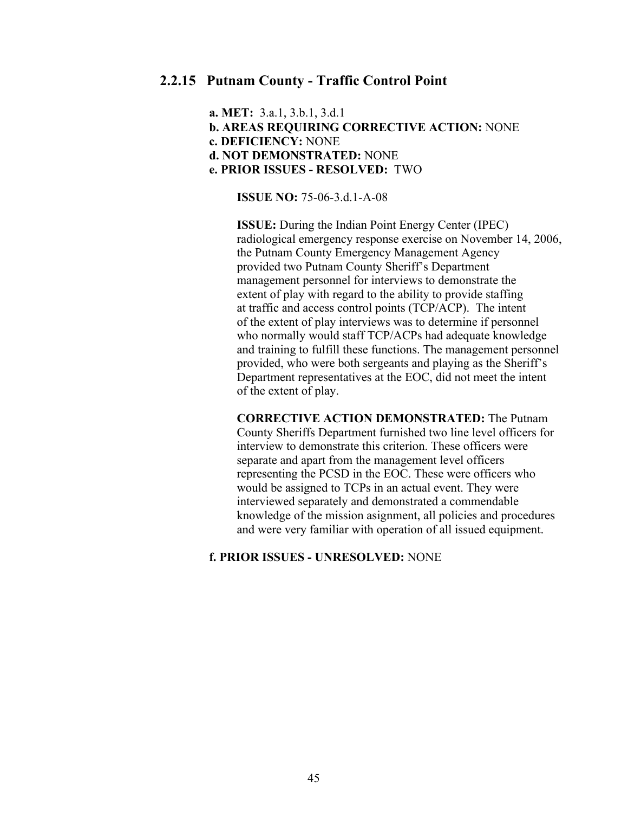#### **2.2.15 Putnam County - Traffic Control Point**

 **a. MET:** 3.a.1, 3.b.1, 3.d.1  **b. AREAS REQUIRING CORRECTIVE ACTION:** NONE  **c. DEFICIENCY:** NONE  **d. NOT DEMONSTRATED:** NONE  **e. PRIOR ISSUES - RESOLVED:** TWO

**ISSUE NO:** 75-06-3.d.1-A-08

 **ISSUE:** During the Indian Point Energy Center (IPEC) radiological emergency response exercise on November 14, 2006, the Putnam County Emergency Management Agency provided two Putnam County Sheriff's Department management personnel for interviews to demonstrate the extent of play with regard to the ability to provide staffing at traffic and access control points (TCP/ACP). The intent of the extent of play interviews was to determine if personnel who normally would staff TCP/ACPs had adequate knowledge and training to fulfill these functions. The management personnel provided, who were both sergeants and playing as the Sheriff's Department representatives at the EOC, did not meet the intent of the extent of play.

 **CORRECTIVE ACTION DEMONSTRATED:** The Putnam County Sheriffs Department furnished two line level officers for interview to demonstrate this criterion. These officers were separate and apart from the management level officers representing the PCSD in the EOC. These were officers who would be assigned to TCPs in an actual event. They were interviewed separately and demonstrated a commendable knowledge of the mission asignment, all policies and procedures and were very familiar with operation of all issued equipment.

 **f. PRIOR ISSUES - UNRESOLVED:** NONE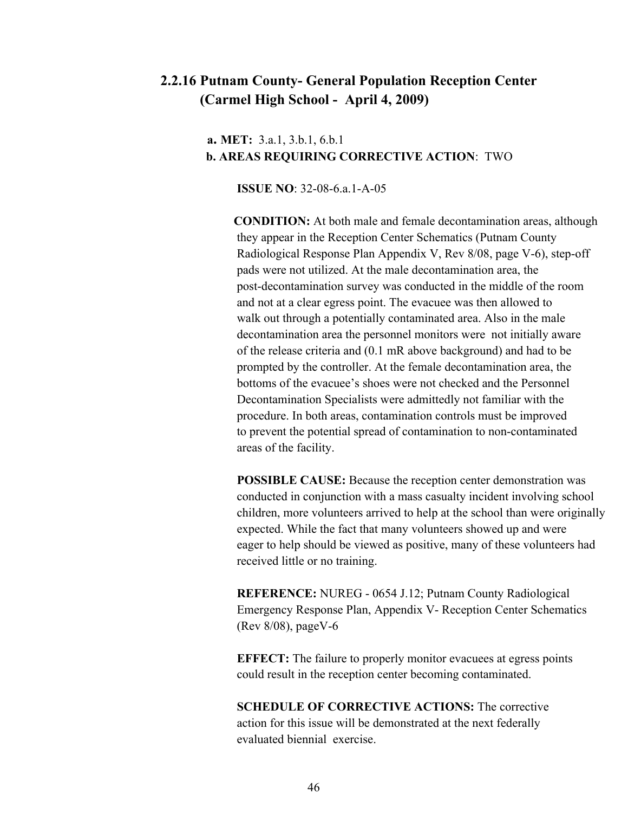## **2.2.16 Putnam County- General Population Reception Center (Carmel High School - April 4, 2009)**

### **a. MET:** 3.a.1, 3.b.1, 6.b.1 **b. AREAS REQUIRING CORRECTIVE ACTION**: TWO

**ISSUE NO**: 32-08-6.a.1-A-05

 **CONDITION:** At both male and female decontamination areas, although they appear in the Reception Center Schematics (Putnam County Radiological Response Plan Appendix V, Rev 8/08, page V-6), step-off pads were not utilized. At the male decontamination area, the post-decontamination survey was conducted in the middle of the room and not at a clear egress point. The evacuee was then allowed to walk out through a potentially contaminated area. Also in the male decontamination area the personnel monitors were not initially aware of the release criteria and (0.1 mR above background) and had to be prompted by the controller. At the female decontamination area, the bottoms of the evacuee's shoes were not checked and the Personnel Decontamination Specialists were admittedly not familiar with the procedure. In both areas, contamination controls must be improved to prevent the potential spread of contamination to non-contaminated areas of the facility.

 **POSSIBLE CAUSE:** Because the reception center demonstration was conducted in conjunction with a mass casualty incident involving school children, more volunteers arrived to help at the school than were originally expected. While the fact that many volunteers showed up and were eager to help should be viewed as positive, many of these volunteers had received little or no training.

 **REFERENCE:** NUREG - 0654 J.12; Putnam County Radiological Emergency Response Plan, Appendix V- Reception Center Schematics (Rev 8/08), pageV-6

 **EFFECT:** The failure to properly monitor evacuees at egress points could result in the reception center becoming contaminated.

**SCHEDULE OF CORRECTIVE ACTIONS:** The corrective action for this issue will be demonstrated at the next federally evaluated biennial exercise.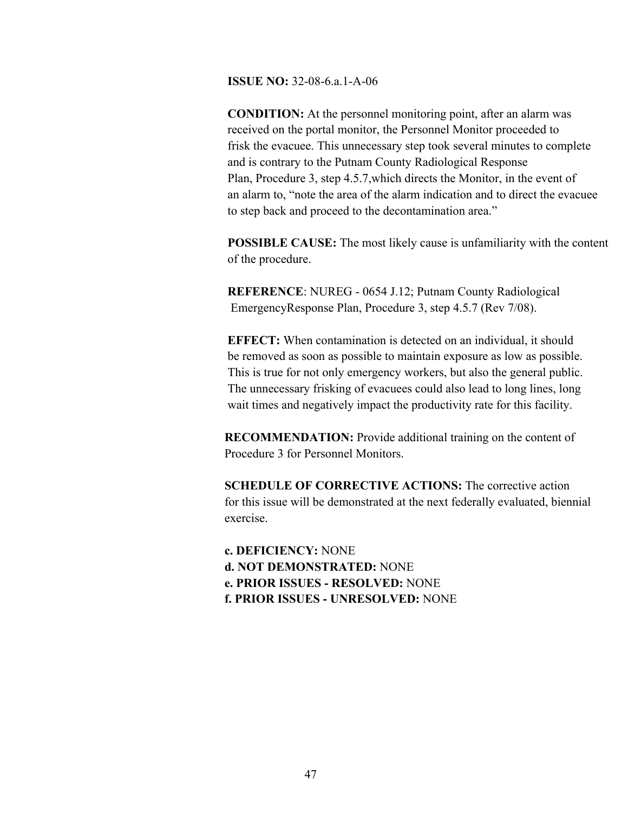#### **ISSUE NO:** 32-08-6.a.1-A-06

 **CONDITION:** At the personnel monitoring point, after an alarm was received on the portal monitor, the Personnel Monitor proceeded to frisk the evacuee. This unnecessary step took several minutes to complete and is contrary to the Putnam County Radiological Response Plan, Procedure 3, step 4.5.7,which directs the Monitor, in the event of an alarm to, "note the area of the alarm indication and to direct the evacuee to step back and proceed to the decontamination area."

 **POSSIBLE CAUSE:** The most likely cause is unfamiliarity with the content of the procedure.

 **REFERENCE**: NUREG - 0654 J.12; Putnam County Radiological EmergencyResponse Plan, Procedure 3, step 4.5.7 (Rev 7/08).

**EFFECT:** When contamination is detected on an individual, it should be removed as soon as possible to maintain exposure as low as possible. This is true for not only emergency workers, but also the general public. The unnecessary frisking of evacuees could also lead to long lines, long wait times and negatively impact the productivity rate for this facility.

 **RECOMMENDATION:** Provide additional training on the content of Procedure 3 for Personnel Monitors.

**SCHEDULE OF CORRECTIVE ACTIONS:** The corrective action for this issue will be demonstrated at the next federally evaluated, biennial exercise.

 **c. DEFICIENCY:** NONE  **d. NOT DEMONSTRATED:** NONE  **e. PRIOR ISSUES - RESOLVED:** NONE  **f. PRIOR ISSUES - UNRESOLVED:** NONE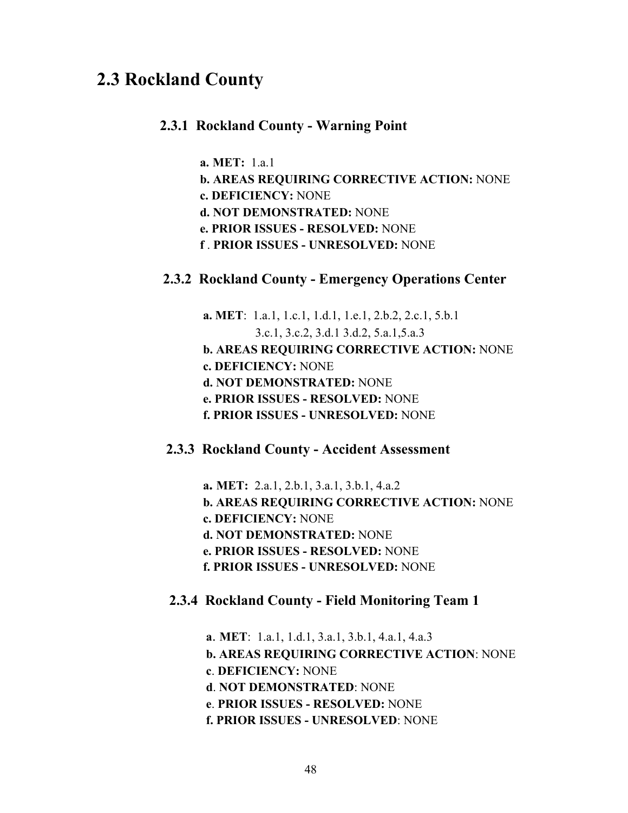# **2.3 Rockland County**

### **2.3.1 Rockland County - Warning Point**

 **a. MET:** 1.a.1

- **b. AREAS REQUIRING CORRECTIVE ACTION:** NONE
- **c. DEFICIENCY:** NONE
- **d. NOT DEMONSTRATED:** NONE
- **e. PRIOR ISSUES RESOLVED:** NONE
- **f** . **PRIOR ISSUES UNRESOLVED:** NONE

### **2.3.2 Rockland County - Emergency Operations Center**

 **a. MET**: 1.a.1, 1.c.1, 1.d.1, 1.e.1, 2.b.2, 2.c.1, 5.b.1 3.c.1, 3.c.2, 3.d.1 3.d.2, 5.a.1,5.a.3 **b. AREAS REQUIRING CORRECTIVE ACTION:** NONE **c. DEFICIENCY:** NONE **d. NOT DEMONSTRATED:** NONE **e. PRIOR ISSUES - RESOLVED:** NONE **f. PRIOR ISSUES - UNRESOLVED:** NONE

# **2.3.3 Rockland County - Accident Assessment**

 **a. MET:** 2.a.1, 2.b.1, 3.a.1, 3.b.1, 4.a.2 **b. AREAS REQUIRING CORRECTIVE ACTION:** NONE  **c. DEFICIENCY:** NONE  **d. NOT DEMONSTRATED:** NONE  **e. PRIOR ISSUES - RESOLVED:** NONE  **f. PRIOR ISSUES - UNRESOLVED:** NONE

### **2.3.4 Rockland County - Field Monitoring Team 1**

 **a**. **MET**: 1.a.1, 1.d.1, 3.a.1, 3.b.1, 4.a.1, 4.a.3

- **b. AREAS REQUIRING CORRECTIVE ACTION**: NONE
- **c**. **DEFICIENCY:** NONE
- **d**. **NOT DEMONSTRATED**: NONE
- **e**. **PRIOR ISSUES RESOLVED:** NONE
- **f. PRIOR ISSUES UNRESOLVED**: NONE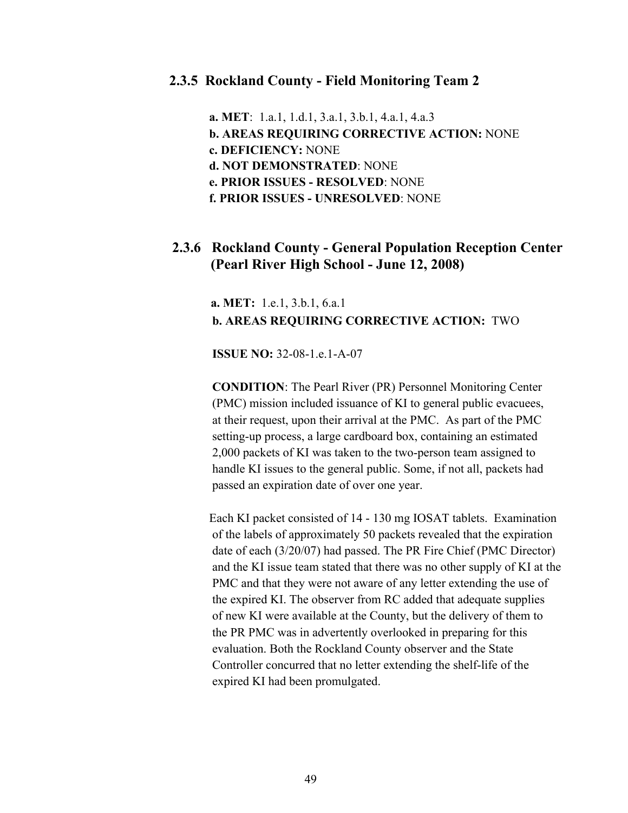### **2.3.5 Rockland County - Field Monitoring Team 2**

 **a. MET**: 1.a.1, 1.d.1, 3.a.1, 3.b.1, 4.a.1, 4.a.3 **b. AREAS REQUIRING CORRECTIVE ACTION:** NONE **c. DEFICIENCY:** NONE **d. NOT DEMONSTRATED**: NONE **e. PRIOR ISSUES - RESOLVED**: NONE **f. PRIOR ISSUES - UNRESOLVED**: NONE

### **2.3.6 Rockland County - General Population Reception Center (Pearl River High School - June 12, 2008)**

 **a. MET:** 1.e.1, 3.b.1, 6.a.1 **b. AREAS REQUIRING CORRECTIVE ACTION:** TWO

**ISSUE NO:** 32-08-1.e.1-A-07

 **CONDITION**: The Pearl River (PR) Personnel Monitoring Center (PMC) mission included issuance of KI to general public evacuees, at their request, upon their arrival at the PMC. As part of the PMC setting-up process, a large cardboard box, containing an estimated 2,000 packets of KI was taken to the two-person team assigned to handle KI issues to the general public. Some, if not all, packets had passed an expiration date of over one year.

 Each KI packet consisted of 14 - 130 mg IOSAT tablets. Examination of the labels of approximately 50 packets revealed that the expiration date of each (3/20/07) had passed. The PR Fire Chief (PMC Director) and the KI issue team stated that there was no other supply of KI at the PMC and that they were not aware of any letter extending the use of the expired KI. The observer from RC added that adequate supplies of new KI were available at the County, but the delivery of them to the PR PMC was in advertently overlooked in preparing for this evaluation. Both the Rockland County observer and the State Controller concurred that no letter extending the shelf-life of the expired KI had been promulgated.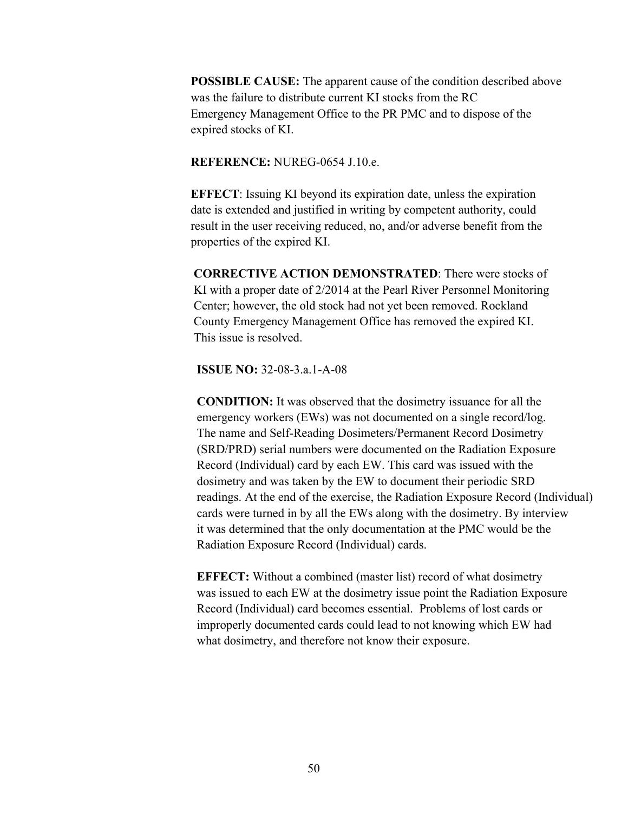**POSSIBLE CAUSE:** The apparent cause of the condition described above was the failure to distribute current KI stocks from the RC Emergency Management Office to the PR PMC and to dispose of the expired stocks of KI.

#### **REFERENCE:** NUREG-0654 J.10.e.

 **EFFECT**: Issuing KI beyond its expiration date, unless the expiration date is extended and justified in writing by competent authority, could result in the user receiving reduced, no, and/or adverse benefit from the properties of the expired KI.

 **CORRECTIVE ACTION DEMONSTRATED**: There were stocks of KI with a proper date of 2/2014 at the Pearl River Personnel Monitoring Center; however, the old stock had not yet been removed. Rockland County Emergency Management Office has removed the expired KI. This issue is resolved.

#### **ISSUE NO:** 32-08-3.a.1-A-08

 **CONDITION:** It was observed that the dosimetry issuance for all the emergency workers (EWs) was not documented on a single record/log. The name and Self-Reading Dosimeters/Permanent Record Dosimetry (SRD/PRD) serial numbers were documented on the Radiation Exposure Record (Individual) card by each EW. This card was issued with the dosimetry and was taken by the EW to document their periodic SRD readings. At the end of the exercise, the Radiation Exposure Record (Individual) cards were turned in by all the EWs along with the dosimetry. By interview it was determined that the only documentation at the PMC would be the Radiation Exposure Record (Individual) cards.

**EFFECT:** Without a combined (master list) record of what dosimetry was issued to each EW at the dosimetry issue point the Radiation Exposure Record (Individual) card becomes essential. Problems of lost cards or improperly documented cards could lead to not knowing which EW had what dosimetry, and therefore not know their exposure.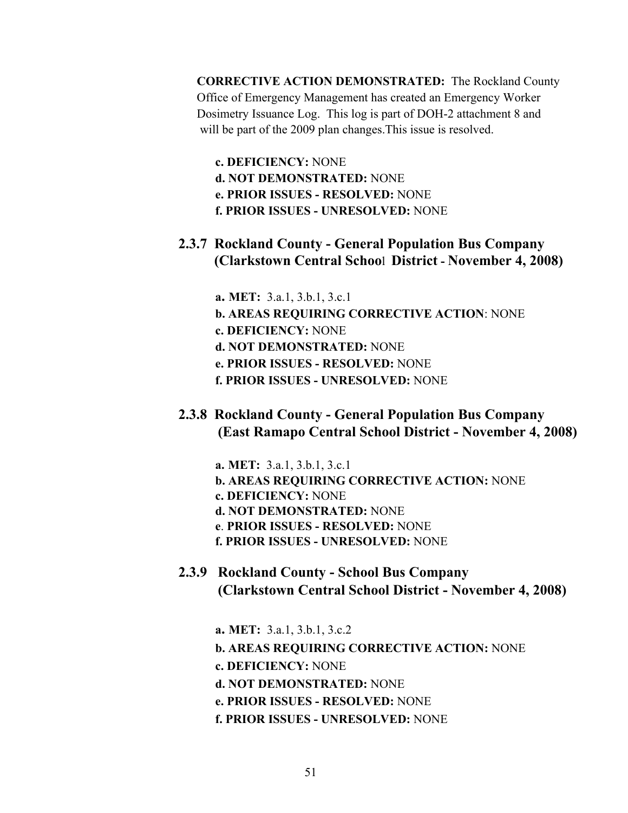**CORRECTIVE ACTION DEMONSTRATED:** The Rockland County Office of Emergency Management has created an Emergency Worker Dosimetry Issuance Log. This log is part of DOH-2 attachment 8 and will be part of the 2009 plan changes.This issue is resolved.

 **c. DEFICIENCY:** NONE **d. NOT DEMONSTRATED:** NONE **e. PRIOR ISSUES - RESOLVED:** NONE **f. PRIOR ISSUES - UNRESOLVED:** NONE

 **2.3.7 Rockland County - General Population Bus Company (Clarkstown Central Schoo**l **District - November 4, 2008)** 

 **a. MET:** 3.a.1, 3.b.1, 3.c.1

- **b. AREAS REQUIRING CORRECTIVE ACTION**: NONE
- **c. DEFICIENCY:** NONE
- **d. NOT DEMONSTRATED:** NONE
- **e. PRIOR ISSUES RESOLVED:** NONE
- **f. PRIOR ISSUES UNRESOLVED:** NONE
- **2.3.8 Rockland County General Population Bus Company (East Ramapo Central School District - November 4, 2008)**

 **a. MET:** 3.a.1, 3.b.1, 3.c.1

- **b. AREAS REQUIRING CORRECTIVE ACTION:** NONE
- **c. DEFICIENCY:** NONE
- **d. NOT DEMONSTRATED:** NONE
- **e**. **PRIOR ISSUES RESOLVED:** NONE
- **f. PRIOR ISSUES UNRESOLVED:** NONE
- **2.3.9 Rockland County School Bus Company (Clarkstown Central School District - November 4, 2008)**

 **a. MET:** 3.a.1, 3.b.1, 3.c.2

- **b. AREAS REQUIRING CORRECTIVE ACTION:** NONE
- **c. DEFICIENCY:** NONE
- **d. NOT DEMONSTRATED:** NONE
- **e. PRIOR ISSUES RESOLVED:** NONE
- **f. PRIOR ISSUES UNRESOLVED:** NONE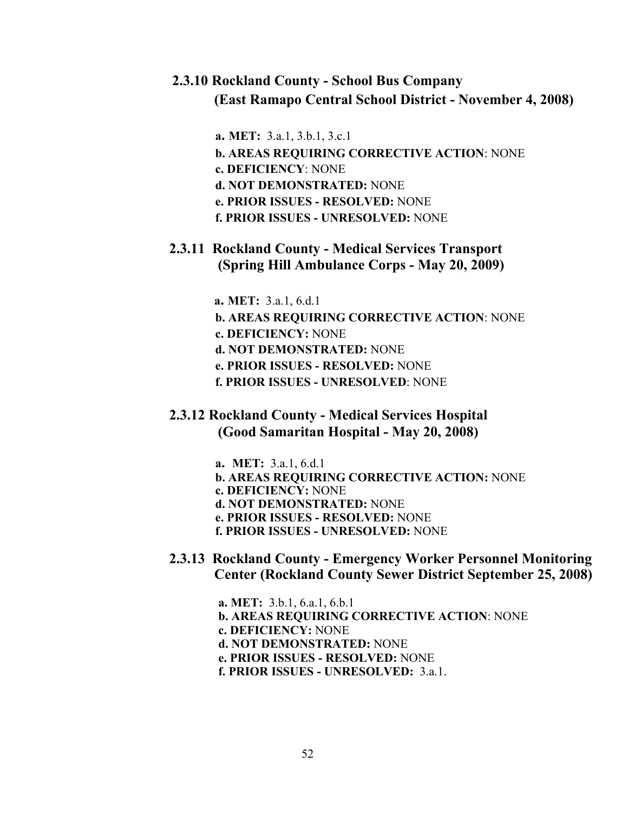# **2.3.10 Rockland County - School Bus Company (East Ramapo Central School District - November 4, 2008)**

 **a. MET:** 3.a.1, 3.b.1, 3.c.1

**b. AREAS REQUIRING CORRECTIVE ACTION**: NONE

**c. DEFICIENCY**: NONE

**d. NOT DEMONSTRATED:** NONE

- **e. PRIOR ISSUES RESOLVED:** NONE
- **f. PRIOR ISSUES UNRESOLVED:** NONE
- **2.3.11 Rockland County Medical Services Transport (Spring Hill Ambulance Corps - May 20, 2009)**

 **a. MET:** 3.a.1, 6.d.1

- **b. AREAS REQUIRING CORRECTIVE ACTION**: NONE
- **c. DEFICIENCY:** NONE
- **d. NOT DEMONSTRATED:** NONE
- **e. PRIOR ISSUES RESOLVED:** NONE
- **f. PRIOR ISSUES UNRESOLVED**: NONE
- **2.3.12 Rockland County Medical Services Hospital (Good Samaritan Hospital - May 20, 2008)**
	- **a. MET:** 3.a.1, 6.d.1  **b. AREAS REQUIRING CORRECTIVE ACTION:** NONE  **c. DEFICIENCY:** NONE  **d. NOT DEMONSTRATED:** NONE  **e. PRIOR ISSUES - RESOLVED:** NONE  **f. PRIOR ISSUES - UNRESOLVED:** NONE
- **2.3.13 Rockland County Emergency Worker Personnel Monitoring Center (Rockland County Sewer District September 25, 2008)**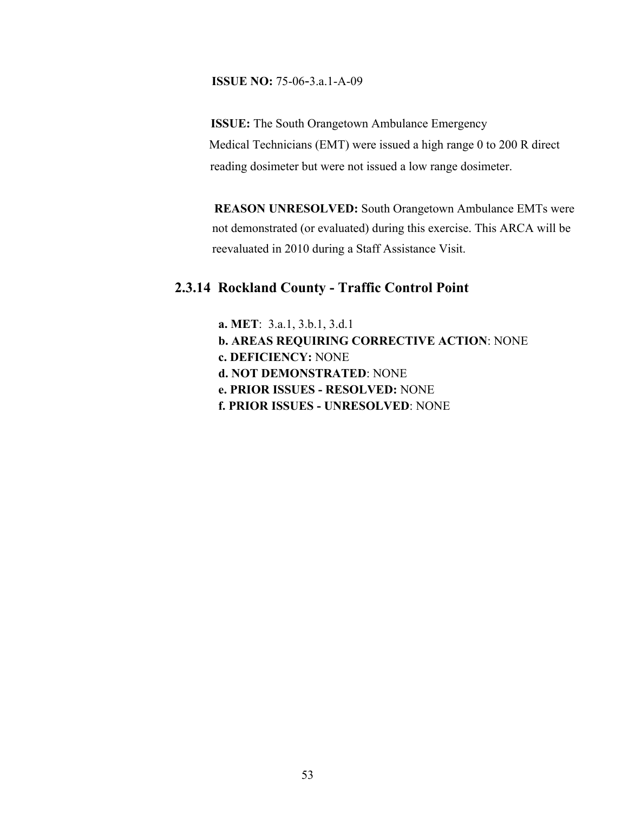#### **ISSUE NO:** 75-06-3.a.1-A-09

**ISSUE:** The South Orangetown Ambulance Emergency Medical Technicians (EMT) were issued a high range 0 to 200 R direct reading dosimeter but were not issued a low range dosimeter.

**REASON UNRESOLVED:** South Orangetown Ambulance EMTs were not demonstrated (or evaluated) during this exercise. This ARCA will be reevaluated in 2010 during a Staff Assistance Visit.

### **2.3.14 Rockland County - Traffic Control Point**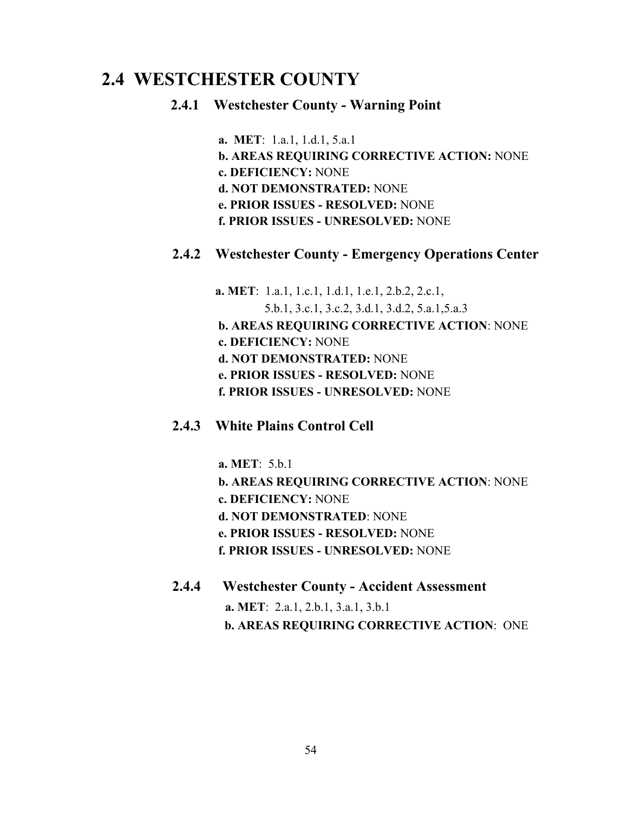# **2.4 WESTCHESTER COUNTY**

### **2.4.1 Westchester County - Warning Point**

 **a. MET**: 1.a.1, 1.d.1, 5.a.1 **b. AREAS REQUIRING CORRECTIVE ACTION:** NONE **c. DEFICIENCY:** NONE **d. NOT DEMONSTRATED:** NONE **e. PRIOR ISSUES - RESOLVED:** NONE **f. PRIOR ISSUES - UNRESOLVED:** NONE

### **2.4.2 Westchester County - Emergency Operations Center**

 **a. MET**: 1.a.1, 1.c.1, 1.d.1, 1.e.1, 2.b.2, 2.c.1, 5.b.1, 3.c.1, 3.c.2, 3.d.1, 3.d.2, 5.a.1,5.a.3 **b. AREAS REQUIRING CORRECTIVE ACTION**: NONE **c. DEFICIENCY:** NONE **d. NOT DEMONSTRATED:** NONE **e. PRIOR ISSUES - RESOLVED:** NONE **f. PRIOR ISSUES - UNRESOLVED:** NONE

- **2.4.3 White Plains Control Cell**
	- **a. MET**: 5.b.1
	- **b. AREAS REQUIRING CORRECTIVE ACTION**: NONE
	- **c. DEFICIENCY:** NONE
	- **d. NOT DEMONSTRATED**: NONE
	- **e. PRIOR ISSUES RESOLVED:** NONE
	- **f. PRIOR ISSUES UNRESOLVED:** NONE
- **2.4.4 Westchester County Accident Assessment**

 **a. MET**: 2.a.1, 2.b.1, 3.a.1, 3.b.1 **b. AREAS REQUIRING CORRECTIVE ACTION**: ONE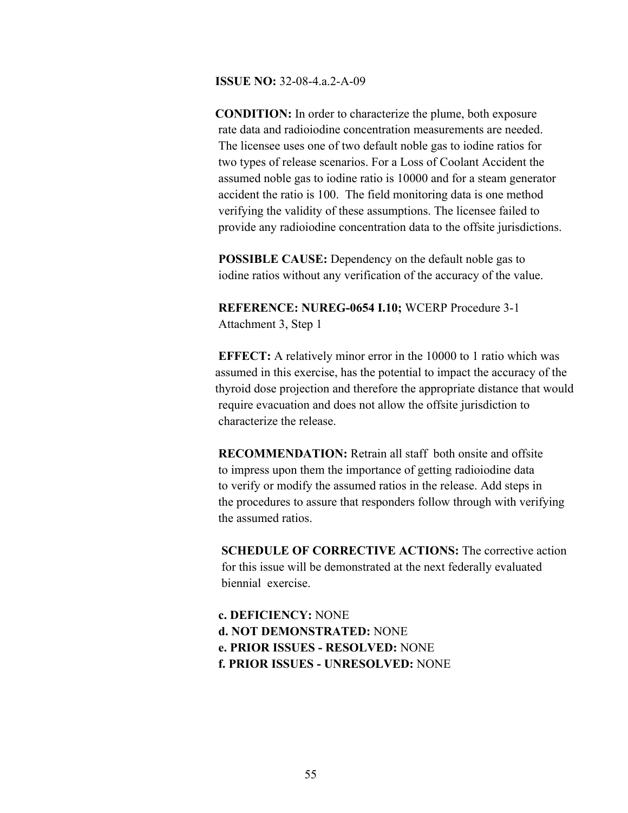**ISSUE NO:** 32-08-4.a.2-A-09

 **CONDITION:** In order to characterize the plume, both exposure rate data and radioiodine concentration measurements are needed. The licensee uses one of two default noble gas to iodine ratios for two types of release scenarios. For a Loss of Coolant Accident the assumed noble gas to iodine ratio is 10000 and for a steam generator accident the ratio is 100. The field monitoring data is one method verifying the validity of these assumptions. The licensee failed to provide any radioiodine concentration data to the offsite jurisdictions.

 **POSSIBLE CAUSE:** Dependency on the default noble gas to iodine ratios without any verification of the accuracy of the value.

 **REFERENCE: NUREG-0654 I.10;** WCERP Procedure 3-1 Attachment 3, Step 1

**EFFECT:** A relatively minor error in the 10000 to 1 ratio which was assumed in this exercise, has the potential to impact the accuracy of the thyroid dose projection and therefore the appropriate distance that would require evacuation and does not allow the offsite jurisdiction to characterize the release.

 **RECOMMENDATION:** Retrain all staff both onsite and offsite to impress upon them the importance of getting radioiodine data to verify or modify the assumed ratios in the release. Add steps in the procedures to assure that responders follow through with verifying the assumed ratios.

**SCHEDULE OF CORRECTIVE ACTIONS:** The corrective action for this issue will be demonstrated at the next federally evaluated biennial exercise.

 **c. DEFICIENCY:** NONE **d. NOT DEMONSTRATED:** NONE **e. PRIOR ISSUES - RESOLVED:** NONE **f. PRIOR ISSUES - UNRESOLVED:** NONE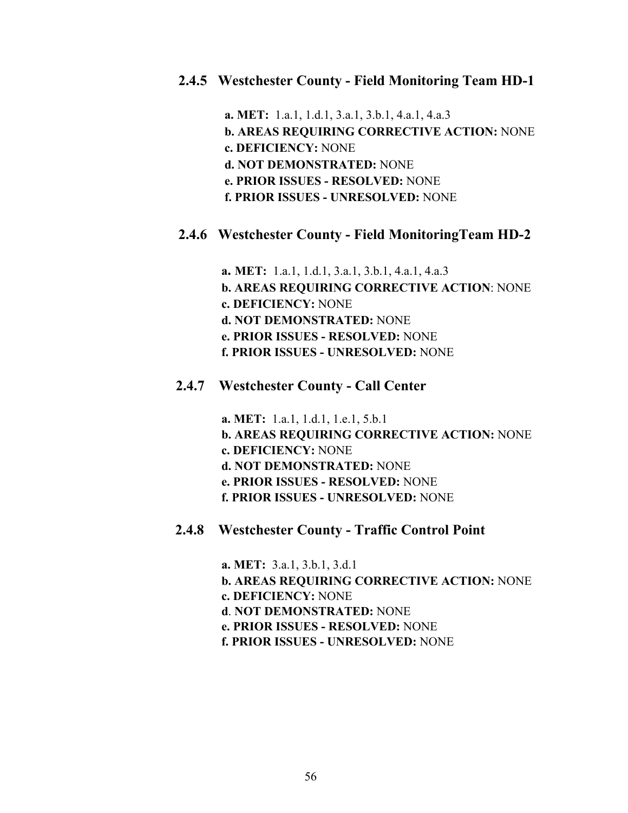### **2.4.5 Westchester County - Field Monitoring Team HD-1**

 **a. MET:** 1.a.1, 1.d.1, 3.a.1, 3.b.1, 4.a.1, 4.a.3  **b. AREAS REQUIRING CORRECTIVE ACTION:** NONE  **c. DEFICIENCY:** NONE  **d. NOT DEMONSTRATED:** NONE  **e. PRIOR ISSUES - RESOLVED:** NONE **f. PRIOR ISSUES - UNRESOLVED:** NONE

#### **2.4.6 Westchester County - Field MonitoringTeam HD-2**

 **a. MET:** 1.a.1, 1.d.1, 3.a.1, 3.b.1, 4.a.1, 4.a.3 **b. AREAS REQUIRING CORRECTIVE ACTION**: NONE **c. DEFICIENCY:** NONE **d. NOT DEMONSTRATED:** NONE **e. PRIOR ISSUES - RESOLVED:** NONE **f. PRIOR ISSUES - UNRESOLVED:** NONE

### **2.4.7 Westchester County - Call Center**

 **a. MET:** 1.a.1, 1.d.1, 1.e.1, 5.b.1 **b. AREAS REQUIRING CORRECTIVE ACTION:** NONE **c. DEFICIENCY:** NONE **d. NOT DEMONSTRATED:** NONE **e. PRIOR ISSUES - RESOLVED:** NONE **f. PRIOR ISSUES - UNRESOLVED:** NONE

#### **2.4.8 Westchester County - Traffic Control Point**

 **a. MET:** 3.a.1, 3.b.1, 3.d.1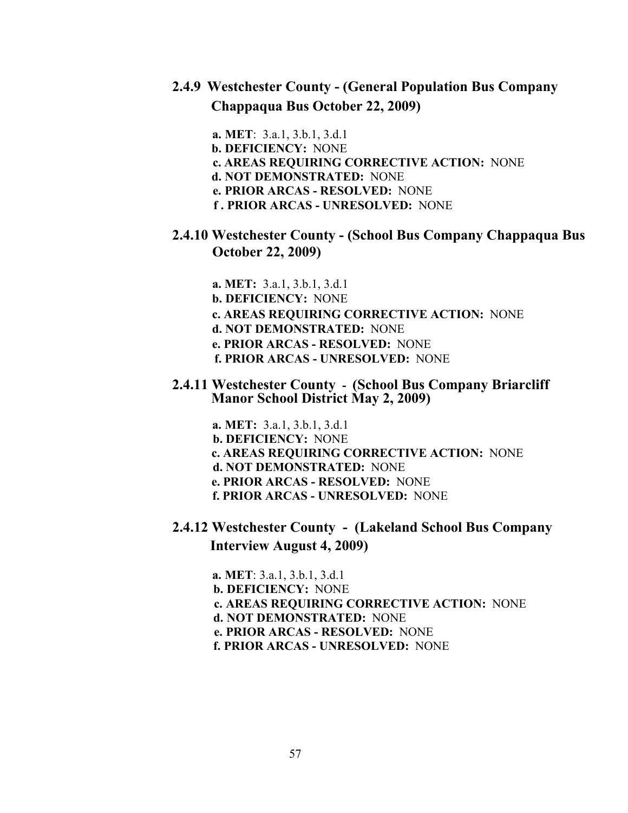**2.4.9 Westchester County - (General Population Bus Company Chappaqua Bus October 22, 2009)** 

> **a. MET**: 3.a.1, 3.b.1, 3.d.1  **b. DEFICIENCY:** NONE  **c. AREAS REQUIRING CORRECTIVE ACTION:** NONE  **d. NOT DEMONSTRATED:** NONE  **e. PRIOR ARCAS - RESOLVED:** NONE  **f . PRIOR ARCAS - UNRESOLVED:** NONE

 **2.4.10 Westchester County - (School Bus Company Chappaqua Bus October 22, 2009)**

 **a. MET:** 3.a.1, 3.b.1, 3.d.1  **b. DEFICIENCY:** NONE  **c. AREAS REQUIRING CORRECTIVE ACTION:** NONE  **d. NOT DEMONSTRATED:** NONE  **e. PRIOR ARCAS - RESOLVED:** NONE  **f. PRIOR ARCAS - UNRESOLVED:** NONE

 **2.4.11 Westchester County - (School Bus Company Briarcliff Manor School District May 2, 2009)** 

> **a. MET:** 3.a.1, 3.b.1, 3.d.1  **b. DEFICIENCY:** NONE  **c. AREAS REQUIRING CORRECTIVE ACTION:** NONE  **d. NOT DEMONSTRATED:** NONE  **e. PRIOR ARCAS - RESOLVED:** NONE  **f. PRIOR ARCAS - UNRESOLVED:** NONE

 **2.4.12 Westchester County - (Lakeland School Bus Company Interview August 4, 2009)** 

> **a. MET**: 3.a.1, 3.b.1, 3.d.1  **b. DEFICIENCY:** NONE  **c. AREAS REQUIRING CORRECTIVE ACTION:** NONE  **d. NOT DEMONSTRATED:** NONE  **e. PRIOR ARCAS - RESOLVED:** NONE  **f. PRIOR ARCAS - UNRESOLVED:** NONE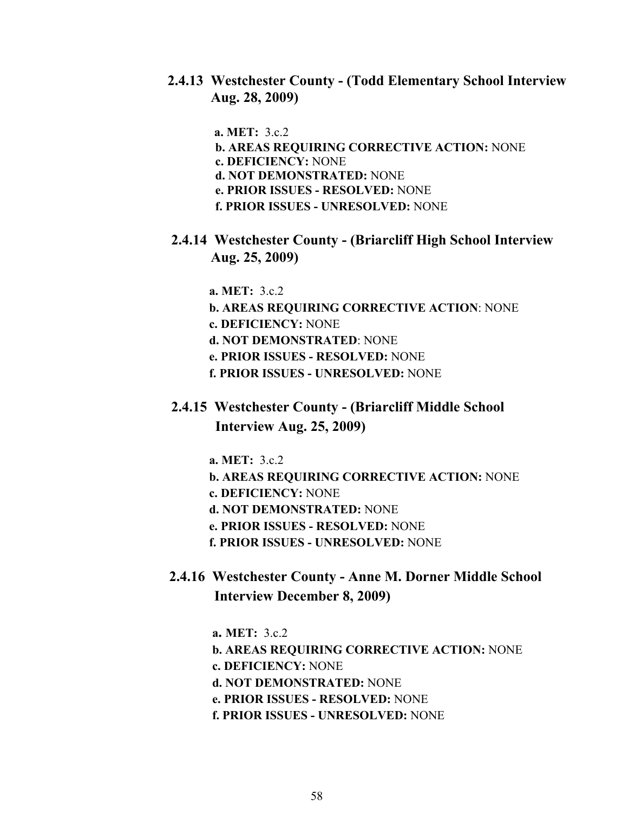**2.4.13 Westchester County - (Todd Elementary School Interview Aug. 28, 2009)** 

> **a. MET:** 3.c.2 **b. AREAS REQUIRING CORRECTIVE ACTION:** NONE **c. DEFICIENCY:** NONE  **d. NOT DEMONSTRATED:** NONE  **e. PRIOR ISSUES - RESOLVED:** NONE  **f. PRIOR ISSUES - UNRESOLVED:** NONE

 **2.4.14 Westchester County - (Briarcliff High School Interview Aug. 25, 2009)**

 **a. MET:** 3.c.2

- **b. AREAS REQUIRING CORRECTIVE ACTION**: NONE
- **c. DEFICIENCY:** NONE
- **d. NOT DEMONSTRATED**: NONE
- **e. PRIOR ISSUES RESOLVED:** NONE
- **f. PRIOR ISSUES UNRESOLVED:** NONE
- **2.4.15 Westchester County (Briarcliff Middle School Interview Aug. 25, 2009)**
	- **a. MET:** 3.c.2
	- **b. AREAS REQUIRING CORRECTIVE ACTION:** NONE
	- **c. DEFICIENCY:** NONE
	- **d. NOT DEMONSTRATED:** NONE
	- **e. PRIOR ISSUES RESOLVED:** NONE
	- **f. PRIOR ISSUES UNRESOLVED:** NONE
- **2.4.16 Westchester County Anne M. Dorner Middle School Interview December 8, 2009)**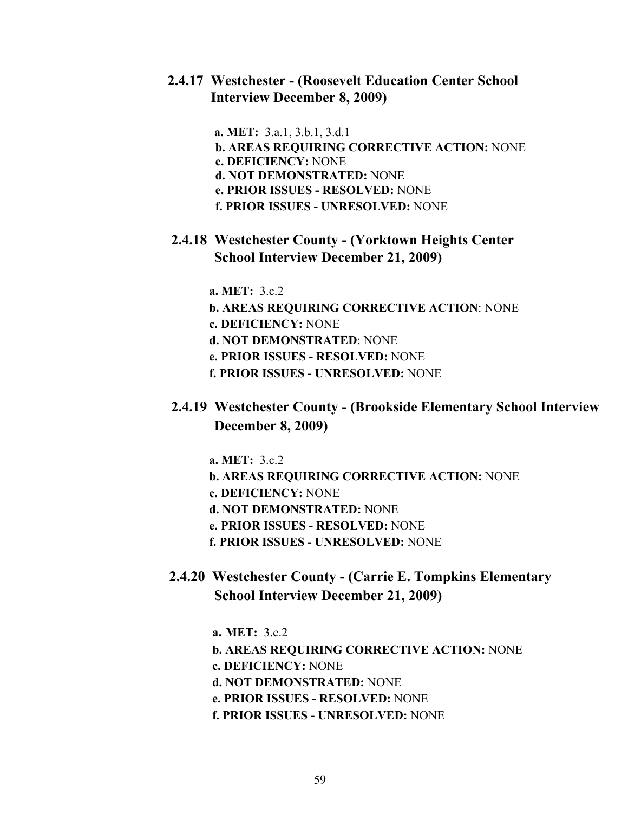### **2.4.17 Westchester - (Roosevelt Education Center School Interview December 8, 2009)**

 **a. MET:** 3.a.1, 3.b.1, 3.d.1  **b. AREAS REQUIRING CORRECTIVE ACTION:** NONE **c. DEFICIENCY:** NONE  **d. NOT DEMONSTRATED:** NONE  **e. PRIOR ISSUES - RESOLVED:** NONE  **f. PRIOR ISSUES - UNRESOLVED:** NONE

### **2.4.18 Westchester County - (Yorktown Heights Center School Interview December 21, 2009)**

 **a. MET:** 3.c.2

- **b. AREAS REQUIRING CORRECTIVE ACTION**: NONE
- **c. DEFICIENCY:** NONE
- **d. NOT DEMONSTRATED**: NONE
- **e. PRIOR ISSUES RESOLVED:** NONE
- **f. PRIOR ISSUES UNRESOLVED:** NONE
- **2.4.19 Westchester County (Brookside Elementary School Interview December 8, 2009)** 
	- **a. MET:** 3.c.2
	- **b. AREAS REQUIRING CORRECTIVE ACTION:** NONE
	- **c. DEFICIENCY:** NONE
	- **d. NOT DEMONSTRATED:** NONE
	- **e. PRIOR ISSUES RESOLVED:** NONE
	- **f. PRIOR ISSUES UNRESOLVED:** NONE
- **2.4.20 Westchester County (Carrie E. Tompkins Elementary School Interview December 21, 2009)**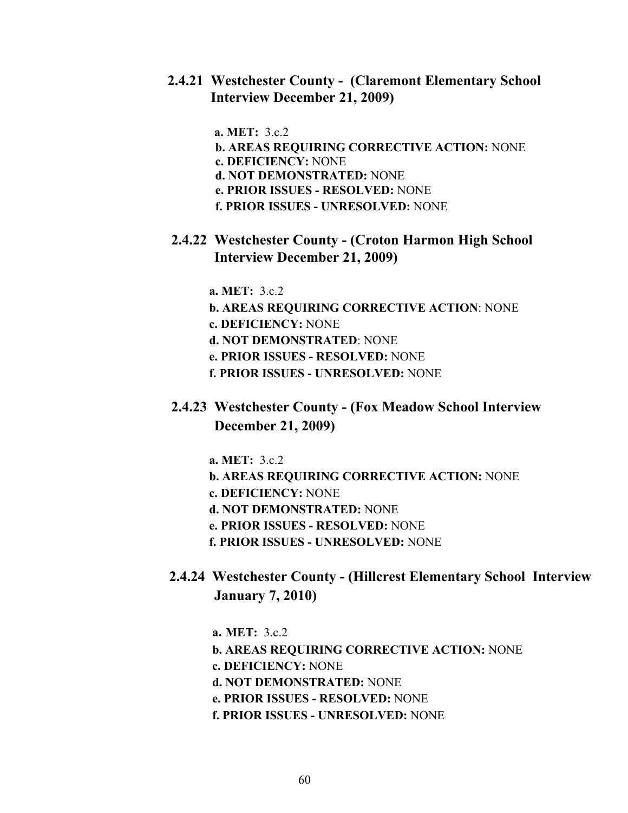## **2.4.21 Westchester County - (Claremont Elementary School Interview December 21, 2009)**

 **a. MET:** 3.c.2  **b. AREAS REQUIRING CORRECTIVE ACTION:** NONE **c. DEFICIENCY:** NONE  **d. NOT DEMONSTRATED:** NONE  **e. PRIOR ISSUES - RESOLVED:** NONE  **f. PRIOR ISSUES - UNRESOLVED:** NONE

 **2.4.22 Westchester County - (Croton Harmon High School Interview December 21, 2009)** 

 **a. MET:** 3.c.2

- **b. AREAS REQUIRING CORRECTIVE ACTION**: NONE
- **c. DEFICIENCY:** NONE
- **d. NOT DEMONSTRATED**: NONE

**e. PRIOR ISSUES - RESOLVED:** NONE

- **f. PRIOR ISSUES UNRESOLVED:** NONE
- **2.4.23 Westchester County (Fox Meadow School Interview December 21, 2009)** 
	- **a. MET:** 3.c.2
	- **b. AREAS REQUIRING CORRECTIVE ACTION:** NONE
	- **c. DEFICIENCY:** NONE
	- **d. NOT DEMONSTRATED:** NONE
	- **e. PRIOR ISSUES RESOLVED:** NONE
	- **f. PRIOR ISSUES UNRESOLVED:** NONE
- **2.4.24 Westchester County (Hillcrest Elementary School Interview January 7, 2010)**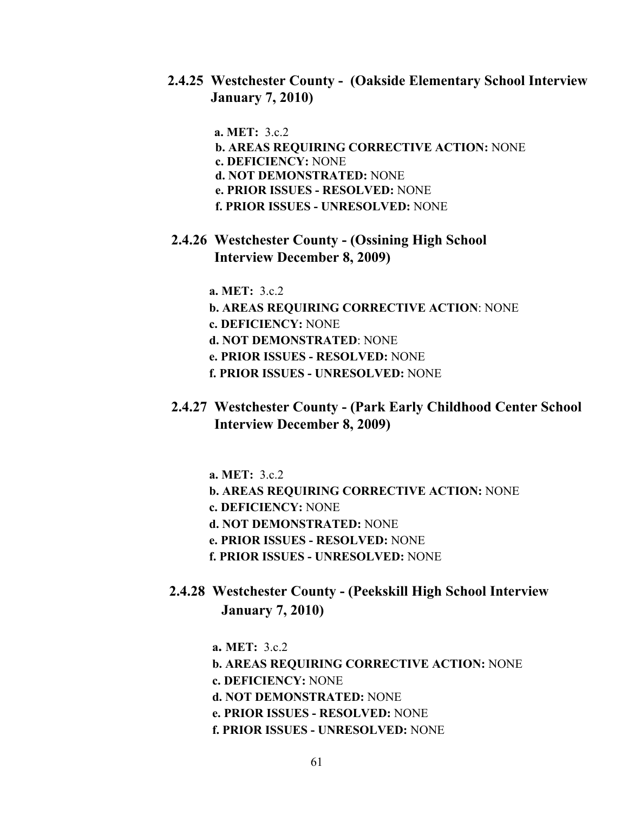**2.4.25 Westchester County - (Oakside Elementary School Interview January 7, 2010)** 

> **a. MET:** 3.c.2  **b. AREAS REQUIRING CORRECTIVE ACTION:** NONE **c. DEFICIENCY:** NONE  **d. NOT DEMONSTRATED:** NONE  **e. PRIOR ISSUES - RESOLVED:** NONE  **f. PRIOR ISSUES - UNRESOLVED:** NONE

 **2.4.26 Westchester County - (Ossining High School Interview December 8, 2009)** 

 **a. MET:** 3.c.2

- **b. AREAS REQUIRING CORRECTIVE ACTION**: NONE
- **c. DEFICIENCY:** NONE
- **d. NOT DEMONSTRATED**: NONE
- **e. PRIOR ISSUES RESOLVED:** NONE
- **f. PRIOR ISSUES UNRESOLVED:** NONE
- **2.4.27 Westchester County (Park Early Childhood Center School Interview December 8, 2009)**

 **a. MET:** 3.c.2

- **b. AREAS REQUIRING CORRECTIVE ACTION:** NONE
- **c. DEFICIENCY:** NONE
- **d. NOT DEMONSTRATED:** NONE
- **e. PRIOR ISSUES RESOLVED:** NONE
- **f. PRIOR ISSUES UNRESOLVED:** NONE
- **2.4.28 Westchester County (Peekskill High School Interview January 7, 2010)**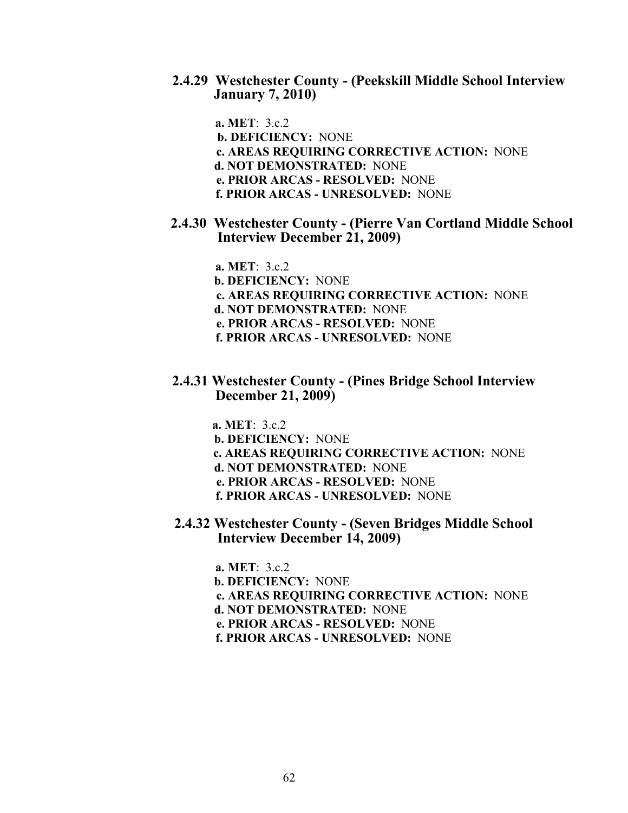**2.4.29 Westchester County - (Peekskill Middle School Interview January 7, 2010)**

> **a. MET**: 3.c.2  **b. DEFICIENCY:** NONE  **c. AREAS REQUIRING CORRECTIVE ACTION:** NONE  **d. NOT DEMONSTRATED:** NONE  **e. PRIOR ARCAS - RESOLVED:** NONE  **f. PRIOR ARCAS - UNRESOLVED:** NONE

 **2.4.30 Westchester County - (Pierre Van Cortland Middle School Interview December 21, 2009)**

 **a. MET**: 3.c.2

- **b. DEFICIENCY:** NONE
- **c. AREAS REQUIRING CORRECTIVE ACTION:** NONE

 **d. NOT DEMONSTRATED:** NONE

 **e. PRIOR ARCAS - RESOLVED:** NONE

 **f. PRIOR ARCAS - UNRESOLVED:** NONE

### **2.4.31 Westchester County - (Pines Bridge School Interview December 21, 2009)**

 **a. MET**: 3.c.2

- **b. DEFICIENCY:** NONE
- **c. AREAS REQUIRING CORRECTIVE ACTION:** NONE
- **d. NOT DEMONSTRATED:** NONE

 **e. PRIOR ARCAS - RESOLVED:** NONE

- **f. PRIOR ARCAS UNRESOLVED:** NONE
- **2.4.32 Westchester County (Seven Bridges Middle School Interview December 14, 2009)**

 **a. MET**: 3.c.2  **b. DEFICIENCY:** NONE  **c. AREAS REQUIRING CORRECTIVE ACTION:** NONE  **d. NOT DEMONSTRATED:** NONE  **e. PRIOR ARCAS - RESOLVED:** NONE  **f. PRIOR ARCAS - UNRESOLVED:** NONE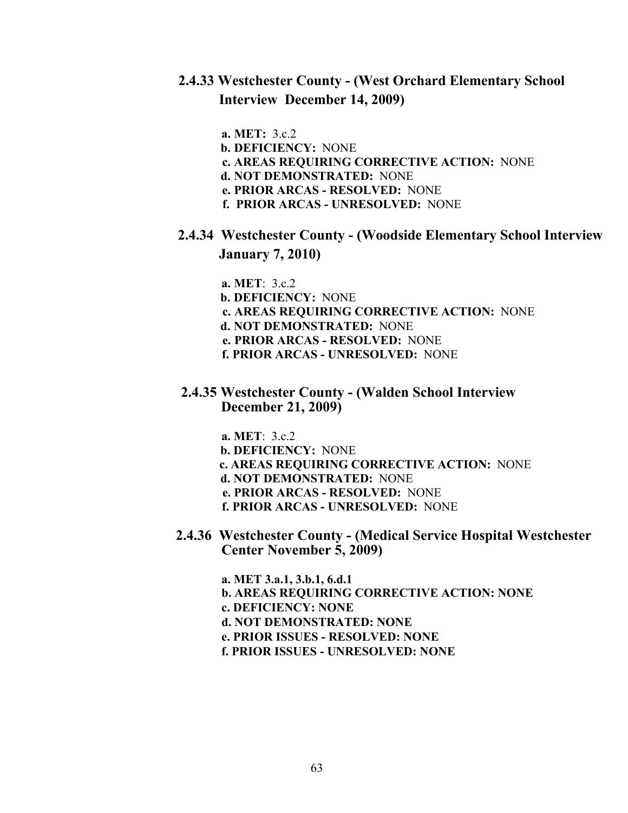# **2.4.33 Westchester County - (West Orchard Elementary School Interview December 14, 2009)**

 **a. MET:** 3.c.2

- **b. DEFICIENCY:** NONE
- **c. AREAS REQUIRING CORRECTIVE ACTION:** NONE
- **d. NOT DEMONSTRATED:** NONE
- **e. PRIOR ARCAS RESOLVED:** NONE
- **f. PRIOR ARCAS UNRESOLVED:** NONE
- **2.4.34 Westchester County (Woodside Elementary School Interview January 7, 2010)**

 **a. MET**: 3.c.2

- **b. DEFICIENCY:** NONE
- **c. AREAS REQUIRING CORRECTIVE ACTION:** NONE
- **d. NOT DEMONSTRATED:** NONE
- **e. PRIOR ARCAS RESOLVED:** NONE
- **f. PRIOR ARCAS UNRESOLVED:** NONE
- **2.4.35 Westchester County (Walden School Interview December 21, 2009)**

 **a. MET**: 3.c.2

- **b. DEFICIENCY:** NONE
- **c. AREAS REQUIRING CORRECTIVE ACTION:** NONE
- **d. NOT DEMONSTRATED:** NONE
- **e. PRIOR ARCAS RESOLVED:** NONE
- **f. PRIOR ARCAS UNRESOLVED:** NONE
- **2.4.36 Westchester County (Medical Service Hospital Westchester Center November 5, 2009)** 
	- **a. MET 3.a.1, 3.b.1, 6.d.1 b. AREAS REQUIRING CORRECTIVE ACTION: NONE c. DEFICIENCY: NONE d. NOT DEMONSTRATED: NONE e. PRIOR ISSUES - RESOLVED: NONE f. PRIOR ISSUES - UNRESOLVED: NONE**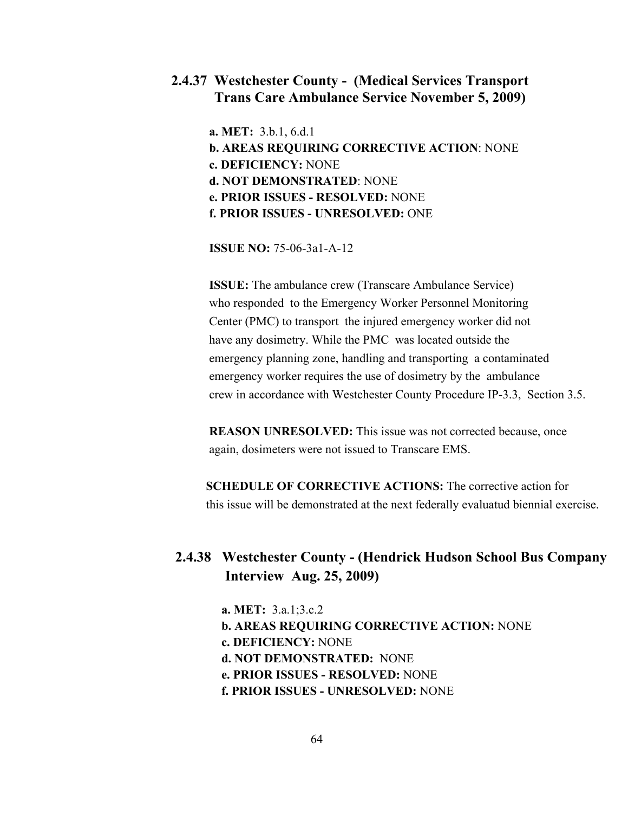### **2.4.37 Westchester County - (Medical Services Transport Trans Care Ambulance Service November 5, 2009)**

 **a. MET:** 3.b.1, 6.d.1 **b. AREAS REQUIRING CORRECTIVE ACTION**: NONE **c. DEFICIENCY:** NONE **d. NOT DEMONSTRATED**: NONE **e. PRIOR ISSUES - RESOLVED:** NONE **f. PRIOR ISSUES - UNRESOLVED:** ONE

**ISSUE NO:** 75-06-3a1-A-12

 **ISSUE:** The ambulance crew (Transcare Ambulance Service) who responded to the Emergency Worker Personnel Monitoring Center (PMC) to transport the injured emergency worker did not have any dosimetry. While the PMC was located outside the emergency planning zone, handling and transporting a contaminated emergency worker requires the use of dosimetry by the ambulance crew in accordance with Westchester County Procedure IP-3.3, Section 3.5.

 **REASON UNRESOLVED:** This issue was not corrected because, once again, dosimeters were not issued to Transcare EMS.

**SCHEDULE OF CORRECTIVE ACTIONS:** The corrective action for this issue will be demonstrated at the next federally evaluatud biennial exercise.

## **2.4.38 Westchester County - (Hendrick Hudson School Bus Company Interview Aug. 25, 2009)**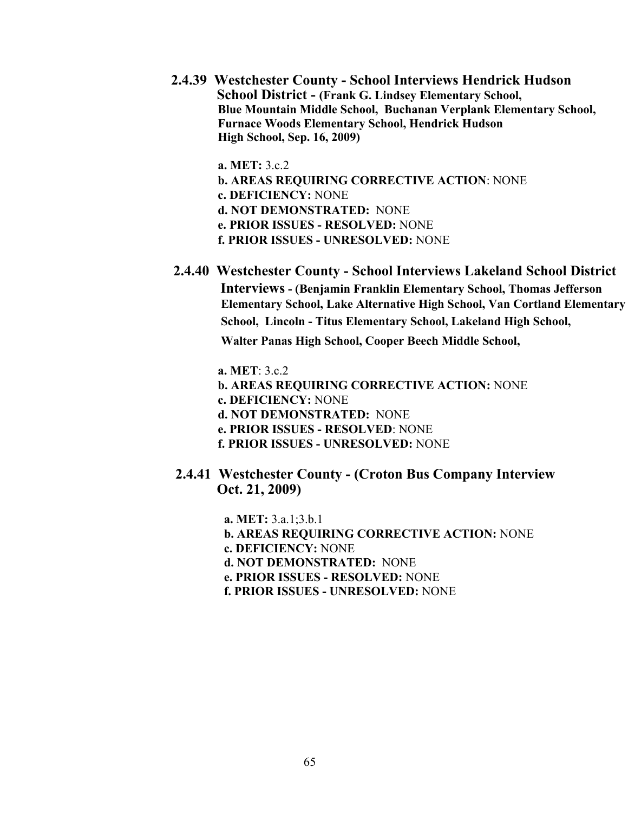**2.4.39 Westchester County - School Interviews Hendrick Hudson School District - (Frank G. Lindsey Elementary School, Blue Mountain Middle School, Buchanan Verplank Elementary School, Furnace Woods Elementary School, Hendrick Hudson High School, Sep. 16, 2009)**

**a. MET:** 3.c.2

- **b. AREAS REQUIRING CORRECTIVE ACTION**: NONE
- **c. DEFICIENCY:** NONE
- **d. NOT DEMONSTRATED:** NONE
- **e. PRIOR ISSUES RESOLVED:** NONE
- **f. PRIOR ISSUES UNRESOLVED:** NONE
- **2.4.40 Westchester County School Interviews Lakeland School District Interviews - (Benjamin Franklin Elementary School, Thomas Jefferson Elementary School, Lake Alternative High School, Van Cortland Elementary School, Lincoln - Titus Elementary School, Lakeland High School, Walter Panas High School, Cooper Beech Middle School,**

 **a. MET**: 3.c.2 **b. AREAS REQUIRING CORRECTIVE ACTION:** NONE **c. DEFICIENCY:** NONE **d. NOT DEMONSTRATED:** NONE **e. PRIOR ISSUES - RESOLVED**: NONE **f. PRIOR ISSUES - UNRESOLVED:** NONE

 **2.4.41 Westchester County - (Croton Bus Company Interview Oct. 21, 2009)**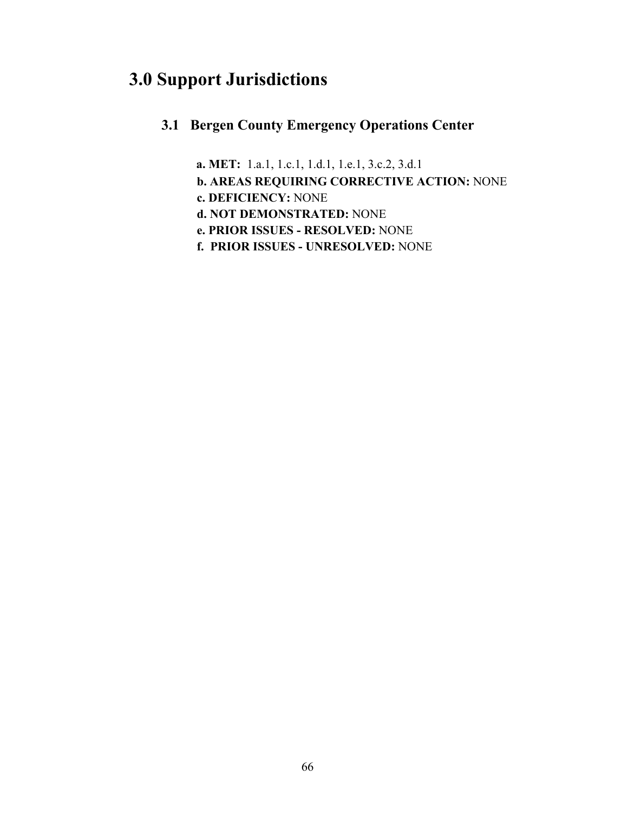# **3.0 Support Jurisdictions**

# **3.1 Bergen County Emergency Operations Center**

**a. MET:** 1.a.1, 1.c.1, 1.d.1, 1.e.1, 3.c.2, 3.d.1

- **b. AREAS REQUIRING CORRECTIVE ACTION:** NONE
- **c. DEFICIENCY:** NONE
- **d. NOT DEMONSTRATED:** NONE
- **e. PRIOR ISSUES RESOLVED:** NONE
- **f. PRIOR ISSUES UNRESOLVED:** NONE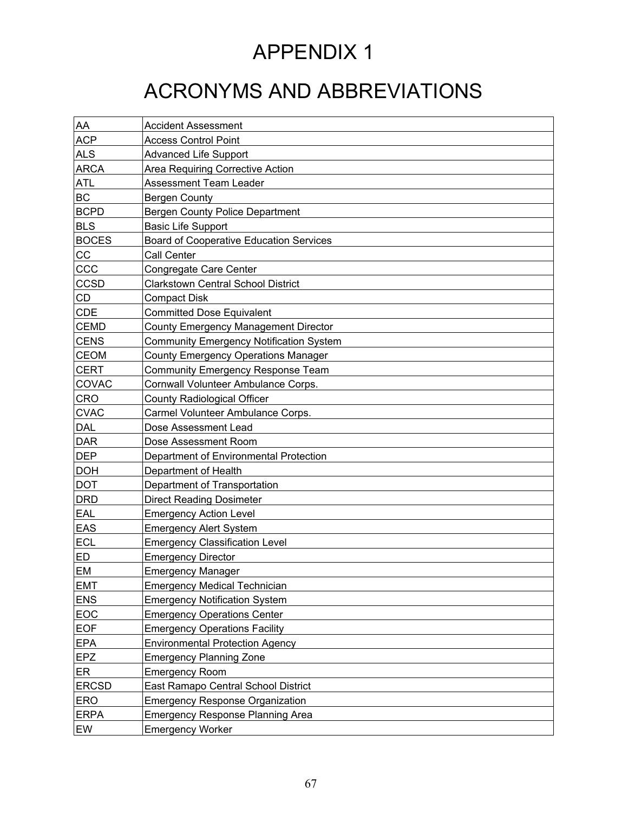# APPENDIX 1

# ACRONYMS AND ABBREVIATIONS

| AA           | <b>Accident Assessment</b>                     |
|--------------|------------------------------------------------|
| <b>ACP</b>   | <b>Access Control Point</b>                    |
| <b>ALS</b>   | <b>Advanced Life Support</b>                   |
| <b>ARCA</b>  | Area Requiring Corrective Action               |
| <b>ATL</b>   | <b>Assessment Team Leader</b>                  |
| BC           | <b>Bergen County</b>                           |
| <b>BCPD</b>  | <b>Bergen County Police Department</b>         |
| <b>BLS</b>   | <b>Basic Life Support</b>                      |
| <b>BOCES</b> | <b>Board of Cooperative Education Services</b> |
| CC           | <b>Call Center</b>                             |
| CCC          | Congregate Care Center                         |
| CCSD         | <b>Clarkstown Central School District</b>      |
| CD           | <b>Compact Disk</b>                            |
| <b>CDE</b>   | <b>Committed Dose Equivalent</b>               |
| <b>CEMD</b>  | <b>County Emergency Management Director</b>    |
| <b>CENS</b>  | <b>Community Emergency Notification System</b> |
| <b>CEOM</b>  | <b>County Emergency Operations Manager</b>     |
| <b>CERT</b>  | <b>Community Emergency Response Team</b>       |
| COVAC        | Cornwall Volunteer Ambulance Corps.            |
| <b>CRO</b>   | <b>County Radiological Officer</b>             |
| <b>CVAC</b>  | Carmel Volunteer Ambulance Corps.              |
| DAL          | Dose Assessment Lead                           |
| <b>DAR</b>   | Dose Assessment Room                           |
| <b>DEP</b>   | Department of Environmental Protection         |
| <b>DOH</b>   | Department of Health                           |
| <b>DOT</b>   | Department of Transportation                   |
| <b>DRD</b>   | <b>Direct Reading Dosimeter</b>                |
| EAL          | <b>Emergency Action Level</b>                  |
| EAS          | <b>Emergency Alert System</b>                  |
| <b>ECL</b>   | <b>Emergency Classification Level</b>          |
| ED           | <b>Emergency Director</b>                      |
| EM           | <b>Emergency Manager</b>                       |
| <b>EMT</b>   | <b>Emergency Medical Technician</b>            |
| <b>ENS</b>   | <b>Emergency Notification System</b>           |
| EOC          | <b>Emergency Operations Center</b>             |
| <b>EOF</b>   | <b>Emergency Operations Facility</b>           |
| <b>EPA</b>   | <b>Environmental Protection Agency</b>         |
| EPZ          | <b>Emergency Planning Zone</b>                 |
| ER           | <b>Emergency Room</b>                          |
| <b>ERCSD</b> | East Ramapo Central School District            |
| <b>ERO</b>   | <b>Emergency Response Organization</b>         |
| <b>ERPA</b>  | <b>Emergency Response Planning Area</b>        |
| EW           | <b>Emergency Worker</b>                        |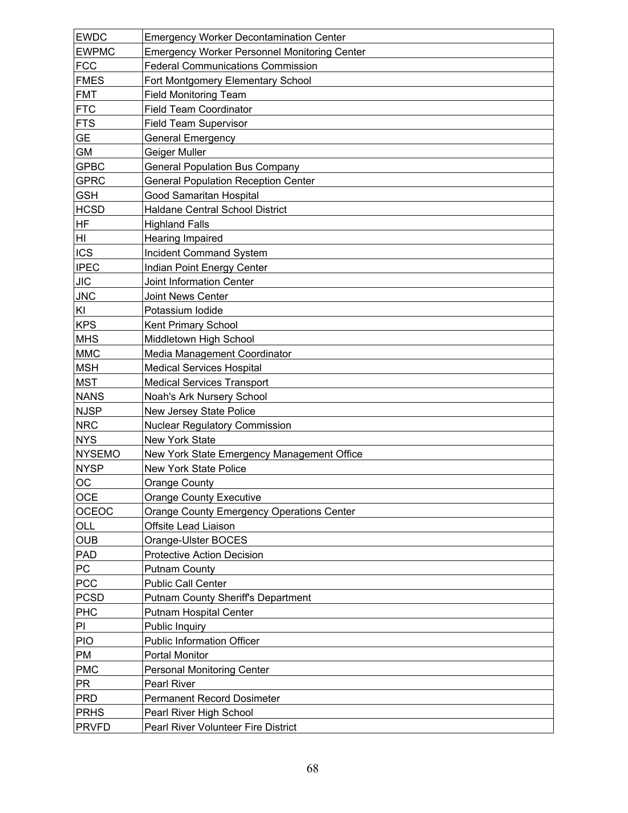| <b>EWDC</b>   | <b>Emergency Worker Decontamination Center</b>      |  |  |  |  |  |
|---------------|-----------------------------------------------------|--|--|--|--|--|
| <b>EWPMC</b>  | <b>Emergency Worker Personnel Monitoring Center</b> |  |  |  |  |  |
| <b>FCC</b>    | <b>Federal Communications Commission</b>            |  |  |  |  |  |
| <b>FMES</b>   | Fort Montgomery Elementary School                   |  |  |  |  |  |
| <b>FMT</b>    | <b>Field Monitoring Team</b>                        |  |  |  |  |  |
| <b>FTC</b>    | <b>Field Team Coordinator</b>                       |  |  |  |  |  |
| <b>FTS</b>    | <b>Field Team Supervisor</b>                        |  |  |  |  |  |
| <b>GE</b>     | <b>General Emergency</b>                            |  |  |  |  |  |
| <b>GM</b>     | Geiger Muller                                       |  |  |  |  |  |
| <b>GPBC</b>   | <b>General Population Bus Company</b>               |  |  |  |  |  |
| <b>GPRC</b>   | <b>General Population Reception Center</b>          |  |  |  |  |  |
| <b>GSH</b>    | <b>Good Samaritan Hospital</b>                      |  |  |  |  |  |
| <b>HCSD</b>   | Haldane Central School District                     |  |  |  |  |  |
| HF            | <b>Highland Falls</b>                               |  |  |  |  |  |
| HI            | Hearing Impaired                                    |  |  |  |  |  |
| <b>ICS</b>    | <b>Incident Command System</b>                      |  |  |  |  |  |
| <b>IPEC</b>   | Indian Point Energy Center                          |  |  |  |  |  |
| <b>JIC</b>    | Joint Information Center                            |  |  |  |  |  |
| <b>JNC</b>    | <b>Joint News Center</b>                            |  |  |  |  |  |
| KI            | Potassium lodide                                    |  |  |  |  |  |
| <b>KPS</b>    | Kent Primary School                                 |  |  |  |  |  |
| <b>MHS</b>    | Middletown High School                              |  |  |  |  |  |
| <b>MMC</b>    | Media Management Coordinator                        |  |  |  |  |  |
| <b>MSH</b>    | <b>Medical Services Hospital</b>                    |  |  |  |  |  |
| <b>MST</b>    | <b>Medical Services Transport</b>                   |  |  |  |  |  |
| <b>NANS</b>   | Noah's Ark Nursery School                           |  |  |  |  |  |
| <b>NJSP</b>   | New Jersey State Police                             |  |  |  |  |  |
| <b>NRC</b>    | <b>Nuclear Regulatory Commission</b>                |  |  |  |  |  |
| <b>NYS</b>    | <b>New York State</b>                               |  |  |  |  |  |
| <b>NYSEMO</b> | New York State Emergency Management Office          |  |  |  |  |  |
| <b>NYSP</b>   | <b>New York State Police</b>                        |  |  |  |  |  |
| <b>OC</b>     | <b>Orange County</b>                                |  |  |  |  |  |
| <b>OCE</b>    | <b>Orange County Executive</b>                      |  |  |  |  |  |
| OCEOC         | <b>Orange County Emergency Operations Center</b>    |  |  |  |  |  |
| OLL           | Offsite Lead Liaison                                |  |  |  |  |  |
| <b>OUB</b>    | Orange-Ulster BOCES                                 |  |  |  |  |  |
| PAD           | <b>Protective Action Decision</b>                   |  |  |  |  |  |
| ${\sf PC}$    | <b>Putnam County</b>                                |  |  |  |  |  |
| <b>PCC</b>    | <b>Public Call Center</b>                           |  |  |  |  |  |
| <b>PCSD</b>   | <b>Putnam County Sheriff's Department</b>           |  |  |  |  |  |
| PHC           | Putnam Hospital Center                              |  |  |  |  |  |
| PI            | <b>Public Inquiry</b>                               |  |  |  |  |  |
| <b>PIO</b>    | <b>Public Information Officer</b>                   |  |  |  |  |  |
| PM            | Portal Monitor                                      |  |  |  |  |  |
| <b>PMC</b>    | <b>Personal Monitoring Center</b>                   |  |  |  |  |  |
| <b>PR</b>     | Pearl River                                         |  |  |  |  |  |
| <b>PRD</b>    | <b>Permanent Record Dosimeter</b>                   |  |  |  |  |  |
| <b>PRHS</b>   | Pearl River High School                             |  |  |  |  |  |
| <b>PRVFD</b>  | Pearl River Volunteer Fire District                 |  |  |  |  |  |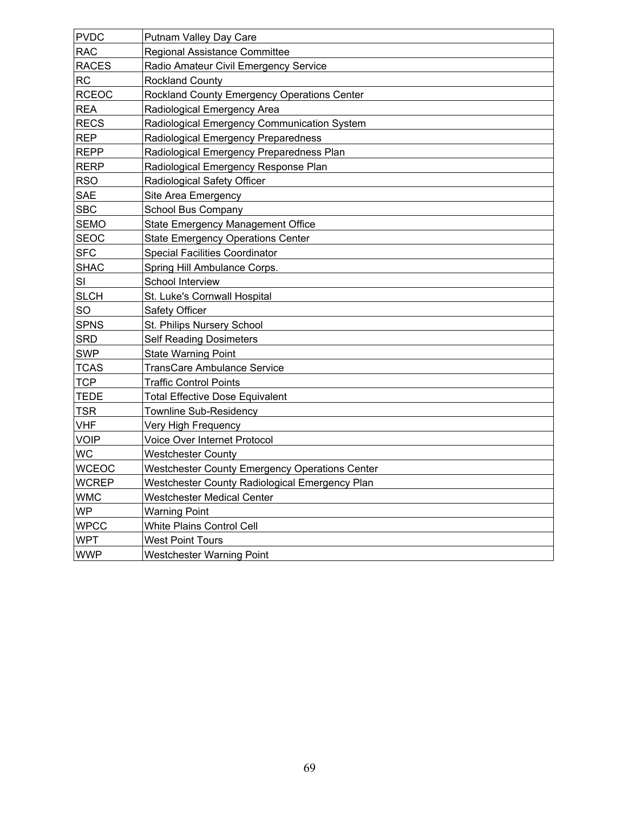| <b>PVDC</b>  | Putnam Valley Day Care                                |  |  |  |  |  |
|--------------|-------------------------------------------------------|--|--|--|--|--|
| <b>RAC</b>   | <b>Regional Assistance Committee</b>                  |  |  |  |  |  |
| <b>RACES</b> | Radio Amateur Civil Emergency Service                 |  |  |  |  |  |
| RC           | <b>Rockland County</b>                                |  |  |  |  |  |
| <b>RCEOC</b> | Rockland County Emergency Operations Center           |  |  |  |  |  |
| <b>REA</b>   | Radiological Emergency Area                           |  |  |  |  |  |
| <b>RECS</b>  | Radiological Emergency Communication System           |  |  |  |  |  |
| <b>REP</b>   | Radiological Emergency Preparedness                   |  |  |  |  |  |
| <b>REPP</b>  | Radiological Emergency Preparedness Plan              |  |  |  |  |  |
| <b>RERP</b>  | Radiological Emergency Response Plan                  |  |  |  |  |  |
| <b>RSO</b>   | Radiological Safety Officer                           |  |  |  |  |  |
| <b>SAE</b>   | Site Area Emergency                                   |  |  |  |  |  |
| <b>SBC</b>   | School Bus Company                                    |  |  |  |  |  |
| <b>SEMO</b>  | State Emergency Management Office                     |  |  |  |  |  |
| <b>SEOC</b>  | <b>State Emergency Operations Center</b>              |  |  |  |  |  |
| <b>SFC</b>   | <b>Special Facilities Coordinator</b>                 |  |  |  |  |  |
| <b>SHAC</b>  | Spring Hill Ambulance Corps.                          |  |  |  |  |  |
| SI           | <b>School Interview</b>                               |  |  |  |  |  |
| <b>SLCH</b>  | St. Luke's Cornwall Hospital                          |  |  |  |  |  |
| SO           | Safety Officer                                        |  |  |  |  |  |
| <b>SPNS</b>  | St. Philips Nursery School                            |  |  |  |  |  |
| <b>SRD</b>   | <b>Self Reading Dosimeters</b>                        |  |  |  |  |  |
| <b>SWP</b>   | <b>State Warning Point</b>                            |  |  |  |  |  |
| <b>TCAS</b>  | <b>TransCare Ambulance Service</b>                    |  |  |  |  |  |
| <b>TCP</b>   | <b>Traffic Control Points</b>                         |  |  |  |  |  |
| <b>TEDE</b>  | <b>Total Effective Dose Equivalent</b>                |  |  |  |  |  |
| <b>TSR</b>   | <b>Townline Sub-Residency</b>                         |  |  |  |  |  |
| <b>VHF</b>   | Very High Frequency                                   |  |  |  |  |  |
| <b>VOIP</b>  | Voice Over Internet Protocol                          |  |  |  |  |  |
| <b>WC</b>    | <b>Westchester County</b>                             |  |  |  |  |  |
| <b>WCEOC</b> | <b>Westchester County Emergency Operations Center</b> |  |  |  |  |  |
| <b>WCREP</b> | Westchester County Radiological Emergency Plan        |  |  |  |  |  |
| <b>WMC</b>   | <b>Westchester Medical Center</b>                     |  |  |  |  |  |
| <b>WP</b>    | <b>Warning Point</b>                                  |  |  |  |  |  |
| <b>WPCC</b>  | <b>White Plains Control Cell</b>                      |  |  |  |  |  |
| <b>WPT</b>   | <b>West Point Tours</b>                               |  |  |  |  |  |
| WWP          | <b>Westchester Warning Point</b>                      |  |  |  |  |  |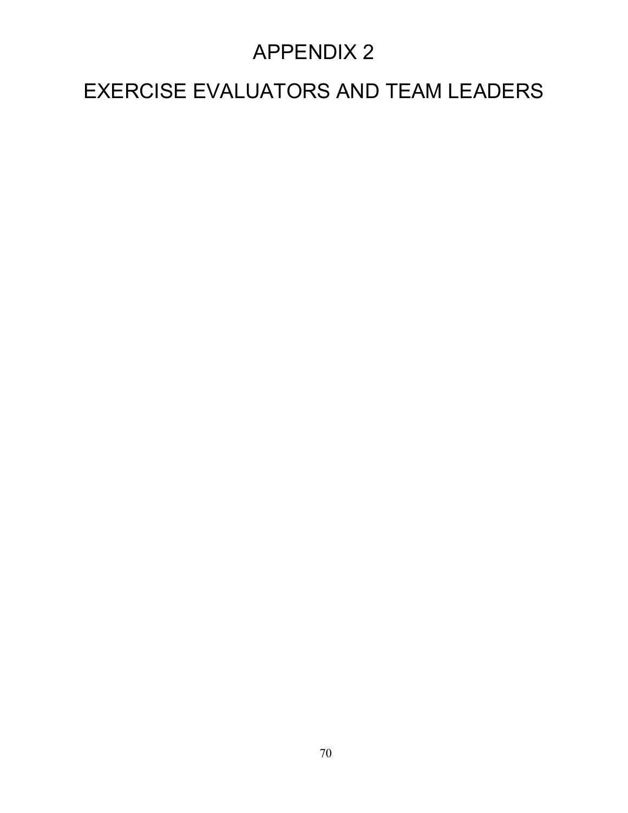## APPENDIX 2

## EXERCISE EVALUATORS AND TEAM LEADERS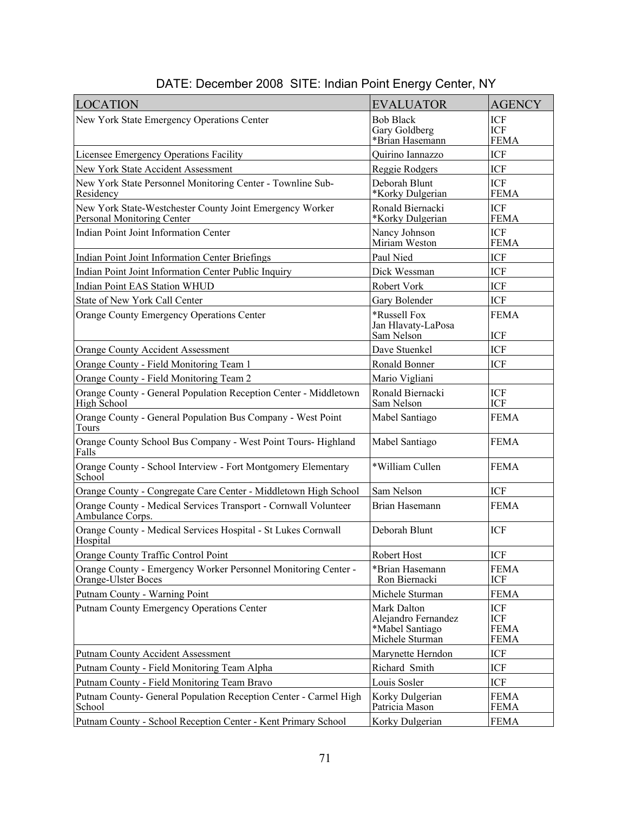| <b>LOCATION</b>                                                                        | <b>EVALUATOR</b>                                                         | <b>AGENCY</b>                                   |
|----------------------------------------------------------------------------------------|--------------------------------------------------------------------------|-------------------------------------------------|
| New York State Emergency Operations Center                                             | <b>Bob Black</b><br>Gary Goldberg<br>*Brian Hasemann                     | ICF<br>ICF<br><b>FEMA</b>                       |
| Licensee Emergency Operations Facility                                                 | Quirino Iannazzo                                                         | ICF                                             |
| New York State Accident Assessment                                                     | Reggie Rodgers                                                           | ICF                                             |
| New York State Personnel Monitoring Center - Townline Sub-<br>Residency                | Deborah Blunt<br>*Korky Dulgerian                                        | <b>ICF</b><br><b>FEMA</b>                       |
| New York State-Westchester County Joint Emergency Worker<br>Personal Monitoring Center | Ronald Biernacki<br>*Korky Dulgerian                                     | <b>ICF</b><br><b>FEMA</b>                       |
| Indian Point Joint Information Center                                                  | Nancy Johnson<br>Miriam Weston                                           | <b>ICF</b><br><b>FEMA</b>                       |
| Indian Point Joint Information Center Briefings                                        | Paul Nied                                                                | <b>ICF</b>                                      |
| Indian Point Joint Information Center Public Inquiry                                   | Dick Wessman                                                             | ICF                                             |
| <b>Indian Point EAS Station WHUD</b>                                                   | Robert Vork                                                              | ICF                                             |
| State of New York Call Center                                                          | Gary Bolender                                                            | ICF                                             |
| Orange County Emergency Operations Center                                              | *Russell Fox<br>Jan Hlavaty-LaPosa<br>Sam Nelson                         | <b>FEMA</b><br>ICF                              |
| <b>Orange County Accident Assessment</b>                                               | Dave Stuenkel                                                            | <b>ICF</b>                                      |
| Orange County - Field Monitoring Team 1                                                | Ronald Bonner                                                            | ICF                                             |
| Orange County - Field Monitoring Team 2                                                | Mario Vigliani                                                           |                                                 |
| Orange County - General Population Reception Center - Middletown<br>High School        | Ronald Biernacki<br>Sam Nelson                                           | <b>ICF</b><br>ICF                               |
| Orange County - General Population Bus Company - West Point<br>Tours                   | Mabel Santiago                                                           | <b>FEMA</b>                                     |
| Orange County School Bus Company - West Point Tours- Highland<br>Falls                 | Mabel Santiago                                                           | <b>FEMA</b>                                     |
| Orange County - School Interview - Fort Montgomery Elementary<br>School                | *William Cullen                                                          | <b>FEMA</b>                                     |
| Orange County - Congregate Care Center - Middletown High School                        | Sam Nelson                                                               | <b>ICF</b>                                      |
| Orange County - Medical Services Transport - Cornwall Volunteer<br>Ambulance Corps.    | Brian Hasemann                                                           | <b>FEMA</b>                                     |
| Orange County - Medical Services Hospital - St Lukes Cornwall<br>Hospital              | Deborah Blunt                                                            | ICF                                             |
| Orange County Traffic Control Point                                                    | Robert Host                                                              | $\ensuremath{\text{ICF}}$                       |
| Orange County - Emergency Worker Personnel Monitoring Center -<br>Orange-Ulster Boces  | *Brian Hasemann<br>Ron Biernacki                                         | <b>FEMA</b><br>ICF                              |
| Putnam County - Warning Point                                                          | Michele Sturman                                                          | <b>FEMA</b>                                     |
| Putnam County Emergency Operations Center                                              | Mark Dalton<br>Alejandro Fernandez<br>*Mabel Santiago<br>Michele Sturman | <b>ICF</b><br>ICF<br><b>FEMA</b><br><b>FEMA</b> |
| <b>Putnam County Accident Assessment</b>                                               | Marynette Herndon                                                        | ICF                                             |
| Putnam County - Field Monitoring Team Alpha                                            | Richard Smith                                                            | ICF                                             |
| Putnam County - Field Monitoring Team Bravo                                            | Louis Sosler                                                             | ICF                                             |
| Putnam County- General Population Reception Center - Carmel High<br>School             | Korky Dulgerian<br>Patricia Mason                                        | <b>FEMA</b><br><b>FEMA</b>                      |
| Putnam County - School Reception Center - Kent Primary School                          | Korky Dulgerian                                                          | <b>FEMA</b>                                     |

DATE: December 2008 SITE: Indian Point Energy Center, NY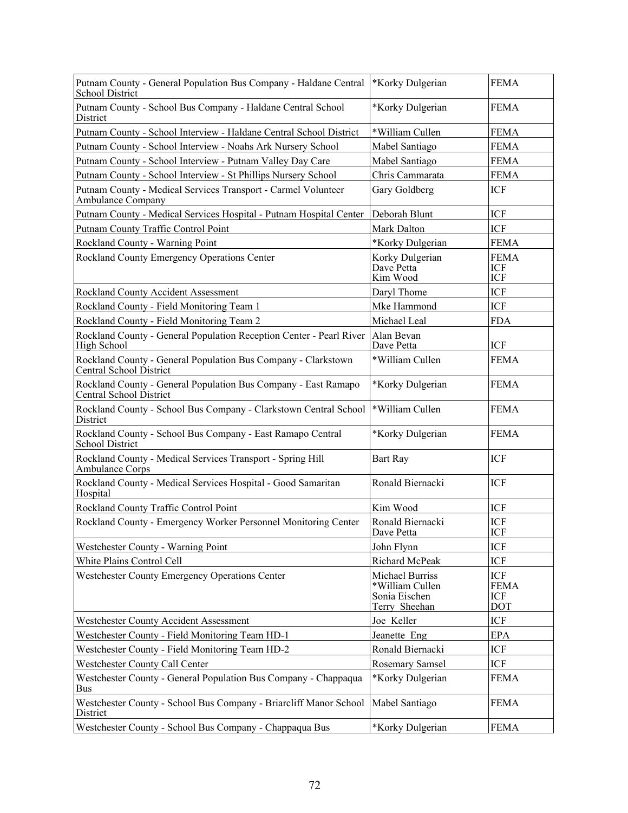| Putnam County - General Population Bus Company - Haldane Central<br><b>School District</b> | *Korky Dulgerian                                                     | <b>FEMA</b>                             |
|--------------------------------------------------------------------------------------------|----------------------------------------------------------------------|-----------------------------------------|
| Putnam County - School Bus Company - Haldane Central School<br>District                    | *Korky Dulgerian                                                     | <b>FEMA</b>                             |
| Putnam County - School Interview - Haldane Central School District                         | *William Cullen                                                      | <b>FEMA</b>                             |
| Putnam County - School Interview - Noahs Ark Nursery School                                | Mabel Santiago                                                       | <b>FEMA</b>                             |
| Putnam County - School Interview - Putnam Valley Day Care                                  | Mabel Santiago                                                       | <b>FEMA</b>                             |
| Putnam County - School Interview - St Phillips Nursery School                              | Chris Cammarata                                                      | <b>FEMA</b>                             |
| Putnam County - Medical Services Transport - Carmel Volunteer<br>Ambulance Company         | Gary Goldberg                                                        | ICF                                     |
| Putnam County - Medical Services Hospital - Putnam Hospital Center                         | Deborah Blunt                                                        | ICF                                     |
| Putnam County Traffic Control Point                                                        | Mark Dalton                                                          | ICF                                     |
| Rockland County - Warning Point                                                            | *Korky Dulgerian                                                     | <b>FEMA</b>                             |
| Rockland County Emergency Operations Center                                                | Korky Dulgerian<br>Dave Petta<br>Kim Wood                            | <b>FEMA</b><br>ICF<br><b>ICF</b>        |
| Rockland County Accident Assessment                                                        | Daryl Thome                                                          | ICF                                     |
| Rockland County - Field Monitoring Team 1                                                  | Mke Hammond                                                          | ICF                                     |
| Rockland County - Field Monitoring Team 2                                                  | Michael Leal                                                         | <b>FDA</b>                              |
| Rockland County - General Population Reception Center - Pearl River<br>High School         | Alan Bevan<br>Dave Petta                                             | <b>ICF</b>                              |
| Rockland County - General Population Bus Company - Clarkstown<br>Central School District   | *William Cullen                                                      | <b>FEMA</b>                             |
| Rockland County - General Population Bus Company - East Ramapo<br>Central School District  | *Korky Dulgerian                                                     | <b>FEMA</b>                             |
| Rockland County - School Bus Company - Clarkstown Central School<br>District               | *William Cullen                                                      | <b>FEMA</b>                             |
| Rockland County - School Bus Company - East Ramapo Central<br><b>School District</b>       | *Korky Dulgerian                                                     | <b>FEMA</b>                             |
| Rockland County - Medical Services Transport - Spring Hill<br>Ambulance Corps              | <b>Bart Ray</b>                                                      | ICF                                     |
| Rockland County - Medical Services Hospital - Good Samaritan<br>Hospital                   | Ronald Biernacki                                                     | ICF                                     |
| Rockland County Traffic Control Point                                                      | Kim Wood                                                             | ICF                                     |
| Rockland County - Emergency Worker Personnel Monitoring Center                             | Ronald Biernacki<br>Dave Petta                                       | ICF<br>ICF                              |
| Westchester County - Warning Point                                                         | John Flynn                                                           | ICF                                     |
| White Plains Control Cell                                                                  | Richard McPeak                                                       | ICF                                     |
| <b>Westchester County Emergency Operations Center</b>                                      | Michael Burriss<br>*William Cullen<br>Sonia Eischen<br>Terry Sheehan | ICF<br><b>FEMA</b><br>ICF<br><b>DOT</b> |
| <b>Westchester County Accident Assessment</b>                                              | Joe Keller                                                           | ICF                                     |
| Westchester County - Field Monitoring Team HD-1                                            | Jeanette Eng                                                         | EPA                                     |
| Westchester County - Field Monitoring Team HD-2                                            | Ronald Biernacki                                                     | ICF                                     |
| Westchester County Call Center                                                             | <b>Rosemary Samsel</b>                                               | ICF                                     |
| Westchester County - General Population Bus Company - Chappaqua<br>Bus                     | *Korky Dulgerian                                                     | <b>FEMA</b>                             |
| Westchester County - School Bus Company - Briarcliff Manor School<br>District              | Mabel Santiago                                                       | <b>FEMA</b>                             |
| Westchester County - School Bus Company - Chappaqua Bus                                    | *Korky Dulgerian                                                     | <b>FEMA</b>                             |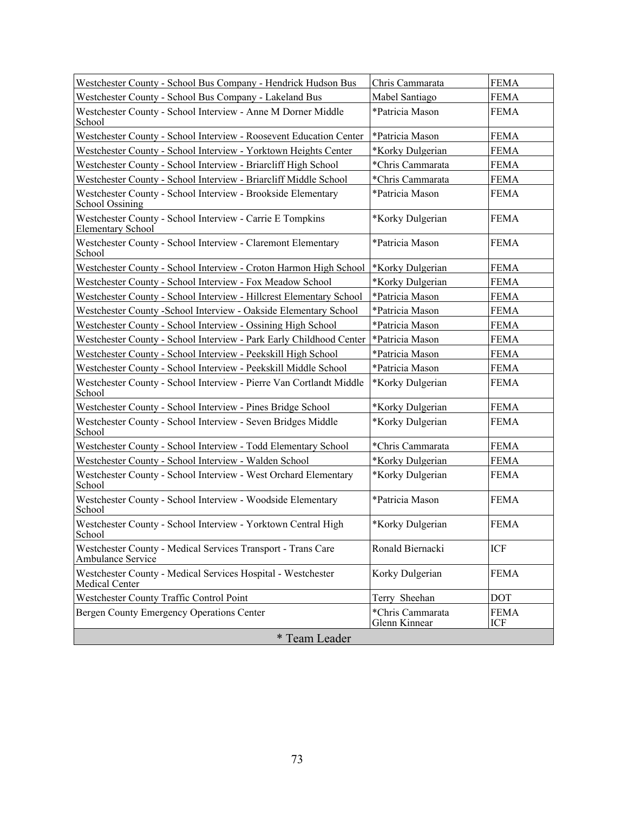| Westchester County - School Bus Company - Hendrick Hudson Bus                            | Chris Cammarata                   | <b>FEMA</b>        |  |  |  |  |
|------------------------------------------------------------------------------------------|-----------------------------------|--------------------|--|--|--|--|
| Westchester County - School Bus Company - Lakeland Bus                                   | Mabel Santiago                    | <b>FEMA</b>        |  |  |  |  |
| Westchester County - School Interview - Anne M Dorner Middle<br>School                   | *Patricia Mason                   | <b>FEMA</b>        |  |  |  |  |
| Westchester County - School Interview - Roosevent Education Center                       | *Patricia Mason                   | <b>FEMA</b>        |  |  |  |  |
| Westchester County - School Interview - Yorktown Heights Center                          | *Korky Dulgerian                  | <b>FEMA</b>        |  |  |  |  |
| Westchester County - School Interview - Briarcliff High School                           | *Chris Cammarata                  | <b>FEMA</b>        |  |  |  |  |
| Westchester County - School Interview - Briarcliff Middle School                         | *Chris Cammarata                  | <b>FEMA</b>        |  |  |  |  |
| Westchester County - School Interview - Brookside Elementary<br><b>School Ossining</b>   | *Patricia Mason                   | <b>FEMA</b>        |  |  |  |  |
| Westchester County - School Interview - Carrie E Tompkins<br><b>Elementary School</b>    | *Korky Dulgerian                  | <b>FEMA</b>        |  |  |  |  |
| Westchester County - School Interview - Claremont Elementary<br>School                   | *Patricia Mason                   | <b>FEMA</b>        |  |  |  |  |
| Westchester County - School Interview - Croton Harmon High School                        | *Korky Dulgerian                  | <b>FEMA</b>        |  |  |  |  |
| Westchester County - School Interview - Fox Meadow School                                | *Korky Dulgerian                  | <b>FEMA</b>        |  |  |  |  |
| Westchester County - School Interview - Hillcrest Elementary School                      | *Patricia Mason                   | <b>FEMA</b>        |  |  |  |  |
| Westchester County - School Interview - Oakside Elementary School                        | *Patricia Mason                   | <b>FEMA</b>        |  |  |  |  |
| Westchester County - School Interview - Ossining High School                             | *Patricia Mason                   | <b>FEMA</b>        |  |  |  |  |
| Westchester County - School Interview - Park Early Childhood Center                      | *Patricia Mason                   | <b>FEMA</b>        |  |  |  |  |
| Westchester County - School Interview - Peekskill High School                            | *Patricia Mason                   | <b>FEMA</b>        |  |  |  |  |
| Westchester County - School Interview - Peekskill Middle School                          | *Patricia Mason                   | <b>FEMA</b>        |  |  |  |  |
| Westchester County - School Interview - Pierre Van Cortlandt Middle<br>School            | *Korky Dulgerian                  | <b>FEMA</b>        |  |  |  |  |
| Westchester County - School Interview - Pines Bridge School                              | *Korky Dulgerian                  | <b>FEMA</b>        |  |  |  |  |
| Westchester County - School Interview - Seven Bridges Middle<br>School                   | *Korky Dulgerian                  | <b>FEMA</b>        |  |  |  |  |
| Westchester County - School Interview - Todd Elementary School                           | *Chris Cammarata                  | <b>FEMA</b>        |  |  |  |  |
| Westchester County - School Interview - Walden School                                    | *Korky Dulgerian                  | <b>FEMA</b>        |  |  |  |  |
| Westchester County - School Interview - West Orchard Elementary<br>School                | *Korky Dulgerian                  | <b>FEMA</b>        |  |  |  |  |
| Westchester County - School Interview - Woodside Elementary<br>School                    | *Patricia Mason                   | <b>FEMA</b>        |  |  |  |  |
| Westchester County - School Interview - Yorktown Central High<br>School                  | *Korky Dulgerian                  | <b>FEMA</b>        |  |  |  |  |
| Westchester County - Medical Services Transport - Trans Care<br><b>Ambulance Service</b> | Ronald Biernacki                  | ICF                |  |  |  |  |
| Westchester County - Medical Services Hospital - Westchester<br>Medical Center           | Korky Dulgerian                   | <b>FEMA</b>        |  |  |  |  |
| Westchester County Traffic Control Point                                                 | Terry Sheehan                     | <b>DOT</b>         |  |  |  |  |
| Bergen County Emergency Operations Center                                                | *Chris Cammarata<br>Glenn Kinnear | <b>FEMA</b><br>ICF |  |  |  |  |
| * Team Leader                                                                            |                                   |                    |  |  |  |  |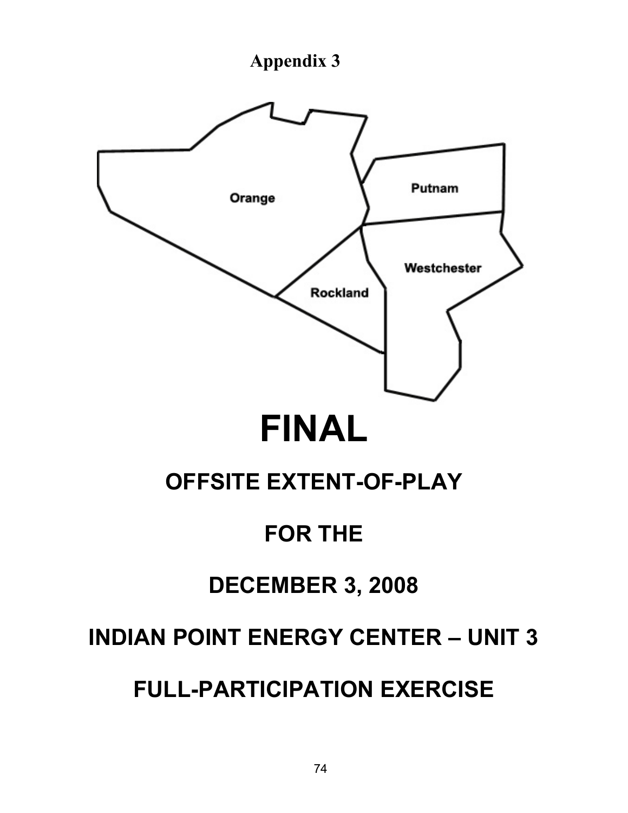



# **FOR THE**

# **DECEMBER 3, 2008**

# **INDIAN POINT ENERGY CENTER – UNIT 3**

# **FULL-PARTICIPATION EXERCISE**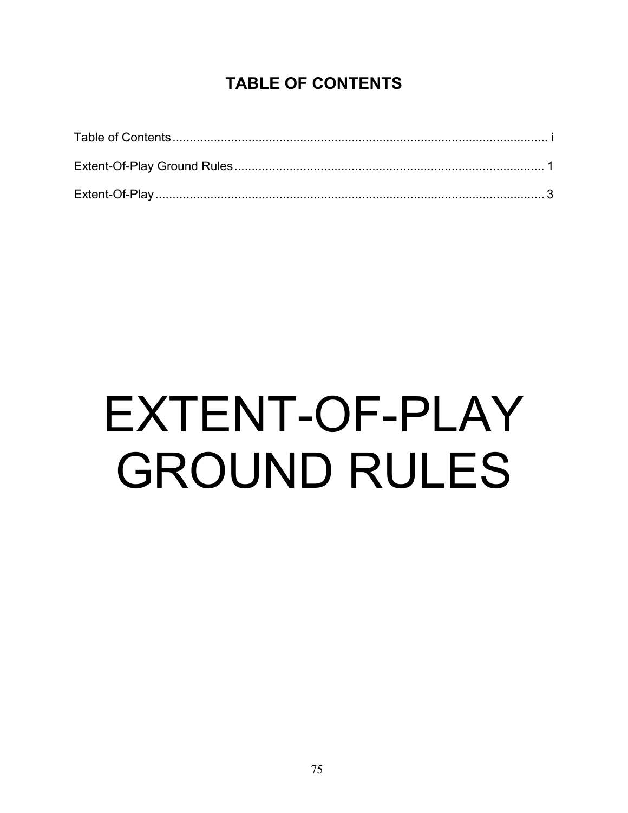## **TABLE OF CONTENTS**

# EXTENT-OF-PLAY **GROUND RULES**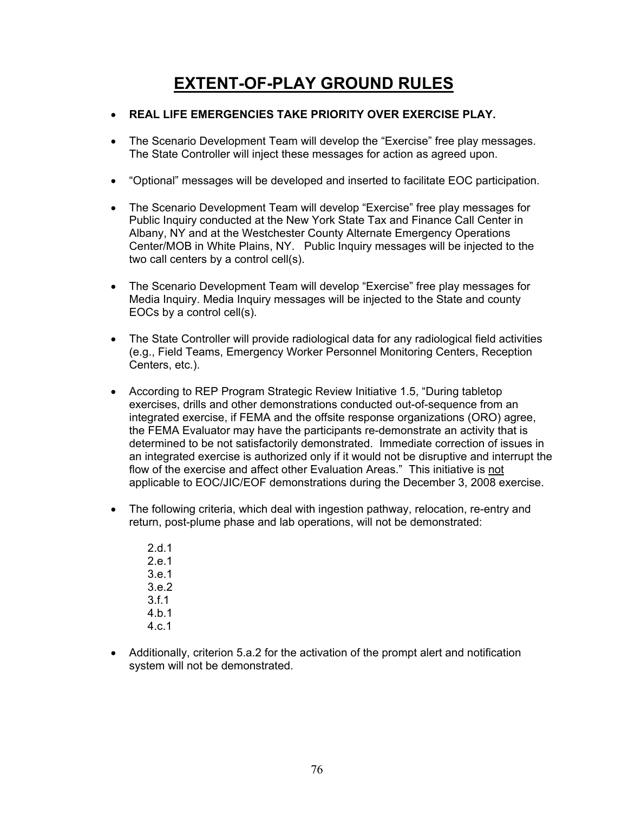## **EXTENT-OF-PLAY GROUND RULES**

- **REAL LIFE EMERGENCIES TAKE PRIORITY OVER EXERCISE PLAY.**
- The Scenario Development Team will develop the "Exercise" free play messages. The State Controller will inject these messages for action as agreed upon.
- "Optional" messages will be developed and inserted to facilitate EOC participation.
- The Scenario Development Team will develop "Exercise" free play messages for Public Inquiry conducted at the New York State Tax and Finance Call Center in Albany, NY and at the Westchester County Alternate Emergency Operations Center/MOB in White Plains, NY. Public Inquiry messages will be injected to the two call centers by a control cell(s).
- The Scenario Development Team will develop "Exercise" free play messages for Media Inquiry. Media Inquiry messages will be injected to the State and county EOCs by a control cell(s).
- The State Controller will provide radiological data for any radiological field activities (e.g., Field Teams, Emergency Worker Personnel Monitoring Centers, Reception Centers, etc.).
- According to REP Program Strategic Review Initiative 1.5, "During tabletop exercises, drills and other demonstrations conducted out-of-sequence from an integrated exercise, if FEMA and the offsite response organizations (ORO) agree, the FEMA Evaluator may have the participants re-demonstrate an activity that is determined to be not satisfactorily demonstrated. Immediate correction of issues in an integrated exercise is authorized only if it would not be disruptive and interrupt the flow of the exercise and affect other Evaluation Areas." This initiative is not applicable to EOC/JIC/EOF demonstrations during the December 3, 2008 exercise.
- The following criteria, which deal with ingestion pathway, relocation, re-entry and return, post-plume phase and lab operations, will not be demonstrated:
	- 2.d.1 2.e.1 3.e.1 3.e.2 3.f.1 4 h 1 4.c.1
- Additionally, criterion 5.a.2 for the activation of the prompt alert and notification system will not be demonstrated.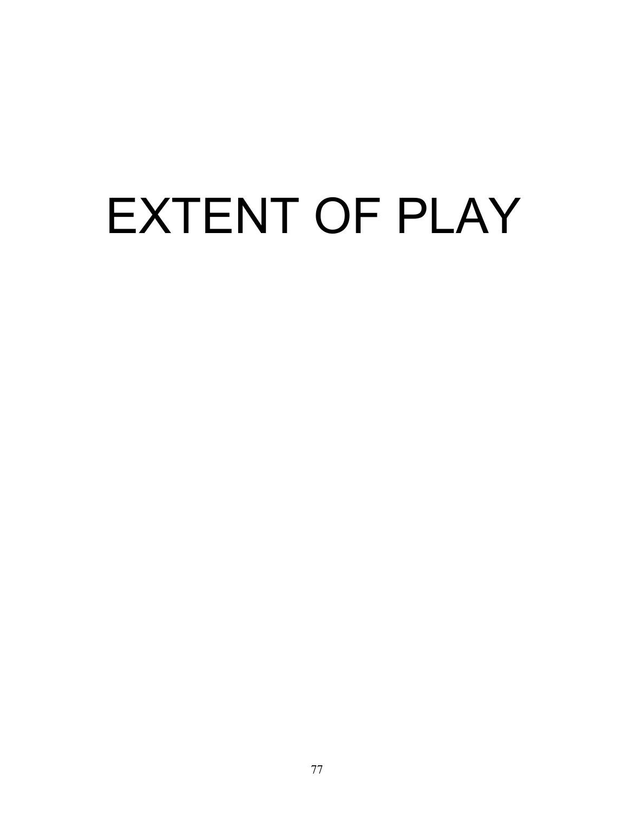# EXTENT OF PLAY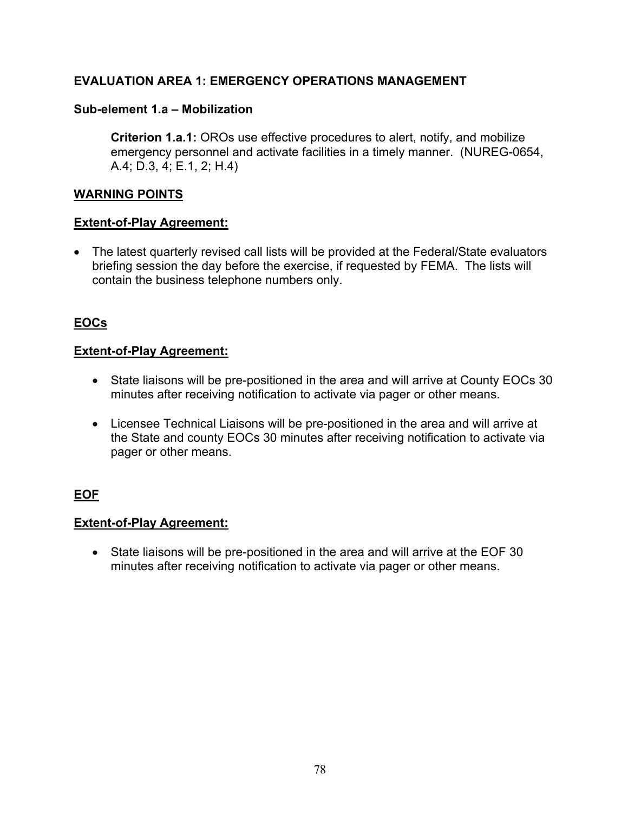#### **Sub-element 1.a – Mobilization**

**Criterion 1.a.1:** OROs use effective procedures to alert, notify, and mobilize emergency personnel and activate facilities in a timely manner. (NUREG-0654, A.4; D.3, 4; E.1, 2; H.4)

#### **WARNING POINTS**

#### **Extent-of-Play Agreement:**

• The latest quarterly revised call lists will be provided at the Federal/State evaluators briefing session the day before the exercise, if requested by FEMA. The lists will contain the business telephone numbers only.

#### **EOCs**

#### **Extent-of-Play Agreement:**

- State liaisons will be pre-positioned in the area and will arrive at County EOCs 30 minutes after receiving notification to activate via pager or other means.
- Licensee Technical Liaisons will be pre-positioned in the area and will arrive at the State and county EOCs 30 minutes after receiving notification to activate via pager or other means.

#### **EOF**

#### **Extent-of-Play Agreement:**

• State liaisons will be pre-positioned in the area and will arrive at the EOF 30 minutes after receiving notification to activate via pager or other means.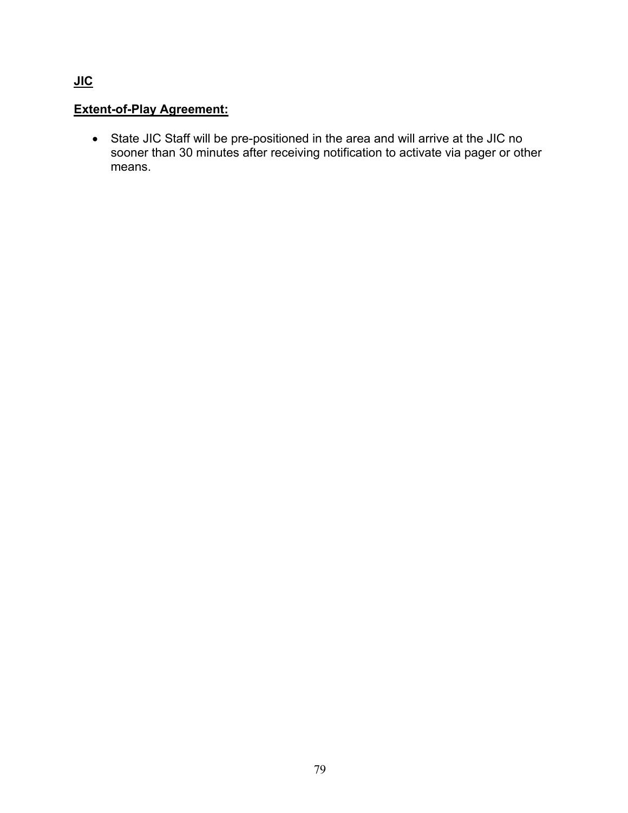## **Extent-of-Play Agreement:**

• State JIC Staff will be pre-positioned in the area and will arrive at the JIC no sooner than 30 minutes after receiving notification to activate via pager or other means.

**JIC**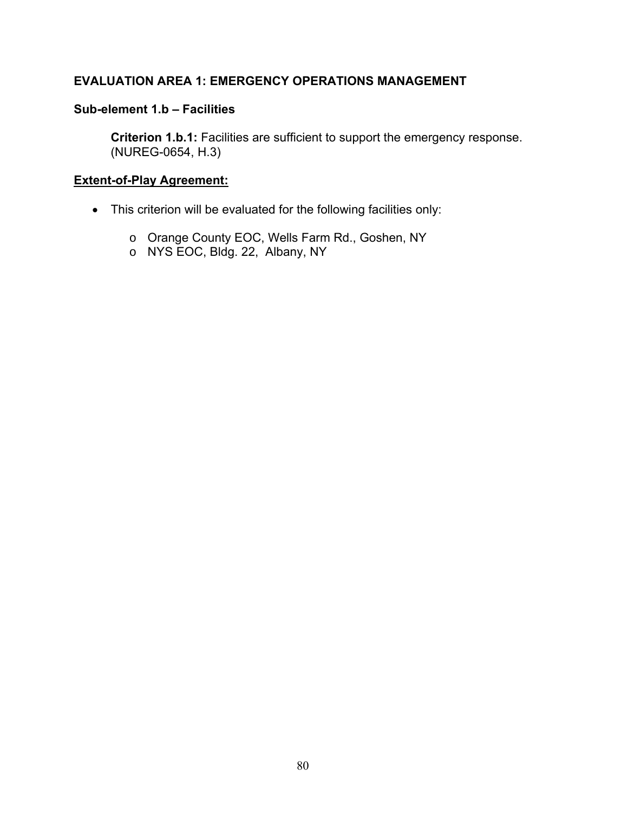#### **Sub-element 1.b – Facilities**

**Criterion 1.b.1:** Facilities are sufficient to support the emergency response. (NUREG-0654, H.3)

- This criterion will be evaluated for the following facilities only:
	- o Orange County EOC, Wells Farm Rd., Goshen, NY
	- o NYS EOC, Bldg. 22, Albany, NY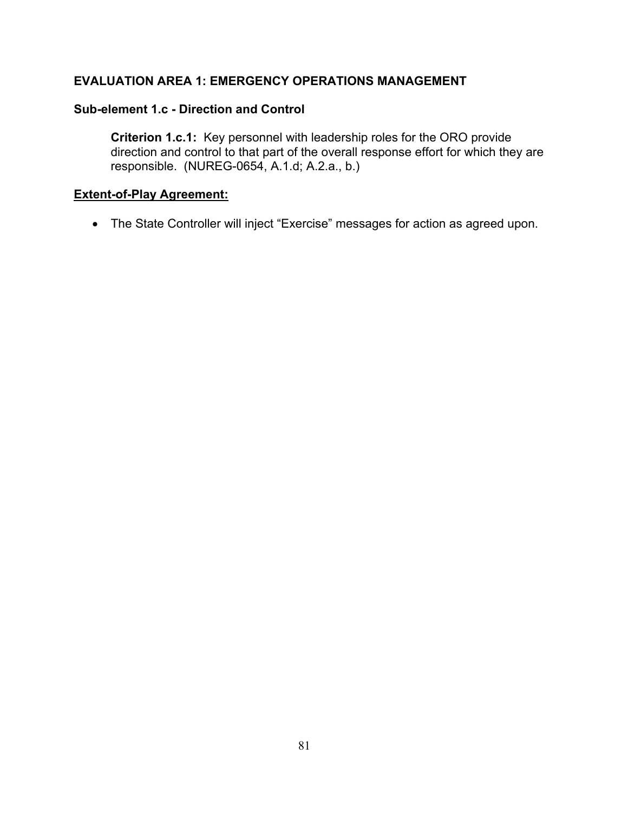#### **Sub-element 1.c - Direction and Control**

**Criterion 1.c.1:** Key personnel with leadership roles for the ORO provide direction and control to that part of the overall response effort for which they are responsible. (NUREG-0654, A.1.d; A.2.a., b.)

#### **Extent-of-Play Agreement:**

• The State Controller will inject "Exercise" messages for action as agreed upon.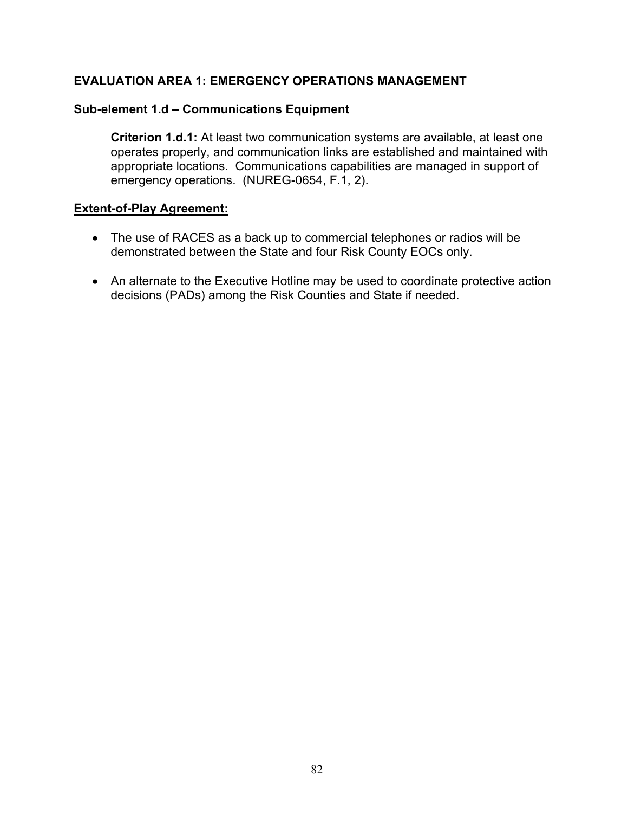#### **Sub-element 1.d – Communications Equipment**

**Criterion 1.d.1:** At least two communication systems are available, at least one operates properly, and communication links are established and maintained with appropriate locations. Communications capabilities are managed in support of emergency operations. (NUREG-0654, F.1, 2).

- The use of RACES as a back up to commercial telephones or radios will be demonstrated between the State and four Risk County EOCs only.
- An alternate to the Executive Hotline may be used to coordinate protective action decisions (PADs) among the Risk Counties and State if needed.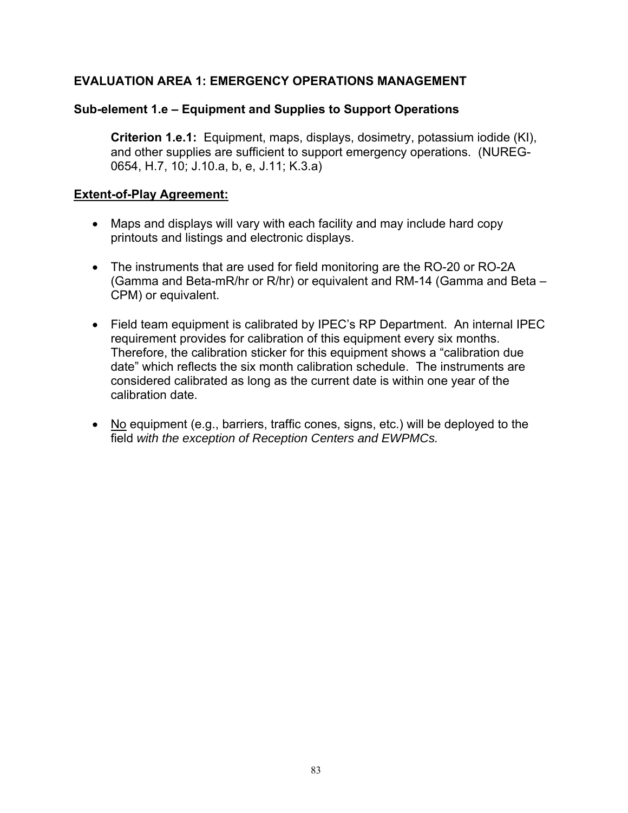#### **Sub-element 1.e – Equipment and Supplies to Support Operations**

**Criterion 1.e.1:** Equipment, maps, displays, dosimetry, potassium iodide (KI), and other supplies are sufficient to support emergency operations. (NUREG-0654, H.7, 10; J.10.a, b, e, J.11; K.3.a)

- Maps and displays will vary with each facility and may include hard copy printouts and listings and electronic displays.
- The instruments that are used for field monitoring are the RO-20 or RO-2A (Gamma and Beta-mR/hr or R/hr) or equivalent and RM-14 (Gamma and Beta – CPM) or equivalent.
- Field team equipment is calibrated by IPEC's RP Department. An internal IPEC requirement provides for calibration of this equipment every six months. Therefore, the calibration sticker for this equipment shows a "calibration due date" which reflects the six month calibration schedule. The instruments are considered calibrated as long as the current date is within one year of the calibration date.
- No equipment (e.g., barriers, traffic cones, signs, etc.) will be deployed to the field *with the exception of Reception Centers and EWPMCs.*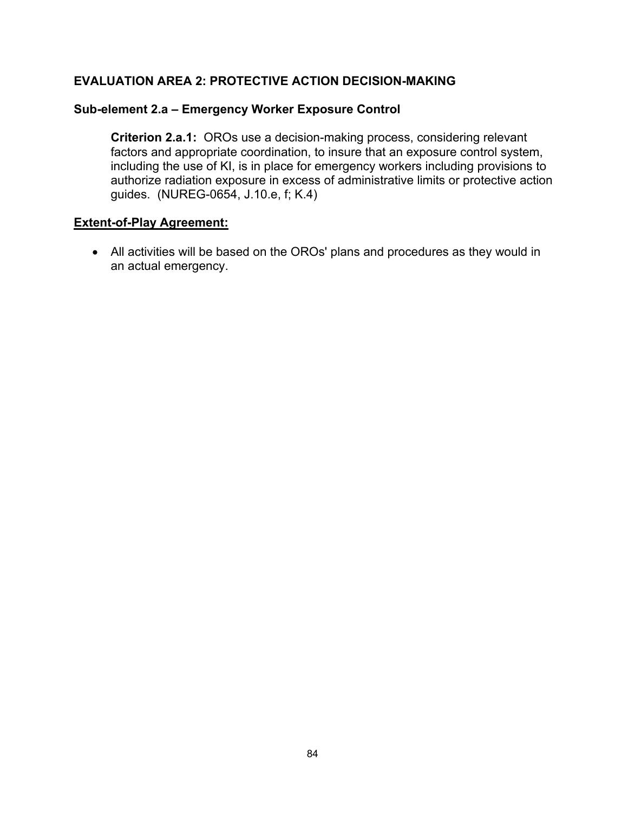#### **Sub-element 2.a – Emergency Worker Exposure Control**

**Criterion 2.a.1:** OROs use a decision-making process, considering relevant factors and appropriate coordination, to insure that an exposure control system, including the use of KI, is in place for emergency workers including provisions to authorize radiation exposure in excess of administrative limits or protective action guides. (NUREG-0654, J.10.e, f; K.4)

#### **Extent-of-Play Agreement:**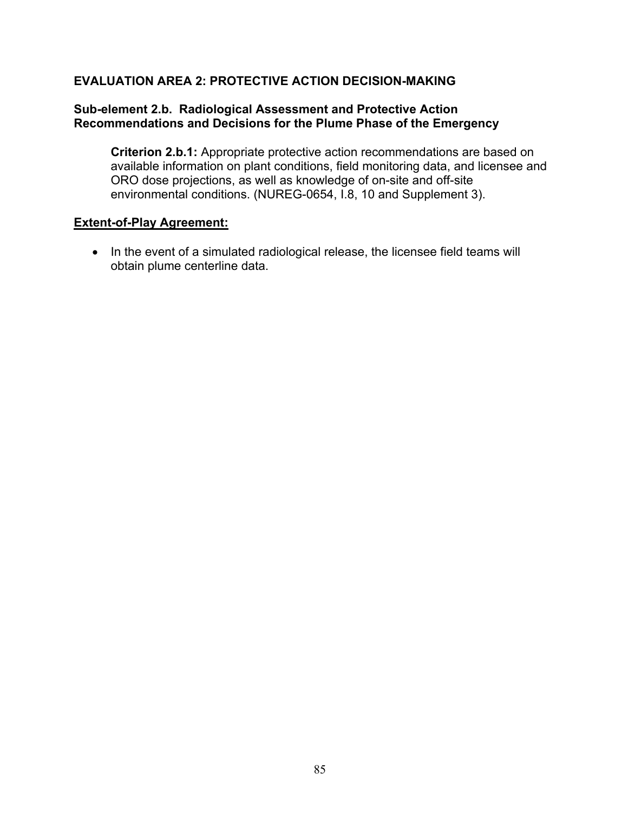#### **Sub-element 2.b. Radiological Assessment and Protective Action Recommendations and Decisions for the Plume Phase of the Emergency**

**Criterion 2.b.1:** Appropriate protective action recommendations are based on available information on plant conditions, field monitoring data, and licensee and ORO dose projections, as well as knowledge of on-site and off-site environmental conditions. (NUREG-0654, I.8, 10 and Supplement 3).

#### **Extent-of-Play Agreement:**

• In the event of a simulated radiological release, the licensee field teams will obtain plume centerline data.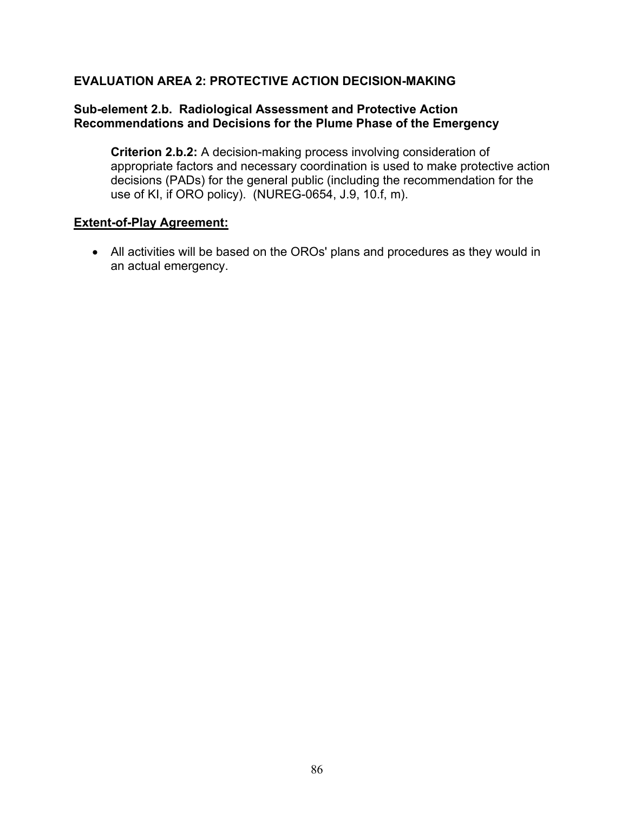#### **Sub-element 2.b. Radiological Assessment and Protective Action Recommendations and Decisions for the Plume Phase of the Emergency**

**Criterion 2.b.2:** A decision-making process involving consideration of appropriate factors and necessary coordination is used to make protective action decisions (PADs) for the general public (including the recommendation for the use of KI, if ORO policy). (NUREG-0654, J.9, 10.f, m).

#### **Extent-of-Play Agreement:**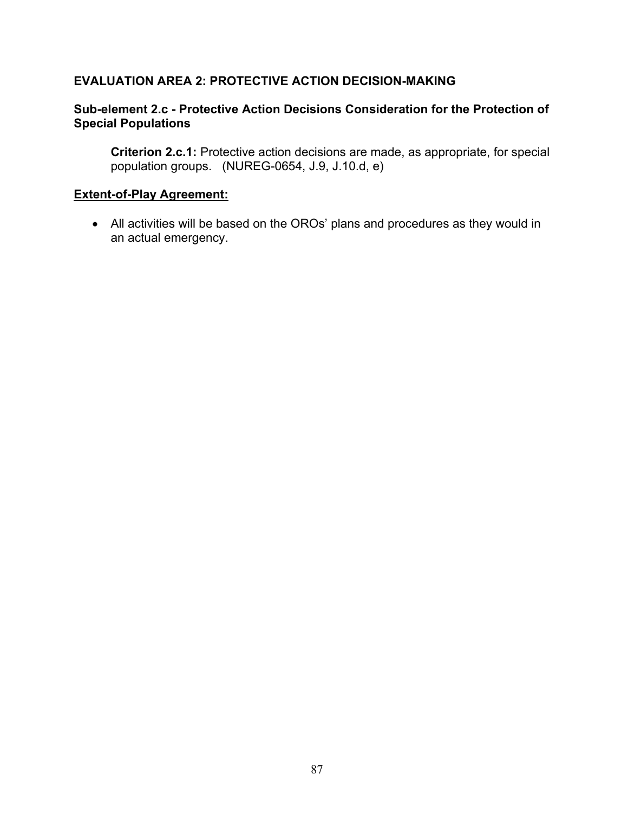#### **Sub-element 2.c - Protective Action Decisions Consideration for the Protection of Special Populations**

**Criterion 2.c.1:** Protective action decisions are made, as appropriate, for special population groups. (NUREG-0654, J.9, J.10.d, e)

#### **Extent-of-Play Agreement:**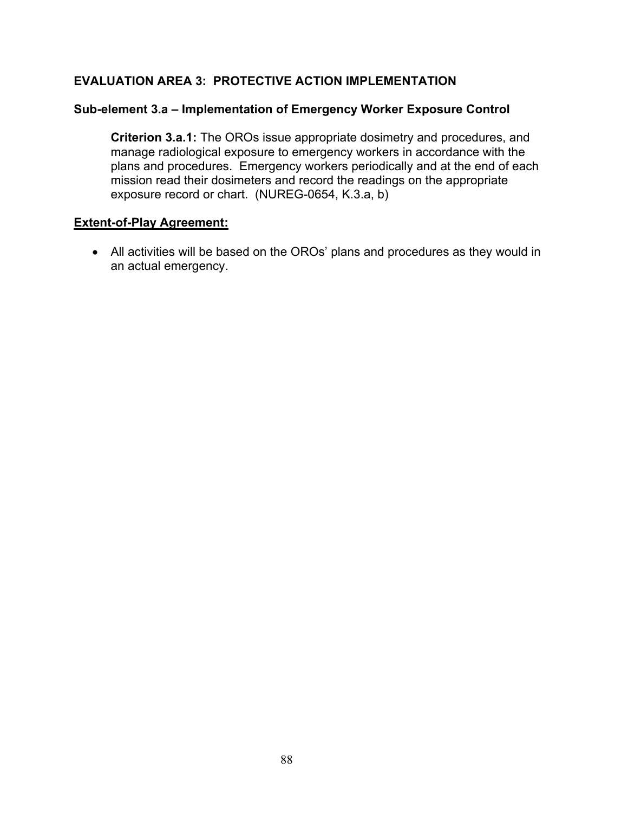#### **Sub-element 3.a – Implementation of Emergency Worker Exposure Control**

**Criterion 3.a.1:** The OROs issue appropriate dosimetry and procedures, and manage radiological exposure to emergency workers in accordance with the plans and procedures. Emergency workers periodically and at the end of each mission read their dosimeters and record the readings on the appropriate exposure record or chart. (NUREG-0654, K.3.a, b)

#### **Extent-of-Play Agreement:**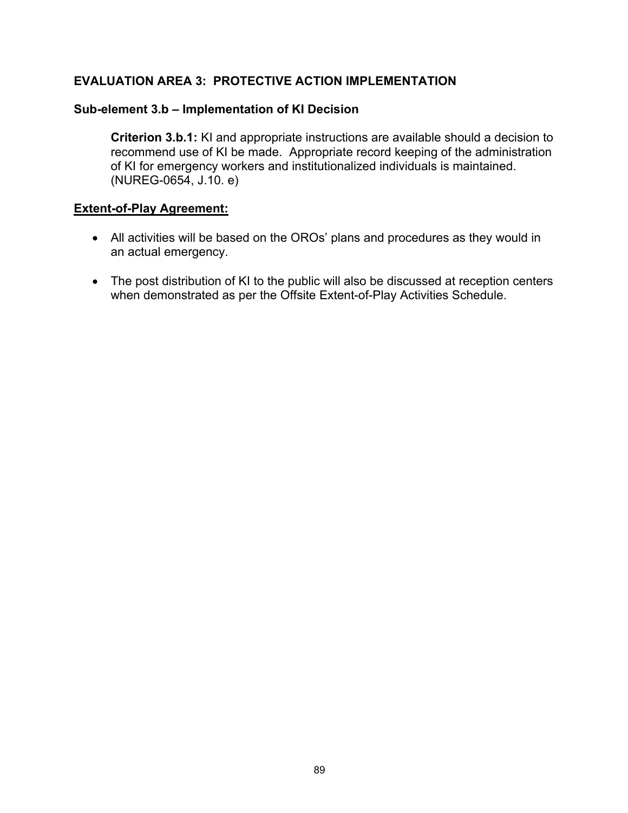#### **Sub-element 3.b – Implementation of KI Decision**

**Criterion 3.b.1:** KI and appropriate instructions are available should a decision to recommend use of KI be made. Appropriate record keeping of the administration of KI for emergency workers and institutionalized individuals is maintained. (NUREG-0654, J.10. e)

- All activities will be based on the OROs' plans and procedures as they would in an actual emergency.
- The post distribution of KI to the public will also be discussed at reception centers when demonstrated as per the Offsite Extent-of-Play Activities Schedule.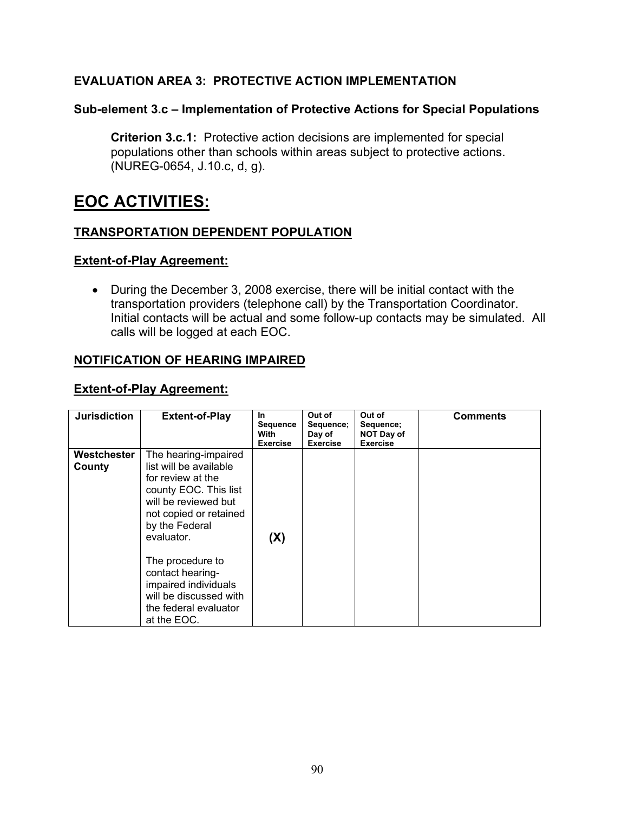#### **Sub-element 3.c – Implementation of Protective Actions for Special Populations**

**Criterion 3.c.1:** Protective action decisions are implemented for special populations other than schools within areas subject to protective actions. (NUREG-0654, J.10.c, d, g).

### **EOC ACTIVITIES:**

#### **TRANSPORTATION DEPENDENT POPULATION**

#### **Extent-of-Play Agreement:**

• During the December 3, 2008 exercise, there will be initial contact with the transportation providers (telephone call) by the Transportation Coordinator. Initial contacts will be actual and some follow-up contacts may be simulated. All calls will be logged at each EOC.

#### **NOTIFICATION OF HEARING IMPAIRED**

| <b>Jurisdiction</b>   | <b>Extent-of-Play</b>                                                                                                                                                                                                                                                                                            | In.<br>Sequence<br>With<br><b>Exercise</b> | Out of<br>Sequence;<br>Day of<br><b>Exercise</b> | Out of<br>Sequence;<br>NOT Day of<br><b>Exercise</b> | <b>Comments</b> |
|-----------------------|------------------------------------------------------------------------------------------------------------------------------------------------------------------------------------------------------------------------------------------------------------------------------------------------------------------|--------------------------------------------|--------------------------------------------------|------------------------------------------------------|-----------------|
| Westchester<br>County | The hearing-impaired<br>list will be available<br>for review at the<br>county EOC. This list<br>will be reviewed but<br>not copied or retained<br>by the Federal<br>evaluator.<br>The procedure to<br>contact hearing-<br>impaired individuals<br>will be discussed with<br>the federal evaluator<br>at the EOC. | (X)                                        |                                                  |                                                      |                 |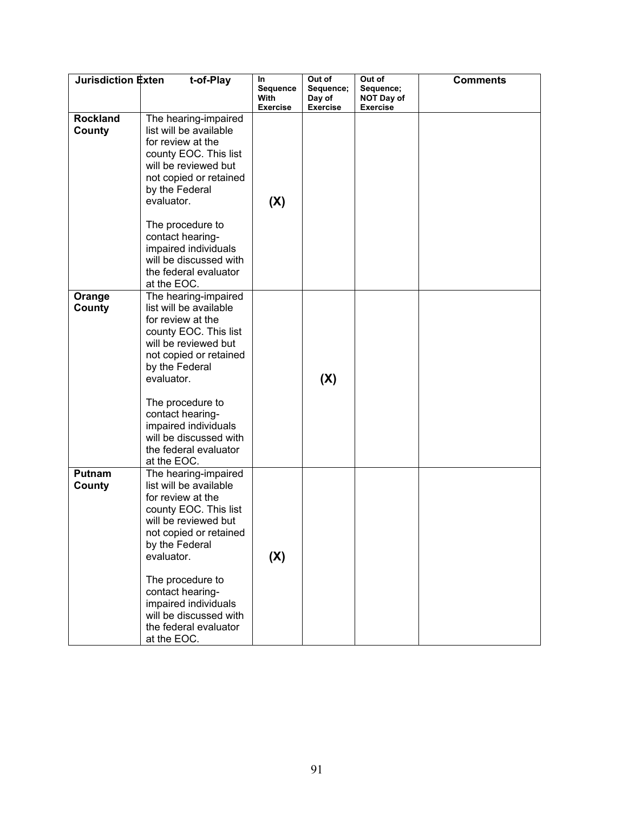| <b>Jurisdiction Exten</b> | t-of-Play                                                                                                                                                                                                              | <b>In</b><br>Sequence<br>With<br><b>Exercise</b> | Out of<br>Sequence;<br>Day of<br><b>Exercise</b> | Out of<br>Sequence;<br><b>NOT Day of</b><br><b>Exercise</b> | <b>Comments</b> |
|---------------------------|------------------------------------------------------------------------------------------------------------------------------------------------------------------------------------------------------------------------|--------------------------------------------------|--------------------------------------------------|-------------------------------------------------------------|-----------------|
| <b>Rockland</b><br>County | The hearing-impaired<br>list will be available<br>for review at the<br>county EOC. This list<br>will be reviewed but<br>not copied or retained<br>by the Federal<br>evaluator.                                         | (X)                                              |                                                  |                                                             |                 |
|                           | The procedure to<br>contact hearing-<br>impaired individuals<br>will be discussed with<br>the federal evaluator<br>at the EOC.                                                                                         |                                                  |                                                  |                                                             |                 |
| Orange<br>County          | The hearing-impaired<br>list will be available<br>for review at the<br>county EOC. This list<br>will be reviewed but<br>not copied or retained<br>by the Federal<br>evaluator.<br>The procedure to<br>contact hearing- |                                                  | (X)                                              |                                                             |                 |
|                           | impaired individuals<br>will be discussed with<br>the federal evaluator<br>at the EOC.                                                                                                                                 |                                                  |                                                  |                                                             |                 |
| Putnam<br>County          | The hearing-impaired<br>list will be available<br>for review at the<br>county EOC. This list<br>will be reviewed but<br>not copied or retained<br>by the Federal<br>evaluator.                                         | (X)                                              |                                                  |                                                             |                 |
|                           | The procedure to<br>contact hearing-<br>impaired individuals<br>will be discussed with<br>the federal evaluator<br>at the EOC.                                                                                         |                                                  |                                                  |                                                             |                 |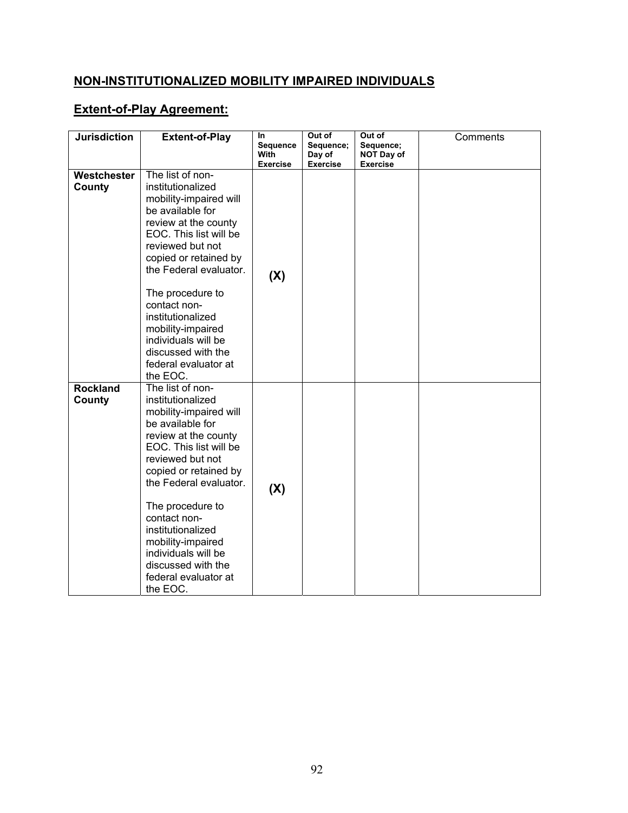#### **NON-INSTITUTIONALIZED MOBILITY IMPAIRED INDIVIDUALS**

| <b>Jurisdiction</b>       | <b>Extent-of-Play</b>                                                                                                                                                                                                                                                                                                                                                       | <b>In</b><br>Sequence<br>With<br><b>Exercise</b> | Out of<br>Sequence;<br>Day of<br><b>Exercise</b> | Out of<br>Sequence;<br>NOT Day of<br><b>Exercise</b> | Comments |
|---------------------------|-----------------------------------------------------------------------------------------------------------------------------------------------------------------------------------------------------------------------------------------------------------------------------------------------------------------------------------------------------------------------------|--------------------------------------------------|--------------------------------------------------|------------------------------------------------------|----------|
| Westchester<br>County     | The list of non-<br>institutionalized<br>mobility-impaired will<br>be available for<br>review at the county<br>EOC. This list will be<br>reviewed but not<br>copied or retained by<br>the Federal evaluator.<br>The procedure to<br>contact non-<br>institutionalized<br>mobility-impaired<br>individuals will be<br>discussed with the<br>federal evaluator at<br>the EOC. | (X)                                              |                                                  |                                                      |          |
| <b>Rockland</b><br>County | The list of non-<br>institutionalized<br>mobility-impaired will<br>be available for<br>review at the county<br>EOC. This list will be<br>reviewed but not<br>copied or retained by<br>the Federal evaluator.<br>The procedure to<br>contact non-<br>institutionalized<br>mobility-impaired<br>individuals will be<br>discussed with the<br>federal evaluator at<br>the EOC. | (X)                                              |                                                  |                                                      |          |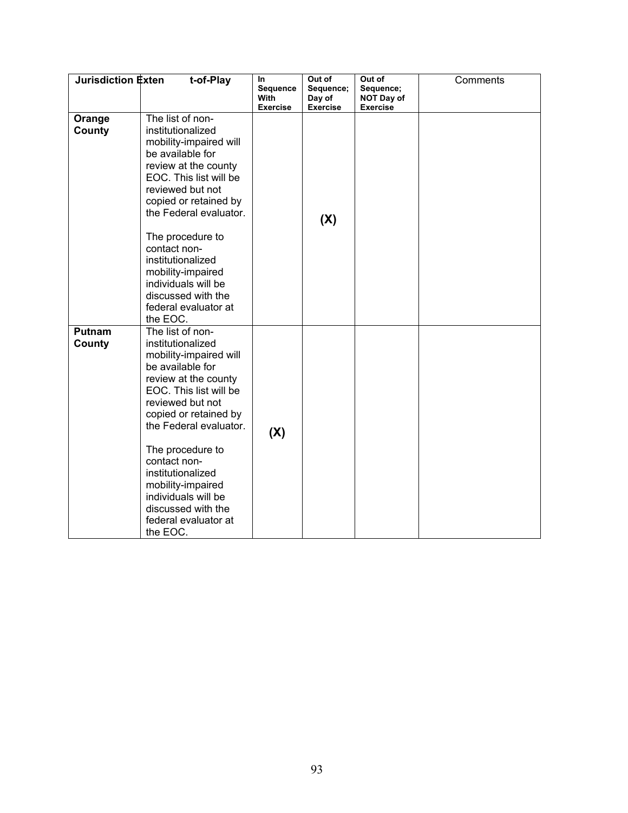| <b>Jurisdiction Exten</b> | t-of-Play                                                                                                                                                                                                                                                                                                                                                                   | In<br><b>Sequence</b>   | Out of<br>Sequence:       | Out of<br>Sequence;           | Comments |
|---------------------------|-----------------------------------------------------------------------------------------------------------------------------------------------------------------------------------------------------------------------------------------------------------------------------------------------------------------------------------------------------------------------------|-------------------------|---------------------------|-------------------------------|----------|
|                           |                                                                                                                                                                                                                                                                                                                                                                             | With<br><b>Exercise</b> | Day of<br><b>Exercise</b> | NOT Day of<br><b>Exercise</b> |          |
| Orange<br>County          | The list of non-<br>institutionalized<br>mobility-impaired will<br>be available for<br>review at the county<br>EOC. This list will be<br>reviewed but not<br>copied or retained by<br>the Federal evaluator.<br>The procedure to<br>contact non-<br>institutionalized<br>mobility-impaired<br>individuals will be<br>discussed with the<br>federal evaluator at<br>the EOC. |                         | (X)                       |                               |          |
| Putnam<br>County          | The list of non-<br>institutionalized<br>mobility-impaired will<br>be available for<br>review at the county<br>EOC. This list will be<br>reviewed but not<br>copied or retained by<br>the Federal evaluator.<br>The procedure to<br>contact non-<br>institutionalized<br>mobility-impaired<br>individuals will be<br>discussed with the<br>federal evaluator at<br>the EOC. | (X)                     |                           |                               |          |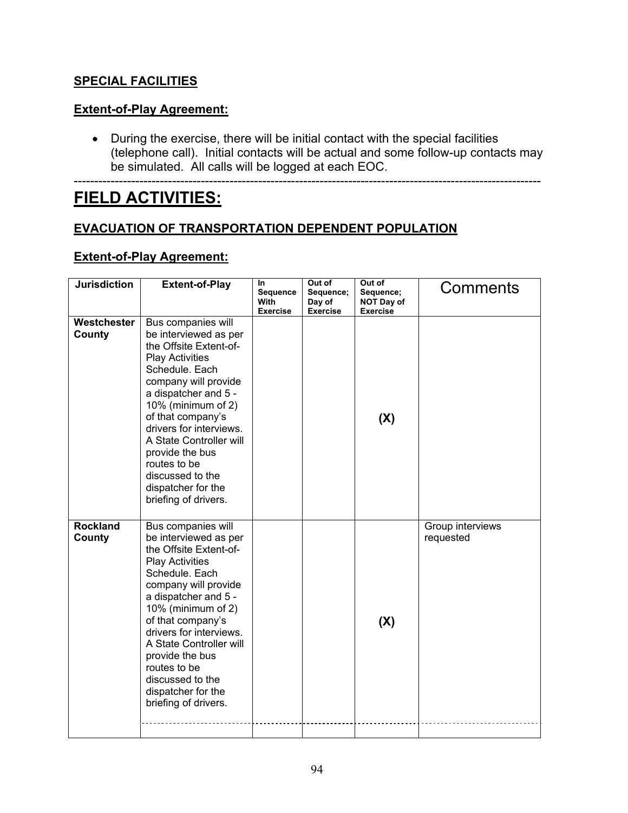#### **SPECIAL FACILITIES**

#### **Extent-of-Play Agreement:**

• During the exercise, there will be initial contact with the special facilities (telephone call). Initial contacts will be actual and some follow-up contacts may be simulated. All calls will be logged at each EOC.

------------------------------------------------------------------------------------------------------------------

## **FIELD ACTIVITIES:**

#### **EVACUATION OF TRANSPORTATION DEPENDENT POPULATION**

| <b>Jurisdiction</b>       | <b>Extent-of-Play</b>                                                                                                                                                                                                                                                                                                                                                   | In<br>Sequence<br>With<br><b>Exercise</b> | Out of<br>Sequence:<br>Day of<br><b>Exercise</b> | Out of<br>Sequence;<br>NOT Day of<br><b>Exercise</b> | Comments                      |
|---------------------------|-------------------------------------------------------------------------------------------------------------------------------------------------------------------------------------------------------------------------------------------------------------------------------------------------------------------------------------------------------------------------|-------------------------------------------|--------------------------------------------------|------------------------------------------------------|-------------------------------|
| Westchester<br>County     | Bus companies will<br>be interviewed as per<br>the Offsite Extent-of-<br><b>Play Activities</b><br>Schedule. Each<br>company will provide<br>a dispatcher and 5 -<br>10% (minimum of 2)<br>of that company's<br>drivers for interviews.<br>A State Controller will<br>provide the bus<br>routes to be<br>discussed to the<br>dispatcher for the<br>briefing of drivers. |                                           |                                                  | (X)                                                  |                               |
| <b>Rockland</b><br>County | Bus companies will<br>be interviewed as per<br>the Offsite Extent-of-<br><b>Play Activities</b><br>Schedule. Each<br>company will provide<br>a dispatcher and 5 -<br>10% (minimum of 2)<br>of that company's<br>drivers for interviews.<br>A State Controller will<br>provide the bus<br>routes to be<br>discussed to the<br>dispatcher for the<br>briefing of drivers. |                                           |                                                  | (X)                                                  | Group interviews<br>requested |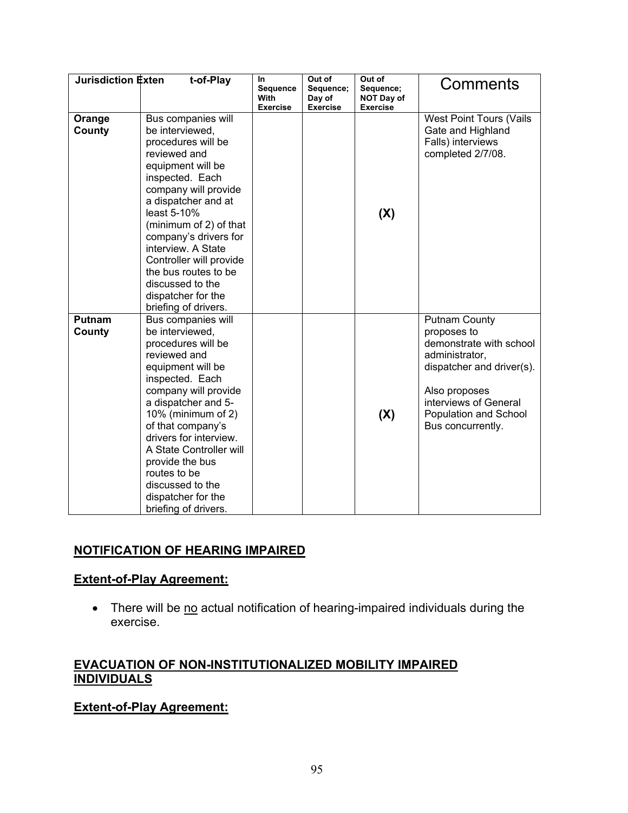| <b>Jurisdiction Exten</b> | t-of-Play                                                                                                                                                                                                                                                                                                                                                                       | In<br>Sequence<br>With<br><b>Exercise</b> | Out of<br>Sequence;<br>Day of<br><b>Exercise</b> | Out of<br>Sequence;<br><b>NOT Day of</b><br><b>Exercise</b> | Comments                                                                                                                                                                                              |
|---------------------------|---------------------------------------------------------------------------------------------------------------------------------------------------------------------------------------------------------------------------------------------------------------------------------------------------------------------------------------------------------------------------------|-------------------------------------------|--------------------------------------------------|-------------------------------------------------------------|-------------------------------------------------------------------------------------------------------------------------------------------------------------------------------------------------------|
| Orange<br>County          | Bus companies will<br>be interviewed,<br>procedures will be<br>reviewed and<br>equipment will be<br>inspected. Each<br>company will provide<br>a dispatcher and at<br>least 5-10%<br>(minimum of 2) of that<br>company's drivers for<br>interview. A State<br>Controller will provide<br>the bus routes to be<br>discussed to the<br>dispatcher for the<br>briefing of drivers. |                                           |                                                  | (X)                                                         | West Point Tours (Vails<br>Gate and Highland<br>Falls) interviews<br>completed 2/7/08.                                                                                                                |
| Putnam<br>County          | Bus companies will<br>be interviewed,<br>procedures will be<br>reviewed and<br>equipment will be<br>inspected. Each<br>company will provide<br>a dispatcher and 5-<br>10% (minimum of 2)<br>of that company's<br>drivers for interview.<br>A State Controller will<br>provide the bus<br>routes to be<br>discussed to the<br>dispatcher for the<br>briefing of drivers.         |                                           |                                                  | (X)                                                         | <b>Putnam County</b><br>proposes to<br>demonstrate with school<br>administrator,<br>dispatcher and driver(s).<br>Also proposes<br>interviews of General<br>Population and School<br>Bus concurrently. |

#### **NOTIFICATION OF HEARING IMPAIRED**

#### **Extent-of-Play Agreement:**

• There will be no actual notification of hearing-impaired individuals during the exercise.

#### **EVACUATION OF NON-INSTITUTIONALIZED MOBILITY IMPAIRED INDIVIDUALS**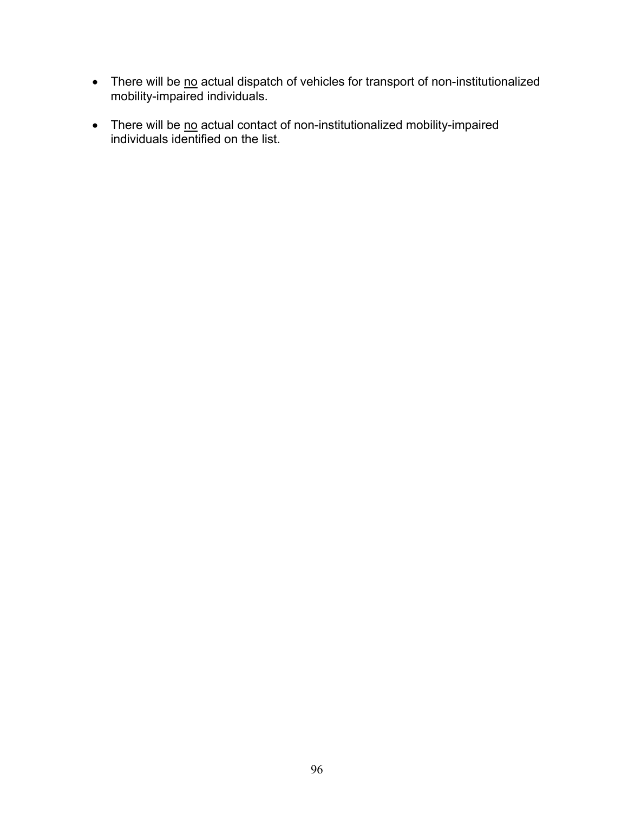- There will be no actual dispatch of vehicles for transport of non-institutionalized mobility-impaired individuals.
- There will be no actual contact of non-institutionalized mobility-impaired individuals identified on the list.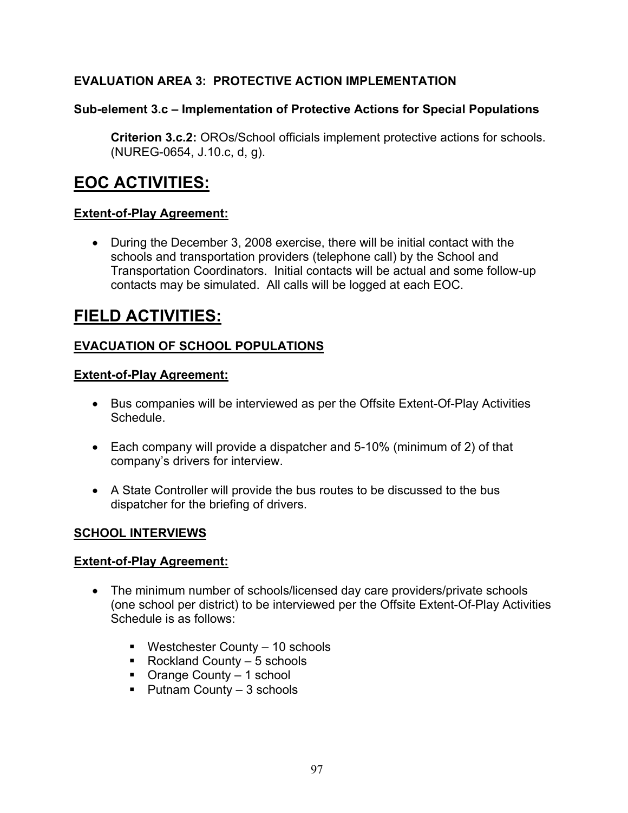#### **Sub-element 3.c – Implementation of Protective Actions for Special Populations**

**Criterion 3.c.2:** OROs/School officials implement protective actions for schools. (NUREG-0654, J.10.c, d, g).

## **EOC ACTIVITIES:**

#### **Extent-of-Play Agreement:**

• During the December 3, 2008 exercise, there will be initial contact with the schools and transportation providers (telephone call) by the School and Transportation Coordinators. Initial contacts will be actual and some follow-up contacts may be simulated. All calls will be logged at each EOC.

### **FIELD ACTIVITIES:**

#### **EVACUATION OF SCHOOL POPULATIONS**

#### **Extent-of-Play Agreement:**

- Bus companies will be interviewed as per the Offsite Extent-Of-Play Activities **Schedule**
- Each company will provide a dispatcher and 5-10% (minimum of 2) of that company's drivers for interview.
- A State Controller will provide the bus routes to be discussed to the bus dispatcher for the briefing of drivers.

#### **SCHOOL INTERVIEWS**

- The minimum number of schools/licensed day care providers/private schools (one school per district) to be interviewed per the Offsite Extent-Of-Play Activities Schedule is as follows:
	- Westchester County 10 schools
	- Rockland County  $-5$  schools
	- Orange County 1 school
	- $\blacksquare$  Putnam County 3 schools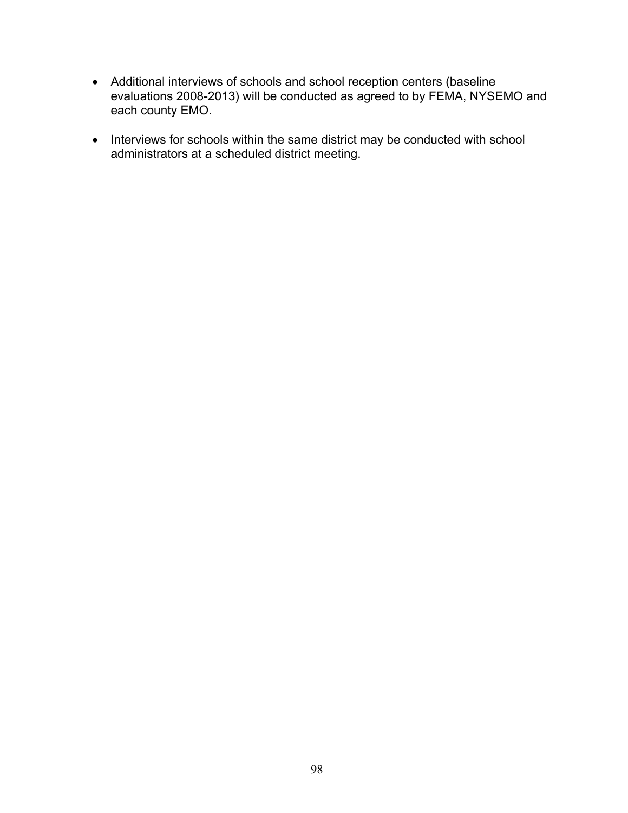- Additional interviews of schools and school reception centers (baseline evaluations 2008-2013) will be conducted as agreed to by FEMA, NYSEMO and each county EMO.
- Interviews for schools within the same district may be conducted with school administrators at a scheduled district meeting.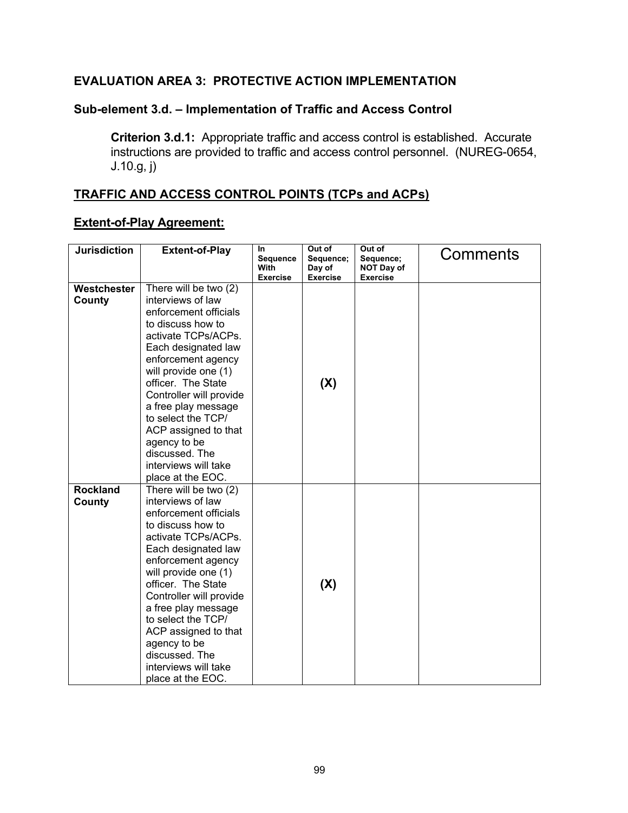#### **Sub-element 3.d. – Implementation of Traffic and Access Control**

**Criterion 3.d.1:** Appropriate traffic and access control is established. Accurate instructions are provided to traffic and access control personnel. (NUREG-0654, J.10.g, j)

#### **TRAFFIC AND ACCESS CONTROL POINTS (TCPs and ACPs)**

| <b>Jurisdiction</b>       | <b>Extent-of-Play</b>                                                                                                                                                                                                                                                                                                                                                                     | <b>In</b><br><b>Sequence</b><br>With<br><b>Exercise</b> | Out of<br>Sequence:<br>Day of<br><b>Exercise</b> | Out of<br>Sequence;<br>NOT Day of<br><b>Exercise</b> | Comments |
|---------------------------|-------------------------------------------------------------------------------------------------------------------------------------------------------------------------------------------------------------------------------------------------------------------------------------------------------------------------------------------------------------------------------------------|---------------------------------------------------------|--------------------------------------------------|------------------------------------------------------|----------|
| Westchester<br>County     | There will be two (2)<br>interviews of law<br>enforcement officials<br>to discuss how to<br>activate TCPs/ACPs.<br>Each designated law<br>enforcement agency<br>will provide one (1)<br>officer. The State<br>Controller will provide<br>a free play message<br>to select the TCP/<br>ACP assigned to that<br>agency to be<br>discussed. The<br>interviews will take<br>place at the EOC. |                                                         | (X)                                              |                                                      |          |
| <b>Rockland</b><br>County | There will be two (2)<br>interviews of law<br>enforcement officials<br>to discuss how to<br>activate TCPs/ACPs.<br>Each designated law<br>enforcement agency<br>will provide one (1)<br>officer. The State<br>Controller will provide<br>a free play message<br>to select the TCP/<br>ACP assigned to that<br>agency to be<br>discussed. The<br>interviews will take<br>place at the EOC. |                                                         | (X)                                              |                                                      |          |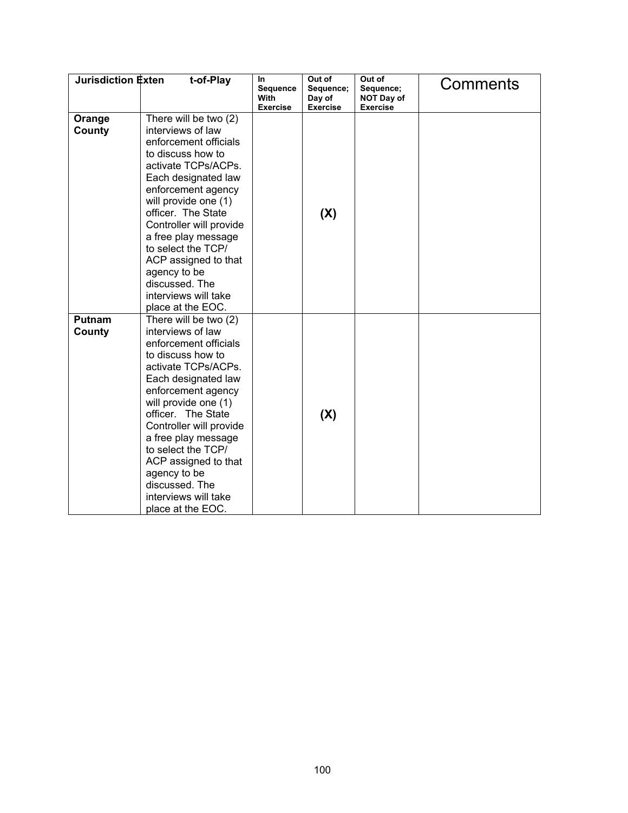| <b>Jurisdiction Exten</b> | t-of-Play                                                                                                                                                                                                                                                                                                                                                                                 | <b>In</b><br><b>Sequence</b><br>With<br><b>Exercise</b> | Out of<br>Sequence;<br>Day of<br><b>Exercise</b> | Out of<br>Sequence;<br>NOT Day of<br><b>Exercise</b> | Comments |
|---------------------------|-------------------------------------------------------------------------------------------------------------------------------------------------------------------------------------------------------------------------------------------------------------------------------------------------------------------------------------------------------------------------------------------|---------------------------------------------------------|--------------------------------------------------|------------------------------------------------------|----------|
| Orange<br>County          | There will be two (2)<br>interviews of law<br>enforcement officials<br>to discuss how to<br>activate TCPs/ACPs.<br>Each designated law<br>enforcement agency<br>will provide one (1)<br>officer. The State<br>Controller will provide<br>a free play message<br>to select the TCP/<br>ACP assigned to that<br>agency to be<br>discussed. The<br>interviews will take<br>place at the EOC. |                                                         | (X)                                              |                                                      |          |
| <b>Putnam</b><br>County   | There will be two (2)<br>interviews of law<br>enforcement officials<br>to discuss how to<br>activate TCPs/ACPs.<br>Each designated law<br>enforcement agency<br>will provide one (1)<br>officer. The State<br>Controller will provide<br>a free play message<br>to select the TCP/<br>ACP assigned to that<br>agency to be<br>discussed. The<br>interviews will take<br>place at the EOC. |                                                         | (X)                                              |                                                      |          |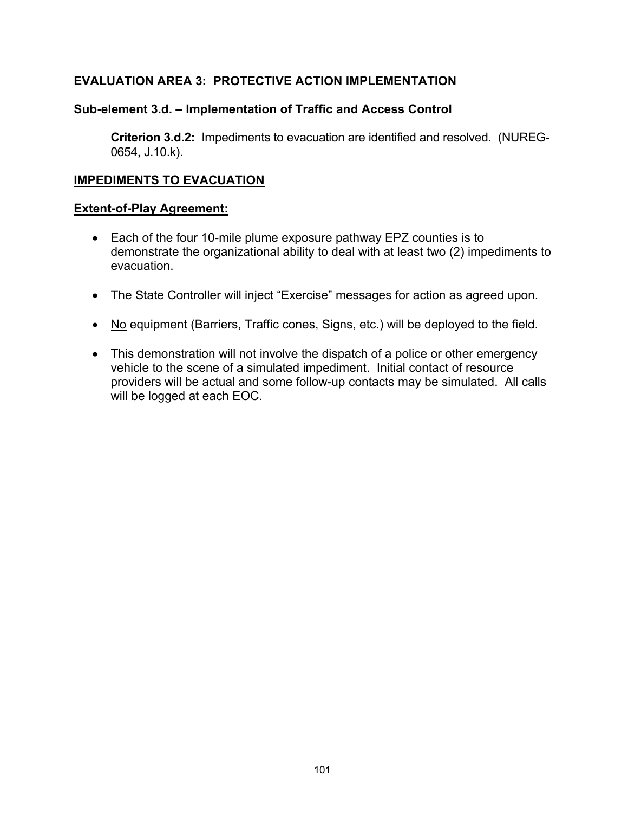#### **Sub-element 3.d. – Implementation of Traffic and Access Control**

**Criterion 3.d.2:** Impediments to evacuation are identified and resolved. (NUREG-0654, J.10.k).

#### **IMPEDIMENTS TO EVACUATION**

- Each of the four 10-mile plume exposure pathway EPZ counties is to demonstrate the organizational ability to deal with at least two (2) impediments to evacuation.
- The State Controller will inject "Exercise" messages for action as agreed upon.
- No equipment (Barriers, Traffic cones, Signs, etc.) will be deployed to the field.
- This demonstration will not involve the dispatch of a police or other emergency vehicle to the scene of a simulated impediment. Initial contact of resource providers will be actual and some follow-up contacts may be simulated. All calls will be logged at each EOC.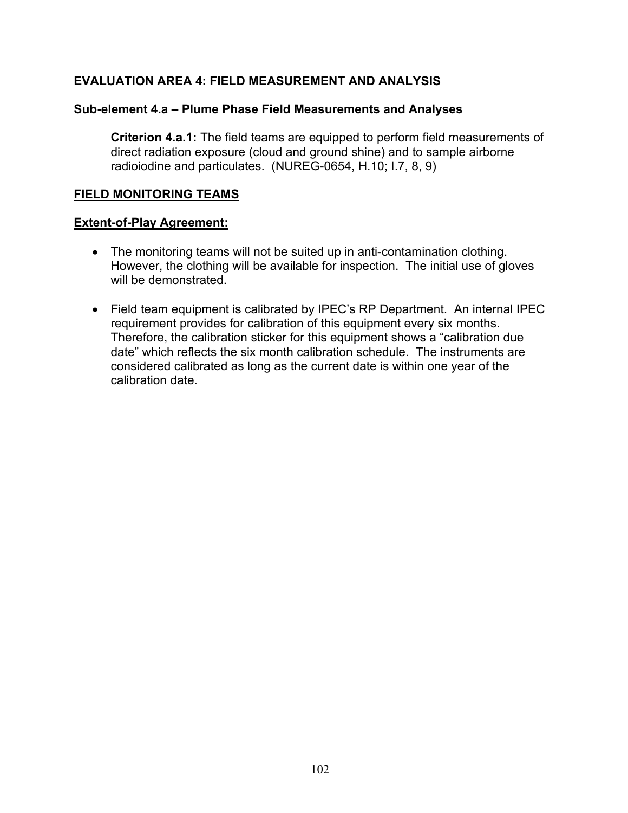#### **EVALUATION AREA 4: FIELD MEASUREMENT AND ANALYSIS**

#### **Sub-element 4.a – Plume Phase Field Measurements and Analyses**

**Criterion 4.a.1:** The field teams are equipped to perform field measurements of direct radiation exposure (cloud and ground shine) and to sample airborne radioiodine and particulates. (NUREG-0654, H.10; I.7, 8, 9)

#### **FIELD MONITORING TEAMS**

- The monitoring teams will not be suited up in anti-contamination clothing. However, the clothing will be available for inspection. The initial use of gloves will be demonstrated
- Field team equipment is calibrated by IPEC's RP Department. An internal IPEC requirement provides for calibration of this equipment every six months. Therefore, the calibration sticker for this equipment shows a "calibration due date" which reflects the six month calibration schedule. The instruments are considered calibrated as long as the current date is within one year of the calibration date.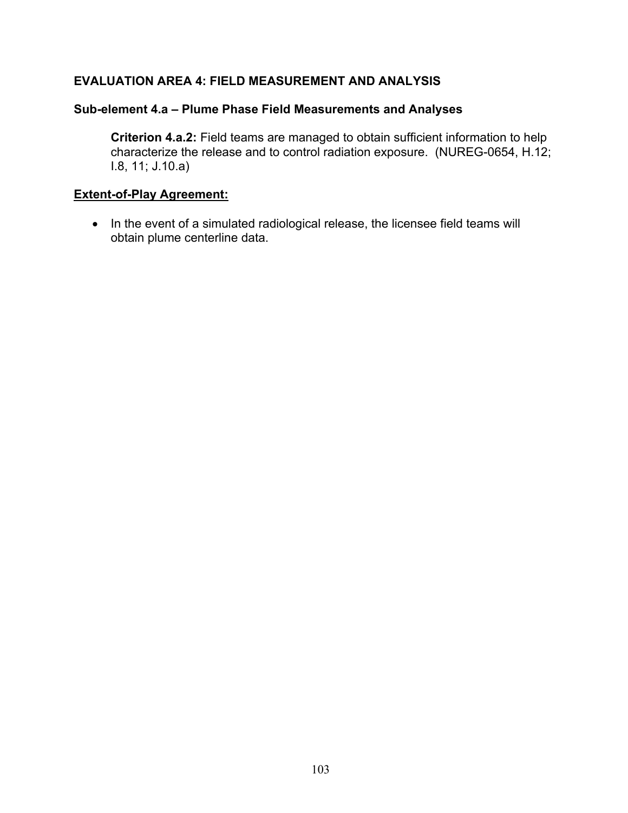#### **EVALUATION AREA 4: FIELD MEASUREMENT AND ANALYSIS**

#### **Sub-element 4.a – Plume Phase Field Measurements and Analyses**

**Criterion 4.a.2:** Field teams are managed to obtain sufficient information to help characterize the release and to control radiation exposure. (NUREG-0654, H.12; I.8, 11; J.10.a)

#### **Extent-of-Play Agreement:**

• In the event of a simulated radiological release, the licensee field teams will obtain plume centerline data.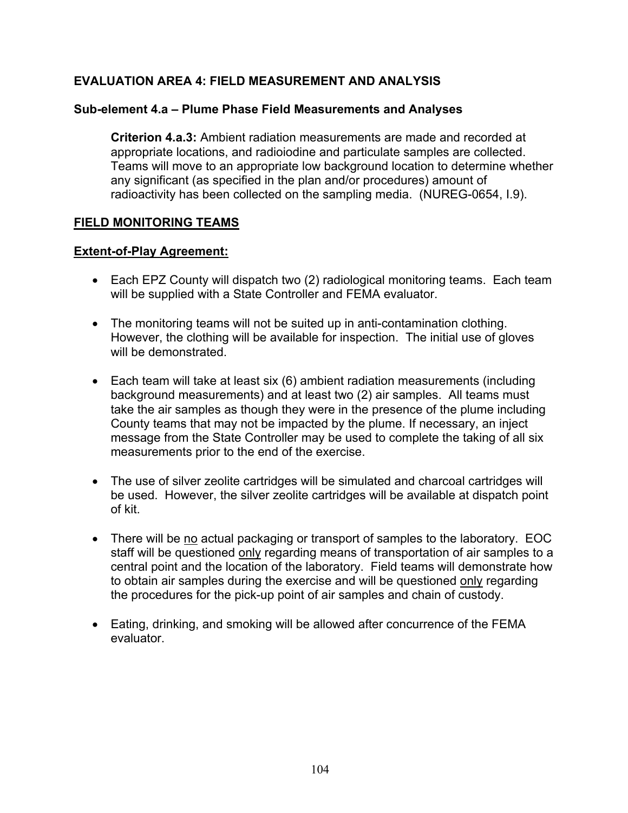### **EVALUATION AREA 4: FIELD MEASUREMENT AND ANALYSIS**

### **Sub-element 4.a – Plume Phase Field Measurements and Analyses**

**Criterion 4.a.3:** Ambient radiation measurements are made and recorded at appropriate locations, and radioiodine and particulate samples are collected. Teams will move to an appropriate low background location to determine whether any significant (as specified in the plan and/or procedures) amount of radioactivity has been collected on the sampling media. (NUREG-0654, I.9).

### **FIELD MONITORING TEAMS**

- Each EPZ County will dispatch two (2) radiological monitoring teams. Each team will be supplied with a State Controller and FEMA evaluator.
- The monitoring teams will not be suited up in anti-contamination clothing. However, the clothing will be available for inspection. The initial use of gloves will be demonstrated.
- Each team will take at least six (6) ambient radiation measurements (including background measurements) and at least two (2) air samples. All teams must take the air samples as though they were in the presence of the plume including County teams that may not be impacted by the plume. If necessary, an inject message from the State Controller may be used to complete the taking of all six measurements prior to the end of the exercise.
- The use of silver zeolite cartridges will be simulated and charcoal cartridges will be used. However, the silver zeolite cartridges will be available at dispatch point of kit.
- There will be no actual packaging or transport of samples to the laboratory. EOC staff will be questioned only regarding means of transportation of air samples to a central point and the location of the laboratory. Field teams will demonstrate how to obtain air samples during the exercise and will be questioned only regarding the procedures for the pick-up point of air samples and chain of custody.
- Eating, drinking, and smoking will be allowed after concurrence of the FEMA evaluator.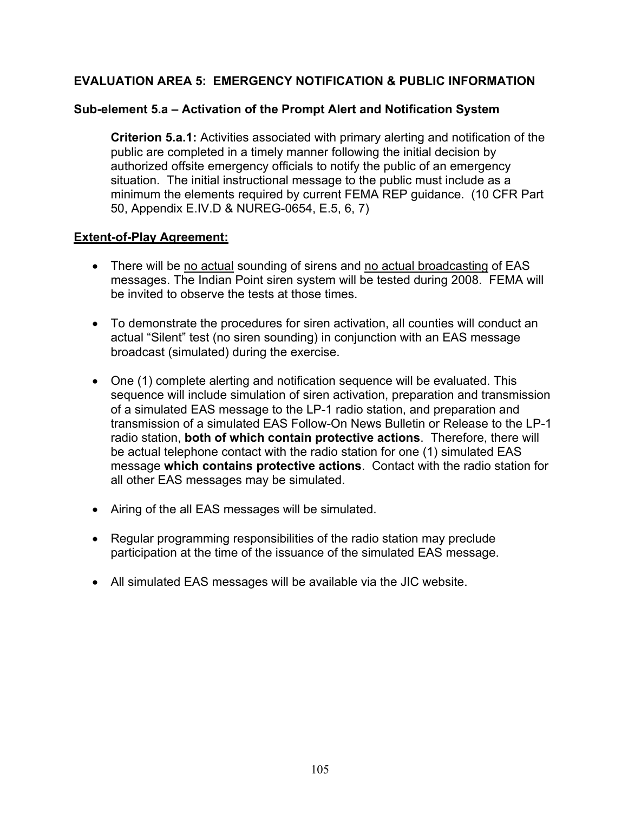## **EVALUATION AREA 5: EMERGENCY NOTIFICATION & PUBLIC INFORMATION**

### **Sub-element 5.a – Activation of the Prompt Alert and Notification System**

**Criterion 5.a.1:** Activities associated with primary alerting and notification of the public are completed in a timely manner following the initial decision by authorized offsite emergency officials to notify the public of an emergency situation. The initial instructional message to the public must include as a minimum the elements required by current FEMA REP guidance. (10 CFR Part 50, Appendix E.IV.D & NUREG-0654, E.5, 6, 7)

- There will be no actual sounding of sirens and no actual broadcasting of EAS messages. The Indian Point siren system will be tested during 2008. FEMA will be invited to observe the tests at those times.
- To demonstrate the procedures for siren activation, all counties will conduct an actual "Silent" test (no siren sounding) in conjunction with an EAS message broadcast (simulated) during the exercise.
- One (1) complete alerting and notification sequence will be evaluated. This sequence will include simulation of siren activation, preparation and transmission of a simulated EAS message to the LP-1 radio station, and preparation and transmission of a simulated EAS Follow-On News Bulletin or Release to the LP-1 radio station, **both of which contain protective actions**. Therefore, there will be actual telephone contact with the radio station for one (1) simulated EAS message **which contains protective actions**. Contact with the radio station for all other EAS messages may be simulated.
- Airing of the all EAS messages will be simulated.
- Regular programming responsibilities of the radio station may preclude participation at the time of the issuance of the simulated EAS message.
- All simulated EAS messages will be available via the JIC website.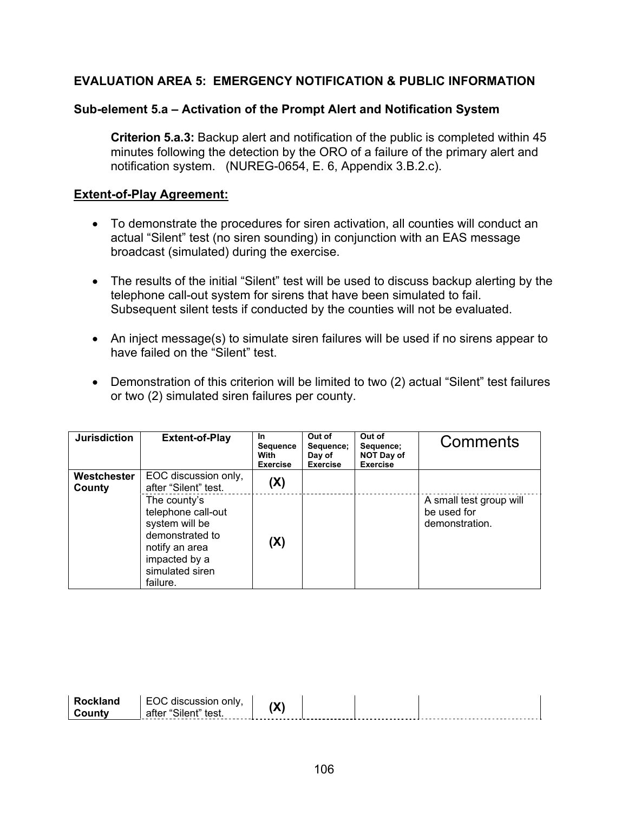## **EVALUATION AREA 5: EMERGENCY NOTIFICATION & PUBLIC INFORMATION**

### **Sub-element 5.a – Activation of the Prompt Alert and Notification System**

**Criterion 5.a.3:** Backup alert and notification of the public is completed within 45 minutes following the detection by the ORO of a failure of the primary alert and notification system. (NUREG-0654, E. 6, Appendix 3.B.2.c).

- To demonstrate the procedures for siren activation, all counties will conduct an actual "Silent" test (no siren sounding) in conjunction with an EAS message broadcast (simulated) during the exercise.
- The results of the initial "Silent" test will be used to discuss backup alerting by the telephone call-out system for sirens that have been simulated to fail. Subsequent silent tests if conducted by the counties will not be evaluated.
- An inject message(s) to simulate siren failures will be used if no sirens appear to have failed on the "Silent" test.
- Demonstration of this criterion will be limited to two (2) actual "Silent" test failures or two (2) simulated siren failures per county.

| <b>Jurisdiction</b>   | <b>Extent-of-Play</b>                                                                                                                     | In<br><b>Sequence</b><br>With<br><b>Exercise</b> | Out of<br>Sequence:<br>Day of<br><b>Exercise</b> | Out of<br>Sequence:<br><b>NOT Day of</b><br><b>Exercise</b> | Comments                                                 |
|-----------------------|-------------------------------------------------------------------------------------------------------------------------------------------|--------------------------------------------------|--------------------------------------------------|-------------------------------------------------------------|----------------------------------------------------------|
| Westchester<br>County | EOC discussion only,<br>after "Silent" test.                                                                                              | (X)                                              |                                                  |                                                             |                                                          |
|                       | The county's<br>telephone call-out<br>system will be<br>demonstrated to<br>notify an area<br>impacted by a<br>simulated siren<br>failure. | (X)                                              |                                                  |                                                             | A small test group will<br>be used for<br>demonstration. |

| <b>Rockland</b> | EO <sub>C</sub><br>C discussion only. | 19.F |  |  |
|-----------------|---------------------------------------|------|--|--|
| County          | after "Silent"<br>test                |      |  |  |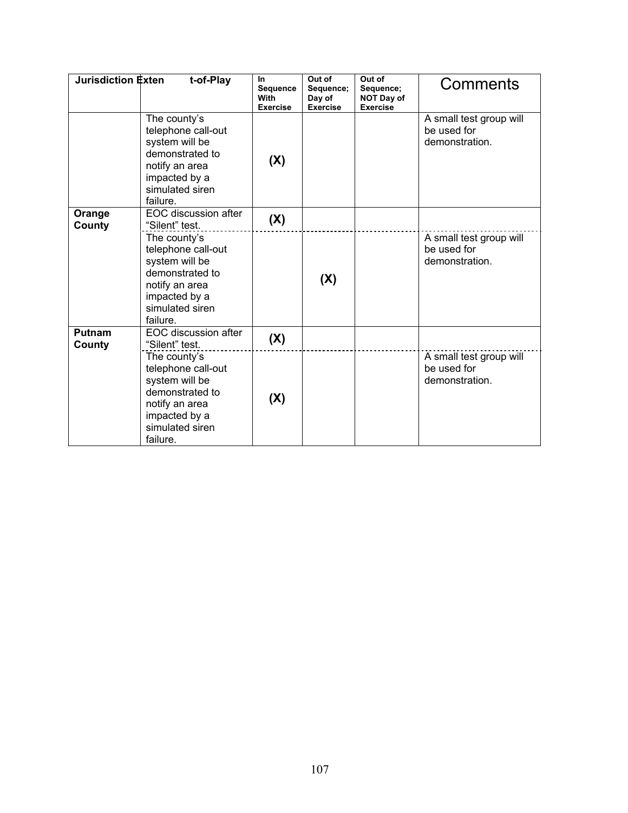| <b>Jurisdiction Exten</b> | t-of-Play                                                                                                                                 | <b>In</b><br><b>Sequence</b><br>With<br><b>Exercise</b> | Out of<br>Sequence:<br>Day of<br><b>Exercise</b> | Out of<br>Sequence:<br>NOT Day of<br><b>Exercise</b> | Comments                                                 |
|---------------------------|-------------------------------------------------------------------------------------------------------------------------------------------|---------------------------------------------------------|--------------------------------------------------|------------------------------------------------------|----------------------------------------------------------|
|                           | The county's<br>telephone call-out<br>system will be<br>demonstrated to<br>notify an area<br>impacted by a<br>simulated siren<br>failure. | (X)                                                     |                                                  |                                                      | A small test group will<br>be used for<br>demonstration. |
| Orange<br>County          | EOC discussion after<br>"Silent" test.                                                                                                    | (X)                                                     |                                                  |                                                      |                                                          |
|                           | The county's<br>telephone call-out<br>system will be<br>demonstrated to<br>notify an area<br>impacted by a<br>simulated siren<br>failure. |                                                         | (X)                                              |                                                      | A small test group will<br>be used for<br>demonstration. |
| Putnam<br>County          | EOC discussion after<br>"Silent" test.                                                                                                    | (X)                                                     |                                                  |                                                      |                                                          |
|                           | The county's<br>telephone call-out<br>system will be<br>demonstrated to<br>notify an area<br>impacted by a<br>simulated siren<br>failure. | (X)                                                     |                                                  |                                                      | A small test group will<br>be used for<br>demonstration. |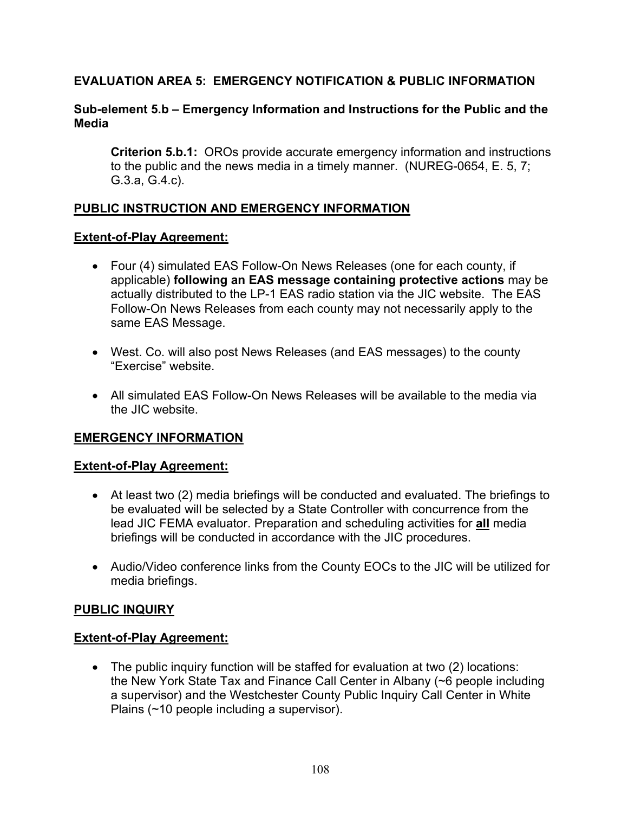### **EVALUATION AREA 5: EMERGENCY NOTIFICATION & PUBLIC INFORMATION**

### **Sub-element 5.b – Emergency Information and Instructions for the Public and the Media**

**Criterion 5.b.1:** OROs provide accurate emergency information and instructions to the public and the news media in a timely manner. (NUREG-0654, E. 5, 7; G.3.a, G.4.c).

### **PUBLIC INSTRUCTION AND EMERGENCY INFORMATION**

### **Extent-of-Play Agreement:**

- Four (4) simulated EAS Follow-On News Releases (one for each county, if applicable) **following an EAS message containing protective actions** may be actually distributed to the LP-1 EAS radio station via the JIC website. The EAS Follow-On News Releases from each county may not necessarily apply to the same EAS Message.
- West. Co. will also post News Releases (and EAS messages) to the county "Exercise" website.
- All simulated EAS Follow-On News Releases will be available to the media via the JIC website.

### **EMERGENCY INFORMATION**

### **Extent-of-Play Agreement:**

- At least two (2) media briefings will be conducted and evaluated. The briefings to be evaluated will be selected by a State Controller with concurrence from the lead JIC FEMA evaluator. Preparation and scheduling activities for **all** media briefings will be conducted in accordance with the JIC procedures.
- Audio/Video conference links from the County EOCs to the JIC will be utilized for media briefings.

### **PUBLIC INQUIRY**

### **Extent-of-Play Agreement:**

• The public inquiry function will be staffed for evaluation at two (2) locations: the New York State Tax and Finance Call Center in Albany (~6 people including a supervisor) and the Westchester County Public Inquiry Call Center in White Plains (~10 people including a supervisor).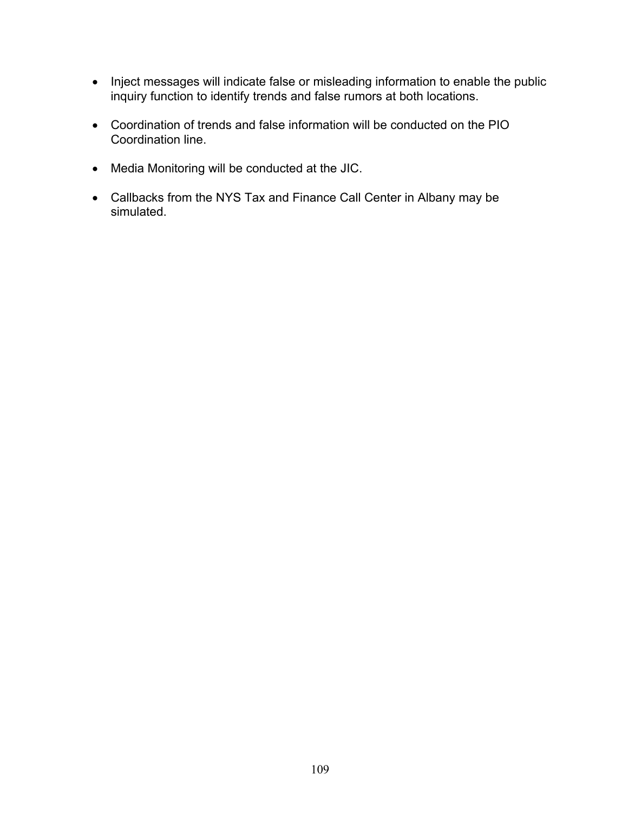- Inject messages will indicate false or misleading information to enable the public inquiry function to identify trends and false rumors at both locations.
- Coordination of trends and false information will be conducted on the PIO Coordination line.
- Media Monitoring will be conducted at the JIC.
- Callbacks from the NYS Tax and Finance Call Center in Albany may be simulated.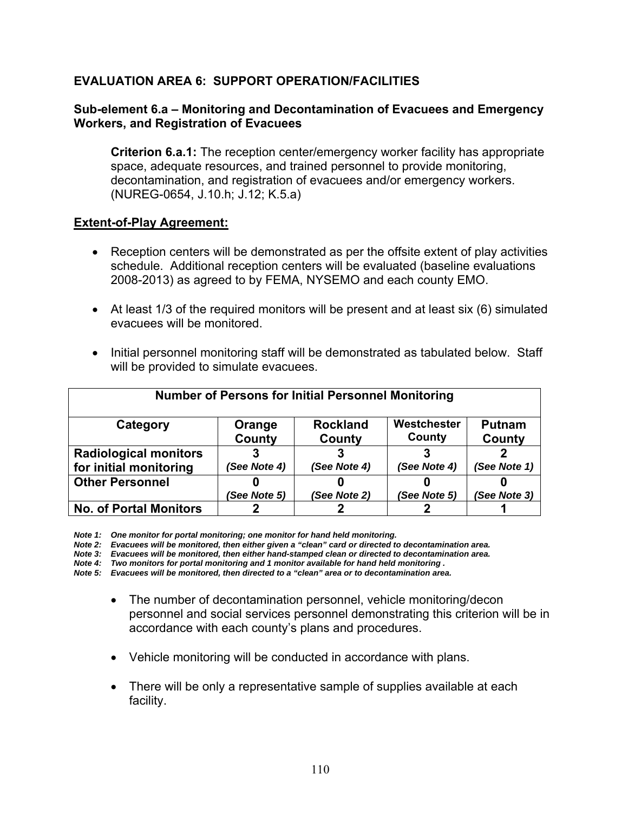### **Sub-element 6.a – Monitoring and Decontamination of Evacuees and Emergency Workers, and Registration of Evacuees**

**Criterion 6.a.1:** The reception center/emergency worker facility has appropriate space, adequate resources, and trained personnel to provide monitoring, decontamination, and registration of evacuees and/or emergency workers. (NUREG-0654, J.10.h; J.12; K.5.a)

### **Extent-of-Play Agreement:**

- Reception centers will be demonstrated as per the offsite extent of play activities schedule. Additional reception centers will be evaluated (baseline evaluations 2008-2013) as agreed to by FEMA, NYSEMO and each county EMO.
- At least 1/3 of the required monitors will be present and at least six (6) simulated evacuees will be monitored.
- Initial personnel monitoring staff will be demonstrated as tabulated below. Staff will be provided to simulate evacuees.

| <b>Number of Persons for Initial Personnel Monitoring</b> |                         |                           |                       |                                |  |  |  |  |  |
|-----------------------------------------------------------|-------------------------|---------------------------|-----------------------|--------------------------------|--|--|--|--|--|
| Category                                                  | Orange<br><b>County</b> | <b>Rockland</b><br>County | Westchester<br>County | <b>Putnam</b><br><b>County</b> |  |  |  |  |  |
| <b>Radiological monitors</b><br>for initial monitoring    | (See Note 4)            | (See Note 4)              | (See Note 4)          | (See Note 1)                   |  |  |  |  |  |
| <b>Other Personnel</b>                                    | (See Note 5)            | (See Note 2)              | (See Note 5)          | (See Note 3)                   |  |  |  |  |  |
| <b>No. of Portal Monitors</b>                             |                         |                           |                       |                                |  |  |  |  |  |

*Note 1: One monitor for portal monitoring; one monitor for hand held monitoring.* 

*Note 2: Evacuees will be monitored, then either given a "clean" card or directed to decontamination area.* 

*Note 3: Evacuees will be monitored, then either hand-stamped clean or directed to decontamination area.* 

*Note 4: Two monitors for portal monitoring and 1 monitor available for hand held monitoring .* 

*Note 5: Evacuees will be monitored, then directed to a "clean" area or to decontamination area.* 

- The number of decontamination personnel, vehicle monitoring/decon personnel and social services personnel demonstrating this criterion will be in accordance with each county's plans and procedures.
- Vehicle monitoring will be conducted in accordance with plans.
- There will be only a representative sample of supplies available at each facility.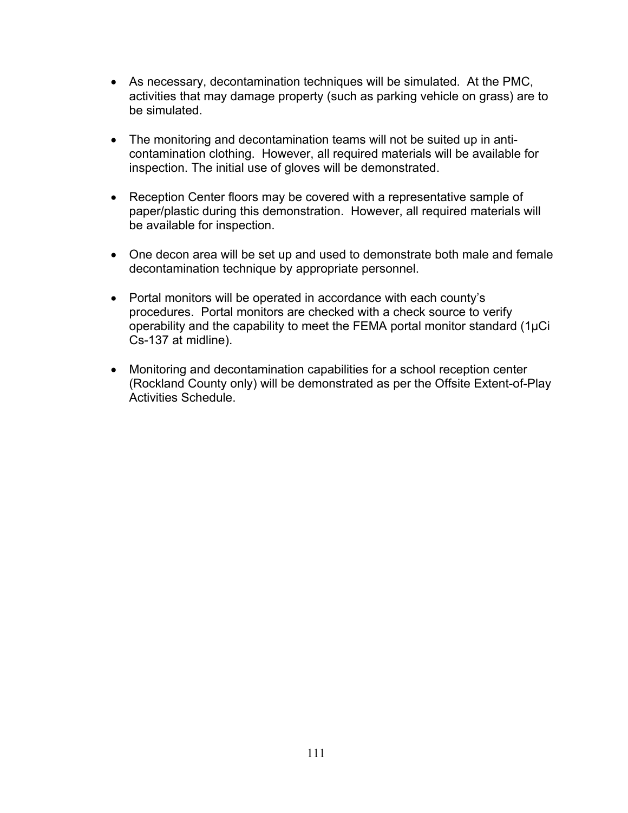- As necessary, decontamination techniques will be simulated. At the PMC, activities that may damage property (such as parking vehicle on grass) are to be simulated.
- The monitoring and decontamination teams will not be suited up in anticontamination clothing. However, all required materials will be available for inspection. The initial use of gloves will be demonstrated.
- Reception Center floors may be covered with a representative sample of paper/plastic during this demonstration. However, all required materials will be available for inspection.
- One decon area will be set up and used to demonstrate both male and female decontamination technique by appropriate personnel.
- Portal monitors will be operated in accordance with each county's procedures. Portal monitors are checked with a check source to verify operability and the capability to meet the FEMA portal monitor standard (1μCi Cs-137 at midline).
- Monitoring and decontamination capabilities for a school reception center (Rockland County only) will be demonstrated as per the Offsite Extent-of-Play Activities Schedule.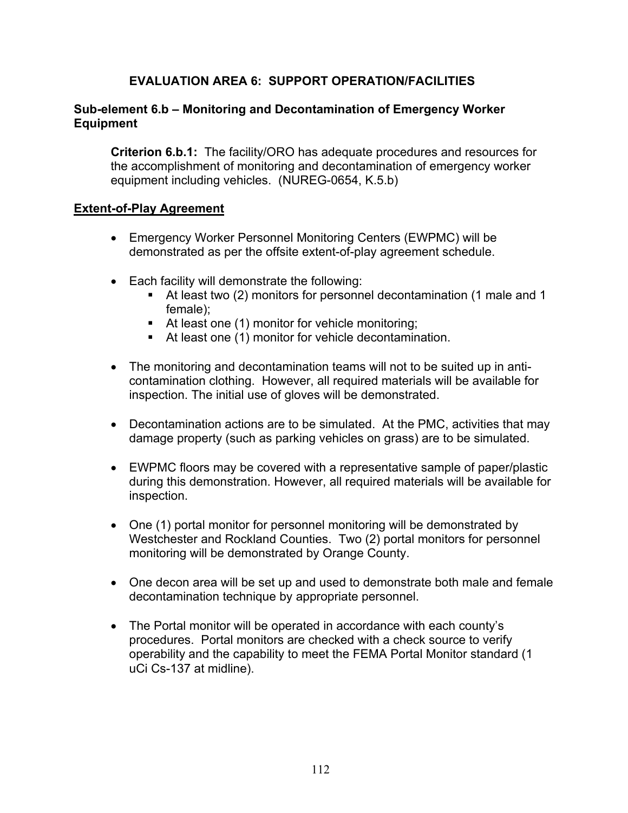### **Sub-element 6.b – Monitoring and Decontamination of Emergency Worker Equipment**

**Criterion 6.b.1:** The facility/ORO has adequate procedures and resources for the accomplishment of monitoring and decontamination of emergency worker equipment including vehicles. (NUREG-0654, K.5.b)

- Emergency Worker Personnel Monitoring Centers (EWPMC) will be demonstrated as per the offsite extent-of-play agreement schedule.
- Each facility will demonstrate the following:
	- At least two (2) monitors for personnel decontamination (1 male and 1 female);
	- At least one (1) monitor for vehicle monitoring;
	- At least one (1) monitor for vehicle decontamination.
- The monitoring and decontamination teams will not to be suited up in anticontamination clothing. However, all required materials will be available for inspection. The initial use of gloves will be demonstrated.
- Decontamination actions are to be simulated. At the PMC, activities that may damage property (such as parking vehicles on grass) are to be simulated.
- EWPMC floors may be covered with a representative sample of paper/plastic during this demonstration. However, all required materials will be available for inspection.
- One (1) portal monitor for personnel monitoring will be demonstrated by Westchester and Rockland Counties. Two (2) portal monitors for personnel monitoring will be demonstrated by Orange County.
- One decon area will be set up and used to demonstrate both male and female decontamination technique by appropriate personnel.
- The Portal monitor will be operated in accordance with each county's procedures. Portal monitors are checked with a check source to verify operability and the capability to meet the FEMA Portal Monitor standard (1 uCi Cs-137 at midline).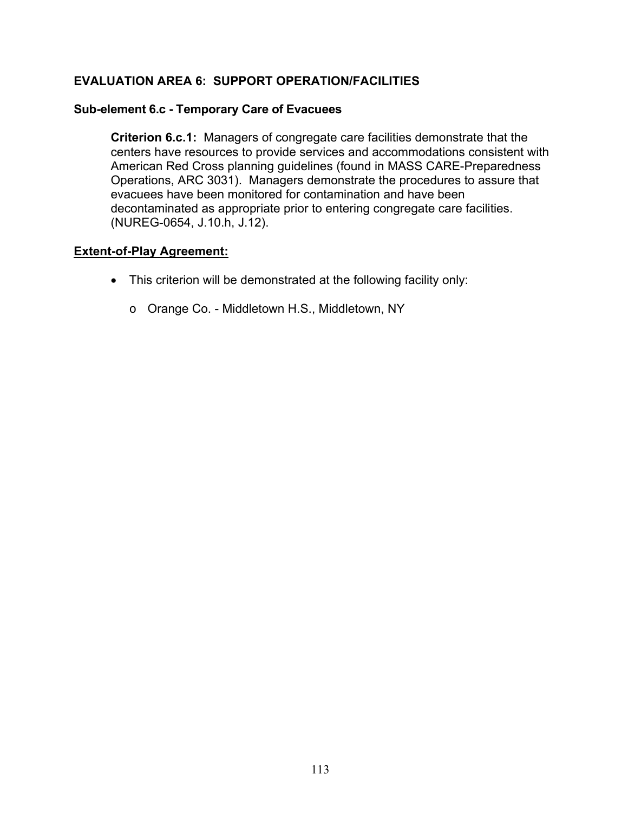### **Sub-element 6.c - Temporary Care of Evacuees**

**Criterion 6.c.1:** Managers of congregate care facilities demonstrate that the centers have resources to provide services and accommodations consistent with American Red Cross planning guidelines (found in MASS CARE-Preparedness Operations, ARC 3031). Managers demonstrate the procedures to assure that evacuees have been monitored for contamination and have been decontaminated as appropriate prior to entering congregate care facilities. (NUREG-0654, J.10.h, J.12).

- This criterion will be demonstrated at the following facility only:
	- o Orange Co. Middletown H.S., Middletown, NY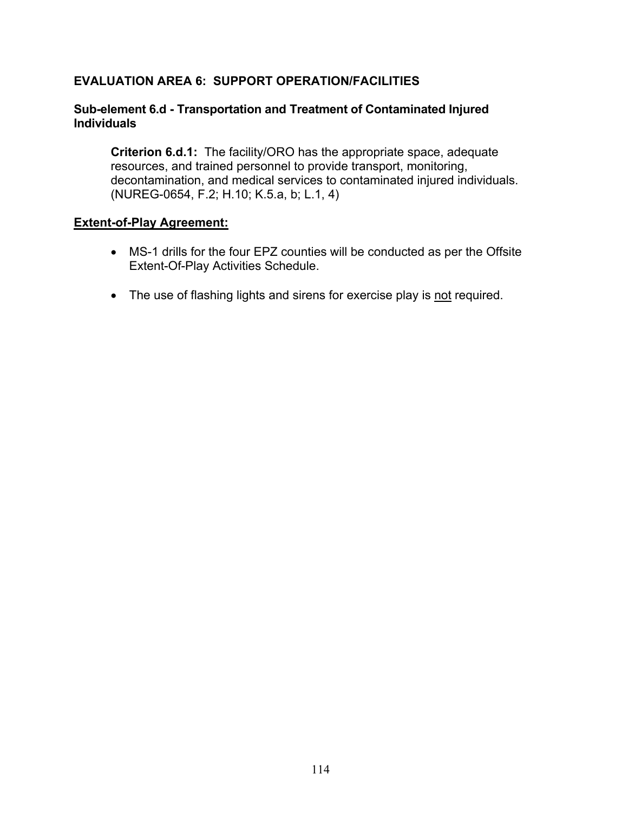### **Sub-element 6.d - Transportation and Treatment of Contaminated Injured Individuals**

**Criterion 6.d.1:** The facility/ORO has the appropriate space, adequate resources, and trained personnel to provide transport, monitoring, decontamination, and medical services to contaminated injured individuals. (NUREG-0654, F.2; H.10; K.5.a, b; L.1, 4)

- MS-1 drills for the four EPZ counties will be conducted as per the Offsite Extent-Of-Play Activities Schedule.
- The use of flashing lights and sirens for exercise play is not required.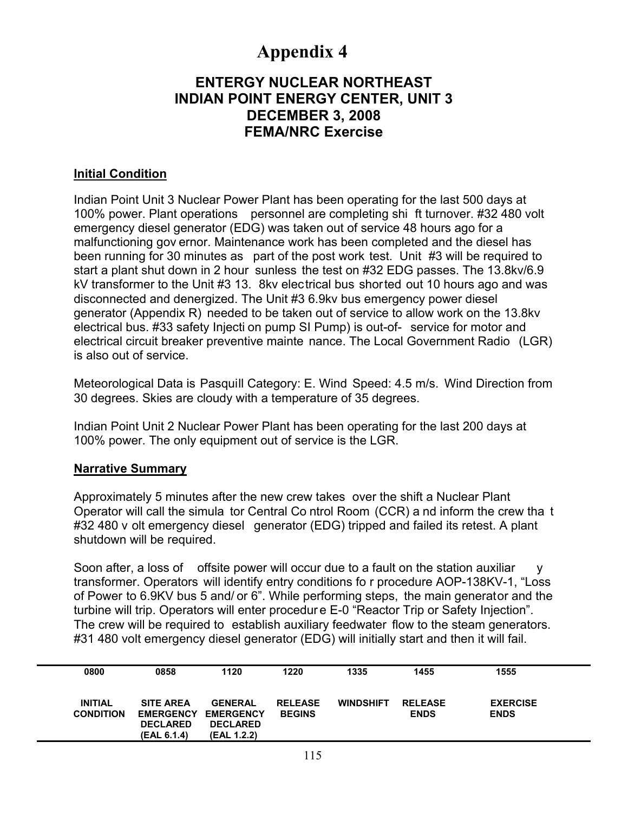# **Appendix 4**

# **ENTERGY NUCLEAR NORTHEAST INDIAN POINT ENERGY CENTER, UNIT 3 DECEMBER 3, 2008 FEMA/NRC Exercise**

### **Initial Condition**

Indian Point Unit 3 Nuclear Power Plant has been operating for the last 500 days at 100% power. Plant operations personnel are completing shi ft turnover. #32 480 volt emergency diesel generator (EDG) was taken out of service 48 hours ago for a malfunctioning gov ernor. Maintenance work has been completed and the diesel has been running for 30 minutes as part of the post work test. Unit #3 will be required to start a plant shut down in 2 hour sunless the test on #32 EDG passes. The 13.8kv/6.9 kV transformer to the Unit #3 13. 8kv electrical bus shorted out 10 hours ago and was disconnected and denergized. The Unit #3 6.9kv bus emergency power diesel generator (Appendix R) needed to be taken out of service to allow work on the 13.8kv electrical bus. #33 safety Injecti on pump SI Pump) is out-of- service for motor and electrical circuit breaker preventive mainte nance. The Local Government Radio (LGR) is also out of service.

Meteorological Data is Pasquill Category: E. Wind Speed: 4.5 m/s. Wind Direction from 30 degrees. Skies are cloudy with a temperature of 35 degrees.

Indian Point Unit 2 Nuclear Power Plant has been operating for the last 200 days at 100% power. The only equipment out of service is the LGR.

### **Narrative Summary**

Approximately 5 minutes after the new crew takes over the shift a Nuclear Plant Operator will call the simula tor Central Co ntrol Room (CCR) a nd inform the crew tha t #32 480 v olt emergency diesel generator (EDG) tripped and failed its retest. A plant shutdown will be required.

Soon after, a loss of offsite power will occur due to a fault on the station auxiliar y transformer. Operators will identify entry conditions fo r procedure AOP-138KV-1, "Loss of Power to 6.9KV bus 5 and/ or 6". While performing steps, the main generator and the turbine will trip. Operators will enter procedur e E-0 "Reactor Trip or Safety Injection". The crew will be required to establish auxiliary feedwater flow to the steam generators. #31 480 volt emergency diesel generator (EDG) will initially start and then it will fail.

| 0800                               | 0858                                                                   | 1120                                                                 | 1220                            | 1335             | 1455                          | 1555                           |  |
|------------------------------------|------------------------------------------------------------------------|----------------------------------------------------------------------|---------------------------------|------------------|-------------------------------|--------------------------------|--|
| <b>INITIAL</b><br><b>CONDITION</b> | <b>SITE AREA</b><br><b>EMERGENCY</b><br><b>DECLARED</b><br>(EAL 6.1.4) | <b>GENERAL</b><br><b>EMERGENCY</b><br><b>DECLARED</b><br>(EAL 1.2.2) | <b>RELEASE</b><br><b>BEGINS</b> | <b>WINDSHIFT</b> | <b>RELEASE</b><br><b>ENDS</b> | <b>EXERCISE</b><br><b>ENDS</b> |  |
|                                    |                                                                        |                                                                      | .                               |                  |                               |                                |  |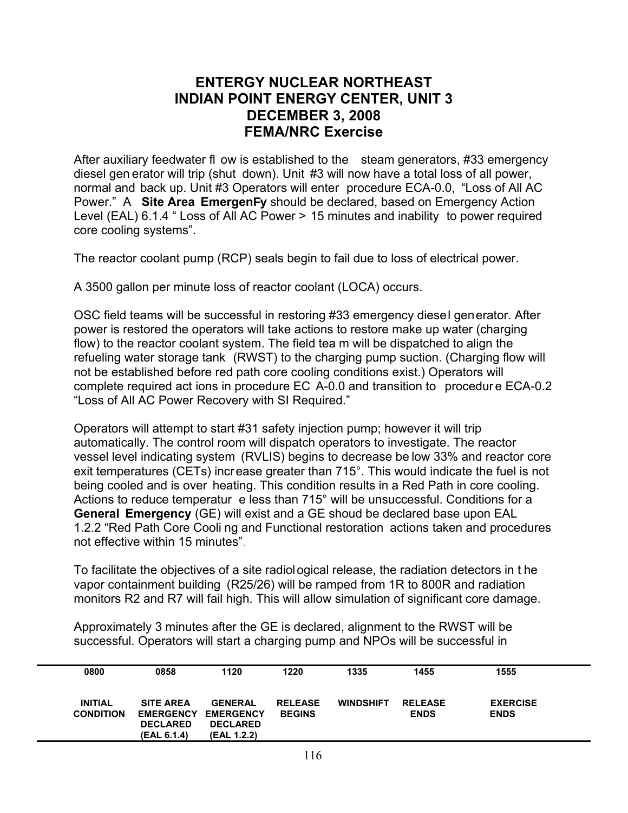# **ENTERGY NUCLEAR NORTHEAST INDIAN POINT ENERGY CENTER, UNIT 3 DECEMBER 3, 2008 FEMA/NRC Exercise**

After auxiliary feedwater fl ow is established to the steam generators, #33 emergency diesel gen erator will trip (shut down). Unit #3 will now have a total loss of all power, normal and back up. Unit #3 Operators will enter procedure ECA-0.0, "Loss of All AC Power." A **Site Area EmergenW** should be declared, based on Emergency Action Level (EAL) 6.1.4 " Loss of All AC Power > 15 minutes and inability to power required core cooling systems".

The reactor coolant pump (RCP) seals begin to fail due to loss of electrical power.

A 3500 gallon per minute loss of reactor coolant (LOCA) occurs.

OSC field teams will be successful in restoring #33 emergency diesel generator. After power is restored the operators will take actions to restore make up water (charging flow) to the reactor coolant system. The field tea m will be dispatched to align the refueling water storage tank (RWST) to the charging pump suction. (Charging flow will not be established before red path core cooling conditions exist.) Operators will complete required act ions in procedure EC A-0.0 and transition to procedur e ECA-0.2 "Loss of All AC Power Recovery with SI Required."

Operators will attempt to start #31 safety injection pump; however it will trip automatically. The control room will dispatch operators to investigate. The reactor vessel level indicating system (RVLIS) begins to decrease be low 33% and reactor core exit temperatures (CETs) increase greater than 715°. This would indicate the fuel is not being cooled and is over heating. This condition results in a Red Path in core cooling. Actions to reduce temperatur e less than 715° will be unsuccessful. Conditions for a **General Emergency** (GE) will exist and a GE shoud be declared base upon EAL 1.2.2 "Red Path Core Cooli ng and Functional restoration actions taken and procedures not effective within 15 minutes".

To facilitate the objectives of a site radiological release, the radiation detectors in t he vapor containment building (R25/26) will be ramped from 1R to 800R and radiation monitors R2 and R7 will fail high. This will allow simulation of significant core damage.

Approximately 3 minutes after the GE is declared, alignment to the RWST will be successful. Operators will start a charging pump and NPOs will be successful in

| 0800                               | 0858                                                                   | 1120                                                                 | 1220                            | 1335             | 1455                          | 1555                           |  |
|------------------------------------|------------------------------------------------------------------------|----------------------------------------------------------------------|---------------------------------|------------------|-------------------------------|--------------------------------|--|
| <b>INITIAL</b><br><b>CONDITION</b> | <b>SITE AREA</b><br><b>EMERGENCY</b><br><b>DECLARED</b><br>(EAL 6.1.4) | <b>GENERAL</b><br><b>EMERGENCY</b><br><b>DECLARED</b><br>(EAL 1.2.2) | <b>RELEASE</b><br><b>BEGINS</b> | <b>WINDSHIFT</b> | <b>RELEASE</b><br><b>ENDS</b> | <b>EXERCISE</b><br><b>ENDS</b> |  |
|                                    |                                                                        |                                                                      | .                               |                  |                               |                                |  |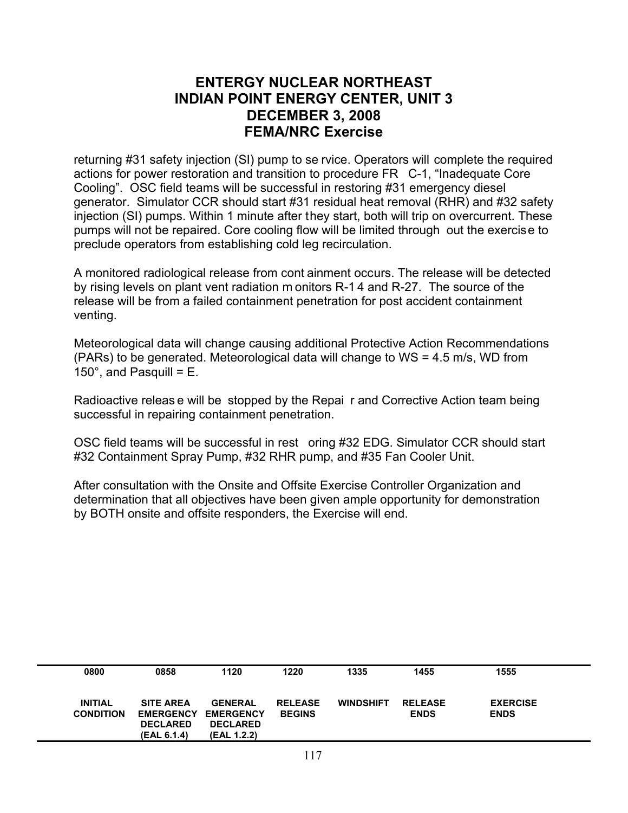# **ENTERGY NUCLEAR NORTHEAST INDIAN POINT ENERGY CENTER, UNIT 3 DECEMBER 3, 2008 FEMA/NRC Exercise**

returning #31 safety injection (SI) pump to se rvice. Operators will complete the required actions for power restoration and transition to procedure FR C-1, "Inadequate Core Cooling". OSC field teams will be successful in restoring #31 emergency diesel generator. Simulator CCR should start #31 residual heat removal (RHR) and #32 safety injection (SI) pumps. Within 1 minute after they start, both will trip on overcurrent. These pumps will not be repaired. Core cooling flow will be limited through out the exercise to preclude operators from establishing cold leg recirculation.

A monitored radiological release from cont ainment occurs. The release will be detected by rising levels on plant vent radiation m onitors R-1 4 and R-27. The source of the release will be from a failed containment penetration for post accident containment venting.

Meteorological data will change causing additional Protective Action Recommendations (PARs) to be generated. Meteorological data will change to WS = 4.5 m/s, WD from 150 $^{\circ}$ , and Pasquill = E.

Radioactive releas e will be stopped by the Repai r and Corrective Action team being successful in repairing containment penetration.

OSC field teams will be successful in rest oring #32 EDG. Simulator CCR should start #32 Containment Spray Pump, #32 RHR pump, and #35 Fan Cooler Unit.

After consultation with the Onsite and Offsite Exercise Controller Organization and determination that all objectives have been given ample opportunity for demonstration by BOTH onsite and offsite responders, the Exercise will end.

| <b>INITIAL</b><br><b>WINDSHIFT</b><br><b>GENERAL</b><br><b>RELEASE</b><br><b>RELEASE</b><br><b>EXERCISE</b><br><b>SITE AREA</b> | 1555        | 1455        | 1335 | 1220          | 1120             | 0858             | 0800             |  |
|---------------------------------------------------------------------------------------------------------------------------------|-------------|-------------|------|---------------|------------------|------------------|------------------|--|
| <b>DECLARED</b><br><b>DECLARED</b><br>(EAL 1.2.2)<br>(EAL 6.1.4)                                                                | <b>ENDS</b> | <b>ENDS</b> |      | <b>BEGINS</b> | <b>EMERGENCY</b> | <b>EMERGENCY</b> | <b>CONDITION</b> |  |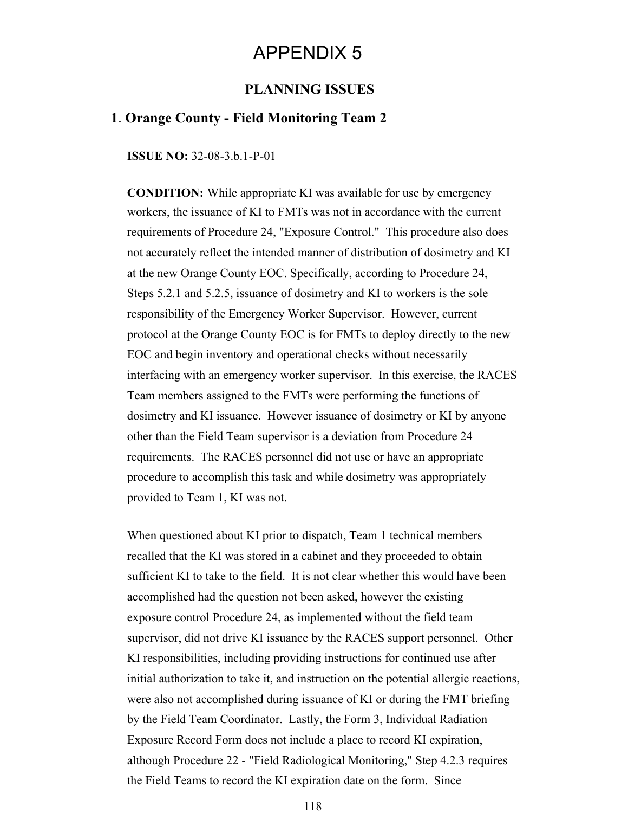# APPENDIX 5

### **PLANNING ISSUES**

### **1**. **Orange County - Field Monitoring Team 2**

**ISSUE NO:** 32-08-3.b.1-P-01

**CONDITION:** While appropriate KI was available for use by emergency workers, the issuance of KI to FMTs was not in accordance with the current requirements of Procedure 24, "Exposure Control." This procedure also does not accurately reflect the intended manner of distribution of dosimetry and KI at the new Orange County EOC. Specifically, according to Procedure 24, Steps 5.2.1 and 5.2.5, issuance of dosimetry and KI to workers is the sole responsibility of the Emergency Worker Supervisor. However, current protocol at the Orange County EOC is for FMTs to deploy directly to the new EOC and begin inventory and operational checks without necessarily interfacing with an emergency worker supervisor. In this exercise, the RACES Team members assigned to the FMTs were performing the functions of dosimetry and KI issuance. However issuance of dosimetry or KI by anyone other than the Field Team supervisor is a deviation from Procedure 24 requirements. The RACES personnel did not use or have an appropriate procedure to accomplish this task and while dosimetry was appropriately provided to Team 1, KI was not.

When questioned about KI prior to dispatch, Team 1 technical members recalled that the KI was stored in a cabinet and they proceeded to obtain sufficient KI to take to the field. It is not clear whether this would have been accomplished had the question not been asked, however the existing exposure control Procedure 24, as implemented without the field team supervisor, did not drive KI issuance by the RACES support personnel. Other KI responsibilities, including providing instructions for continued use after initial authorization to take it, and instruction on the potential allergic reactions, were also not accomplished during issuance of KI or during the FMT briefing by the Field Team Coordinator. Lastly, the Form 3, Individual Radiation Exposure Record Form does not include a place to record KI expiration, although Procedure 22 - "Field Radiological Monitoring," Step 4.2.3 requires the Field Teams to record the KI expiration date on the form. Since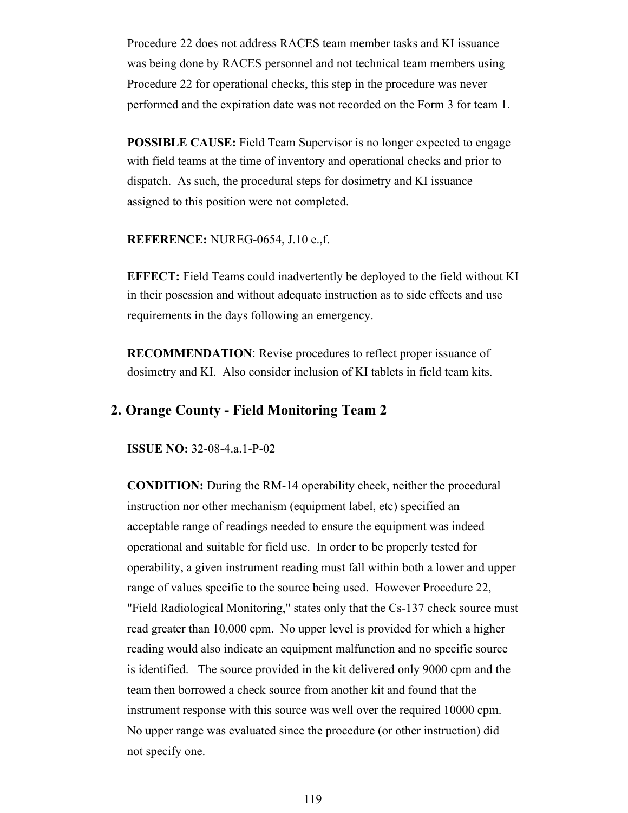Procedure 22 does not address RACES team member tasks and KI issuance was being done by RACES personnel and not technical team members using Procedure 22 for operational checks, this step in the procedure was never performed and the expiration date was not recorded on the Form 3 for team 1.

**POSSIBLE CAUSE:** Field Team Supervisor is no longer expected to engage with field teams at the time of inventory and operational checks and prior to dispatch. As such, the procedural steps for dosimetry and KI issuance assigned to this position were not completed.

**REFERENCE:** NUREG-0654, J.10 e.,f.

**EFFECT:** Field Teams could inadvertently be deployed to the field without KI in their posession and without adequate instruction as to side effects and use requirements in the days following an emergency.

**RECOMMENDATION**: Revise procedures to reflect proper issuance of dosimetry and KI. Also consider inclusion of KI tablets in field team kits.

### **2. Orange County - Field Monitoring Team 2**

**ISSUE NO:** 32-08-4.a.1-P-02

**CONDITION:** During the RM-14 operability check, neither the procedural instruction nor other mechanism (equipment label, etc) specified an acceptable range of readings needed to ensure the equipment was indeed operational and suitable for field use. In order to be properly tested for operability, a given instrument reading must fall within both a lower and upper range of values specific to the source being used. However Procedure 22, "Field Radiological Monitoring," states only that the Cs-137 check source must read greater than 10,000 cpm. No upper level is provided for which a higher reading would also indicate an equipment malfunction and no specific source is identified. The source provided in the kit delivered only 9000 cpm and the team then borrowed a check source from another kit and found that the instrument response with this source was well over the required 10000 cpm. No upper range was evaluated since the procedure (or other instruction) did not specify one.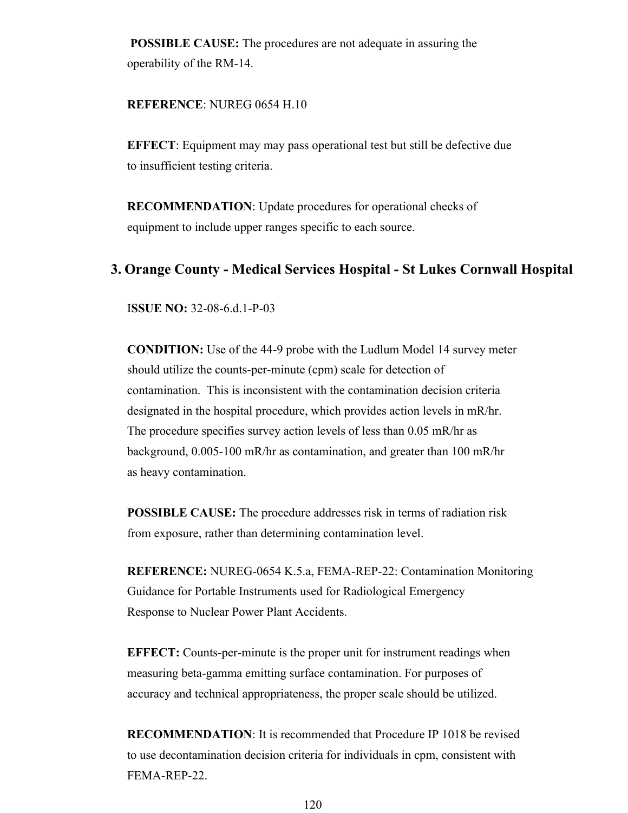**POSSIBLE CAUSE:** The procedures are not adequate in assuring the operability of the RM-14.

#### **REFERENCE**: NUREG 0654 H.10

**EFFECT**: Equipment may may pass operational test but still be defective due to insufficient testing criteria.

**RECOMMENDATION**: Update procedures for operational checks of equipment to include upper ranges specific to each source.

### **3. Orange County - Medical Services Hospital - St Lukes Cornwall Hospital**

I**SSUE NO:** 32-08-6.d.1-P-03

**CONDITION:** Use of the 44-9 probe with the Ludlum Model 14 survey meter should utilize the counts-per-minute (cpm) scale for detection of contamination. This is inconsistent with the contamination decision criteria designated in the hospital procedure, which provides action levels in mR/hr. The procedure specifies survey action levels of less than 0.05 mR/hr as background, 0.005-100 mR/hr as contamination, and greater than 100 mR/hr as heavy contamination.

**POSSIBLE CAUSE:** The procedure addresses risk in terms of radiation risk from exposure, rather than determining contamination level.

**REFERENCE:** NUREG-0654 K.5.a, FEMA-REP-22: Contamination Monitoring Guidance for Portable Instruments used for Radiological Emergency Response to Nuclear Power Plant Accidents.

**EFFECT:** Counts-per-minute is the proper unit for instrument readings when measuring beta-gamma emitting surface contamination. For purposes of accuracy and technical appropriateness, the proper scale should be utilized.

**RECOMMENDATION**: It is recommended that Procedure IP 1018 be revised to use decontamination decision criteria for individuals in cpm, consistent with FEMA-REP-22.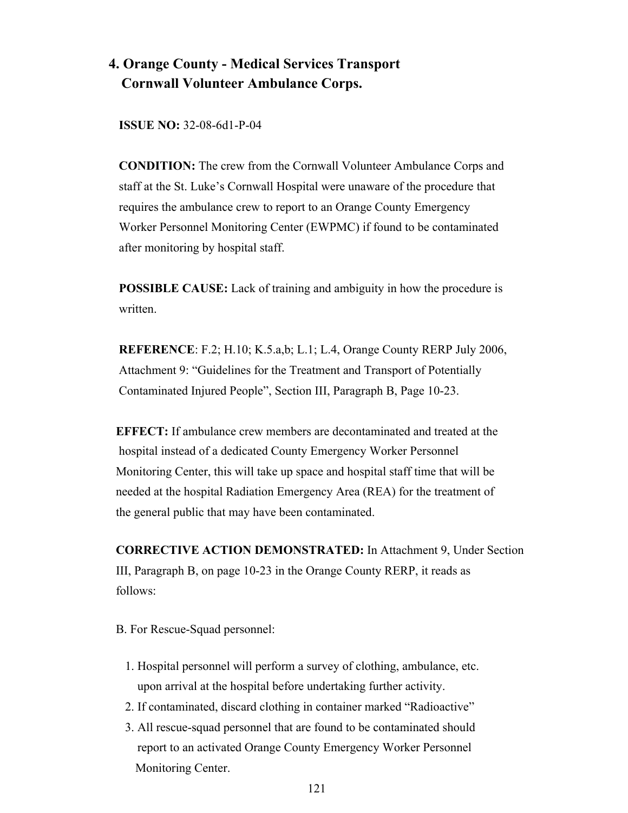# **4. Orange County - Medical Services Transport Cornwall Volunteer Ambulance Corps.**

 **ISSUE NO:** 32-08-6d1-P-04

 **CONDITION:** The crew from the Cornwall Volunteer Ambulance Corps and staff at the St. Luke's Cornwall Hospital were unaware of the procedure that requires the ambulance crew to report to an Orange County Emergency Worker Personnel Monitoring Center (EWPMC) if found to be contaminated after monitoring by hospital staff.

 **POSSIBLE CAUSE:** Lack of training and ambiguity in how the procedure is written.

 **REFERENCE**: F.2; H.10; K.5.a,b; L.1; L.4, Orange County RERP July 2006, Attachment 9: "Guidelines for the Treatment and Transport of Potentially Contaminated Injured People", Section III, Paragraph B, Page 10-23.

 **EFFECT:** If ambulance crew members are decontaminated and treated at the hospital instead of a dedicated County Emergency Worker Personnel Monitoring Center, this will take up space and hospital staff time that will be needed at the hospital Radiation Emergency Area (REA) for the treatment of the general public that may have been contaminated.

 **CORRECTIVE ACTION DEMONSTRATED:** In Attachment 9, Under Section III, Paragraph B, on page 10-23 in the Orange County RERP, it reads as follows:

B. For Rescue-Squad personnel:

- 1. Hospital personnel will perform a survey of clothing, ambulance, etc. upon arrival at the hospital before undertaking further activity.
- 2. If contaminated, discard clothing in container marked "Radioactive"
- 3. All rescue-squad personnel that are found to be contaminated should report to an activated Orange County Emergency Worker Personnel Monitoring Center.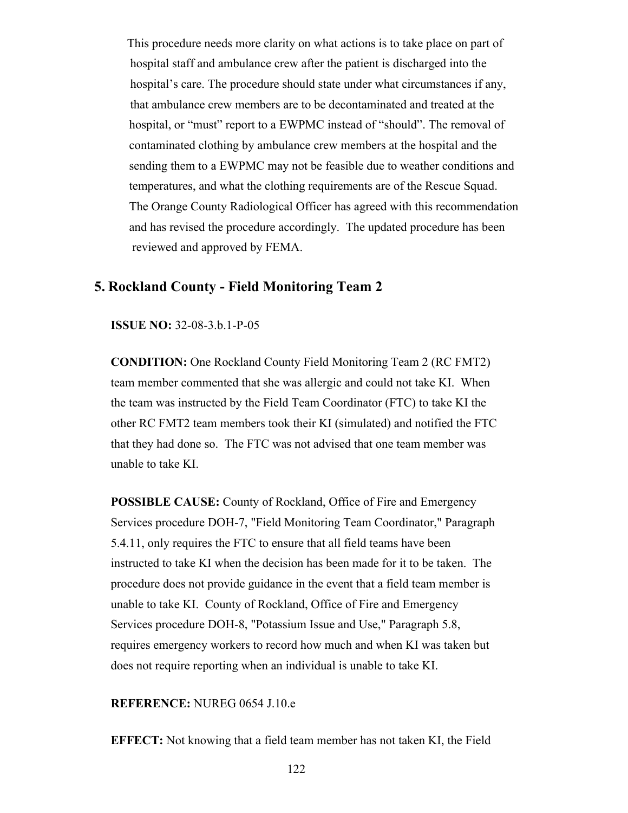This procedure needs more clarity on what actions is to take place on part of hospital staff and ambulance crew after the patient is discharged into the hospital's care. The procedure should state under what circumstances if any, that ambulance crew members are to be decontaminated and treated at the hospital, or "must" report to a EWPMC instead of "should". The removal of contaminated clothing by ambulance crew members at the hospital and the sending them to a EWPMC may not be feasible due to weather conditions and temperatures, and what the clothing requirements are of the Rescue Squad. The Orange County Radiological Officer has agreed with this recommendation and has revised the procedure accordingly. The updated procedure has been reviewed and approved by FEMA.

### **5. Rockland County - Field Monitoring Team 2**

**ISSUE NO:** 32-08-3.b.1-P-05

**CONDITION:** One Rockland County Field Monitoring Team 2 (RC FMT2) team member commented that she was allergic and could not take KI. When the team was instructed by the Field Team Coordinator (FTC) to take KI the other RC FMT2 team members took their KI (simulated) and notified the FTC that they had done so. The FTC was not advised that one team member was unable to take KI.

**POSSIBLE CAUSE:** County of Rockland, Office of Fire and Emergency Services procedure DOH-7, "Field Monitoring Team Coordinator," Paragraph 5.4.11, only requires the FTC to ensure that all field teams have been instructed to take KI when the decision has been made for it to be taken. The procedure does not provide guidance in the event that a field team member is unable to take KI. County of Rockland, Office of Fire and Emergency Services procedure DOH-8, "Potassium Issue and Use," Paragraph 5.8, requires emergency workers to record how much and when KI was taken but does not require reporting when an individual is unable to take KI.

#### **REFERENCE:** NUREG 0654 J.10.e

**EFFECT:** Not knowing that a field team member has not taken KI, the Field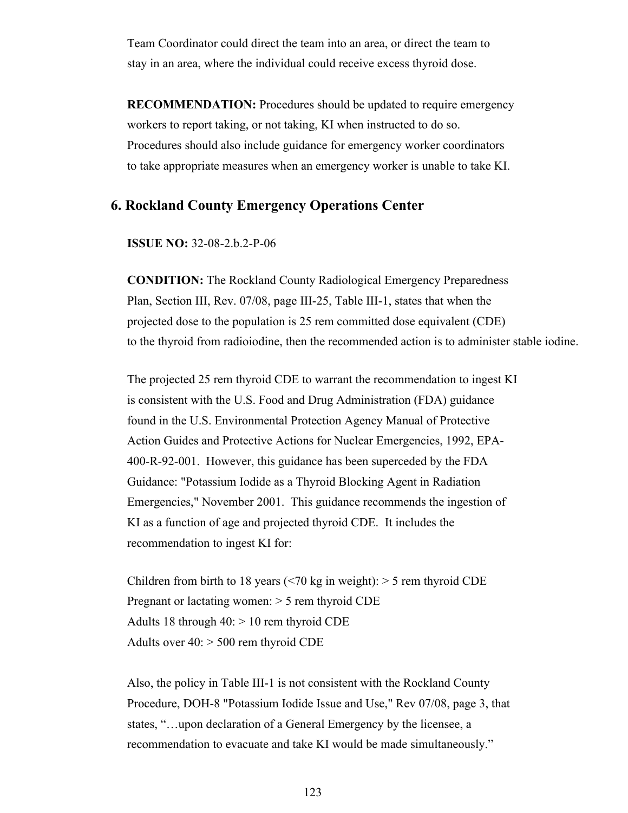Team Coordinator could direct the team into an area, or direct the team to stay in an area, where the individual could receive excess thyroid dose.

**RECOMMENDATION:** Procedures should be updated to require emergency workers to report taking, or not taking, KI when instructed to do so. Procedures should also include guidance for emergency worker coordinators to take appropriate measures when an emergency worker is unable to take KI.

### **6. Rockland County Emergency Operations Center**

**ISSUE NO:** 32-08-2.b.2-P-06

**CONDITION:** The Rockland County Radiological Emergency Preparedness Plan, Section III, Rev. 07/08, page III-25, Table III-1, states that when the projected dose to the population is 25 rem committed dose equivalent (CDE) to the thyroid from radioiodine, then the recommended action is to administer stable iodine.

The projected 25 rem thyroid CDE to warrant the recommendation to ingest KI is consistent with the U.S. Food and Drug Administration (FDA) guidance found in the U.S. Environmental Protection Agency Manual of Protective Action Guides and Protective Actions for Nuclear Emergencies, 1992, EPA-400-R-92-001. However, this guidance has been superceded by the FDA Guidance: "Potassium Iodide as a Thyroid Blocking Agent in Radiation Emergencies," November 2001. This guidance recommends the ingestion of KI as a function of age and projected thyroid CDE. It includes the recommendation to ingest KI for:

Children from birth to 18 years  $\left( \langle 70 \rangle \right)$  kg in weight):  $> 5$  rem thyroid CDE Pregnant or lactating women: > 5 rem thyroid CDE Adults 18 through  $40:$  > 10 rem thyroid CDE Adults over  $40:$  > 500 rem thyroid CDE

Also, the policy in Table III-1 is not consistent with the Rockland County Procedure, DOH-8 "Potassium Iodide Issue and Use," Rev 07/08, page 3, that states, "…upon declaration of a General Emergency by the licensee, a recommendation to evacuate and take KI would be made simultaneously."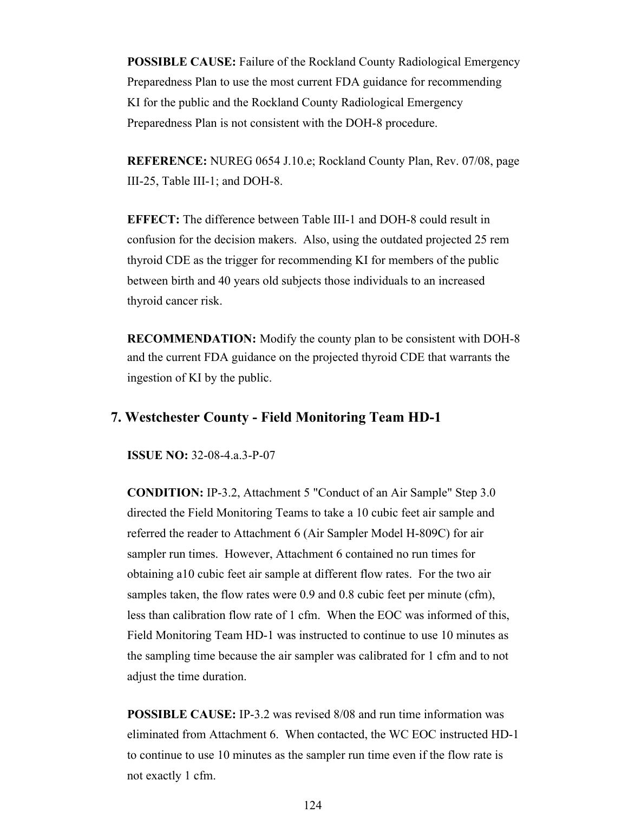**POSSIBLE CAUSE:** Failure of the Rockland County Radiological Emergency Preparedness Plan to use the most current FDA guidance for recommending KI for the public and the Rockland County Radiological Emergency Preparedness Plan is not consistent with the DOH-8 procedure.

**REFERENCE:** NUREG 0654 J.10.e; Rockland County Plan, Rev. 07/08, page III-25, Table III-1; and DOH-8.

**EFFECT:** The difference between Table III-1 and DOH-8 could result in confusion for the decision makers. Also, using the outdated projected 25 rem thyroid CDE as the trigger for recommending KI for members of the public between birth and 40 years old subjects those individuals to an increased thyroid cancer risk.

**RECOMMENDATION:** Modify the county plan to be consistent with DOH-8 and the current FDA guidance on the projected thyroid CDE that warrants the ingestion of KI by the public.

### **7. Westchester County - Field Monitoring Team HD-1**

**ISSUE NO:** 32-08-4.a.3-P-07

**CONDITION:** IP-3.2, Attachment 5 "Conduct of an Air Sample" Step 3.0 directed the Field Monitoring Teams to take a 10 cubic feet air sample and referred the reader to Attachment 6 (Air Sampler Model H-809C) for air sampler run times. However, Attachment 6 contained no run times for obtaining a10 cubic feet air sample at different flow rates. For the two air samples taken, the flow rates were 0.9 and 0.8 cubic feet per minute (cfm), less than calibration flow rate of 1 cfm. When the EOC was informed of this, Field Monitoring Team HD-1 was instructed to continue to use 10 minutes as the sampling time because the air sampler was calibrated for 1 cfm and to not adjust the time duration.

**POSSIBLE CAUSE:** IP-3.2 was revised 8/08 and run time information was eliminated from Attachment 6. When contacted, the WC EOC instructed HD-1 to continue to use 10 minutes as the sampler run time even if the flow rate is not exactly 1 cfm.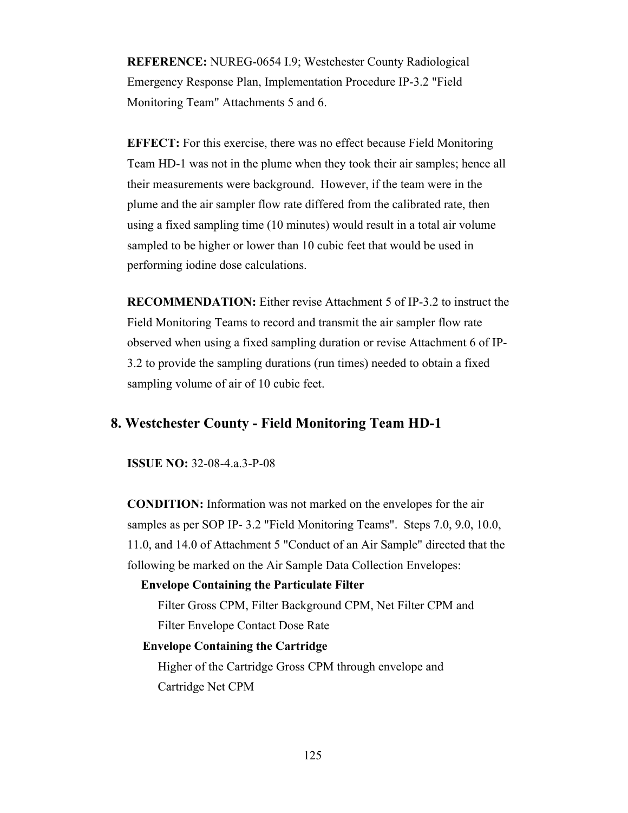**REFERENCE:** NUREG-0654 I.9; Westchester County Radiological Emergency Response Plan, Implementation Procedure IP-3.2 "Field Monitoring Team" Attachments 5 and 6.

**EFFECT:** For this exercise, there was no effect because Field Monitoring Team HD-1 was not in the plume when they took their air samples; hence all their measurements were background. However, if the team were in the plume and the air sampler flow rate differed from the calibrated rate, then using a fixed sampling time (10 minutes) would result in a total air volume sampled to be higher or lower than 10 cubic feet that would be used in performing iodine dose calculations.

**RECOMMENDATION:** Either revise Attachment 5 of IP-3.2 to instruct the Field Monitoring Teams to record and transmit the air sampler flow rate observed when using a fixed sampling duration or revise Attachment 6 of IP-3.2 to provide the sampling durations (run times) needed to obtain a fixed sampling volume of air of 10 cubic feet.

### **8. Westchester County - Field Monitoring Team HD-1**

**ISSUE NO:** 32-08-4.a.3-P-08

**CONDITION:** Information was not marked on the envelopes for the air samples as per SOP IP- 3.2 "Field Monitoring Teams". Steps 7.0, 9.0, 10.0, 11.0, and 14.0 of Attachment 5 "Conduct of an Air Sample" directed that the following be marked on the Air Sample Data Collection Envelopes:

#### **Envelope Containing the Particulate Filter**

 Filter Gross CPM, Filter Background CPM, Net Filter CPM and Filter Envelope Contact Dose Rate

### **Envelope Containing the Cartridge**

 Higher of the Cartridge Gross CPM through envelope and Cartridge Net CPM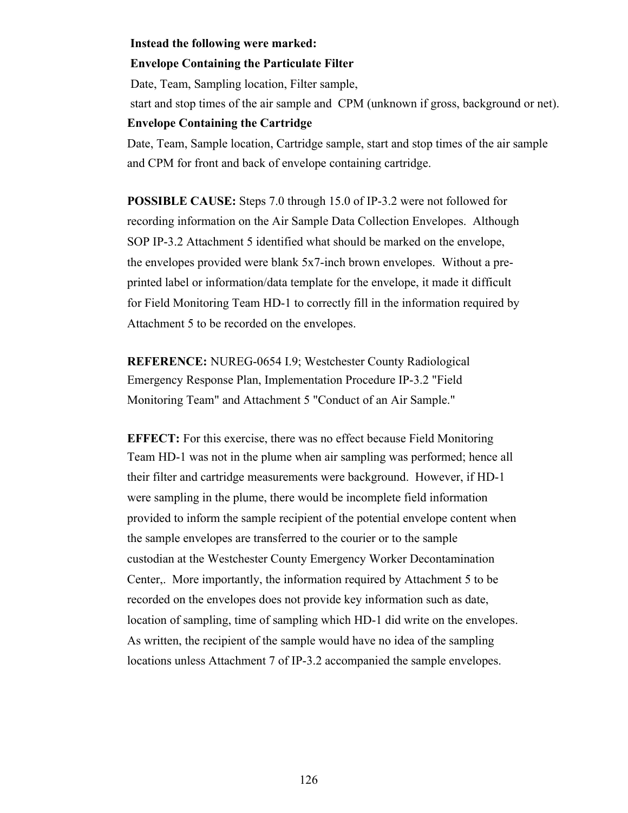#### **Instead the following were marked:**

#### **Envelope Containing the Particulate Filter**

Date, Team, Sampling location, Filter sample,

start and stop times of the air sample and CPM (unknown if gross, background or net).

### **Envelope Containing the Cartridge**

Date, Team, Sample location, Cartridge sample, start and stop times of the air sample and CPM for front and back of envelope containing cartridge.

**POSSIBLE CAUSE:** Steps 7.0 through 15.0 of IP-3.2 were not followed for recording information on the Air Sample Data Collection Envelopes. Although SOP IP-3.2 Attachment 5 identified what should be marked on the envelope, the envelopes provided were blank 5x7-inch brown envelopes. Without a preprinted label or information/data template for the envelope, it made it difficult for Field Monitoring Team HD-1 to correctly fill in the information required by Attachment 5 to be recorded on the envelopes.

**REFERENCE:** NUREG-0654 I.9; Westchester County Radiological Emergency Response Plan, Implementation Procedure IP-3.2 "Field Monitoring Team" and Attachment 5 "Conduct of an Air Sample."

**EFFECT:** For this exercise, there was no effect because Field Monitoring Team HD-1 was not in the plume when air sampling was performed; hence all their filter and cartridge measurements were background. However, if HD-1 were sampling in the plume, there would be incomplete field information provided to inform the sample recipient of the potential envelope content when the sample envelopes are transferred to the courier or to the sample custodian at the Westchester County Emergency Worker Decontamination Center,. More importantly, the information required by Attachment 5 to be recorded on the envelopes does not provide key information such as date, location of sampling, time of sampling which HD-1 did write on the envelopes. As written, the recipient of the sample would have no idea of the sampling locations unless Attachment 7 of IP-3.2 accompanied the sample envelopes.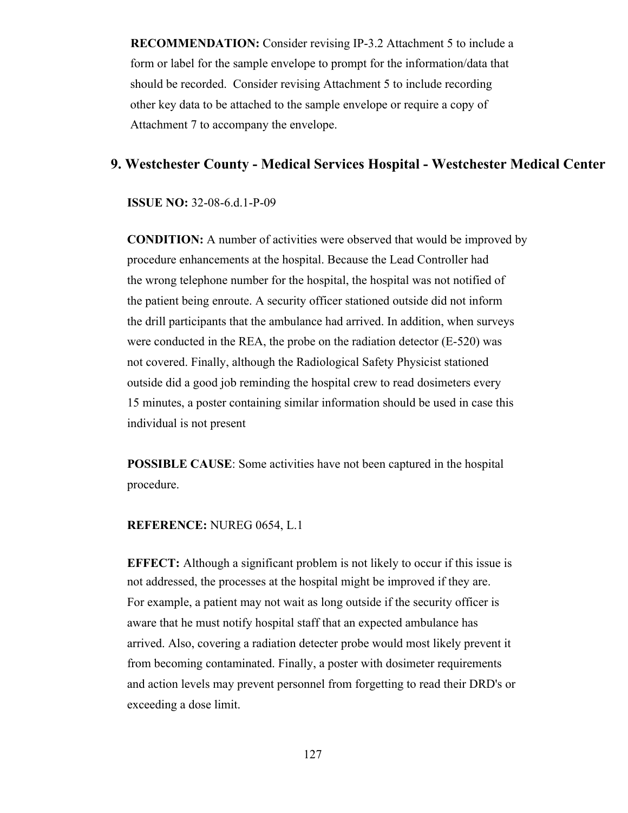**RECOMMENDATION:** Consider revising IP-3.2 Attachment 5 to include a form or label for the sample envelope to prompt for the information/data that should be recorded. Consider revising Attachment 5 to include recording other key data to be attached to the sample envelope or require a copy of Attachment 7 to accompany the envelope.

### **9. Westchester County - Medical Services Hospital - Westchester Medical Center**

**ISSUE NO:** 32-08-6.d.1-P-09

**CONDITION:** A number of activities were observed that would be improved by procedure enhancements at the hospital. Because the Lead Controller had the wrong telephone number for the hospital, the hospital was not notified of the patient being enroute. A security officer stationed outside did not inform the drill participants that the ambulance had arrived. In addition, when surveys were conducted in the REA, the probe on the radiation detector (E-520) was not covered. Finally, although the Radiological Safety Physicist stationed outside did a good job reminding the hospital crew to read dosimeters every 15 minutes, a poster containing similar information should be used in case this individual is not present

**POSSIBLE CAUSE**: Some activities have not been captured in the hospital procedure.

#### **REFERENCE:** NUREG 0654, L.1

**EFFECT:** Although a significant problem is not likely to occur if this issue is not addressed, the processes at the hospital might be improved if they are. For example, a patient may not wait as long outside if the security officer is aware that he must notify hospital staff that an expected ambulance has arrived. Also, covering a radiation detecter probe would most likely prevent it from becoming contaminated. Finally, a poster with dosimeter requirements and action levels may prevent personnel from forgetting to read their DRD's or exceeding a dose limit.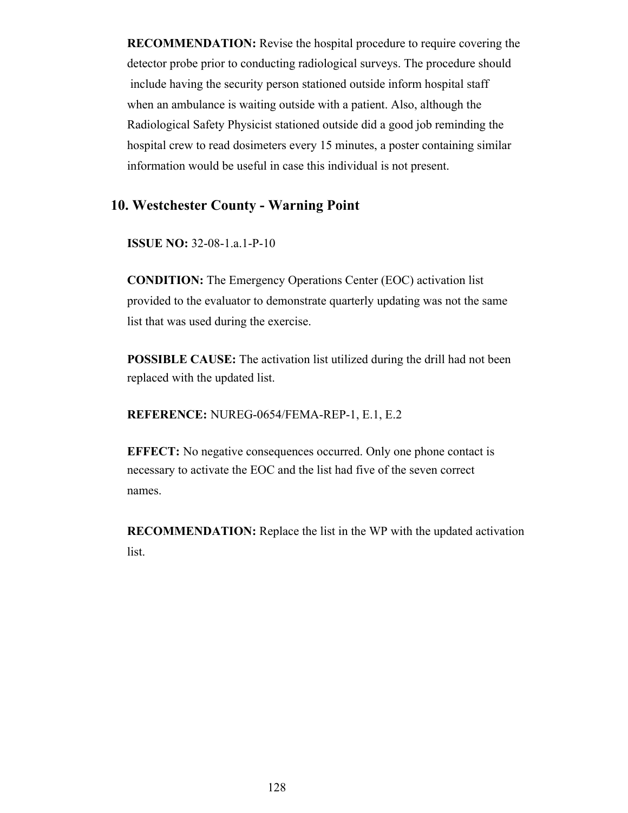**RECOMMENDATION:** Revise the hospital procedure to require covering the detector probe prior to conducting radiological surveys. The procedure should include having the security person stationed outside inform hospital staff when an ambulance is waiting outside with a patient. Also, although the Radiological Safety Physicist stationed outside did a good job reminding the hospital crew to read dosimeters every 15 minutes, a poster containing similar information would be useful in case this individual is not present.

### **10. Westchester County - Warning Point**

**ISSUE NO:** 32-08-1.a.1-P-10

**CONDITION:** The Emergency Operations Center (EOC) activation list provided to the evaluator to demonstrate quarterly updating was not the same list that was used during the exercise.

**POSSIBLE CAUSE:** The activation list utilized during the drill had not been replaced with the updated list.

**REFERENCE:** NUREG-0654/FEMA-REP-1, E.1, E.2

**EFFECT:** No negative consequences occurred. Only one phone contact is necessary to activate the EOC and the list had five of the seven correct names.

**RECOMMENDATION:** Replace the list in the WP with the updated activation list.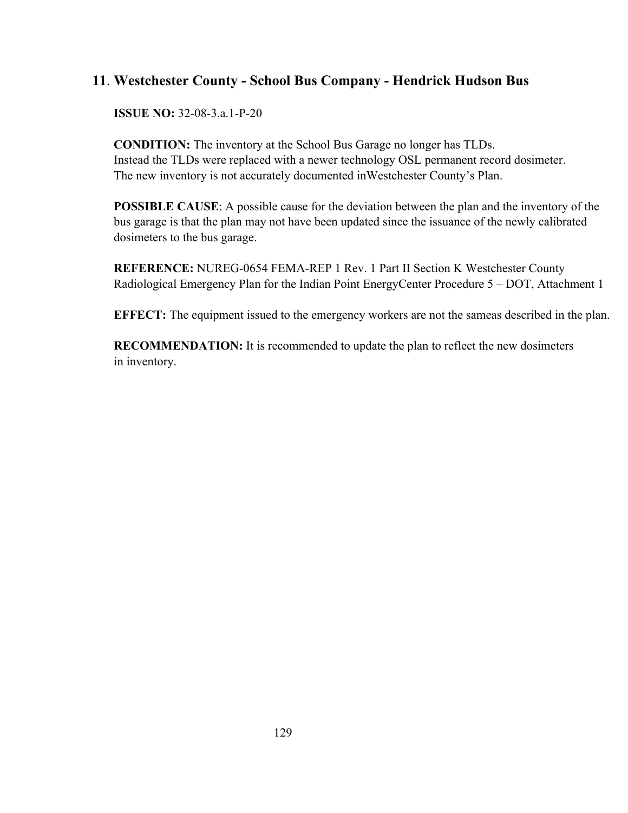# **11**. **Westchester County - School Bus Company - Hendrick Hudson Bus**

 **ISSUE NO:** 32-08-3.a.1-P-20

 **CONDITION:** The inventory at the School Bus Garage no longer has TLDs. Instead the TLDs were replaced with a newer technology OSL permanent record dosimeter. The new inventory is not accurately documented inWestchester County's Plan.

 **POSSIBLE CAUSE**: A possible cause for the deviation between the plan and the inventory of the bus garage is that the plan may not have been updated since the issuance of the newly calibrated dosimeters to the bus garage.

 **REFERENCE:** NUREG-0654 FEMA-REP 1 Rev. 1 Part II Section K Westchester County Radiological Emergency Plan for the Indian Point EnergyCenter Procedure 5 – DOT, Attachment 1

 **EFFECT:** The equipment issued to the emergency workers are not the sameas described in the plan.

 **RECOMMENDATION:** It is recommended to update the plan to reflect the new dosimeters in inventory.